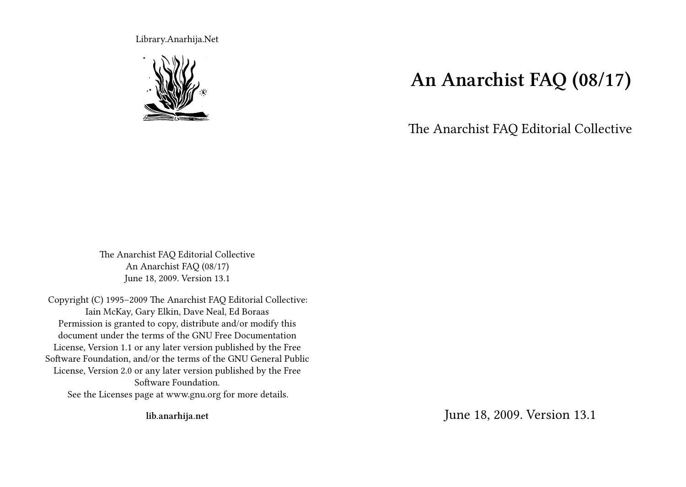Library.Anarhija.Net



## **An Anarchist FAQ (08/17)**

The Anarchist FAQ Editorial Collective

The Anarchist FAQ Editorial Collective An Anarchist FAQ (08/17) June 18, 2009. Version 13.1

Copyright (C) 1995–2009 The Anarchist FAQ Editorial Collective: Iain McKay, Gary Elkin, Dave Neal, Ed Boraas Permission is granted to copy, distribute and/or modify this document under the terms of the GNU Free Documentation License, Version 1.1 or any later version published by the Free Software Foundation, and/or the terms of the GNU General Public License, Version 2.0 or any later version published by the Free Software Foundation. See the Licenses page at www.gnu.org for more details.

**lib.anarhija.net**

June 18, 2009. Version 13.1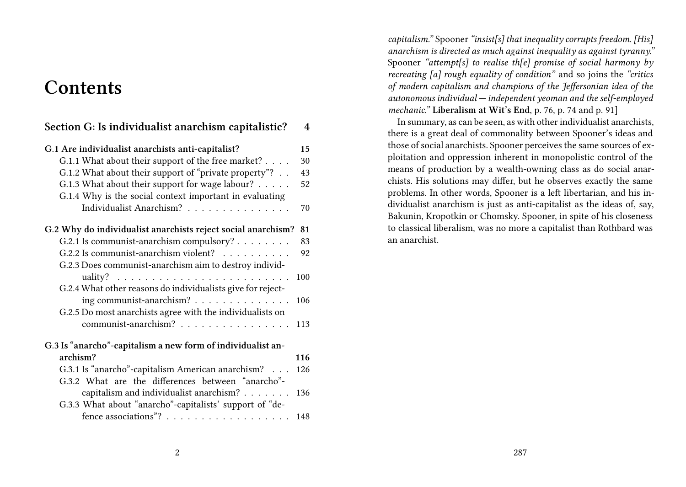### **Contents**

| Section G: Is individualist anarchism capitalistic?          | $\overline{\mathbf{4}}$ |
|--------------------------------------------------------------|-------------------------|
| G.1 Are individualist anarchists anti-capitalist?            | 15                      |
| G.1.1 What about their support of the free market?           | 30                      |
| G.1.2 What about their support of "private property"?        | 43                      |
| G.1.3 What about their support for wage labour?              | 52                      |
| G.1.4 Why is the social context important in evaluating      |                         |
| Individualist Anarchism?                                     | 70                      |
| G.2 Why do individualist anarchists reject social anarchism? | 81                      |
| G.2.1 Is communist-anarchism compulsory?                     | 83                      |
| G.2.2 Is communist-anarchism violent?                        | 92                      |
| G.2.3 Does communist-anarchism aim to destroy individ-       |                         |
|                                                              | 100                     |
| G.2.4 What other reasons do individualists give for reject-  |                         |
| ing communist-anarchism?                                     | 106                     |
| G.2.5 Do most anarchists agree with the individualists on    |                         |
| communist-anarchism?                                         | 113                     |
| G.3 Is "anarcho"-capitalism a new form of individualist an-  |                         |
| archism?                                                     | 116                     |
| G.3.1 Is "anarcho"-capitalism American anarchism?            | 126                     |
| G.3.2 What are the differences between "anarcho"-            |                         |
| capitalism and individualist anarchism?                      | 136                     |
| G.3.3 What about "anarcho"-capitalists' support of "de-      |                         |
|                                                              | 148                     |

*capitalism."* Spooner*"insist[s] that inequality corrupts freedom. [His] anarchism is directed as much against inequality as against tyranny."* Spooner *"attempt[s] to realise th[e] promise of social harmony by recreating [a] rough equality of condition"* and so joins the *"critics of modern capitalism and champions of the Jeffersonian idea of the autonomous individual — independent yeoman and the self-employed mechanic."* **Liberalism at Wit's End**, p. 76, p. 74 and p. 91]

In summary, as can be seen, as with other individualist anarchists, there is a great deal of commonality between Spooner's ideas and those of social anarchists. Spooner perceives the same sources of exploitation and oppression inherent in monopolistic control of the means of production by a wealth-owning class as do social anarchists. His solutions may differ, but he observes exactly the same problems. In other words, Spooner is a left libertarian, and his individualist anarchism is just as anti-capitalist as the ideas of, say, Bakunin, Kropotkin or Chomsky. Spooner, in spite of his closeness to classical liberalism, was no more a capitalist than Rothbard was an anarchist.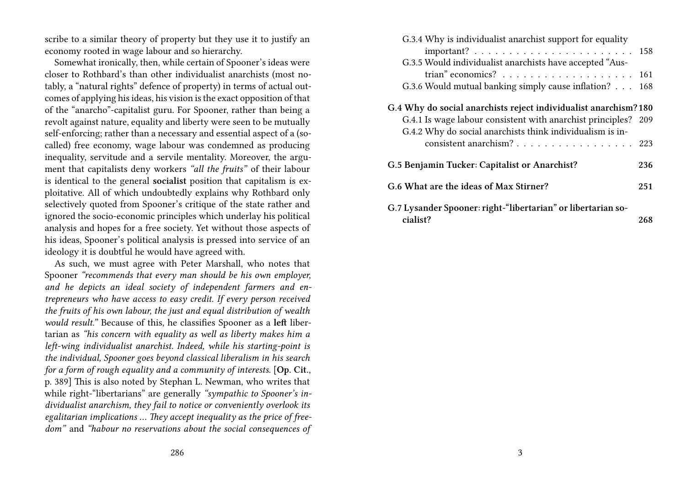scribe to a similar theory of property but they use it to justify an economy rooted in wage labour and so hierarchy.

Somewhat ironically, then, while certain of Spooner's ideas were closer to Rothbard's than other individualist anarchists (most notably, a "natural rights" defence of property) in terms of actual outcomes of applying his ideas, his vision is the exact opposition of that of the "anarcho"-capitalist guru. For Spooner, rather than being a revolt against nature, equality and liberty were seen to be mutually self-enforcing; rather than a necessary and essential aspect of a (socalled) free economy, wage labour was condemned as producing inequality, servitude and a servile mentality. Moreover, the argument that capitalists deny workers *"all the fruits"* of their labour is identical to the general **socialist** position that capitalism is exploitative. All of which undoubtedly explains why Rothbard only selectively quoted from Spooner's critique of the state rather and ignored the socio-economic principles which underlay his political analysis and hopes for a free society. Yet without those aspects of his ideas, Spooner's political analysis is pressed into service of an ideology it is doubtful he would have agreed with.

As such, we must agree with Peter Marshall, who notes that Spooner *"recommends that every man should be his own employer, and he depicts an ideal society of independent farmers and entrepreneurs who have access to easy credit. If every person received the fruits of his own labour, the just and equal distribution of wealth would result."* Because of this, he classifies Spooner as a **left** libertarian as *"his concern with equality as well as liberty makes him a left-wing individualist anarchist. Indeed, while his starting-point is the individual, Spooner goes beyond classical liberalism in his search for a form of rough equality and a community of interests.* [**Op. Cit.**, p. 389] This is also noted by Stephan L. Newman, who writes that while right-"libertarians" are generally *"sympathic to Spooner's individualist anarchism, they fail to notice or conveniently overlook its egalitarian implications … They accept inequality as the price of freedom"* and *"habour no reservations about the social consequences of*

| G.3.4 Why is individualist anarchist support for equality        |     |
|------------------------------------------------------------------|-----|
|                                                                  |     |
| G.3.5 Would individualist anarchists have accepted "Aus-         |     |
| trian" economics? $\ldots \ldots \ldots \ldots \ldots \ldots$    | 161 |
| G.3.6 Would mutual banking simply cause inflation?               | 168 |
| G.4 Why do social anarchists reject individualist anarchism? 180 |     |
| G.4.1 Is wage labour consistent with anarchist principles? 209   |     |
| G.4.2 Why do social anarchists think individualism is in-        |     |
| consistent anarchism? 223                                        |     |
| G.5 Benjamin Tucker: Capitalist or Anarchist?                    | 236 |
| G.6 What are the ideas of Max Stirner?                           | 251 |
| G.7 Lysander Spooner: right-"libertarian" or libertarian so-     |     |
| cialist?                                                         | 268 |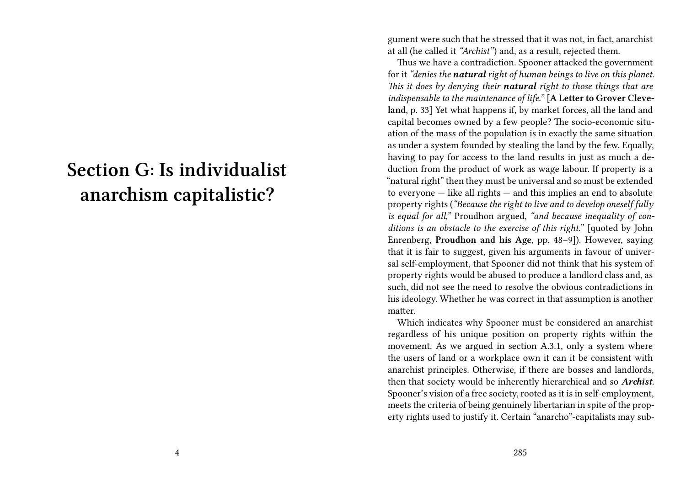### **Section G: Is individualist anarchism capitalistic?**

gument were such that he stressed that it was not, in fact, anarchist at all (he called it *"Archist"*) and, as a result, rejected them.

Thus we have a contradiction. Spooner attacked the government for it *"denies the natural right of human beings to live on this planet. This it does by denying their natural right to those things that are indispensable to the maintenance of life."* [**A Letter to Grover Cleveland**, p. 33] Yet what happens if, by market forces, all the land and capital becomes owned by a few people? The socio-economic situation of the mass of the population is in exactly the same situation as under a system founded by stealing the land by the few. Equally, having to pay for access to the land results in just as much a deduction from the product of work as wage labour. If property is a "natural right" then they must be universal and so must be extended to everyone — like all rights — and this implies an end to absolute property rights (*"Because the right to live and to develop oneself fully is equal for all,"* Proudhon argued, *"and because inequality of conditions is an obstacle to the exercise of this right."* [quoted by John Enrenberg, **Proudhon and his Age**, pp. 48–9]). However, saying that it is fair to suggest, given his arguments in favour of universal self-employment, that Spooner did not think that his system of property rights would be abused to produce a landlord class and, as such, did not see the need to resolve the obvious contradictions in his ideology. Whether he was correct in that assumption is another matter.

Which indicates why Spooner must be considered an anarchist regardless of his unique position on property rights within the movement. As we argued in section A.3.1, only a system where the users of land or a workplace own it can it be consistent with anarchist principles. Otherwise, if there are bosses and landlords, then that society would be inherently hierarchical and so *Archist*. Spooner's vision of a free society, rooted as it is in self-employment, meets the criteria of being genuinely libertarian in spite of the property rights used to justify it. Certain "anarcho"-capitalists may sub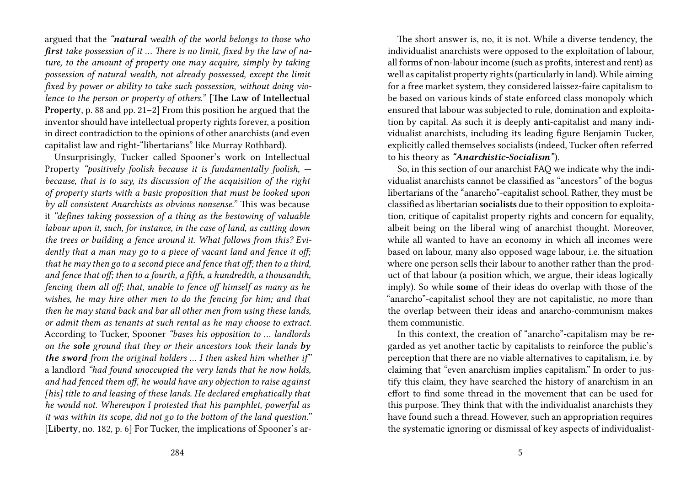argued that the *"natural wealth of the world belongs to those who first take possession of it … There is no limit, fixed by the law of nature, to the amount of property one may acquire, simply by taking possession of natural wealth, not already possessed, except the limit fixed by power or ability to take such possession, without doing violence to the person or property of others."* [**The Law of Intellectual Property**, p. 88 and pp. 21–2] From this position he argued that the inventor should have intellectual property rights forever, a position in direct contradiction to the opinions of other anarchists (and even capitalist law and right-"libertarians" like Murray Rothbard).

Unsurprisingly, Tucker called Spooner's work on Intellectual Property *"positively foolish because it is fundamentally foolish, because, that is to say, its discussion of the acquisition of the right of property starts with a basic proposition that must be looked upon by all consistent Anarchists as obvious nonsense."* This was because it *"defines taking possession of a thing as the bestowing of valuable labour upon it, such, for instance, in the case of land, as cutting down the trees or building a fence around it. What follows from this? Evidently that a man may go to a piece of vacant land and fence it off; that he may then go to a second piece and fence that off; then to a third, and fence that off; then to a fourth, a fifth, a hundredth, a thousandth, fencing them all off; that, unable to fence off himself as many as he wishes, he may hire other men to do the fencing for him; and that then he may stand back and bar all other men from using these lands, or admit them as tenants at such rental as he may choose to extract.* According to Tucker, Spooner *"bases his opposition to … landlords on the sole ground that they or their ancestors took their lands by the sword from the original holders … I then asked him whether if"* a landlord *"had found unoccupied the very lands that he now holds, and had fenced them off, he would have any objection to raise against [his] title to and leasing of these lands. He declared emphatically that he would not. Whereupon I protested that his pamphlet, powerful as it was within its scope, did not go to the bottom of the land question."* [**Liberty**, no. 182, p. 6] For Tucker, the implications of Spooner's ar-

The short answer is, no, it is not. While a diverse tendency, the individualist anarchists were opposed to the exploitation of labour, all forms of non-labour income (such as profits, interest and rent) as well as capitalist property rights (particularly in land). While aiming for a free market system, they considered laissez-faire capitalism to be based on various kinds of state enforced class monopoly which ensured that labour was subjected to rule, domination and exploitation by capital. As such it is deeply **anti**-capitalist and many individualist anarchists, including its leading figure Benjamin Tucker, explicitly called themselves socialists (indeed, Tucker often referred to his theory as *"Anarchistic-Socialism"*).

So, in this section of our anarchist FAQ we indicate why the individualist anarchists cannot be classified as "ancestors" of the bogus libertarians of the "anarcho"-capitalist school. Rather, they must be classified as libertarian **socialists** due to their opposition to exploitation, critique of capitalist property rights and concern for equality, albeit being on the liberal wing of anarchist thought. Moreover, while all wanted to have an economy in which all incomes were based on labour, many also opposed wage labour, i.e. the situation where one person sells their labour to another rather than the product of that labour (a position which, we argue, their ideas logically imply). So while **some** of their ideas do overlap with those of the "anarcho"-capitalist school they are not capitalistic, no more than the overlap between their ideas and anarcho-communism makes them communistic.

In this context, the creation of "anarcho"-capitalism may be regarded as yet another tactic by capitalists to reinforce the public's perception that there are no viable alternatives to capitalism, i.e. by claiming that "even anarchism implies capitalism." In order to justify this claim, they have searched the history of anarchism in an effort to find some thread in the movement that can be used for this purpose. They think that with the individualist anarchists they have found such a thread. However, such an appropriation requires the systematic ignoring or dismissal of key aspects of individualist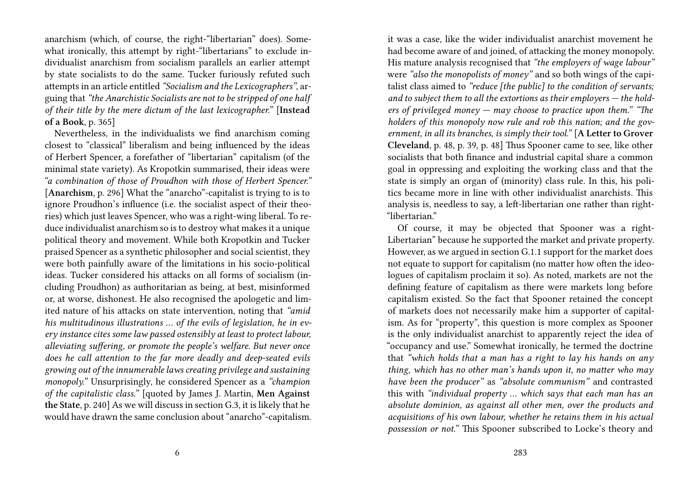anarchism (which, of course, the right-"libertarian" does). Somewhat ironically, this attempt by right-"libertarians" to exclude individualist anarchism from socialism parallels an earlier attempt by state socialists to do the same. Tucker furiously refuted such attempts in an article entitled *"Socialism and the Lexicographers"*, arguing that *"the Anarchistic Socialists are not to be stripped of one half of their title by the mere dictum of the last lexicographer."* [**Instead of a Book**, p. 365]

Nevertheless, in the individualists we find anarchism coming closest to "classical" liberalism and being influenced by the ideas of Herbert Spencer, a forefather of "libertarian" capitalism (of the minimal state variety). As Kropotkin summarised, their ideas were *"a combination of those of Proudhon with those of Herbert Spencer."* [**Anarchism**, p. 296] What the "anarcho"-capitalist is trying to is to ignore Proudhon's influence (i.e. the socialist aspect of their theories) which just leaves Spencer, who was a right-wing liberal. To reduce individualist anarchism so is to destroy what makes it a unique political theory and movement. While both Kropotkin and Tucker praised Spencer as a synthetic philosopher and social scientist, they were both painfully aware of the limitations in his socio-political ideas. Tucker considered his attacks on all forms of socialism (including Proudhon) as authoritarian as being, at best, misinformed or, at worse, dishonest. He also recognised the apologetic and limited nature of his attacks on state intervention, noting that *"amid his multitudinous illustrations … of the evils of legislation, he in every instance cites some law passed ostensibly at least to protect labour, alleviating suffering, or promote the people's welfare. But never once does he call attention to the far more deadly and deep-seated evils growing out of the innumerable laws creating privilege and sustaining monopoly."* Unsurprisingly, he considered Spencer as a *"champion of the capitalistic class."* [quoted by James J. Martin, **Men Against the State**, p. 240] As we will discuss in section G.3, it is likely that he would have drawn the same conclusion about "anarcho"-capitalism.

it was a case, like the wider individualist anarchist movement he had become aware of and joined, of attacking the money monopoly. His mature analysis recognised that *"the employers of wage labour"* were *"also the monopolists of money"* and so both wings of the capitalist class aimed to *"reduce [the public] to the condition of servants; and to subject them to all the extortions as their employers — the holders of privileged money — may choose to practice upon them." "The holders of this monopoly now rule and rob this nation; and the government, in all its branches, is simply their tool."* [**A Letter to Grover Cleveland**, p. 48, p. 39, p. 48] Thus Spooner came to see, like other socialists that both finance and industrial capital share a common goal in oppressing and exploiting the working class and that the state is simply an organ of (minority) class rule. In this, his politics became more in line with other individualist anarchists. This analysis is, needless to say, a left-libertarian one rather than right- "libertarian."

Of course, it may be objected that Spooner was a right-Libertarian" because he supported the market and private property. However, as we argued in section G.1.1 support for the market does not equate to support for capitalism (no matter how often the ideologues of capitalism proclaim it so). As noted, markets are not the defining feature of capitalism as there were markets long before capitalism existed. So the fact that Spooner retained the concept of markets does not necessarily make him a supporter of capitalism. As for "property", this question is more complex as Spooner is the only individualist anarchist to apparently reject the idea of "occupancy and use." Somewhat ironically, he termed the doctrine that *"which holds that a man has a right to lay his hands on any thing, which has no other man's hands upon it, no matter who may have been the producer"* as *"absolute communism"* and contrasted this with *"individual property … which says that each man has an absolute dominion, as against all other men, over the products and acquisitions of his own labour, whether he retains them in his actual possession or not."* This Spooner subscribed to Locke's theory and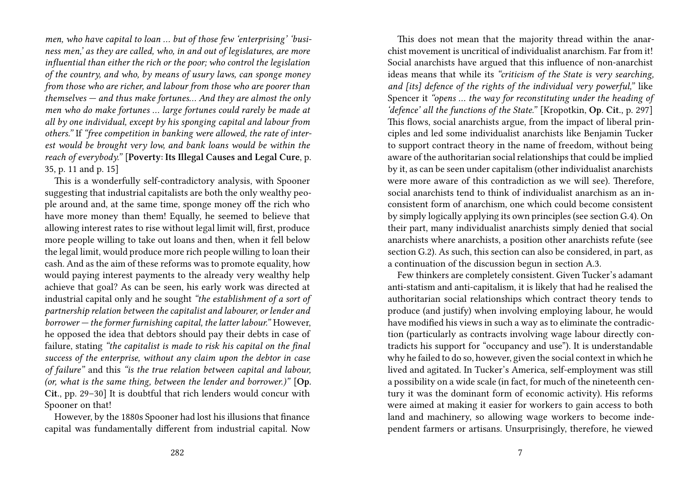*men, who have capital to loan … but of those few 'enterprising' 'business men,' as they are called, who, in and out of legislatures, are more influential than either the rich or the poor; who control the legislation of the country, and who, by means of usury laws, can sponge money from those who are richer, and labour from those who are poorer than themselves — and thus make fortunes… And they are almost the only men who do make fortunes … large fortunes could rarely be made at all by one individual, except by his sponging capital and labour from others."* If *"free competition in banking were allowed, the rate of interest would be brought very low, and bank loans would be within the reach of everybody."* [**Poverty: Its Illegal Causes and Legal Cure**, p. 35, p. 11 and p. 15]

This is a wonderfully self-contradictory analysis, with Spooner suggesting that industrial capitalists are both the only wealthy people around and, at the same time, sponge money off the rich who have more money than them! Equally, he seemed to believe that allowing interest rates to rise without legal limit will, first, produce more people willing to take out loans and then, when it fell below the legal limit, would produce more rich people willing to loan their cash. And as the aim of these reforms was to promote equality, how would paying interest payments to the already very wealthy help achieve that goal? As can be seen, his early work was directed at industrial capital only and he sought *"the establishment of a sort of partnership relation between the capitalist and labourer, or lender and borrower — the former furnishing capital, the latter labour."* However, he opposed the idea that debtors should pay their debts in case of failure, stating *"the capitalist is made to risk his capital on the final success of the enterprise, without any claim upon the debtor in case of failure"* and this *"is the true relation between capital and labour, (or, what is the same thing, between the lender and borrower.)"* [**Op. Cit.**, pp. 29–30] It is doubtful that rich lenders would concur with Spooner on that!

However, by the 1880s Spooner had lost his illusions that finance capital was fundamentally different from industrial capital. Now

This does not mean that the majority thread within the anarchist movement is uncritical of individualist anarchism. Far from it! Social anarchists have argued that this influence of non-anarchist ideas means that while its *"criticism of the State is very searching, and [its] defence of the rights of the individual very powerful,"* like Spencer it *"opens … the way for reconstituting under the heading of 'defence' all the functions of the State."* [Kropotkin, **Op. Cit.**, p. 297] This flows, social anarchists argue, from the impact of liberal principles and led some individualist anarchists like Benjamin Tucker to support contract theory in the name of freedom, without being aware of the authoritarian social relationships that could be implied by it, as can be seen under capitalism (other individualist anarchists were more aware of this contradiction as we will see). Therefore, social anarchists tend to think of individualist anarchism as an inconsistent form of anarchism, one which could become consistent by simply logically applying its own principles (see section G.4). On their part, many individualist anarchists simply denied that social anarchists where anarchists, a position other anarchists refute (see section G.2). As such, this section can also be considered, in part, as a continuation of the discussion begun in section A.3.

Few thinkers are completely consistent. Given Tucker's adamant anti-statism and anti-capitalism, it is likely that had he realised the authoritarian social relationships which contract theory tends to produce (and justify) when involving employing labour, he would have modified his views in such a way as to eliminate the contradiction (particularly as contracts involving wage labour directly contradicts his support for "occupancy and use"). It is understandable why he failed to do so, however, given the social context in which he lived and agitated. In Tucker's America, self-employment was still a possibility on a wide scale (in fact, for much of the nineteenth century it was the dominant form of economic activity). His reforms were aimed at making it easier for workers to gain access to both land and machinery, so allowing wage workers to become independent farmers or artisans. Unsurprisingly, therefore, he viewed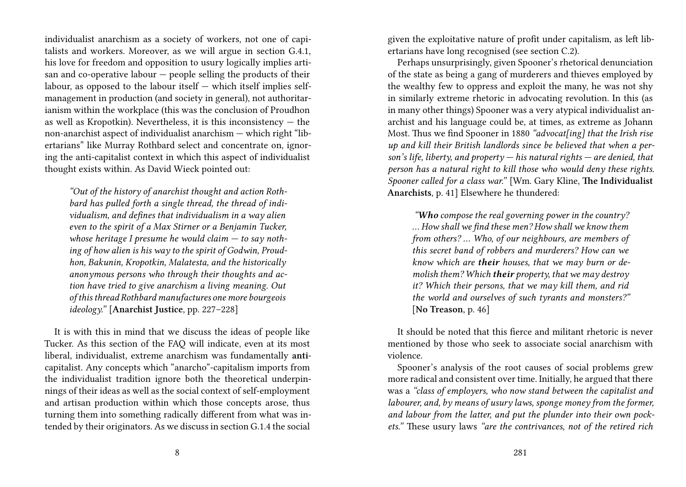individualist anarchism as a society of workers, not one of capitalists and workers. Moreover, as we will argue in section G.4.1, his love for freedom and opposition to usury logically implies artisan and co-operative labour  $-$  people selling the products of their labour, as opposed to the labour itself — which itself implies selfmanagement in production (and society in general), not authoritarianism within the workplace (this was the conclusion of Proudhon as well as Kropotkin). Nevertheless, it is this inconsistency  $-$  the non-anarchist aspect of individualist anarchism — which right "libertarians" like Murray Rothbard select and concentrate on, ignoring the anti-capitalist context in which this aspect of individualist thought exists within. As David Wieck pointed out:

*"Out of the history of anarchist thought and action Rothbard has pulled forth a single thread, the thread of individualism, and defines that individualism in a way alien even to the spirit of a Max Stirner or a Benjamin Tucker, whose heritage I presume he would claim — to say nothing of how alien is his way to the spirit of Godwin, Proudhon, Bakunin, Kropotkin, Malatesta, and the historically anonymous persons who through their thoughts and action have tried to give anarchism a living meaning. Out of this thread Rothbard manufactures one more bourgeois ideology."* [**Anarchist Justice**, pp. 227–228]

It is with this in mind that we discuss the ideas of people like Tucker. As this section of the FAQ will indicate, even at its most liberal, individualist, extreme anarchism was fundamentally **anti**capitalist. Any concepts which "anarcho"-capitalism imports from the individualist tradition ignore both the theoretical underpinnings of their ideas as well as the social context of self-employment and artisan production within which those concepts arose, thus turning them into something radically different from what was intended by their originators. As we discuss in section G.1.4 the social

given the exploitative nature of profit under capitalism, as left libertarians have long recognised (see section C.2).

Perhaps unsurprisingly, given Spooner's rhetorical denunciation of the state as being a gang of murderers and thieves employed by the wealthy few to oppress and exploit the many, he was not shy in similarly extreme rhetoric in advocating revolution. In this (as in many other things) Spooner was a very atypical individualist anarchist and his language could be, at times, as extreme as Johann Most. Thus we find Spooner in 1880 *"advocat[ing] that the Irish rise up and kill their British landlords since be believed that when a person's life, liberty, and property — his natural rights — are denied, that person has a natural right to kill those who would deny these rights. Spooner called for a class war."* [Wm. Gary Kline, **The Individualist Anarchists**, p. 41] Elsewhere he thundered:

*"Who compose the real governing power in the country? … How shall we find these men? How shall we know them from others? … Who, of our neighbours, are members of this secret band of robbers and murderers? How can we know which are their houses, that we may burn or demolish them? Which their property, that we may destroy it? Which their persons, that we may kill them, and rid the world and ourselves of such tyrants and monsters?"* [**No Treason**, p. 46]

It should be noted that this fierce and militant rhetoric is never mentioned by those who seek to associate social anarchism with violence.

Spooner's analysis of the root causes of social problems grew more radical and consistent over time. Initially, he argued that there was a *"class of employers, who now stand between the capitalist and labourer, and, by means of usury laws, sponge money from the former, and labour from the latter, and put the plunder into their own pockets."* These usury laws *"are the contrivances, not of the retired rich*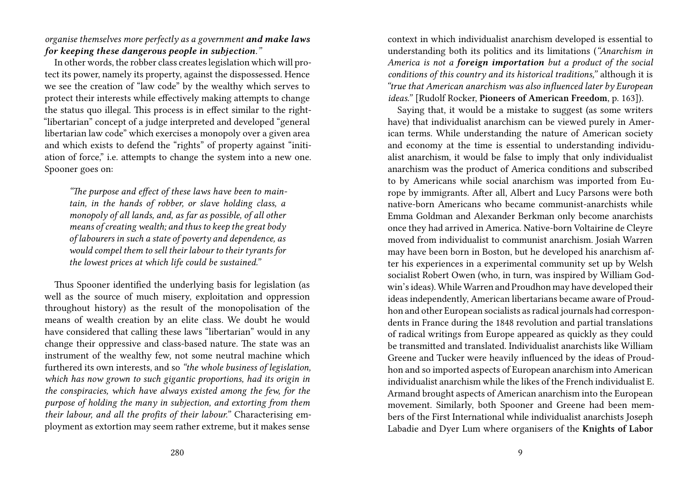#### *organise themselves more perfectly as a government and make laws for keeping these dangerous people in subjection."*

In other words, the robber class creates legislation which will protect its power, namely its property, against the dispossessed. Hence we see the creation of "law code" by the wealthy which serves to protect their interests while effectively making attempts to change the status quo illegal. This process is in effect similar to the right- "libertarian" concept of a judge interpreted and developed "general libertarian law code" which exercises a monopoly over a given area and which exists to defend the "rights" of property against "initiation of force," i.e. attempts to change the system into a new one. Spooner goes on:

*"The purpose and effect of these laws have been to maintain, in the hands of robber, or slave holding class, a monopoly of all lands, and, as far as possible, of all other means of creating wealth; and thus to keep the great body of labourers in such a state of poverty and dependence, as would compel them to sell their labour to their tyrants for the lowest prices at which life could be sustained."*

Thus Spooner identified the underlying basis for legislation (as well as the source of much misery, exploitation and oppression throughout history) as the result of the monopolisation of the means of wealth creation by an elite class. We doubt he would have considered that calling these laws "libertarian" would in any change their oppressive and class-based nature. The state was an instrument of the wealthy few, not some neutral machine which furthered its own interests, and so *"the whole business of legislation, which has now grown to such gigantic proportions, had its origin in the conspiracies, which have always existed among the few, for the purpose of holding the many in subjection, and extorting from them their labour, and all the profits of their labour."* Characterising employment as extortion may seem rather extreme, but it makes sense

understanding both its politics and its limitations (*"Anarchism in America is not a foreign importation but a product of the social conditions of this country and its historical traditions,"* although it is *"true that American anarchism was also influenced later by European ideas."* [Rudolf Rocker, **Pioneers of American Freedom**, p. 163]). Saying that, it would be a mistake to suggest (as some writers

context in which individualist anarchism developed is essential to

have) that individualist anarchism can be viewed purely in American terms. While understanding the nature of American society and economy at the time is essential to understanding individualist anarchism, it would be false to imply that only individualist anarchism was the product of America conditions and subscribed to by Americans while social anarchism was imported from Europe by immigrants. After all, Albert and Lucy Parsons were both native-born Americans who became communist-anarchists while Emma Goldman and Alexander Berkman only become anarchists once they had arrived in America. Native-born Voltairine de Cleyre moved from individualist to communist anarchism. Josiah Warren may have been born in Boston, but he developed his anarchism after his experiences in a experimental community set up by Welsh socialist Robert Owen (who, in turn, was inspired by William Godwin's ideas). While Warren and Proudhon may have developed their ideas independently, American libertarians became aware of Proudhon and other European socialists as radical journals had correspondents in France during the 1848 revolution and partial translations of radical writings from Europe appeared as quickly as they could be transmitted and translated. Individualist anarchists like William Greene and Tucker were heavily influenced by the ideas of Proudhon and so imported aspects of European anarchism into American individualist anarchism while the likes of the French individualist E. Armand brought aspects of American anarchism into the European movement. Similarly, both Spooner and Greene had been members of the First International while individualist anarchists Joseph Labadie and Dyer Lum where organisers of the **Knights of Labor**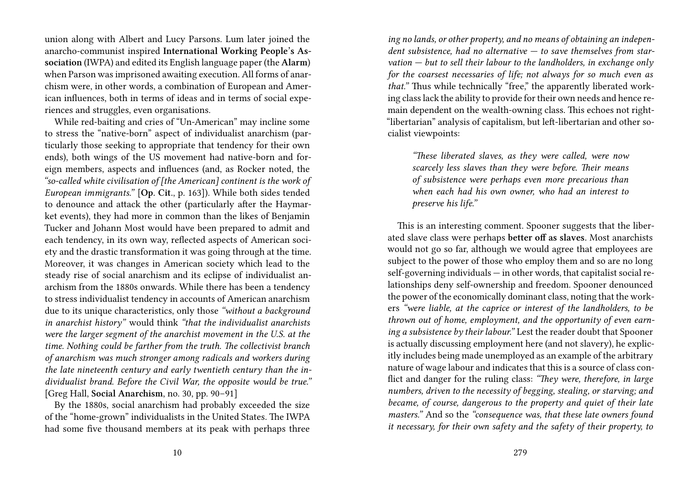union along with Albert and Lucy Parsons. Lum later joined the anarcho-communist inspired **International Working People's Association** (IWPA) and edited its English language paper (the **Alarm**) when Parson was imprisoned awaiting execution. All forms of anarchism were, in other words, a combination of European and American influences, both in terms of ideas and in terms of social experiences and struggles, even organisations.

While red-baiting and cries of "Un-American" may incline some to stress the "native-born" aspect of individualist anarchism (particularly those seeking to appropriate that tendency for their own ends), both wings of the US movement had native-born and foreign members, aspects and influences (and, as Rocker noted, the *"so-called white civilisation of [the American] continent is the work of European immigrants."* [**Op. Cit.**, p. 163]). While both sides tended to denounce and attack the other (particularly after the Haymarket events), they had more in common than the likes of Benjamin Tucker and Johann Most would have been prepared to admit and each tendency, in its own way, reflected aspects of American society and the drastic transformation it was going through at the time. Moreover, it was changes in American society which lead to the steady rise of social anarchism and its eclipse of individualist anarchism from the 1880s onwards. While there has been a tendency to stress individualist tendency in accounts of American anarchism due to its unique characteristics, only those *"without a background in anarchist history"* would think *"that the individualist anarchists were the larger segment of the anarchist movement in the U.S. at the time. Nothing could be farther from the truth. The collectivist branch of anarchism was much stronger among radicals and workers during the late nineteenth century and early twentieth century than the individualist brand. Before the Civil War, the opposite would be true."* [Greg Hall, **Social Anarchism**, no. 30, pp. 90–91]

By the 1880s, social anarchism had probably exceeded the size of the "home-grown" individualists in the United States. The IWPA had some five thousand members at its peak with perhaps three

*ing no lands, or other property, and no means of obtaining an independent subsistence, had no alternative — to save themselves from starvation — but to sell their labour to the landholders, in exchange only for the coarsest necessaries of life; not always for so much even as that.*" Thus while technically "free," the apparently liberated working class lack the ability to provide for their own needs and hence remain dependent on the wealth-owning class. This echoes not right- "libertarian" analysis of capitalism, but left-libertarian and other socialist viewpoints:

*"These liberated slaves, as they were called, were now scarcely less slaves than they were before. Their means of subsistence were perhaps even more precarious than when each had his own owner, who had an interest to preserve his life."*

This is an interesting comment. Spooner suggests that the liberated slave class were perhaps **better off as slaves.** Most anarchists would not go so far, although we would agree that employees are subject to the power of those who employ them and so are no long self-governing individuals — in other words, that capitalist social relationships deny self-ownership and freedom. Spooner denounced the power of the economically dominant class, noting that the workers *"were liable, at the caprice or interest of the landholders, to be thrown out of home, employment, and the opportunity of even earning a subsistence by their labour."* Lest the reader doubt that Spooner is actually discussing employment here (and not slavery), he explicitly includes being made unemployed as an example of the arbitrary nature of wage labour and indicates that this is a source of class conflict and danger for the ruling class: *"They were, therefore, in large numbers, driven to the necessity of begging, stealing, or starving; and became, of course, dangerous to the property and quiet of their late masters."* And so the *"consequence was, that these late owners found it necessary, for their own safety and the safety of their property, to*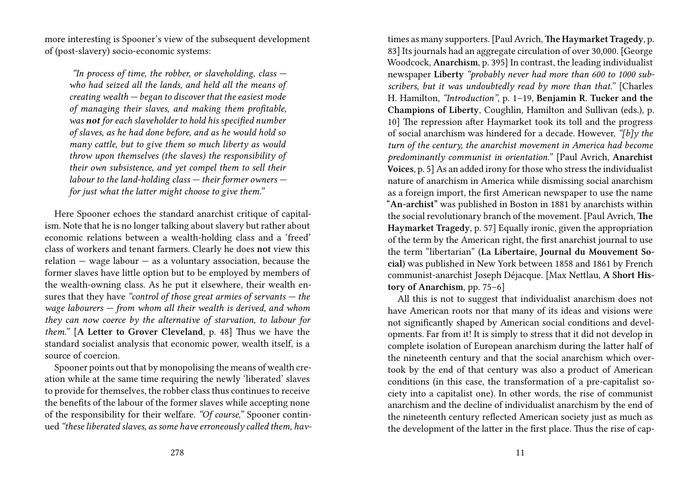more interesting is Spooner's view of the subsequent development of (post-slavery) socio-economic systems:

*"In process of time, the robber, or slaveholding, class who had seized all the lands, and held all the means of creating wealth — began to discover that the easiest mode of managing their slaves, and making them profitable, was not for each slaveholder to hold his specified number of slaves, as he had done before, and as he would hold so many cattle, but to give them so much liberty as would throw upon themselves (the slaves) the responsibility of their own subsistence, and yet compel them to sell their labour to the land-holding class — their former owners for just what the latter might choose to give them."*

Here Spooner echoes the standard anarchist critique of capitalism. Note that he is no longer talking about slavery but rather about economic relations between a wealth-holding class and a 'freed' class of workers and tenant farmers. Clearly he does **not** view this relation — wage labour — as a voluntary association, because the former slaves have little option but to be employed by members of the wealth-owning class. As he put it elsewhere, their wealth ensures that they have *"control of those great armies of servants — the wage labourers — from whom all their wealth is derived, and whom they can now coerce by the alternative of starvation, to labour for them."* [**A Letter to Grover Cleveland**, p. 48] Thus we have the standard socialist analysis that economic power, wealth itself, is a source of coercion.

Spooner points out that by monopolising the means of wealth creation while at the same time requiring the newly 'liberated' slaves to provide for themselves, the robber class thus continues to receive the benefits of the labour of the former slaves while accepting none of the responsibility for their welfare. *"Of course,"* Spooner continued *"these liberated slaves, as some have erroneously called them, hav-*

times as many supporters. [Paul Avrich,**The Haymarket Tragedy**, p. 83] Its journals had an aggregate circulation of over 30,000. [George Woodcock, **Anarchism**, p. 395] In contrast, the leading individualist newspaper **Liberty** *"probably never had more than 600 to 1000 subscribers, but it was undoubtedly read by more than that."* [Charles H. Hamilton, *"Introduction"*, p. 1–19, **Benjamin R. Tucker and the Champions of Liberty**, Coughlin, Hamilton and Sullivan (eds.), p. 10] The repression after Haymarket took its toll and the progress of social anarchism was hindered for a decade. However, *"[b]y the turn of the century, the anarchist movement in America had become predominantly communist in orientation."* [Paul Avrich, **Anarchist Voices**, p. 5] As an added irony for those who stress the individualist nature of anarchism in America while dismissing social anarchism as a foreign import, the first American newspaper to use the name **"An-archist"** was published in Boston in 1881 by anarchists within the social revolutionary branch of the movement. [Paul Avrich, **The Haymarket Tragedy**, p. 57] Equally ironic, given the appropriation of the term by the American right, the first anarchist journal to use the term "libertarian" (**La Libertaire, Journal du Mouvement Social**) was published in New York between 1858 and 1861 by French communist-anarchist Joseph Déjacque. [Max Nettlau, **A Short History of Anarchism**, pp. 75–6]

All this is not to suggest that individualist anarchism does not have American roots nor that many of its ideas and visions were not significantly shaped by American social conditions and developments. Far from it! It is simply to stress that it did not develop in complete isolation of European anarchism during the latter half of the nineteenth century and that the social anarchism which overtook by the end of that century was also a product of American conditions (in this case, the transformation of a pre-capitalist society into a capitalist one). In other words, the rise of communist anarchism and the decline of individualist anarchism by the end of the nineteenth century reflected American society just as much as the development of the latter in the first place. Thus the rise of cap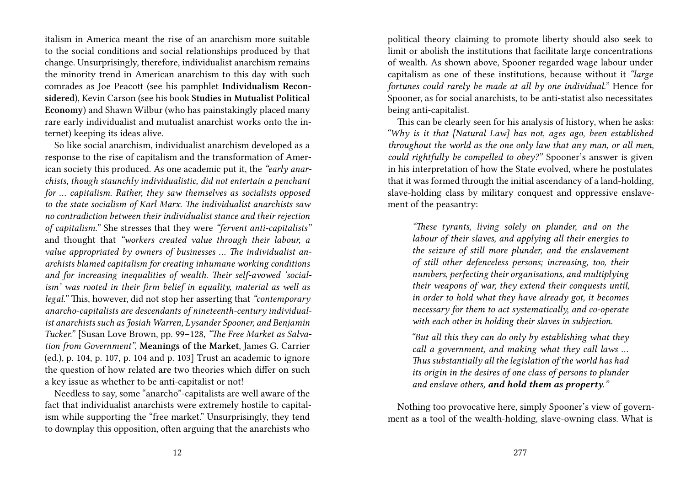italism in America meant the rise of an anarchism more suitable to the social conditions and social relationships produced by that change. Unsurprisingly, therefore, individualist anarchism remains the minority trend in American anarchism to this day with such comrades as Joe Peacott (see his pamphlet **Individualism Reconsidered**), Kevin Carson (see his book **Studies in Mutualist Political Economy**) and Shawn Wilbur (who has painstakingly placed many rare early individualist and mutualist anarchist works onto the internet) keeping its ideas alive.

So like social anarchism, individualist anarchism developed as a response to the rise of capitalism and the transformation of American society this produced. As one academic put it, the *"early anarchists, though staunchly individualistic, did not entertain a penchant for … capitalism. Rather, they saw themselves as socialists opposed to the state socialism of Karl Marx. The individualist anarchists saw no contradiction between their individualist stance and their rejection of capitalism."* She stresses that they were *"fervent anti-capitalists"* and thought that *"workers created value through their labour, a value appropriated by owners of businesses … The individualist anarchists blamed capitalism for creating inhumane working conditions and for increasing inequalities of wealth. Their self-avowed 'socialism' was rooted in their firm belief in equality, material as well as legal."* This, however, did not stop her asserting that *"contemporary anarcho-capitalists are descendants of nineteenth-century individualist anarchists such as Josiah Warren, Lysander Spooner, and Benjamin Tucker."* [Susan Love Brown, pp. 99–128, *"The Free Market as Salvation from Government"*, **Meanings of the Market**, James G. Carrier (ed.), p. 104, p. 107, p. 104 and p. 103] Trust an academic to ignore the question of how related **are** two theories which differ on such a key issue as whether to be anti-capitalist or not!

Needless to say, some "anarcho"-capitalists are well aware of the fact that individualist anarchists were extremely hostile to capitalism while supporting the "free market." Unsurprisingly, they tend to downplay this opposition, often arguing that the anarchists who

political theory claiming to promote liberty should also seek to limit or abolish the institutions that facilitate large concentrations of wealth. As shown above, Spooner regarded wage labour under capitalism as one of these institutions, because without it *"large fortunes could rarely be made at all by one individual."* Hence for Spooner, as for social anarchists, to be anti-statist also necessitates being anti-capitalist.

This can be clearly seen for his analysis of history, when he asks: *"Why is it that [Natural Law] has not, ages ago, been established throughout the world as the one only law that any man, or all men, could rightfully be compelled to obey?"* Spooner's answer is given in his interpretation of how the State evolved, where he postulates that it was formed through the initial ascendancy of a land-holding, slave-holding class by military conquest and oppressive enslavement of the peasantry:

*"These tyrants, living solely on plunder, and on the labour of their slaves, and applying all their energies to the seizure of still more plunder, and the enslavement of still other defenceless persons; increasing, too, their numbers, perfecting their organisations, and multiplying their weapons of war, they extend their conquests until, in order to hold what they have already got, it becomes necessary for them to act systematically, and co-operate with each other in holding their slaves in subjection.*

*"But all this they can do only by establishing what they call a government, and making what they call laws … Thus substantially all the legislation of the world has had its origin in the desires of one class of persons to plunder and enslave others, and hold them as property."*

Nothing too provocative here, simply Spooner's view of government as a tool of the wealth-holding, slave-owning class. What is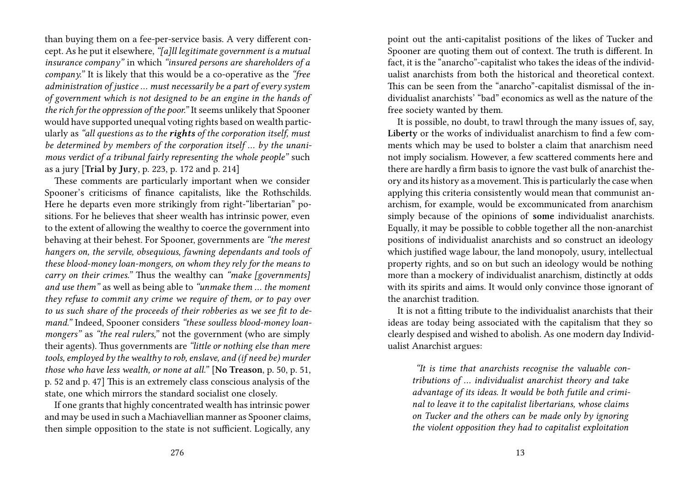than buying them on a fee-per-service basis. A very different concept. As he put it elsewhere, *"[a]ll legitimate government is a mutual insurance company"* in which *"insured persons are shareholders of a company."* It is likely that this would be a co-operative as the *"free administration of justice … must necessarily be a part of every system of government which is not designed to be an engine in the hands of the rich for the oppression of the poor."* It seems unlikely that Spooner would have supported unequal voting rights based on wealth particularly as *"all questions as to the rights of the corporation itself, must be determined by members of the corporation itself … by the unanimous verdict of a tribunal fairly representing the whole people"* such as a jury [**Trial by Jury**, p. 223, p. 172 and p. 214]

These comments are particularly important when we consider Spooner's criticisms of finance capitalists, like the Rothschilds. Here he departs even more strikingly from right-"libertarian" positions. For he believes that sheer wealth has intrinsic power, even to the extent of allowing the wealthy to coerce the government into behaving at their behest. For Spooner, governments are *"the merest hangers on, the servile, obsequious, fawning dependants and tools of these blood-money loan-mongers, on whom they rely for the means to carry on their crimes."* Thus the wealthy can *"make [governments] and use them"* as well as being able to *"unmake them … the moment they refuse to commit any crime we require of them, or to pay over to us such share of the proceeds of their robberies as we see fit to demand."* Indeed, Spooner considers *"these soulless blood-money loanmongers"* as *"the real rulers,"* not the government (who are simply their agents). Thus governments are *"little or nothing else than mere tools, employed by the wealthy to rob, enslave, and (if need be) murder those who have less wealth, or none at all."* [**No Treason**, p. 50, p. 51, p. 52 and p. 47] This is an extremely class conscious analysis of the state, one which mirrors the standard socialist one closely.

If one grants that highly concentrated wealth has intrinsic power and may be used in such a Machiavellian manner as Spooner claims, then simple opposition to the state is not sufficient. Logically, any

point out the anti-capitalist positions of the likes of Tucker and Spooner are quoting them out of context. The truth is different. In fact, it is the "anarcho"-capitalist who takes the ideas of the individualist anarchists from both the historical and theoretical context. This can be seen from the "anarcho"-capitalist dismissal of the individualist anarchists' "bad" economics as well as the nature of the free society wanted by them.

It is possible, no doubt, to trawl through the many issues of, say, **Liberty** or the works of individualist anarchism to find a few comments which may be used to bolster a claim that anarchism need not imply socialism. However, a few scattered comments here and there are hardly a firm basis to ignore the vast bulk of anarchist theory and its history as a movement.This is particularly the case when applying this criteria consistently would mean that communist anarchism, for example, would be excommunicated from anarchism simply because of the opinions of **some** individualist anarchists. Equally, it may be possible to cobble together all the non-anarchist positions of individualist anarchists and so construct an ideology which justified wage labour, the land monopoly, usury, intellectual property rights, and so on but such an ideology would be nothing more than a mockery of individualist anarchism, distinctly at odds with its spirits and aims. It would only convince those ignorant of the anarchist tradition.

It is not a fitting tribute to the individualist anarchists that their ideas are today being associated with the capitalism that they so clearly despised and wished to abolish. As one modern day Individualist Anarchist argues:

*"It is time that anarchists recognise the valuable contributions of … individualist anarchist theory and take advantage of its ideas. It would be both futile and criminal to leave it to the capitalist libertarians, whose claims on Tucker and the others can be made only by ignoring the violent opposition they had to capitalist exploitation*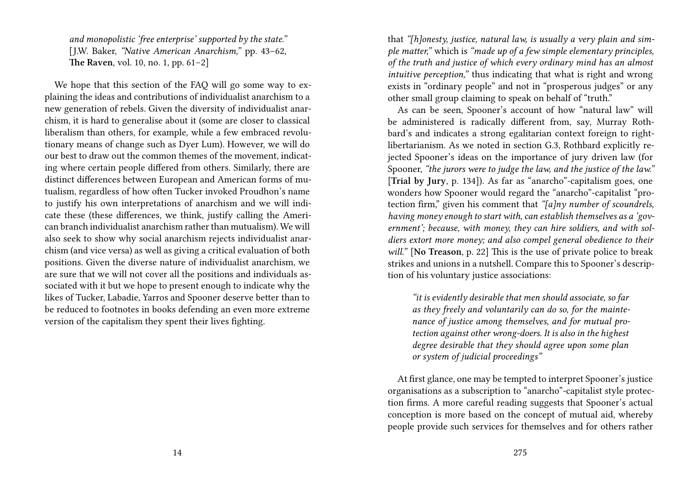*and monopolistic 'free enterprise' supported by the state."* [J.W. Baker, *"Native American Anarchism,"* pp. 43–62, **The Raven**, vol. 10, no. 1, pp. 61–2]

We hope that this section of the FAQ will go some way to explaining the ideas and contributions of individualist anarchism to a new generation of rebels. Given the diversity of individualist anarchism, it is hard to generalise about it (some are closer to classical liberalism than others, for example, while a few embraced revolutionary means of change such as Dyer Lum). However, we will do our best to draw out the common themes of the movement, indicating where certain people differed from others. Similarly, there are distinct differences between European and American forms of mutualism, regardless of how often Tucker invoked Proudhon's name to justify his own interpretations of anarchism and we will indicate these (these differences, we think, justify calling the American branch individualist anarchism rather than mutualism). We will also seek to show why social anarchism rejects individualist anarchism (and vice versa) as well as giving a critical evaluation of both positions. Given the diverse nature of individualist anarchism, we are sure that we will not cover all the positions and individuals associated with it but we hope to present enough to indicate why the likes of Tucker, Labadie, Yarros and Spooner deserve better than to be reduced to footnotes in books defending an even more extreme version of the capitalism they spent their lives fighting.

that *"[h]onesty, justice, natural law, is usually a very plain and simple matter,"* which is *"made up of a few simple elementary principles, of the truth and justice of which every ordinary mind has an almost intuitive perception,"* thus indicating that what is right and wrong exists in "ordinary people" and not in "prosperous judges" or any other small group claiming to speak on behalf of "truth."

As can be seen, Spooner's account of how "natural law" will be administered is radically different from, say, Murray Rothbard's and indicates a strong egalitarian context foreign to rightlibertarianism. As we noted in section G.3, Rothbard explicitly rejected Spooner's ideas on the importance of jury driven law (for Spooner, *"the jurors were to judge the law, and the justice of the law."* [**Trial by Jury**, p. 134]). As far as "anarcho"-capitalism goes, one wonders how Spooner would regard the "anarcho"-capitalist "protection firm," given his comment that *"[a]ny number of scoundrels, having money enough to start with, can establish themselves as a 'government'; because, with money, they can hire soldiers, and with soldiers extort more money; and also compel general obedience to their will."* [**No Treason**, p. 22] This is the use of private police to break strikes and unions in a nutshell. Compare this to Spooner's description of his voluntary justice associations:

*"it is evidently desirable that men should associate, so far as they freely and voluntarily can do so, for the maintenance of justice among themselves, and for mutual protection against other wrong-doers. It is also in the highest degree desirable that they should agree upon some plan or system of judicial proceedings"*

At first glance, one may be tempted to interpret Spooner's justice organisations as a subscription to "anarcho"-capitalist style protection firms. A more careful reading suggests that Spooner's actual conception is more based on the concept of mutual aid, whereby people provide such services for themselves and for others rather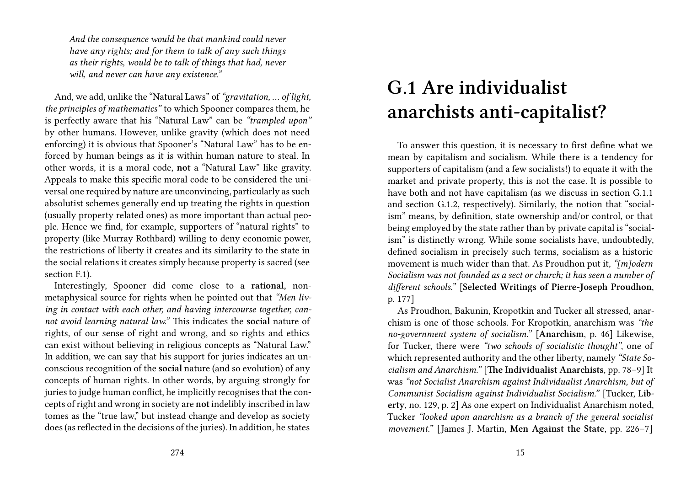*And the consequence would be that mankind could never have any rights; and for them to talk of any such things as their rights, would be to talk of things that had, never will, and never can have any existence."*

And, we add, unlike the "Natural Laws" of *"gravitation, … of light, the principles of mathematics"* to which Spooner compares them, he is perfectly aware that his "Natural Law" can be *"trampled upon"* by other humans. However, unlike gravity (which does not need enforcing) it is obvious that Spooner's "Natural Law" has to be enforced by human beings as it is within human nature to steal. In other words, it is a moral code, **not** a "Natural Law" like gravity. Appeals to make this specific moral code to be considered the universal one required by nature are unconvincing, particularly as such absolutist schemes generally end up treating the rights in question (usually property related ones) as more important than actual people. Hence we find, for example, supporters of "natural rights" to property (like Murray Rothbard) willing to deny economic power, the restrictions of liberty it creates and its similarity to the state in the social relations it creates simply because property is sacred (see section F.1).

Interestingly, Spooner did come close to a **rational,** nonmetaphysical source for rights when he pointed out that *"Men living in contact with each other, and having intercourse together, cannot avoid learning natural law."* This indicates the **social** nature of rights, of our sense of right and wrong, and so rights and ethics can exist without believing in religious concepts as "Natural Law." In addition, we can say that his support for juries indicates an unconscious recognition of the **social** nature (and so evolution) of any concepts of human rights. In other words, by arguing strongly for juries to judge human conflict, he implicitly recognises that the concepts of right and wrong in society are **not** indelibly inscribed in law tomes as the "true law," but instead change and develop as society does (as reflected in the decisions of the juries). In addition, he states

### **G.1 Are individualist anarchists anti-capitalist?**

To answer this question, it is necessary to first define what we mean by capitalism and socialism. While there is a tendency for supporters of capitalism (and a few socialists!) to equate it with the market and private property, this is not the case. It is possible to have both and not have capitalism (as we discuss in section G.1.1 and section G.1.2, respectively). Similarly, the notion that "socialism" means, by definition, state ownership and/or control, or that being employed by the state rather than by private capital is "socialism" is distinctly wrong. While some socialists have, undoubtedly, defined socialism in precisely such terms, socialism as a historic movement is much wider than that. As Proudhon put it, *"[m]odern Socialism was not founded as a sect or church; it has seen a number of different schools."* [**Selected Writings of Pierre-Joseph Proudhon**, p. 177]

As Proudhon, Bakunin, Kropotkin and Tucker all stressed, anarchism is one of those schools. For Kropotkin, anarchism was *"the no-government system of socialism."* [**Anarchism**, p. 46] Likewise, for Tucker, there were *"two schools of socialistic thought"*, one of which represented authority and the other liberty, namely *"State Socialism and Anarchism."* [**The Individualist Anarchists**, pp. 78–9] It was *"not Socialist Anarchism against Individualist Anarchism, but of Communist Socialism against Individualist Socialism."* [Tucker, **Liberty**, no. 129, p. 2] As one expert on Individualist Anarchism noted, Tucker *"looked upon anarchism as a branch of the general socialist movement."* [James J. Martin, **Men Against the State**, pp. 226–7]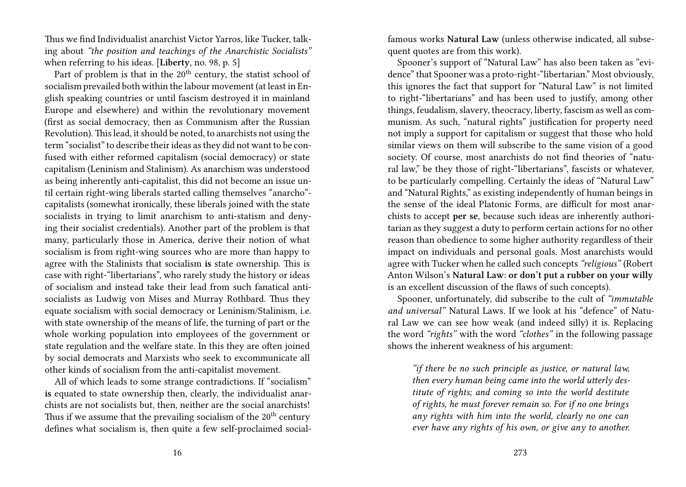Thus we find Individualist anarchist Victor Yarros, like Tucker, talking about *"the position and teachings of the Anarchistic Socialists"* when referring to his ideas. [**Liberty**, no. 98, p. 5]

Part of problem is that in the  $20<sup>th</sup>$  century, the statist school of socialism prevailed both within the labour movement (at least in English speaking countries or until fascism destroyed it in mainland Europe and elsewhere) and within the revolutionary movement (first as social democracy, then as Communism after the Russian Revolution).This lead, it should be noted, to anarchists not using the term "socialist" to describe their ideas as they did not want to be confused with either reformed capitalism (social democracy) or state capitalism (Leninism and Stalinism). As anarchism was understood as being inherently anti-capitalist, this did not become an issue until certain right-wing liberals started calling themselves "anarcho" capitalists (somewhat ironically, these liberals joined with the state socialists in trying to limit anarchism to anti-statism and denying their socialist credentials). Another part of the problem is that many, particularly those in America, derive their notion of what socialism is from right-wing sources who are more than happy to agree with the Stalinists that socialism **is** state ownership. This is case with right-"libertarians", who rarely study the history or ideas of socialism and instead take their lead from such fanatical antisocialists as Ludwig von Mises and Murray Rothbard. Thus they equate socialism with social democracy or Leninism/Stalinism, i.e. with state ownership of the means of life, the turning of part or the whole working population into employees of the government or state regulation and the welfare state. In this they are often joined by social democrats and Marxists who seek to excommunicate all other kinds of socialism from the anti-capitalist movement.

All of which leads to some strange contradictions. If "socialism" **is** equated to state ownership then, clearly, the individualist anarchists are not socialists but, then, neither are the social anarchists! Thus if we assume that the prevailing socialism of the  $20<sup>th</sup>$  century defines what socialism is, then quite a few self-proclaimed socialfamous works **Natural Law** (unless otherwise indicated, all subsequent quotes are from this work).

Spooner's support of "Natural Law" has also been taken as "evidence" that Spooner was a proto-right-"libertarian." Most obviously, this ignores the fact that support for "Natural Law" is not limited to right-"libertarians" and has been used to justify, among other things, feudalism, slavery, theocracy, liberty, fascism as well as communism. As such, "natural rights" justification for property need not imply a support for capitalism or suggest that those who hold similar views on them will subscribe to the same vision of a good society. Of course, most anarchists do not find theories of "natural law," be they those of right-"libertarians", fascists or whatever, to be particularly compelling. Certainly the ideas of "Natural Law" and "Natural Rights," as existing independently of human beings in the sense of the ideal Platonic Forms, are difficult for most anarchists to accept **per se**, because such ideas are inherently authoritarian as they suggest a duty to perform certain actions for no other reason than obedience to some higher authority regardless of their impact on individuals and personal goals. Most anarchists would agree with Tucker when he called such concepts *"religious"* (Robert Anton Wilson's **Natural Law: or don't put a rubber on your willy** is an excellent discussion of the flaws of such concepts).

Spooner, unfortunately, did subscribe to the cult of *"immutable and universal"* Natural Laws. If we look at his "defence" of Natural Law we can see how weak (and indeed silly) it is. Replacing the word *"rights"* with the word *"clothes"* in the following passage shows the inherent weakness of his argument:

*"if there be no such principle as justice, or natural law, then every human being came into the world utterly destitute of rights; and coming so into the world destitute of rights, he must forever remain so. For if no one brings any rights with him into the world, clearly no one can ever have any rights of his own, or give any to another.*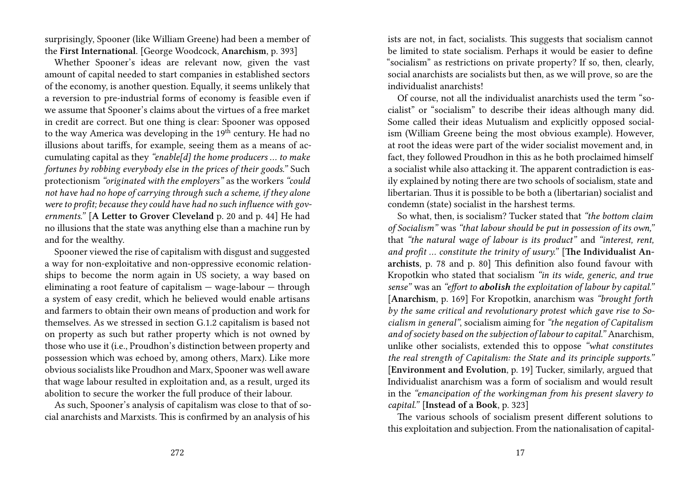surprisingly, Spooner (like William Greene) had been a member of the **First International**. [George Woodcock, **Anarchism**, p. 393]

Whether Spooner's ideas are relevant now, given the vast amount of capital needed to start companies in established sectors of the economy, is another question. Equally, it seems unlikely that a reversion to pre-industrial forms of economy is feasible even if we assume that Spooner's claims about the virtues of a free market in credit are correct. But one thing is clear: Spooner was opposed to the way America was developing in the  $19<sup>th</sup>$  century. He had no illusions about tariffs, for example, seeing them as a means of accumulating capital as they *"enable[d] the home producers … to make fortunes by robbing everybody else in the prices of their goods."* Such protectionism *"originated with the employers"* as the workers *"could not have had no hope of carrying through such a scheme, if they alone were to profit; because they could have had no such influence with governments."* [**A Letter to Grover Cleveland** p. 20 and p. 44] He had no illusions that the state was anything else than a machine run by and for the wealthy.

Spooner viewed the rise of capitalism with disgust and suggested a way for non-exploitative and non-oppressive economic relationships to become the norm again in US society, a way based on eliminating a root feature of capitalism — wage-labour — through a system of easy credit, which he believed would enable artisans and farmers to obtain their own means of production and work for themselves. As we stressed in section G.1.2 capitalism is based not on property as such but rather property which is not owned by those who use it (i.e., Proudhon's distinction between property and possession which was echoed by, among others, Marx). Like more obvious socialists like Proudhon and Marx, Spooner was well aware that wage labour resulted in exploitation and, as a result, urged its abolition to secure the worker the full produce of their labour.

As such, Spooner's analysis of capitalism was close to that of social anarchists and Marxists. This is confirmed by an analysis of his

ists are not, in fact, socialists. This suggests that socialism cannot be limited to state socialism. Perhaps it would be easier to define "socialism" as restrictions on private property? If so, then, clearly, social anarchists are socialists but then, as we will prove, so are the individualist anarchists!

Of course, not all the individualist anarchists used the term "socialist" or "socialism" to describe their ideas although many did. Some called their ideas Mutualism and explicitly opposed socialism (William Greene being the most obvious example). However, at root the ideas were part of the wider socialist movement and, in fact, they followed Proudhon in this as he both proclaimed himself a socialist while also attacking it. The apparent contradiction is easily explained by noting there are two schools of socialism, state and libertarian. Thus it is possible to be both a (libertarian) socialist and condemn (state) socialist in the harshest terms.

So what, then, is socialism? Tucker stated that *"the bottom claim of Socialism"* was *"that labour should be put in possession of its own,"* that *"the natural wage of labour is its product"* and *"interest, rent, and profit … constitute the trinity of usury."* [**The Individualist Anarchists**, p. 78 and p. 80] This definition also found favour with Kropotkin who stated that socialism *"in its wide, generic, and true sense"* was an *"effort to abolish the exploitation of labour by capital."* [**Anarchism**, p. 169] For Kropotkin, anarchism was *"brought forth by the same critical and revolutionary protest which gave rise to Socialism in general"*, socialism aiming for *"the negation of Capitalism and of society based on the subjection of labour to capital."* Anarchism, unlike other socialists, extended this to oppose *"what constitutes the real strength of Capitalism: the State and its principle supports."* [**Environment and Evolution**, p. 19] Tucker, similarly, argued that Individualist anarchism was a form of socialism and would result in the *"emancipation of the workingman from his present slavery to capital."* [**Instead of a Book**, p. 323]

The various schools of socialism present different solutions to this exploitation and subjection. From the nationalisation of capital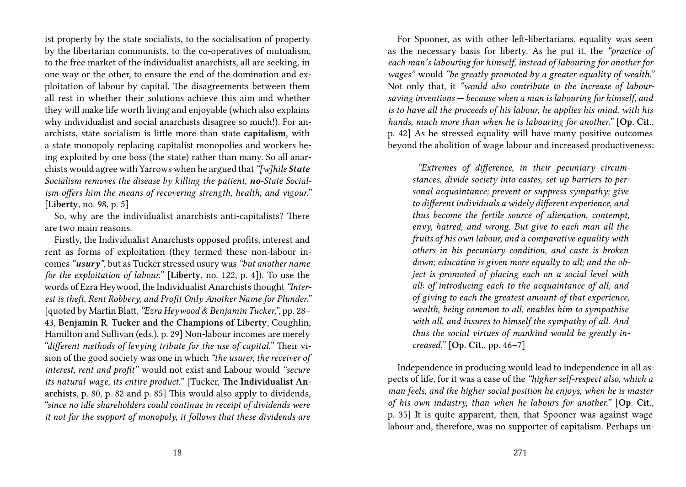ist property by the state socialists, to the socialisation of property by the libertarian communists, to the co-operatives of mutualism, to the free market of the individualist anarchists, all are seeking, in one way or the other, to ensure the end of the domination and exploitation of labour by capital. The disagreements between them all rest in whether their solutions achieve this aim and whether they will make life worth living and enjoyable (which also explains why individualist and social anarchists disagree so much!). For anarchists, state socialism is little more than state **capitalism**, with a state monopoly replacing capitalist monopolies and workers being exploited by one boss (the state) rather than many. So all anarchists would agree with Yarrows when he argued that*"[w]hile State Socialism removes the disease by killing the patient, no-State Socialism offers him the means of recovering strength, health, and vigour."* [**Liberty**, no. 98, p. 5]

So, why are the individualist anarchists anti-capitalists? There are two main reasons.

Firstly, the Individualist Anarchists opposed profits, interest and rent as forms of exploitation (they termed these non-labour incomes *"usury"*, but as Tucker stressed usury was*"but another name for the exploitation of labour."* [**Liberty**, no. 122, p. 4]). To use the words of Ezra Heywood, the Individualist Anarchists thought*"Interest is theft, Rent Robbery, and Profit Only Another Name for Plunder."* [quoted by Martin Blatt,*"Ezra Heywood & Benjamin Tucker,"*, pp. 28– 43, **Benjamin R. Tucker and the Champions of Liberty**, Coughlin, Hamilton and Sullivan (eds.), p. 29] Non-labour incomes are merely *"different methods of levying tribute for the use of capital."* Their vision of the good society was one in which *"the usurer, the receiver of interest, rent and profit"* would not exist and Labour would *"secure its natural wage, its entire product."* [Tucker, **The Individualist Anarchists**, p. 80, p. 82 and p. 85] This would also apply to dividends, *"since no idle shareholders could continue in receipt of dividends were it not for the support of monopoly, it follows that these dividends are*

For Spooner, as with other left-libertarians, equality was seen as the necessary basis for liberty. As he put it, the *"practice of each man's labouring for himself, instead of labouring for another for wages"* would *"be greatly promoted by a greater equality of wealth."* Not only that, it *"would also contribute to the increase of laboursaving inventions — because when a man is labouring for himself, and is to have all the proceeds of his labour, he applies his mind, with his hands, much more than when he is labouring for another."* [**Op. Cit.**, p. 42] As he stressed equality will have many positive outcomes beyond the abolition of wage labour and increased productiveness:

*"Extremes of difference, in their pecuniary circumstances, divide society into castes; set up barriers to personal acquaintance; prevent or suppress sympathy; give to different individuals a widely different experience, and thus become the fertile source of alienation, contempt, envy, hatred, and wrong. But give to each man all the fruits of his own labour, and a comparative equality with others in his pecuniary condition, and caste is broken down; education is given more equally to all; and the object is promoted of placing each on a social level with all: of introducing each to the acquaintance of all; and of giving to each the greatest amount of that experience, wealth, being common to all, enables him to sympathise with all, and insures to himself the sympathy of all. And thus the social virtues of mankind would be greatly increased."* [**Op. Cit.**, pp. 46–7]

Independence in producing would lead to independence in all aspects of life, for it was a case of the *"higher self-respect also, which a man feels, and the higher social position he enjoys, when he is master of his own industry, than when he labours for another."* [**Op. Cit.**, p. 35] It is quite apparent, then, that Spooner was against wage labour and, therefore, was no supporter of capitalism. Perhaps un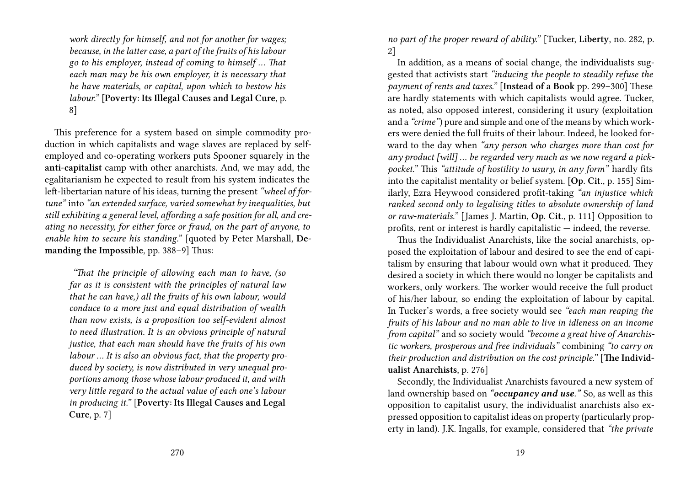*work directly for himself, and not for another for wages; because, in the latter case, a part of the fruits of his labour go to his employer, instead of coming to himself … That each man may be his own employer, it is necessary that he have materials, or capital, upon which to bestow his labour."* [**Poverty: Its Illegal Causes and Legal Cure**, p. 8]

This preference for a system based on simple commodity production in which capitalists and wage slaves are replaced by selfemployed and co-operating workers puts Spooner squarely in the **anti-capitalist** camp with other anarchists. And, we may add, the egalitarianism he expected to result from his system indicates the left-libertarian nature of his ideas, turning the present *"wheel of fortune"* into *"an extended surface, varied somewhat by inequalities, but still exhibiting a general level, affording a safe position for all, and creating no necessity, for either force or fraud, on the part of anyone, to enable him to secure his standing."* [quoted by Peter Marshall, **Demanding the Impossible**, pp. 388–9] Thus:

*"That the principle of allowing each man to have, (so far as it is consistent with the principles of natural law that he can have,) all the fruits of his own labour, would conduce to a more just and equal distribution of wealth than now exists, is a proposition too self-evident almost to need illustration. It is an obvious principle of natural justice, that each man should have the fruits of his own labour … It is also an obvious fact, that the property produced by society, is now distributed in very unequal proportions among those whose labour produced it, and with very little regard to the actual value of each one's labour in producing it."* [**Poverty: Its Illegal Causes and Legal Cure**, p. 7]

*no part of the proper reward of ability."* [Tucker, **Liberty**, no. 282, p. 2]

In addition, as a means of social change, the individualists suggested that activists start *"inducing the people to steadily refuse the payment of rents and taxes."* [**Instead of a Book** pp. 299–300] These are hardly statements with which capitalists would agree. Tucker, as noted, also opposed interest, considering it usury (exploitation and a *"crime"*) pure and simple and one of the means by which workers were denied the full fruits of their labour. Indeed, he looked forward to the day when *"any person who charges more than cost for any product [will] … be regarded very much as we now regard a pickpocket."* This *"attitude of hostility to usury, in any form"* hardly fits into the capitalist mentality or belief system. [**Op. Cit.**, p. 155] Similarly, Ezra Heywood considered profit-taking *"an injustice which ranked second only to legalising titles to absolute ownership of land or raw-materials."* [James J. Martin, **Op. Cit.**, p. 111] Opposition to profits, rent or interest is hardly capitalistic — indeed, the reverse.

Thus the Individualist Anarchists, like the social anarchists, opposed the exploitation of labour and desired to see the end of capitalism by ensuring that labour would own what it produced. They desired a society in which there would no longer be capitalists and workers, only workers. The worker would receive the full product of his/her labour, so ending the exploitation of labour by capital. In Tucker's words, a free society would see *"each man reaping the fruits of his labour and no man able to live in idleness on an income from capital"* and so society would *"become a great hive of Anarchistic workers, prosperous and free individuals"* combining *"to carry on their production and distribution on the cost principle."* [**The Individualist Anarchists**, p. 276]

Secondly, the Individualist Anarchists favoured a new system of land ownership based on *"occupancy and use."* So, as well as this opposition to capitalist usury, the individualist anarchists also expressed opposition to capitalist ideas on property (particularly property in land). J.K. Ingalls, for example, considered that *"the private*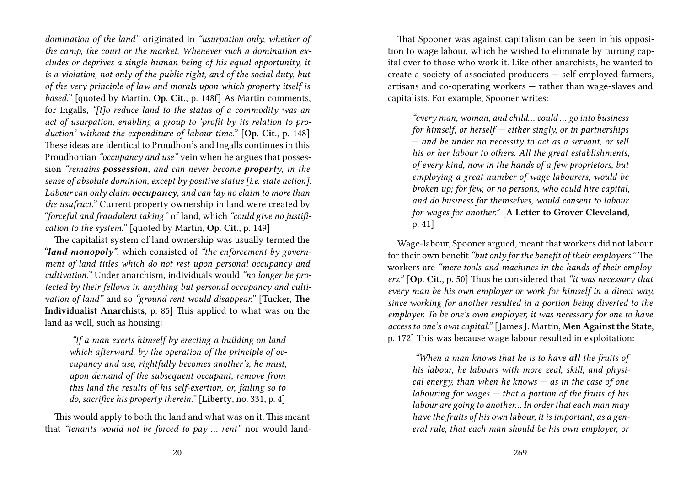*domination of the land"* originated in *"usurpation only, whether of the camp, the court or the market. Whenever such a domination excludes or deprives a single human being of his equal opportunity, it is a violation, not only of the public right, and of the social duty, but of the very principle of law and morals upon which property itself is based."* [quoted by Martin, **Op. Cit.**, p. 148f] As Martin comments, for Ingalls, *"[t]o reduce land to the status of a commodity was an act of usurpation, enabling a group to 'profit by its relation to production' without the expenditure of labour time."* [**Op. Cit.**, p. 148] These ideas are identical to Proudhon's and Ingalls continues in this Proudhonian *"occupancy and use"* vein when he argues that possession *"remains possession, and can never become property, in the sense of absolute dominion, except by positive statue [i.e. state action]. Labour can only claim occupancy, and can lay no claim to more than the usufruct."* Current property ownership in land were created by *"forceful and fraudulent taking"* of land, which *"could give no justification to the system."* [quoted by Martin, **Op. Cit.**, p. 149]

The capitalist system of land ownership was usually termed the *"land monopoly"*, which consisted of *"the enforcement by government of land titles which do not rest upon personal occupancy and cultivation."* Under anarchism, individuals would *"no longer be protected by their fellows in anything but personal occupancy and cultivation of land"* and so *"ground rent would disappear."* [Tucker, **The Individualist Anarchists**, p. 85] This applied to what was on the land as well, such as housing:

*"If a man exerts himself by erecting a building on land which afterward, by the operation of the principle of occupancy and use, rightfully becomes another's, he must, upon demand of the subsequent occupant, remove from this land the results of his self-exertion, or, failing so to do, sacrifice his property therein."* [**Liberty**, no. 331, p. 4]

This would apply to both the land and what was on it. This meant that *"tenants would not be forced to pay … rent"* nor would land-

That Spooner was against capitalism can be seen in his opposition to wage labour, which he wished to eliminate by turning capital over to those who work it. Like other anarchists, he wanted to create a society of associated producers — self-employed farmers, artisans and co-operating workers — rather than wage-slaves and capitalists. For example, Spooner writes:

*"every man, woman, and child… could … go into business for himself, or herself — either singly, or in partnerships — and be under no necessity to act as a servant, or sell his or her labour to others. All the great establishments, of every kind, now in the hands of a few proprietors, but employing a great number of wage labourers, would be broken up; for few, or no persons, who could hire capital, and do business for themselves, would consent to labour for wages for another."* [**A Letter to Grover Cleveland**, p. 41]

Wage-labour, Spooner argued, meant that workers did not labour for their own benefit *"but only for the benefit of their employers."* The workers are *"mere tools and machines in the hands of their employers."* [**Op. Cit.**, p. 50] Thus he considered that *"it was necessary that every man be his own employer or work for himself in a direct way, since working for another resulted in a portion being diverted to the employer. To be one's own employer, it was necessary for one to have access to one's own capital."* [James J. Martin, **Men Against the State**, p. 172] This was because wage labour resulted in exploitation:

*"When a man knows that he is to have all the fruits of his labour, he labours with more zeal, skill, and physical energy, than when he knows — as in the case of one labouring for wages — that a portion of the fruits of his labour are going to another… In order that each man may have the fruits of his own labour, it is important, as a general rule, that each man should be his own employer, or*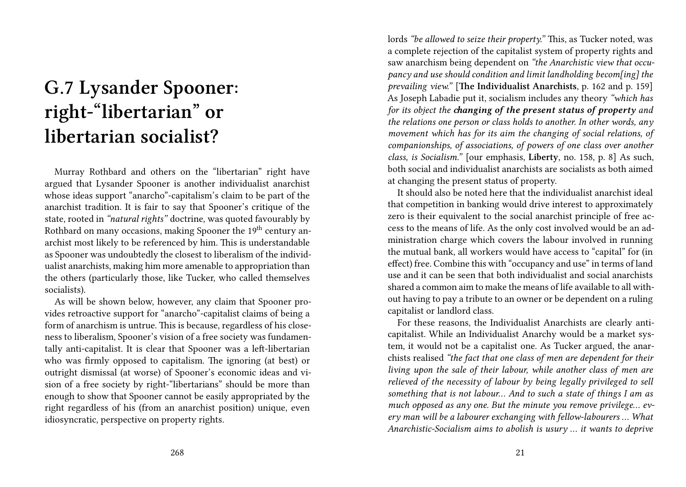# **G.7 Lysander Spooner: right-"libertarian" or libertarian socialist?**

Murray Rothbard and others on the "libertarian" right have argued that Lysander Spooner is another individualist anarchist whose ideas support "anarcho"-capitalism's claim to be part of the anarchist tradition. It is fair to say that Spooner's critique of the state, rooted in *"natural rights"* doctrine, was quoted favourably by Rothbard on many occasions, making Spooner the 19<sup>th</sup> century anarchist most likely to be referenced by him. This is understandable as Spooner was undoubtedly the closest to liberalism of the individualist anarchists, making him more amenable to appropriation than the others (particularly those, like Tucker, who called themselves socialists).

As will be shown below, however, any claim that Spooner provides retroactive support for "anarcho"-capitalist claims of being a form of anarchism is untrue. This is because, regardless of his closeness to liberalism, Spooner's vision of a free society was fundamentally anti-capitalist. It is clear that Spooner was a left-libertarian who was firmly opposed to capitalism. The ignoring (at best) or outright dismissal (at worse) of Spooner's economic ideas and vision of a free society by right-"libertarians" should be more than enough to show that Spooner cannot be easily appropriated by the right regardless of his (from an anarchist position) unique, even idiosyncratic, perspective on property rights.

lords *"be allowed to seize their property."* This, as Tucker noted, was a complete rejection of the capitalist system of property rights and saw anarchism being dependent on *"the Anarchistic view that occupancy and use should condition and limit landholding becom[ing] the prevailing view."* [**The Individualist Anarchists**, p. 162 and p. 159] As Joseph Labadie put it, socialism includes any theory *"which has for its object the changing of the present status of property and the relations one person or class holds to another. In other words, any movement which has for its aim the changing of social relations, of companionships, of associations, of powers of one class over another class, is Socialism."* [our emphasis, **Liberty**, no. 158, p. 8] As such, both social and individualist anarchists are socialists as both aimed at changing the present status of property.

It should also be noted here that the individualist anarchist ideal that competition in banking would drive interest to approximately zero is their equivalent to the social anarchist principle of free access to the means of life. As the only cost involved would be an administration charge which covers the labour involved in running the mutual bank, all workers would have access to "capital" for (in effect) free. Combine this with "occupancy and use" in terms of land use and it can be seen that both individualist and social anarchists shared a common aim to make the means of life available to all without having to pay a tribute to an owner or be dependent on a ruling capitalist or landlord class.

For these reasons, the Individualist Anarchists are clearly anticapitalist. While an Individualist Anarchy would be a market system, it would not be a capitalist one. As Tucker argued, the anarchists realised *"the fact that one class of men are dependent for their living upon the sale of their labour, while another class of men are relieved of the necessity of labour by being legally privileged to sell something that is not labour… And to such a state of things I am as much opposed as any one. But the minute you remove privilege… every man will be a labourer exchanging with fellow-labourers … What Anarchistic-Socialism aims to abolish is usury … it wants to deprive*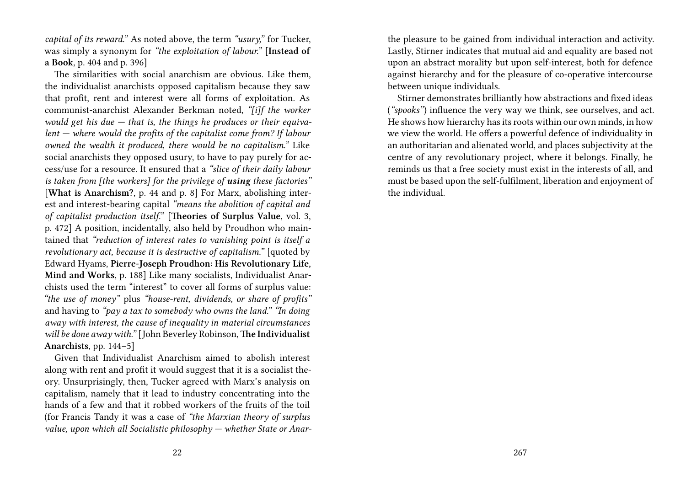*capital of its reward."* As noted above, the term *"usury,"* for Tucker, was simply a synonym for *"the exploitation of labour."* [**Instead of a Book**, p. 404 and p. 396]

The similarities with social anarchism are obvious. Like them, the individualist anarchists opposed capitalism because they saw that profit, rent and interest were all forms of exploitation. As communist-anarchist Alexander Berkman noted, *"[i]f the worker would get his due — that is, the things he produces or their equivalent — where would the profits of the capitalist come from? If labour owned the wealth it produced, there would be no capitalism."* Like social anarchists they opposed usury, to have to pay purely for access/use for a resource. It ensured that a *"slice of their daily labour is taken from [the workers] for the privilege of using these factories"* [**What is Anarchism?**, p. 44 and p. 8] For Marx, abolishing interest and interest-bearing capital *"means the abolition of capital and of capitalist production itself."* [**Theories of Surplus Value**, vol. 3, p. 472] A position, incidentally, also held by Proudhon who maintained that *"reduction of interest rates to vanishing point is itself a revolutionary act, because it is destructive of capitalism."* [quoted by Edward Hyams, **Pierre-Joseph Proudhon: His Revolutionary Life, Mind and Works**, p. 188] Like many socialists, Individualist Anarchists used the term "interest" to cover all forms of surplus value: *"the use of money"* plus *"house-rent, dividends, or share of profits"* and having to *"pay a tax to somebody who owns the land." "In doing away with interest, the cause of inequality in material circumstances will be done away with."* [John Beverley Robinson,**The Individualist Anarchists**, pp. 144–5]

Given that Individualist Anarchism aimed to abolish interest along with rent and profit it would suggest that it is a socialist theory. Unsurprisingly, then, Tucker agreed with Marx's analysis on capitalism, namely that it lead to industry concentrating into the hands of a few and that it robbed workers of the fruits of the toil (for Francis Tandy it was a case of *"the Marxian theory of surplus value, upon which all Socialistic philosophy — whether State or Anar-*

the pleasure to be gained from individual interaction and activity. Lastly, Stirner indicates that mutual aid and equality are based not upon an abstract morality but upon self-interest, both for defence against hierarchy and for the pleasure of co-operative intercourse between unique individuals.

Stirner demonstrates brilliantly how abstractions and fixed ideas (*"spooks"*) influence the very way we think, see ourselves, and act. He shows how hierarchy has its roots within our own minds, in how we view the world. He offers a powerful defence of individuality in an authoritarian and alienated world, and places subjectivity at the centre of any revolutionary project, where it belongs. Finally, he reminds us that a free society must exist in the interests of all, and must be based upon the self-fulfilment, liberation and enjoyment of the individual.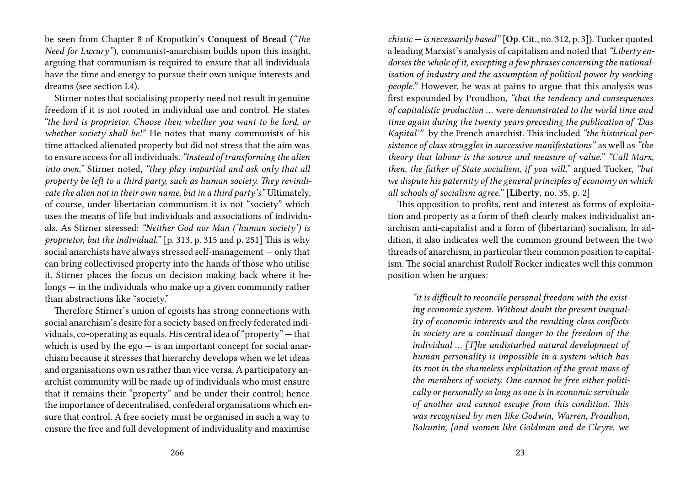be seen from Chapter 8 of Kropotkin's **Conquest of Bread** (*"The Need for Luxury*", communist-anarchism builds upon this insight, arguing that communism is required to ensure that all individuals have the time and energy to pursue their own unique interests and dreams (see section I.4).

Stirner notes that socialising property need not result in genuine freedom if it is not rooted in individual use and control. He states *"the lord is proprietor. Choose then whether you want to be lord, or whether society shall be!"* He notes that many communists of his time attacked alienated property but did not stress that the aim was to ensure access for all individuals.*"Instead of transforming the alien into own,"* Stirner noted, *"they play impartial and ask only that all property be left to a third party, such as human society. They revindicate the alien not in their own name, but in a third party's"* Ultimately, of course, under libertarian communism it is not "society" which uses the means of life but individuals and associations of individuals. As Stirner stressed: *"Neither God nor Man ('human society') is proprietor, but the individual."* [p. 313, p. 315 and p. 251] This is why social anarchists have always stressed self-management — only that can bring collectivised property into the hands of those who utilise it. Stirner places the focus on decision making back where it belongs — in the individuals who make up a given community rather than abstractions like "society."

Therefore Stirner's union of egoists has strong connections with social anarchism's desire for a society based on freely federated individuals, co-operating as equals. His central idea of "property" — that which is used by the  $ego - is$  an important concept for social anarchism because it stresses that hierarchy develops when we let ideas and organisations own us rather than vice versa. A participatory anarchist community will be made up of individuals who must ensure that it remains their "property" and be under their control; hence the importance of decentralised, confederal organisations which ensure that control. A free society must be organised in such a way to ensure the free and full development of individuality and maximise

*chistic — is necessarily based"* [**Op. Cit.**, no. 312, p. 3]). Tucker quoted a leading Marxist's analysis of capitalism and noted that*"Liberty endorses the whole of it, excepting a few phrases concerning the nationalisation of industry and the assumption of political power by working people."* However, he was at pains to argue that this analysis was first expounded by Proudhon, *"that the tendency and consequences of capitalistic production … were demonstrated to the world time and time again during the twenty years preceding the publication of 'Das Kapital'"* by the French anarchist. This included *"the historical persistence of class struggles in successive manifestations"* as well as *"the theory that labour is the source and measure of value." "Call Marx, then, the father of State socialism, if you will,"* argued Tucker, *"but we dispute his paternity of the general principles of economy on which all schools of socialism agree."* [**Liberty**, no. 35, p. 2]

This opposition to profits, rent and interest as forms of exploitation and property as a form of theft clearly makes individualist anarchism anti-capitalist and a form of (libertarian) socialism. In addition, it also indicates well the common ground between the two threads of anarchism, in particular their common position to capitalism. The social anarchist Rudolf Rocker indicates well this common position when he argues:

*"it is difficult to reconcile personal freedom with the existing economic system. Without doubt the present inequality of economic interests and the resulting class conflicts in society are a continual danger to the freedom of the individual … [T]he undisturbed natural development of human personality is impossible in a system which has its root in the shameless exploitation of the great mass of the members of society. One cannot be free either politically or personally so long as one is in economic servitude of another and cannot escape from this condition. This was recognised by men like Godwin, Warren, Proudhon, Bakunin, [and women like Goldman and de Cleyre, we*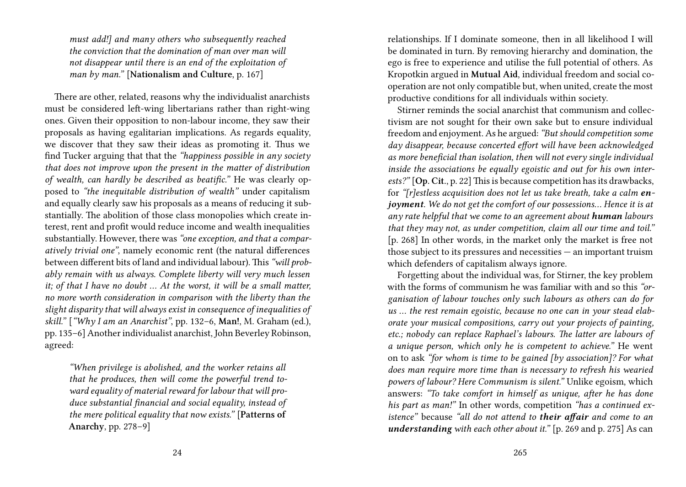*must add!] and many others who subsequently reached the conviction that the domination of man over man will not disappear until there is an end of the exploitation of man by man."* [**Nationalism and Culture**, p. 167]

There are other, related, reasons why the individualist anarchists must be considered left-wing libertarians rather than right-wing ones. Given their opposition to non-labour income, they saw their proposals as having egalitarian implications. As regards equality, we discover that they saw their ideas as promoting it. Thus we find Tucker arguing that that the *"happiness possible in any society that does not improve upon the present in the matter of distribution of wealth, can hardly be described as beatific."* He was clearly opposed to *"the inequitable distribution of wealth"* under capitalism and equally clearly saw his proposals as a means of reducing it substantially. The abolition of those class monopolies which create interest, rent and profit would reduce income and wealth inequalities substantially. However, there was *"one exception, and that a comparatively trivial one"*, namely economic rent (the natural differences between different bits of land and individual labour). This*"will probably remain with us always. Complete liberty will very much lessen it; of that I have no doubt … At the worst, it will be a small matter, no more worth consideration in comparison with the liberty than the slight disparity that will always exist in consequence of inequalities of skill."* [*"Why I am an Anarchist"*, pp. 132–6, **Man!**, M. Graham (ed.), pp. 135–6] Another individualist anarchist, John Beverley Robinson, agreed:

*"When privilege is abolished, and the worker retains all that he produces, then will come the powerful trend toward equality of material reward for labour that will produce substantial financial and social equality, instead of the mere political equality that now exists."* [**Patterns of Anarchy**, pp. 278–9]

relationships. If I dominate someone, then in all likelihood I will be dominated in turn. By removing hierarchy and domination, the ego is free to experience and utilise the full potential of others. As Kropotkin argued in **Mutual Aid**, individual freedom and social cooperation are not only compatible but, when united, create the most productive conditions for all individuals within society.

Stirner reminds the social anarchist that communism and collectivism are not sought for their own sake but to ensure individual freedom and enjoyment. As he argued:*"But should competition some day disappear, because concerted effort will have been acknowledged as more beneficial than isolation, then will not every single individual inside the associations be equally egoistic and out for his own inter*ests?" [Op. Cit., p. 22] This is because competition has its drawbacks, for *"[r]estless acquisition does not let us take breath, take a calm enjoyment. We do not get the comfort of our possessions… Hence it is at any rate helpful that we come to an agreement about human labours that they may not, as under competition, claim all our time and toil."* [p. 268] In other words, in the market only the market is free not those subject to its pressures and necessities  $-$  an important truism which defenders of capitalism always ignore.

Forgetting about the individual was, for Stirner, the key problem with the forms of communism he was familiar with and so this *"organisation of labour touches only such labours as others can do for us … the rest remain egoistic, because no one can in your stead elaborate your musical compositions, carry out your projects of painting, etc.; nobody can replace Raphael's labours. The latter are labours of a unique person, which only he is competent to achieve."* He went on to ask *"for whom is time to be gained [by association]? For what does man require more time than is necessary to refresh his wearied powers of labour? Here Communism is silent."* Unlike egoism, which answers: *"To take comfort in himself as unique, after he has done his part as man!"* In other words, competition *"has a continued existence"* because *"all do not attend to their affair and come to an understanding with each other about it."* [p. 269 and p. 275] As can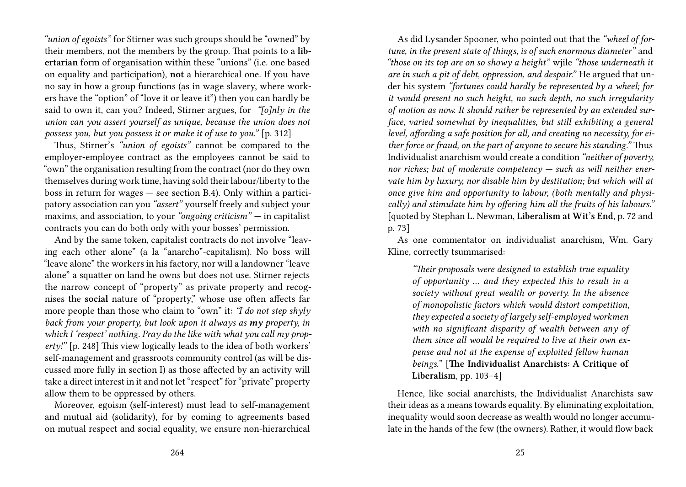*"union of egoists"* for Stirner was such groups should be "owned" by their members, not the members by the group. That points to a **libertarian** form of organisation within these "unions" (i.e. one based on equality and participation), **not** a hierarchical one. If you have no say in how a group functions (as in wage slavery, where workers have the "option" of "love it or leave it") then you can hardly be said to own it, can you? Indeed, Stirner argues, for *"[o]nly in the union can you assert yourself as unique, because the union does not possess you, but you possess it or make it of use to you."* [p. 312]

Thus, Stirner's *"union of egoists"* cannot be compared to the employer-employee contract as the employees cannot be said to "own" the organisation resulting from the contract (nor do they own themselves during work time, having sold their labour/liberty to the boss in return for wages — see section B.4). Only within a participatory association can you *"assert"* yourself freely and subject your maxims, and association, to your *"ongoing criticism"* — in capitalist contracts you can do both only with your bosses' permission.

And by the same token, capitalist contracts do not involve "leaving each other alone" (a la "anarcho"-capitalism). No boss will "leave alone" the workers in his factory, nor will a landowner "leave alone" a squatter on land he owns but does not use. Stirner rejects the narrow concept of "property" as private property and recognises the **social** nature of "property," whose use often affects far more people than those who claim to "own" it: *"I do not step shyly back from your property, but look upon it always as my property, in which I 'respect' nothing. Pray do the like with what you call my property!"* [p. 248] This view logically leads to the idea of both workers' self-management and grassroots community control (as will be discussed more fully in section I) as those affected by an activity will take a direct interest in it and not let "respect" for "private" property allow them to be oppressed by others.

Moreover, egoism (self-interest) must lead to self-management and mutual aid (solidarity), for by coming to agreements based on mutual respect and social equality, we ensure non-hierarchical

As did Lysander Spooner, who pointed out that the *"wheel of fortune, in the present state of things, is of such enormous diameter"* and *"those on its top are on so showy a height"* wjile *"those underneath it are in such a pit of debt, oppression, and despair."* He argued that under his system *"fortunes could hardly be represented by a wheel; for it would present no such height, no such depth, no such irregularity of motion as now. It should rather be represented by an extended surface, varied somewhat by inequalities, but still exhibiting a general level, affording a safe position for all, and creating no necessity, for either force or fraud, on the part of anyone to secure his standing."* Thus Individualist anarchism would create a condition *"neither of poverty, nor riches; but of moderate competency — such as will neither enervate him by luxury, nor disable him by destitution; but which will at once give him and opportunity to labour, (both mentally and physically) and stimulate him by offering him all the fruits of his labours."* [quoted by Stephan L. Newman, **Liberalism at Wit's End**, p. 72 and p. 73]

As one commentator on individualist anarchism, Wm. Gary Kline, correctly tsummarised:

*"Their proposals were designed to establish true equality of opportunity … and they expected this to result in a society without great wealth or poverty. In the absence of monopolistic factors which would distort competition, they expected a society of largely self-employed workmen with no significant disparity of wealth between any of them since all would be required to live at their own expense and not at the expense of exploited fellow human beings."* [**The Individualist Anarchists: A Critique of Liberalism**, pp. 103–4]

Hence, like social anarchists, the Individualist Anarchists saw their ideas as a means towards equality. By eliminating exploitation, inequality would soon decrease as wealth would no longer accumulate in the hands of the few (the owners). Rather, it would flow back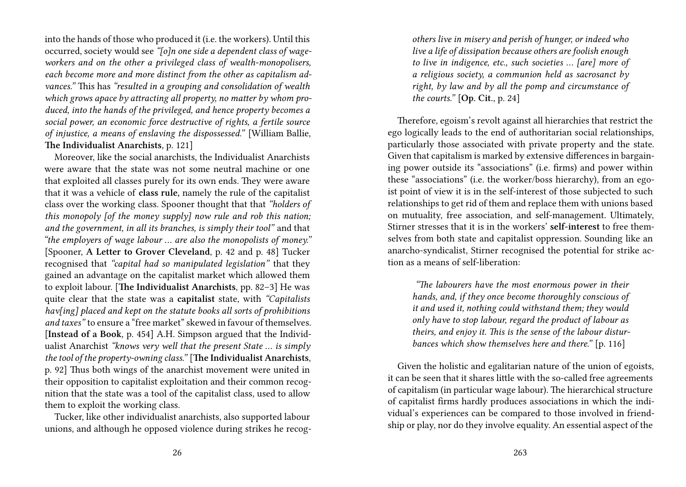into the hands of those who produced it (i.e. the workers). Until this occurred, society would see *"[o]n one side a dependent class of wageworkers and on the other a privileged class of wealth-monopolisers, each become more and more distinct from the other as capitalism advances."* This has *"resulted in a grouping and consolidation of wealth which grows apace by attracting all property, no matter by whom produced, into the hands of the privileged, and hence property becomes a social power, an economic force destructive of rights, a fertile source of injustice, a means of enslaving the dispossessed."* [William Ballie, **The Individualist Anarchists**, p. 121]

Moreover, like the social anarchists, the Individualist Anarchists were aware that the state was not some neutral machine or one that exploited all classes purely for its own ends. They were aware that it was a vehicle of **class rule,** namely the rule of the capitalist class over the working class. Spooner thought that that *"holders of this monopoly [of the money supply] now rule and rob this nation; and the government, in all its branches, is simply their tool"* and that *"the employers of wage labour … are also the monopolists of money."* [Spooner, **A Letter to Grover Cleveland**, p. 42 and p. 48] Tucker recognised that *"capital had so manipulated legislation"* that they gained an advantage on the capitalist market which allowed them to exploit labour. [**The Individualist Anarchists**, pp. 82–3] He was quite clear that the state was a **capitalist** state, with *"Capitalists hav[ing] placed and kept on the statute books all sorts of prohibitions and taxes"* to ensure a "free market" skewed in favour of themselves. [**Instead of a Book**, p. 454] A.H. Simpson argued that the Individualist Anarchist *"knows very well that the present State … is simply the tool of the property-owning class."* [**The Individualist Anarchists**, p. 92] Thus both wings of the anarchist movement were united in their opposition to capitalist exploitation and their common recognition that the state was a tool of the capitalist class, used to allow them to exploit the working class.

Tucker, like other individualist anarchists, also supported labour unions, and although he opposed violence during strikes he recog*others live in misery and perish of hunger, or indeed who live a life of dissipation because others are foolish enough to live in indigence, etc., such societies … [are] more of a religious society, a communion held as sacrosanct by right, by law and by all the pomp and circumstance of the courts."* [**Op. Cit.**, p. 24]

Therefore, egoism's revolt against all hierarchies that restrict the ego logically leads to the end of authoritarian social relationships, particularly those associated with private property and the state. Given that capitalism is marked by extensive differences in bargaining power outside its "associations" (i.e. firms) and power within these "associations" (i.e. the worker/boss hierarchy), from an egoist point of view it is in the self-interest of those subjected to such relationships to get rid of them and replace them with unions based on mutuality, free association, and self-management. Ultimately, Stirner stresses that it is in the workers' **self-interest** to free themselves from both state and capitalist oppression. Sounding like an anarcho-syndicalist, Stirner recognised the potential for strike action as a means of self-liberation:

*"The labourers have the most enormous power in their hands, and, if they once become thoroughly conscious of it and used it, nothing could withstand them; they would only have to stop labour, regard the product of labour as theirs, and enjoy it. This is the sense of the labour disturbances which show themselves here and there."* [p. 116]

Given the holistic and egalitarian nature of the union of egoists, it can be seen that it shares little with the so-called free agreements of capitalism (in particular wage labour). The hierarchical structure of capitalist firms hardly produces associations in which the individual's experiences can be compared to those involved in friendship or play, nor do they involve equality. An essential aspect of the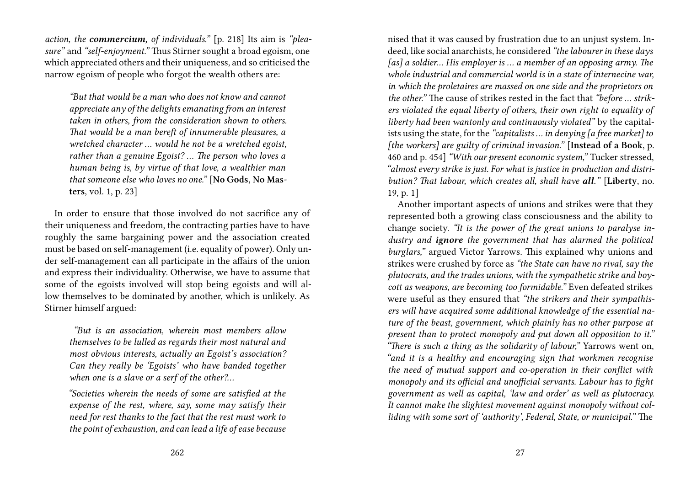*action, the commercium, of individuals."* [p. 218] Its aim is *"pleasure"* and *"self-enjoyment."* Thus Stirner sought a broad egoism, one which appreciated others and their uniqueness, and so criticised the narrow egoism of people who forgot the wealth others are:

*"But that would be a man who does not know and cannot appreciate any of the delights emanating from an interest taken in others, from the consideration shown to others. That would be a man bereft of innumerable pleasures, a wretched character … would he not be a wretched egoist, rather than a genuine Egoist? … The person who loves a human being is, by virtue of that love, a wealthier man that someone else who loves no one."* [**No Gods, No Masters**, vol. 1, p. 23]

In order to ensure that those involved do not sacrifice any of their uniqueness and freedom, the contracting parties have to have roughly the same bargaining power and the association created must be based on self-management (i.e. equality of power). Only under self-management can all participate in the affairs of the union and express their individuality. Otherwise, we have to assume that some of the egoists involved will stop being egoists and will allow themselves to be dominated by another, which is unlikely. As Stirner himself argued:

*"But is an association, wherein most members allow themselves to be lulled as regards their most natural and most obvious interests, actually an Egoist's association? Can they really be 'Egoists' who have banded together when one is a slave or a serf of the other?…*

*"Societies wherein the needs of some are satisfied at the expense of the rest, where, say, some may satisfy their need for rest thanks to the fact that the rest must work to the point of exhaustion, and can lead a life of ease because* nised that it was caused by frustration due to an unjust system. Indeed, like social anarchists, he considered *"the labourer in these days [as] a soldier… His employer is … a member of an opposing army. The whole industrial and commercial world is in a state of internecine war, in which the proletaires are massed on one side and the proprietors on the other."* The cause of strikes rested in the fact that *"before … strikers violated the equal liberty of others, their own right to equality of liberty had been wantonly and continuously violated"* by the capitalists using the state, for the *"capitalists … in denying [a free market] to [the workers] are guilty of criminal invasion."* [**Instead of a Book**, p. 460 and p. 454] *"With our present economic system,"* Tucker stressed, *"almost every strike is just. For what is justice in production and distribution? That labour, which creates all, shall have all."* [**Liberty**, no. 19, p. 1]

Another important aspects of unions and strikes were that they represented both a growing class consciousness and the ability to change society. *"It is the power of the great unions to paralyse industry and ignore the government that has alarmed the political burglars,"* argued Victor Yarrows. This explained why unions and strikes were crushed by force as *"the State can have no rival, say the plutocrats, and the trades unions, with the sympathetic strike and boycott as weapons, are becoming too formidable."* Even defeated strikes were useful as they ensured that *"the strikers and their sympathisers will have acquired some additional knowledge of the essential nature of the beast, government, which plainly has no other purpose at present than to protect monopoly and put down all opposition to it." "There is such a thing as the solidarity of labour,"* Yarrows went on, *"and it is a healthy and encouraging sign that workmen recognise the need of mutual support and co-operation in their conflict with monopoly and its official and unofficial servants. Labour has to fight government as well as capital, 'law and order' as well as plutocracy. It cannot make the slightest movement against monopoly without colliding with some sort of 'authority', Federal, State, or municipal."* The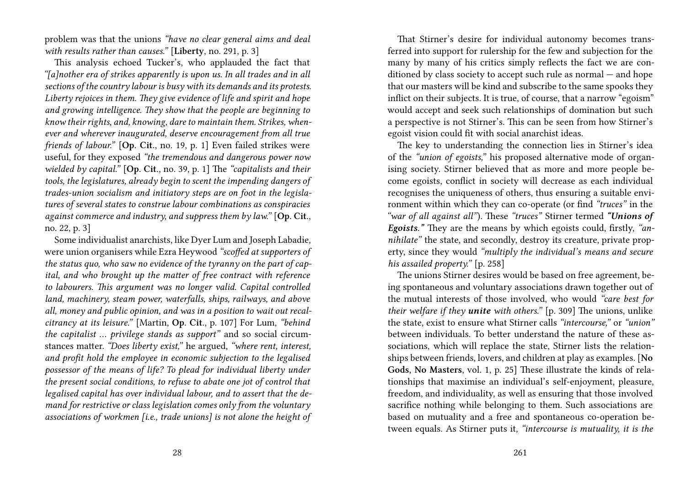problem was that the unions *"have no clear general aims and deal with results rather than causes."* [**Liberty**, no. 291, p. 3]

This analysis echoed Tucker's, who applauded the fact that *"[a]nother era of strikes apparently is upon us. In all trades and in all sections of the country labour is busy with its demands and its protests. Liberty rejoices in them. They give evidence of life and spirit and hope and growing intelligence. They show that the people are beginning to know their rights, and, knowing, dare to maintain them. Strikes, whenever and wherever inaugurated, deserve encouragement from all true friends of labour."* [**Op. Cit.**, no. 19, p. 1] Even failed strikes were useful, for they exposed *"the tremendous and dangerous power now wielded by capital."* [**Op. Cit.**, no. 39, p. 1] The *"capitalists and their tools, the legislatures, already begin to scent the impending dangers of trades-union socialism and initiatory steps are on foot in the legislatures of several states to construe labour combinations as conspiracies against commerce and industry, and suppress them by law."* [**Op. Cit.**, no. 22, p. 3]

Some individualist anarchists, like Dyer Lum and Joseph Labadie, were union organisers while Ezra Heywood *"scoffed at supporters of the status quo, who saw no evidence of the tyranny on the part of capital, and who brought up the matter of free contract with reference to labourers. This argument was no longer valid. Capital controlled land, machinery, steam power, waterfalls, ships, railways, and above all, money and public opinion, and was in a position to wait out recalcitrancy at its leisure."* [Martin, **Op. Cit.**, p. 107] For Lum, *"behind the capitalist … privilege stands as support"* and so social circumstances matter. *"Does liberty exist,"* he argued, *"where rent, interest, and profit hold the employee in economic subjection to the legalised possessor of the means of life? To plead for individual liberty under the present social conditions, to refuse to abate one jot of control that legalised capital has over individual labour, and to assert that the demand for restrictive or class legislation comes only from the voluntary associations of workmen [i.e., trade unions] is not alone the height of*

That Stirner's desire for individual autonomy becomes transferred into support for rulership for the few and subjection for the many by many of his critics simply reflects the fact we are conditioned by class society to accept such rule as normal — and hope that our masters will be kind and subscribe to the same spooks they inflict on their subjects. It is true, of course, that a narrow "egoism" would accept and seek such relationships of domination but such a perspective is not Stirner's. This can be seen from how Stirner's egoist vision could fit with social anarchist ideas.

The key to understanding the connection lies in Stirner's idea of the *"union of egoists,"* his proposed alternative mode of organising society. Stirner believed that as more and more people become egoists, conflict in society will decrease as each individual recognises the uniqueness of others, thus ensuring a suitable environment within which they can co-operate (or find *"truces"* in the *"war of all against all"*). These *"truces"* Stirner termed *"Unions of Egoists."* They are the means by which egoists could, firstly, *"annihilate"* the state, and secondly, destroy its creature, private property, since they would *"multiply the individual's means and secure his assailed property."* [p. 258]

The unions Stirner desires would be based on free agreement, being spontaneous and voluntary associations drawn together out of the mutual interests of those involved, who would *"care best for their welfare if they unite with others."* [p. 309] The unions, unlike the state, exist to ensure what Stirner calls *"intercourse,"* or *"union"* between individuals. To better understand the nature of these associations, which will replace the state, Stirner lists the relationships between friends, lovers, and children at play as examples. [**No Gods, No Masters**, vol. 1, p. 25] These illustrate the kinds of relationships that maximise an individual's self-enjoyment, pleasure, freedom, and individuality, as well as ensuring that those involved sacrifice nothing while belonging to them. Such associations are based on mutuality and a free and spontaneous co-operation between equals. As Stirner puts it, *"intercourse is mutuality, it is the*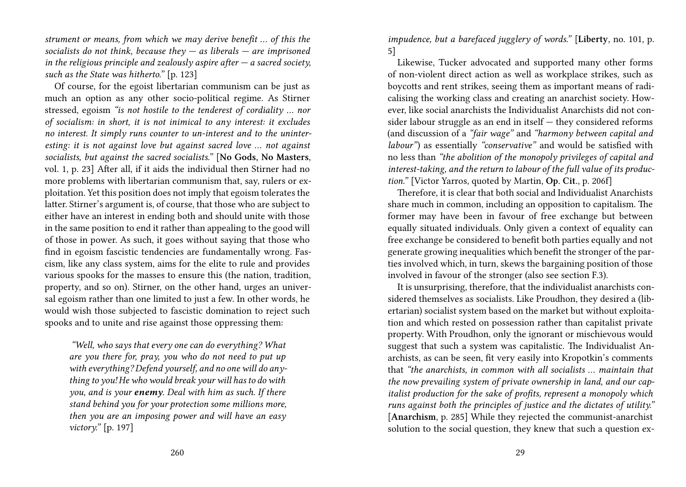*strument or means, from which we may derive benefit … of this the socialists do not think, because they — as liberals — are imprisoned in the religious principle and zealously aspire after — a sacred society, such as the State was hitherto."* [p. 123]

Of course, for the egoist libertarian communism can be just as much an option as any other socio-political regime. As Stirner stressed, egoism *"is not hostile to the tenderest of cordiality … nor of socialism: in short, it is not inimical to any interest: it excludes no interest. It simply runs counter to un-interest and to the uninteresting: it is not against love but against sacred love … not against socialists, but against the sacred socialists."* [**No Gods, No Masters**, vol. 1, p. 23] After all, if it aids the individual then Stirner had no more problems with libertarian communism that, say, rulers or exploitation. Yet this position does not imply that egoism tolerates the latter. Stirner's argument is, of course, that those who are subject to either have an interest in ending both and should unite with those in the same position to end it rather than appealing to the good will of those in power. As such, it goes without saying that those who find in egoism fascistic tendencies are fundamentally wrong. Fascism, like any class system, aims for the elite to rule and provides various spooks for the masses to ensure this (the nation, tradition, property, and so on). Stirner, on the other hand, urges an universal egoism rather than one limited to just a few. In other words, he would wish those subjected to fascistic domination to reject such spooks and to unite and rise against those oppressing them:

*"Well, who says that every one can do everything? What are you there for, pray, you who do not need to put up with everything? Defend yourself, and no one will do anything to you! He who would break your will has to do with you, and is your enemy. Deal with him as such. If there stand behind you for your protection some millions more, then you are an imposing power and will have an easy victory."* [p. 197]

*impudence, but a barefaced jugglery of words."* [**Liberty**, no. 101, p. 5]

Likewise, Tucker advocated and supported many other forms of non-violent direct action as well as workplace strikes, such as boycotts and rent strikes, seeing them as important means of radicalising the working class and creating an anarchist society. However, like social anarchists the Individualist Anarchists did not consider labour struggle as an end in itself — they considered reforms (and discussion of a *"fair wage"* and *"harmony between capital and labour"*) as essentially *"conservative"* and would be satisfied with no less than *"the abolition of the monopoly privileges of capital and interest-taking, and the return to labour of the full value of its production."* [Victor Yarros, quoted by Martin, **Op. Cit.**, p. 206f]

Therefore, it is clear that both social and Individualist Anarchists share much in common, including an opposition to capitalism. The former may have been in favour of free exchange but between equally situated individuals. Only given a context of equality can free exchange be considered to benefit both parties equally and not generate growing inequalities which benefit the stronger of the parties involved which, in turn, skews the bargaining position of those involved in favour of the stronger (also see section F.3).

It is unsurprising, therefore, that the individualist anarchists considered themselves as socialists. Like Proudhon, they desired a (libertarian) socialist system based on the market but without exploitation and which rested on possession rather than capitalist private property. With Proudhon, only the ignorant or mischievous would suggest that such a system was capitalistic. The Individualist Anarchists, as can be seen, fit very easily into Kropotkin's comments that *"the anarchists, in common with all socialists … maintain that the now prevailing system of private ownership in land, and our capitalist production for the sake of profits, represent a monopoly which runs against both the principles of justice and the dictates of utility."* [**Anarchism**, p. 285] While they rejected the communist-anarchist solution to the social question, they knew that such a question ex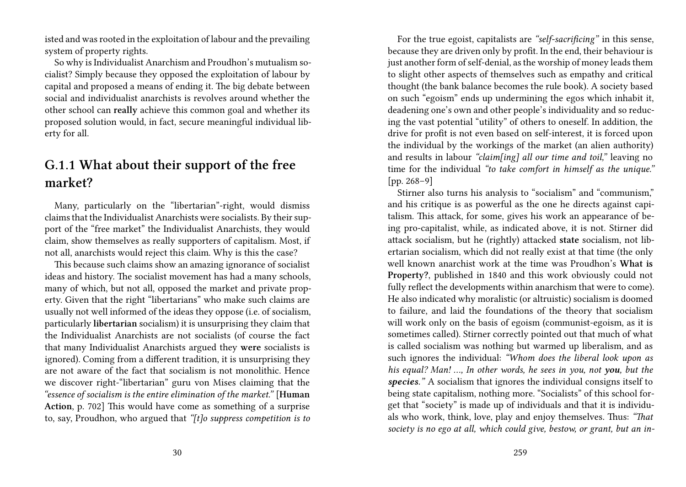isted and was rooted in the exploitation of labour and the prevailing system of property rights.

So why is Individualist Anarchism and Proudhon's mutualism socialist? Simply because they opposed the exploitation of labour by capital and proposed a means of ending it. The big debate between social and individualist anarchists is revolves around whether the other school can **really** achieve this common goal and whether its proposed solution would, in fact, secure meaningful individual liberty for all.

### **G.1.1 What about their support of the free market?**

Many, particularly on the "libertarian"-right, would dismiss claims that the Individualist Anarchists were socialists. By their support of the "free market" the Individualist Anarchists, they would claim, show themselves as really supporters of capitalism. Most, if not all, anarchists would reject this claim. Why is this the case?

This because such claims show an amazing ignorance of socialist ideas and history. The socialist movement has had a many schools, many of which, but not all, opposed the market and private property. Given that the right "libertarians" who make such claims are usually not well informed of the ideas they oppose (i.e. of socialism, particularly **libertarian** socialism) it is unsurprising they claim that the Individualist Anarchists are not socialists (of course the fact that many Individualist Anarchists argued they **were** socialists is ignored). Coming from a different tradition, it is unsurprising they are not aware of the fact that socialism is not monolithic. Hence we discover right-"libertarian" guru von Mises claiming that the *"essence of socialism is the entire elimination of the market."* [**Human Action**, p. 702] This would have come as something of a surprise to, say, Proudhon, who argued that *"[t]o suppress competition is to*

For the true egoist, capitalists are *"self-sacrificing"* in this sense, because they are driven only by profit. In the end, their behaviour is just another form of self-denial, as the worship of money leads them to slight other aspects of themselves such as empathy and critical thought (the bank balance becomes the rule book). A society based on such "egoism" ends up undermining the egos which inhabit it, deadening one's own and other people's individuality and so reducing the vast potential "utility" of others to oneself. In addition, the drive for profit is not even based on self-interest, it is forced upon the individual by the workings of the market (an alien authority) and results in labour *"claim[ing] all our time and toil,"* leaving no time for the individual *"to take comfort in himself as the unique."* [pp. 268–9]

Stirner also turns his analysis to "socialism" and "communism," and his critique is as powerful as the one he directs against capitalism. This attack, for some, gives his work an appearance of being pro-capitalist, while, as indicated above, it is not. Stirner did attack socialism, but he (rightly) attacked **state** socialism, not libertarian socialism, which did not really exist at that time (the only well known anarchist work at the time was Proudhon's **What is Property?**, published in 1840 and this work obviously could not fully reflect the developments within anarchism that were to come). He also indicated why moralistic (or altruistic) socialism is doomed to failure, and laid the foundations of the theory that socialism will work only on the basis of egoism (communist-egoism, as it is sometimes called). Stirner correctly pointed out that much of what is called socialism was nothing but warmed up liberalism, and as such ignores the individual: *"Whom does the liberal look upon as his equal? Man! …, In other words, he sees in you, not you, but the species."* A socialism that ignores the individual consigns itself to being state capitalism, nothing more. "Socialists" of this school forget that "society" is made up of individuals and that it is individuals who work, think, love, play and enjoy themselves. Thus: *"That society is no ego at all, which could give, bestow, or grant, but an in-*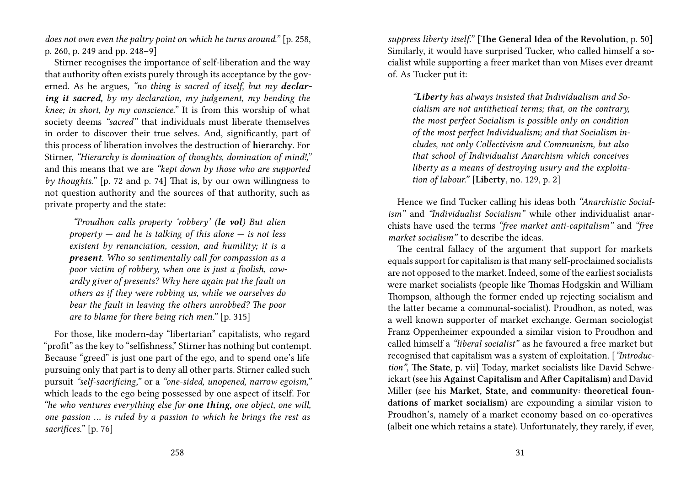*does not own even the paltry point on which he turns around."* [p. 258, p. 260, p. 249 and pp. 248–9]

Stirner recognises the importance of self-liberation and the way that authority often exists purely through its acceptance by the governed. As he argues, *"no thing is sacred of itself, but my declaring it sacred, by my declaration, my judgement, my bending the knee; in short, by my conscience."* It is from this worship of what society deems *"sacred"* that individuals must liberate themselves in order to discover their true selves. And, significantly, part of this process of liberation involves the destruction of **hierarchy.** For Stirner, *"Hierarchy is domination of thoughts, domination of mind!,"* and this means that we are *"kept down by those who are supported by thoughts."* [p. 72 and p. 74] That is, by our own willingness to not question authority and the sources of that authority, such as private property and the state:

*"Proudhon calls property 'robbery' (le vol) But alien property — and he is talking of this alone — is not less existent by renunciation, cession, and humility; it is a present. Who so sentimentally call for compassion as a poor victim of robbery, when one is just a foolish, cowardly giver of presents? Why here again put the fault on others as if they were robbing us, while we ourselves do bear the fault in leaving the others unrobbed? The poor are to blame for there being rich men."* [p. 315]

For those, like modern-day "libertarian" capitalists, who regard "profit" as the key to "selfishness," Stirner has nothing but contempt. Because "greed" is just one part of the ego, and to spend one's life pursuing only that part is to deny all other parts. Stirner called such pursuit *"self-sacrificing,"* or a *"one-sided, unopened, narrow egoism,"* which leads to the ego being possessed by one aspect of itself. For *"he who ventures everything else for one thing, one object, one will, one passion … is ruled by a passion to which he brings the rest as sacrifices."* [p. 76]

*suppress liberty itself."* [**The General Idea of the Revolution**, p. 50] Similarly, it would have surprised Tucker, who called himself a socialist while supporting a freer market than von Mises ever dreamt of. As Tucker put it:

*"Liberty has always insisted that Individualism and Socialism are not antithetical terms; that, on the contrary, the most perfect Socialism is possible only on condition of the most perfect Individualism; and that Socialism includes, not only Collectivism and Communism, but also that school of Individualist Anarchism which conceives liberty as a means of destroying usury and the exploitation of labour."* [**Liberty**, no. 129, p. 2]

Hence we find Tucker calling his ideas both *"Anarchistic Socialism"* and *"Individualist Socialism"* while other individualist anarchists have used the terms *"free market anti-capitalism"* and *"free market socialism"* to describe the ideas.

The central fallacy of the argument that support for markets equals support for capitalism is that many self-proclaimed socialists are not opposed to the market. Indeed, some of the earliest socialists were market socialists (people like Thomas Hodgskin and William Thompson, although the former ended up rejecting socialism and the latter became a communal-socialist). Proudhon, as noted, was a well known supporter of market exchange. German sociologist Franz Oppenheimer expounded a similar vision to Proudhon and called himself a *"liberal socialist"* as he favoured a free market but recognised that capitalism was a system of exploitation. [*"Introduction"*, **The State**, p. vii] Today, market socialists like David Schweickart (see his **Against Capitalism** and **After Capitalism**) and David Miller (see his **Market, State, and community: theoretical foundations of market socialism**) are expounding a similar vision to Proudhon's, namely of a market economy based on co-operatives (albeit one which retains a state). Unfortunately, they rarely, if ever,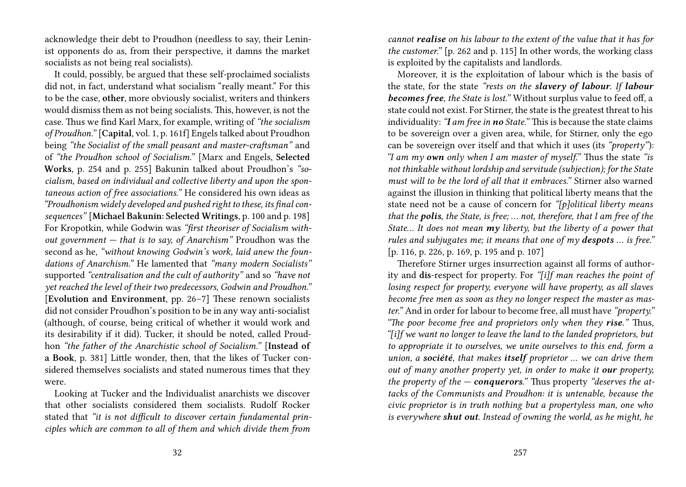acknowledge their debt to Proudhon (needless to say, their Leninist opponents do as, from their perspective, it damns the market socialists as not being real socialists).

It could, possibly, be argued that these self-proclaimed socialists did not, in fact, understand what socialism "really meant." For this to be the case, **other**, more obviously socialist, writers and thinkers would dismiss them as not being socialists. This, however, is not the case. Thus we find Karl Marx, for example, writing of *"the socialism of Proudhon."* [**Capital**, vol. 1, p. 161f] Engels talked about Proudhon being *"the Socialist of the small peasant and master-craftsman"* and of *"the Proudhon school of Socialism."* [Marx and Engels, **Selected Works**, p. 254 and p. 255] Bakunin talked about Proudhon's *"socialism, based on individual and collective liberty and upon the spontaneous action of free associations."* He considered his own ideas as *"Proudhonism widely developed and pushed right to these, its final consequences"* [**Michael Bakunin: Selected Writings**, p. 100 and p. 198] For Kropotkin, while Godwin was *"first theoriser of Socialism without government — that is to say, of Anarchism"* Proudhon was the second as he, *"without knowing Godwin's work, laid anew the foundations of Anarchism."* He lamented that *"many modern Socialists"* supported *"centralisation and the cult of authority"* and so *"have not yet reached the level of their two predecessors, Godwin and Proudhon."* [**Evolution and Environment**, pp. 26–7] These renown socialists did not consider Proudhon's position to be in any way anti-socialist (although, of course, being critical of whether it would work and its desirability if it did). Tucker, it should be noted, called Proudhon *"the father of the Anarchistic school of Socialism."* [**Instead of a Book**, p. 381] Little wonder, then, that the likes of Tucker considered themselves socialists and stated numerous times that they were.

Looking at Tucker and the Individualist anarchists we discover that other socialists considered them socialists. Rudolf Rocker stated that *"it is not difficult to discover certain fundamental principles which are common to all of them and which divide them from*

*cannot realise on his labour to the extent of the value that it has for the customer."* [p. 262 and p. 115] In other words, the working class is exploited by the capitalists and landlords.

Moreover, it is the exploitation of labour which is the basis of the state, for the state *"rests on the slavery of labour. If labour becomes free, the State is lost."* Without surplus value to feed off, a state could not exist. For Stirner, the state is the greatest threat to his individuality: *"I am free in no State."* This is because the state claims to be sovereign over a given area, while, for Stirner, only the ego can be sovereign over itself and that which it uses (its *"property"*): *"I am my own only when I am master of myself."* Thus the state *"is not thinkable without lordship and servitude (subjection); for the State must will to be the lord of all that it embraces."* Stirner also warned against the illusion in thinking that political liberty means that the state need not be a cause of concern for *"[p]olitical liberty means that the polis, the State, is free; … not, therefore, that I am free of the State… It does not mean my liberty, but the liberty of a power that rules and subjugates me; it means that one of my despots … is free."* [p. 116, p. 226, p. 169, p. 195 and p. 107]

Therefore Stirner urges insurrection against all forms of authority and **dis**-respect for property. For *"[i]f man reaches the point of losing respect for property, everyone will have property, as all slaves become free men as soon as they no longer respect the master as master."* And in order for labour to become free, all must have *"property." "The poor become free and proprietors only when they rise."* Thus, *"[i]f we want no longer to leave the land to the landed proprietors, but to appropriate it to ourselves, we unite ourselves to this end, form a union, a société, that makes itself proprietor … we can drive them out of many another property yet, in order to make it our property, the property of the — conquerors."* Thus property *"deserves the attacks of the Communists and Proudhon: it is untenable, because the civic proprietor is in truth nothing but a propertyless man, one who is everywhere shut out. Instead of owning the world, as he might, he*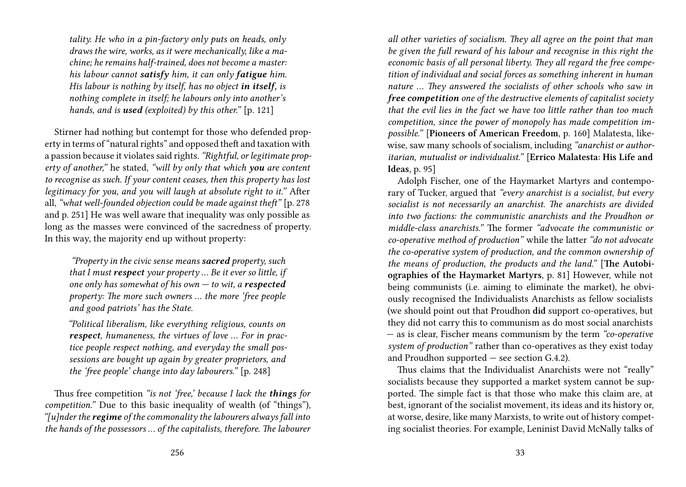*tality. He who in a pin-factory only puts on heads, only draws the wire, works, as it were mechanically, like a machine; he remains half-trained, does not become a master: his labour cannot satisfy him, it can only fatigue him. His labour is nothing by itself, has no object in itself, is nothing complete in itself; he labours only into another's hands, and is used (exploited) by this other."* [p. 121]

Stirner had nothing but contempt for those who defended property in terms of "natural rights" and opposed theft and taxation with a passion because it violates said rights. *"Rightful, or legitimate property of another,"* he stated, *"will by only that which you are content to recognise as such. If your content ceases, then this property has lost legitimacy for you, and you will laugh at absolute right to it."* After all, *"what well-founded objection could be made against theft"* [p. 278 and p. 251] He was well aware that inequality was only possible as long as the masses were convinced of the sacredness of property. In this way, the majority end up without property:

*"Property in the civic sense means sacred property, such that I must respect your property … Be it ever so little, if one only has somewhat of his own — to wit, a respected property: The more such owners … the more 'free people and good patriots' has the State.*

*"Political liberalism, like everything religious, counts on respect, humaneness, the virtues of love … For in practice people respect nothing, and everyday the small possessions are bought up again by greater proprietors, and the 'free people' change into day labourers."* [p. 248]

Thus free competition *"is not 'free,' because I lack the things for competition."* Due to this basic inequality of wealth (of "things"), *"[u]nder the regime of the commonality the labourers always fall into the hands of the possessors … of the capitalists, therefore. The labourer* *all other varieties of socialism. They all agree on the point that man be given the full reward of his labour and recognise in this right the economic basis of all personal liberty. They all regard the free competition of individual and social forces as something inherent in human nature … They answered the socialists of other schools who saw in free competition one of the destructive elements of capitalist society that the evil lies in the fact we have too little rather than too much competition, since the power of monopoly has made competition impossible."* [**Pioneers of American Freedom**, p. 160] Malatesta, likewise, saw many schools of socialism, including *"anarchist or authoritarian, mutualist or individualist."* [**Errico Malatesta: His Life and Ideas**, p. 95]

Adolph Fischer, one of the Haymarket Martyrs and contemporary of Tucker, argued that *"every anarchist is a socialist, but every socialist is not necessarily an anarchist. The anarchists are divided into two factions: the communistic anarchists and the Proudhon or middle-class anarchists."* The former *"advocate the communistic or co-operative method of production"* while the latter *"do not advocate the co-operative system of production, and the common ownership of the means of production, the products and the land."* [**The Autobiographies of the Haymarket Martyrs**, p. 81] However, while not being communists (i.e. aiming to eliminate the market), he obviously recognised the Individualists Anarchists as fellow socialists (we should point out that Proudhon **did** support co-operatives, but they did not carry this to communism as do most social anarchists — as is clear, Fischer means communism by the term *"co-operative system of production"* rather than co-operatives as they exist today and Proudhon supported — see section G.4.2).

Thus claims that the Individualist Anarchists were not "really" socialists because they supported a market system cannot be supported. The simple fact is that those who make this claim are, at best, ignorant of the socialist movement, its ideas and its history or, at worse, desire, like many Marxists, to write out of history competing socialist theories. For example, Leninist David McNally talks of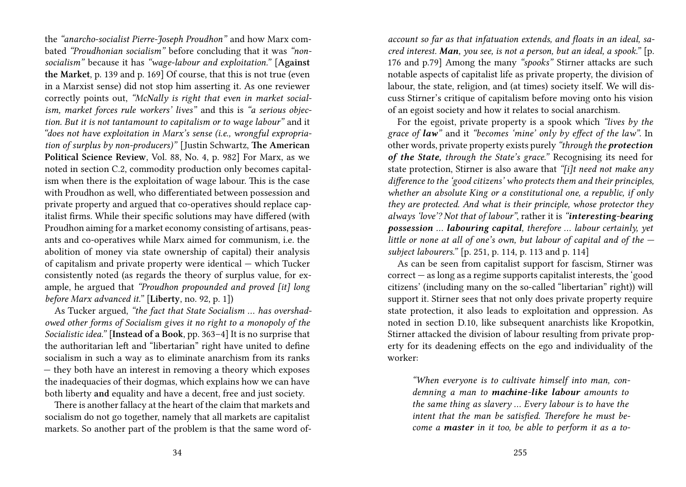the *"anarcho-socialist Pierre-Joseph Proudhon"* and how Marx combated *"Proudhonian socialism"* before concluding that it was *"nonsocialism"* because it has *"wage-labour and exploitation."* [**Against the Market**, p. 139 and p. 169] Of course, that this is not true (even in a Marxist sense) did not stop him asserting it. As one reviewer correctly points out, *"McNally is right that even in market socialism, market forces rule workers' lives"* and this is *"a serious objection. But it is not tantamount to capitalism or to wage labour"* and it *"does not have exploitation in Marx's sense (i.e., wrongful expropriation of surplus by non-producers)"* [Justin Schwartz, **The American Political Science Review**, Vol. 88, No. 4, p. 982] For Marx, as we noted in section C.2, commodity production only becomes capitalism when there is the exploitation of wage labour. This is the case with Proudhon as well, who differentiated between possession and private property and argued that co-operatives should replace capitalist firms. While their specific solutions may have differed (with Proudhon aiming for a market economy consisting of artisans, peasants and co-operatives while Marx aimed for communism, i.e. the abolition of money via state ownership of capital) their analysis of capitalism and private property were identical — which Tucker consistently noted (as regards the theory of surplus value, for example, he argued that *"Proudhon propounded and proved [it] long before Marx advanced it."* [**Liberty**, no. 92, p. 1])

As Tucker argued, *"the fact that State Socialism … has overshadowed other forms of Socialism gives it no right to a monopoly of the Socialistic idea."* [**Instead of a Book**, pp. 363–4] It is no surprise that the authoritarian left and "libertarian" right have united to define socialism in such a way as to eliminate anarchism from its ranks — they both have an interest in removing a theory which exposes the inadequacies of their dogmas, which explains how we can have both liberty **and** equality and have a decent, free and just society.

There is another fallacy at the heart of the claim that markets and socialism do not go together, namely that all markets are capitalist markets. So another part of the problem is that the same word of*account so far as that infatuation extends, and floats in an ideal, sacred interest. Man, you see, is not a person, but an ideal, a spook."* [p. 176 and p.79] Among the many *"spooks"* Stirner attacks are such notable aspects of capitalist life as private property, the division of labour, the state, religion, and (at times) society itself. We will discuss Stirner's critique of capitalism before moving onto his vision of an egoist society and how it relates to social anarchism.

For the egoist, private property is a spook which *"lives by the grace of law"* and it *"becomes 'mine' only by effect of the law"*. In other words, private property exists purely *"through the protection of the State, through the State's grace."* Recognising its need for state protection, Stirner is also aware that *"[i]t need not make any difference to the 'good citizens' who protects them and their principles, whether an absolute King or a constitutional one, a republic, if only they are protected. And what is their principle, whose protector they always 'love'? Not that of labour"*, rather it is *"interesting-bearing possession … labouring capital, therefore … labour certainly, yet little or none at all of one's own, but labour of capital and of the subject labourers."* [p. 251, p. 114, p. 113 and p. 114]

As can be seen from capitalist support for fascism, Stirner was correct — as long as a regime supports capitalist interests, the 'good citizens' (including many on the so-called "libertarian" right)) will support it. Stirner sees that not only does private property require state protection, it also leads to exploitation and oppression. As noted in section D.10, like subsequent anarchists like Kropotkin, Stirner attacked the division of labour resulting from private property for its deadening effects on the ego and individuality of the worker:

*"When everyone is to cultivate himself into man, condemning a man to machine-like labour amounts to the same thing as slavery … Every labour is to have the intent that the man be satisfied. Therefore he must become a master in it too, be able to perform it as a to-*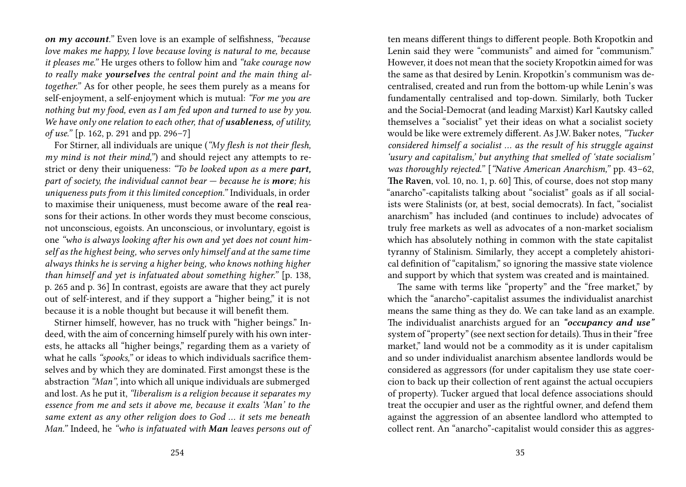*on my account."* Even love is an example of selfishness, *"because love makes me happy, I love because loving is natural to me, because it pleases me."* He urges others to follow him and *"take courage now to really make yourselves the central point and the main thing altogether."* As for other people, he sees them purely as a means for self-enjoyment, a self-enjoyment which is mutual: *"For me you are nothing but my food, even as I am fed upon and turned to use by you. We have only one relation to each other, that of usableness, of utility, of use."* [p. 162, p. 291 and pp. 296–7]

For Stirner, all individuals are unique (*"My flesh is not their flesh, my mind is not their mind,"*) and should reject any attempts to restrict or deny their uniqueness: *"To be looked upon as a mere part, part of society, the individual cannot bear — because he is more; his uniqueness puts from it this limited conception."* Individuals, in order to maximise their uniqueness, must become aware of the **real** reasons for their actions. In other words they must become conscious, not unconscious, egoists. An unconscious, or involuntary, egoist is one *"who is always looking after his own and yet does not count himself as the highest being, who serves only himself and at the same time always thinks he is serving a higher being, who knows nothing higher than himself and yet is infatuated about something higher."* [p. 138, p. 265 and p. 36] In contrast, egoists are aware that they act purely out of self-interest, and if they support a "higher being," it is not because it is a noble thought but because it will benefit them.

Stirner himself, however, has no truck with "higher beings." Indeed, with the aim of concerning himself purely with his own interests, he attacks all "higher beings," regarding them as a variety of what he calls *"spooks,"* or ideas to which individuals sacrifice themselves and by which they are dominated. First amongst these is the abstraction *"Man"*, into which all unique individuals are submerged and lost. As he put it, *"liberalism is a religion because it separates my essence from me and sets it above me, because it exalts 'Man' to the same extent as any other religion does to God … it sets me beneath Man."* Indeed, he *"who is infatuated with Man leaves persons out of*

ten means different things to different people. Both Kropotkin and Lenin said they were "communists" and aimed for "communism." However, it does not mean that the society Kropotkin aimed for was the same as that desired by Lenin. Kropotkin's communism was decentralised, created and run from the bottom-up while Lenin's was fundamentally centralised and top-down. Similarly, both Tucker and the Social-Democrat (and leading Marxist) Karl Kautsky called themselves a "socialist" yet their ideas on what a socialist society would be like were extremely different. As J.W. Baker notes, *"Tucker considered himself a socialist … as the result of his struggle against 'usury and capitalism,' but anything that smelled of 'state socialism' was thoroughly rejected."* [*"Native American Anarchism,"* pp. 43–62, **The Raven**, vol. 10, no. 1, p. 60] This, of course, does not stop many "anarcho"-capitalists talking about "socialist" goals as if all socialists were Stalinists (or, at best, social democrats). In fact, "socialist anarchism" has included (and continues to include) advocates of truly free markets as well as advocates of a non-market socialism which has absolutely nothing in common with the state capitalist tyranny of Stalinism. Similarly, they accept a completely ahistorical definition of "capitalism," so ignoring the massive state violence and support by which that system was created and is maintained.

The same with terms like "property" and the "free market," by which the "anarcho"-capitalist assumes the individualist anarchist means the same thing as they do. We can take land as an example. The individualist anarchists argued for an *"occupancy and use"* system of "property" (see next section for details).Thus in their "free market," land would not be a commodity as it is under capitalism and so under individualist anarchism absentee landlords would be considered as aggressors (for under capitalism they use state coercion to back up their collection of rent against the actual occupiers of property). Tucker argued that local defence associations should treat the occupier and user as the rightful owner, and defend them against the aggression of an absentee landlord who attempted to collect rent. An "anarcho"-capitalist would consider this as aggres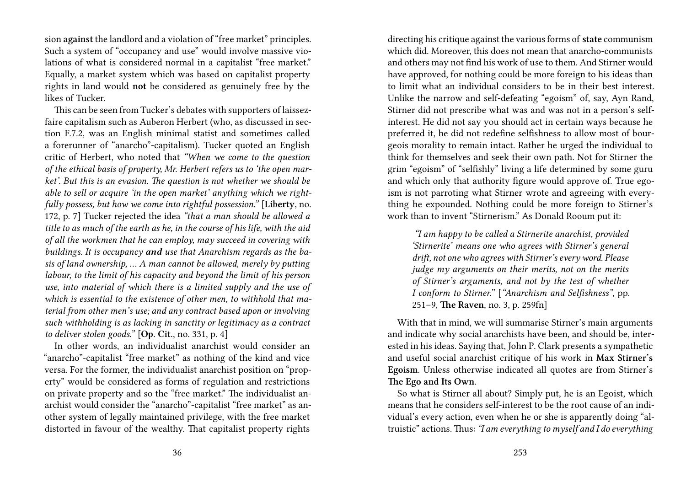sion **against** the landlord and a violation of "free market" principles. Such a system of "occupancy and use" would involve massive violations of what is considered normal in a capitalist "free market." Equally, a market system which was based on capitalist property rights in land would **not** be considered as genuinely free by the likes of Tucker.

This can be seen from Tucker's debates with supporters of laissezfaire capitalism such as Auberon Herbert (who, as discussed in section F.7.2, was an English minimal statist and sometimes called a forerunner of "anarcho"-capitalism). Tucker quoted an English critic of Herbert, who noted that *"When we come to the question of the ethical basis of property, Mr. Herbert refers us to 'the open market'. But this is an evasion. The question is not whether we should be able to sell or acquire 'in the open market' anything which we rightfully possess, but how we come into rightful possession."* [**Liberty**, no. 172, p. 7] Tucker rejected the idea *"that a man should be allowed a title to as much of the earth as he, in the course of his life, with the aid of all the workmen that he can employ, may succeed in covering with buildings. It is occupancy and use that Anarchism regards as the basis of land ownership, … A man cannot be allowed, merely by putting labour, to the limit of his capacity and beyond the limit of his person use, into material of which there is a limited supply and the use of which is essential to the existence of other men, to withhold that material from other men's use; and any contract based upon or involving such withholding is as lacking in sanctity or legitimacy as a contract to deliver stolen goods."* [**Op. Cit.**, no. 331, p. 4]

In other words, an individualist anarchist would consider an "anarcho"-capitalist "free market" as nothing of the kind and vice versa. For the former, the individualist anarchist position on "property" would be considered as forms of regulation and restrictions on private property and so the "free market." The individualist anarchist would consider the "anarcho"-capitalist "free market" as another system of legally maintained privilege, with the free market distorted in favour of the wealthy. That capitalist property rights

directing his critique against the various forms of **state** communism which did. Moreover, this does not mean that anarcho-communists and others may not find his work of use to them. And Stirner would have approved, for nothing could be more foreign to his ideas than to limit what an individual considers to be in their best interest. Unlike the narrow and self-defeating "egoism" of, say, Ayn Rand, Stirner did not prescribe what was and was not in a person's selfinterest. He did not say you should act in certain ways because he preferred it, he did not redefine selfishness to allow most of bourgeois morality to remain intact. Rather he urged the individual to think for themselves and seek their own path. Not for Stirner the grim "egoism" of "selfishly" living a life determined by some guru and which only that authority figure would approve of. True egoism is not parroting what Stirner wrote and agreeing with everything he expounded. Nothing could be more foreign to Stirner's work than to invent "Stirnerism." As Donald Rooum put it:

*"I am happy to be called a Stirnerite anarchist, provided 'Stirnerite' means one who agrees with Stirner's general drift, not one who agrees with Stirner's every word. Please judge my arguments on their merits, not on the merits of Stirner's arguments, and not by the test of whether I conform to Stirner."* [*"Anarchism and Selfishness"*, pp. 251–9, **The Raven**, no. 3, p. 259fn]

With that in mind, we will summarise Stirner's main arguments and indicate why social anarchists have been, and should be, interested in his ideas. Saying that, John P. Clark presents a sympathetic and useful social anarchist critique of his work in **Max Stirner's Egoism**. Unless otherwise indicated all quotes are from Stirner's **The Ego and Its Own**.

So what is Stirner all about? Simply put, he is an Egoist, which means that he considers self-interest to be the root cause of an individual's every action, even when he or she is apparently doing "altruistic" actions. Thus:*"I am everything to myself and I do everything*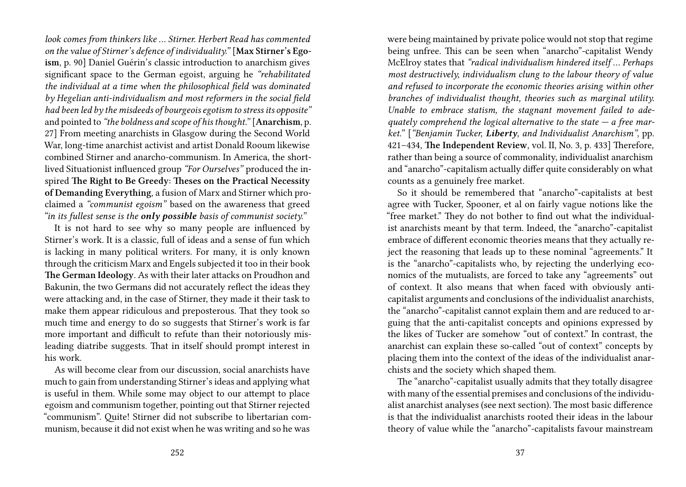*look comes from thinkers like … Stirner. Herbert Read has commented on the value of Stirner's defence of individuality."* [**Max Stirner's Egoism**, p. 90] Daniel Guérin's classic introduction to anarchism gives significant space to the German egoist, arguing he *"rehabilitated the individual at a time when the philosophical field was dominated by Hegelian anti-individualism and most reformers in the social field had been led by the misdeeds of bourgeois egotism to stress its opposite"* and pointed to *"the boldness and scope of his thought."* [**Anarchism**, p. 27] From meeting anarchists in Glasgow during the Second World War, long-time anarchist activist and artist Donald Rooum likewise combined Stirner and anarcho-communism. In America, the shortlived Situationist influenced group *"For Ourselves"* produced the inspired **The Right to Be Greedy: Theses on the Practical Necessity of Demanding Everything**, a fusion of Marx and Stirner which proclaimed a *"communist egoism"* based on the awareness that greed *"in its fullest sense is the only possible basis of communist society."*

It is not hard to see why so many people are influenced by Stirner's work. It is a classic, full of ideas and a sense of fun which is lacking in many political writers. For many, it is only known through the criticism Marx and Engels subjected it too in their book **The German Ideology**. As with their later attacks on Proudhon and Bakunin, the two Germans did not accurately reflect the ideas they were attacking and, in the case of Stirner, they made it their task to make them appear ridiculous and preposterous. That they took so much time and energy to do so suggests that Stirner's work is far more important and difficult to refute than their notoriously misleading diatribe suggests. That in itself should prompt interest in his work.

As will become clear from our discussion, social anarchists have much to gain from understanding Stirner's ideas and applying what is useful in them. While some may object to our attempt to place egoism and communism together, pointing out that Stirner rejected "communism". Quite! Stirner did not subscribe to libertarian communism, because it did not exist when he was writing and so he was

were being maintained by private police would not stop that regime being unfree. This can be seen when "anarcho"-capitalist Wendy McElroy states that *"radical individualism hindered itself … Perhaps most destructively, individualism clung to the labour theory of value and refused to incorporate the economic theories arising within other branches of individualist thought, theories such as marginal utility. Unable to embrace statism, the stagnant movement failed to adequately comprehend the logical alternative to the state — a free market."* [*"Benjamin Tucker, Liberty, and Individualist Anarchism"*, pp. 421–434, **The Independent Review**, vol. II, No. 3, p. 433] Therefore, rather than being a source of commonality, individualist anarchism and "anarcho"-capitalism actually differ quite considerably on what counts as a genuinely free market.

So it should be remembered that "anarcho"-capitalists at best agree with Tucker, Spooner, et al on fairly vague notions like the "free market." They do not bother to find out what the individualist anarchists meant by that term. Indeed, the "anarcho"-capitalist embrace of different economic theories means that they actually reject the reasoning that leads up to these nominal "agreements." It is the "anarcho"-capitalists who, by rejecting the underlying economics of the mutualists, are forced to take any "agreements" out of context. It also means that when faced with obviously anticapitalist arguments and conclusions of the individualist anarchists, the "anarcho"-capitalist cannot explain them and are reduced to arguing that the anti-capitalist concepts and opinions expressed by the likes of Tucker are somehow "out of context." In contrast, the anarchist can explain these so-called "out of context" concepts by placing them into the context of the ideas of the individualist anarchists and the society which shaped them.

The "anarcho"-capitalist usually admits that they totally disagree with many of the essential premises and conclusions of the individualist anarchist analyses (see next section). The most basic difference is that the individualist anarchists rooted their ideas in the labour theory of value while the "anarcho"-capitalists favour mainstream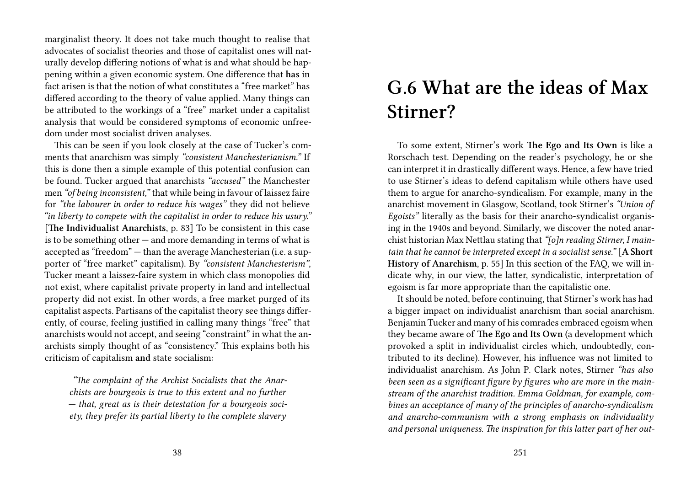marginalist theory. It does not take much thought to realise that advocates of socialist theories and those of capitalist ones will naturally develop differing notions of what is and what should be happening within a given economic system. One difference that **has** in fact arisen is that the notion of what constitutes a "free market" has differed according to the theory of value applied. Many things can be attributed to the workings of a "free" market under a capitalist analysis that would be considered symptoms of economic unfreedom under most socialist driven analyses.

This can be seen if you look closely at the case of Tucker's comments that anarchism was simply *"consistent Manchesterianism."* If this is done then a simple example of this potential confusion can be found. Tucker argued that anarchists *"accused"* the Manchester men *"of being inconsistent,"* that while being in favour of laissez faire for *"the labourer in order to reduce his wages"* they did not believe *"in liberty to compete with the capitalist in order to reduce his usury."* [**The Individualist Anarchists**, p. 83] To be consistent in this case is to be something other — and more demanding in terms of what is accepted as "freedom" — than the average Manchesterian (i.e. a supporter of "free market" capitalism). By *"consistent Manchesterism"*, Tucker meant a laissez-faire system in which class monopolies did not exist, where capitalist private property in land and intellectual property did not exist. In other words, a free market purged of its capitalist aspects. Partisans of the capitalist theory see things differently, of course, feeling justified in calling many things "free" that anarchists would not accept, and seeing "constraint" in what the anarchists simply thought of as "consistency." This explains both his criticism of capitalism **and** state socialism:

*"The complaint of the Archist Socialists that the Anarchists are bourgeois is true to this extent and no further — that, great as is their detestation for a bourgeois society, they prefer its partial liberty to the complete slavery*

# **G.6 What are the ideas of Max Stirner?**

To some extent, Stirner's work **The Ego and Its Own** is like a Rorschach test. Depending on the reader's psychology, he or she can interpret it in drastically different ways. Hence, a few have tried to use Stirner's ideas to defend capitalism while others have used them to argue for anarcho-syndicalism. For example, many in the anarchist movement in Glasgow, Scotland, took Stirner's *"Union of Egoists"* literally as the basis for their anarcho-syndicalist organising in the 1940s and beyond. Similarly, we discover the noted anarchist historian Max Nettlau stating that *"[o]n reading Stirner, I maintain that he cannot be interpreted except in a socialist sense."* [**A Short History of Anarchism**, p. 55] In this section of the FAQ, we will indicate why, in our view, the latter, syndicalistic, interpretation of egoism is far more appropriate than the capitalistic one.

It should be noted, before continuing, that Stirner's work has had a bigger impact on individualist anarchism than social anarchism. Benjamin Tucker and many of his comrades embraced egoism when they became aware of **The Ego and Its Own** (a development which provoked a split in individualist circles which, undoubtedly, contributed to its decline). However, his influence was not limited to individualist anarchism. As John P. Clark notes, Stirner *"has also been seen as a significant figure by figures who are more in the mainstream of the anarchist tradition. Emma Goldman, for example, combines an acceptance of many of the principles of anarcho-syndicalism and anarcho-communism with a strong emphasis on individuality and personal uniqueness. The inspiration for this latter part of her out-*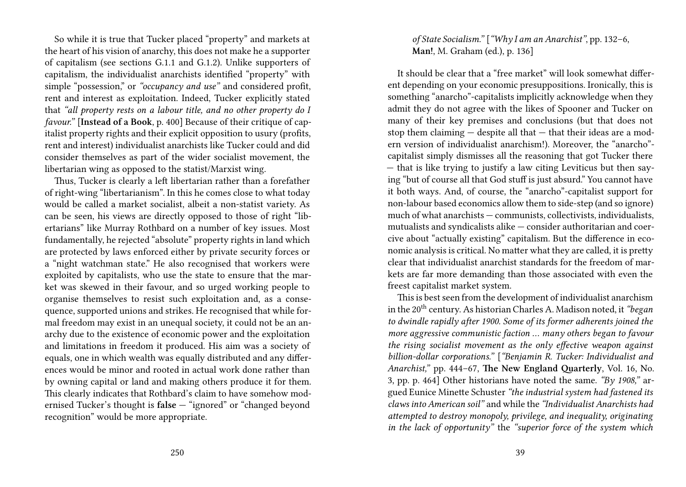So while it is true that Tucker placed "property" and markets at the heart of his vision of anarchy, this does not make he a supporter of capitalism (see sections G.1.1 and G.1.2). Unlike supporters of capitalism, the individualist anarchists identified "property" with simple "possession," or *"occupancy and use"* and considered profit, rent and interest as exploitation. Indeed, Tucker explicitly stated that *"all property rests on a labour title, and no other property do I favour."* [**Instead of a Book**, p. 400] Because of their critique of capitalist property rights and their explicit opposition to usury (profits, rent and interest) individualist anarchists like Tucker could and did consider themselves as part of the wider socialist movement, the libertarian wing as opposed to the statist/Marxist wing.

Thus, Tucker is clearly a left libertarian rather than a forefather of right-wing "libertarianism". In this he comes close to what today would be called a market socialist, albeit a non-statist variety. As can be seen, his views are directly opposed to those of right "libertarians" like Murray Rothbard on a number of key issues. Most fundamentally, he rejected "absolute" property rights in land which are protected by laws enforced either by private security forces or a "night watchman state." He also recognised that workers were exploited by capitalists, who use the state to ensure that the market was skewed in their favour, and so urged working people to organise themselves to resist such exploitation and, as a consequence, supported unions and strikes. He recognised that while formal freedom may exist in an unequal society, it could not be an anarchy due to the existence of economic power and the exploitation and limitations in freedom it produced. His aim was a society of equals, one in which wealth was equally distributed and any differences would be minor and rooted in actual work done rather than by owning capital or land and making others produce it for them. This clearly indicates that Rothbard's claim to have somehow modernised Tucker's thought is **false** — "ignored" or "changed beyond recognition" would be more appropriate.

*of State Socialism."* [*"Why I am an Anarchist"*, pp. 132–6, **Man!**, M. Graham (ed.), p. 136]

It should be clear that a "free market" will look somewhat different depending on your economic presuppositions. Ironically, this is something "anarcho"-capitalists implicitly acknowledge when they admit they do not agree with the likes of Spooner and Tucker on many of their key premises and conclusions (but that does not stop them claiming — despite all that — that their ideas are a modern version of individualist anarchism!). Moreover, the "anarcho" capitalist simply dismisses all the reasoning that got Tucker there — that is like trying to justify a law citing Leviticus but then saying "but of course all that God stuff is just absurd." You cannot have it both ways. And, of course, the "anarcho"-capitalist support for non-labour based economics allow them to side-step (and so ignore) much of what anarchists — communists, collectivists, individualists, mutualists and syndicalists alike — consider authoritarian and coercive about "actually existing" capitalism. But the difference in economic analysis is critical. No matter what they are called, it is pretty clear that individualist anarchist standards for the freedom of markets are far more demanding than those associated with even the freest capitalist market system.

This is best seen from the development of individualist anarchism in the 20th century. As historian Charles A. Madison noted, it*"began to dwindle rapidly after 1900. Some of its former adherents joined the more aggressive communistic faction … many others began to favour the rising socialist movement as the only effective weapon against billion-dollar corporations."* [*"Benjamin R. Tucker: Individualist and Anarchist,"* pp. 444–67, **The New England Quarterly**, Vol. 16, No. 3, pp. p. 464] Other historians have noted the same. *"By 1908,"* argued Eunice Minette Schuster *"the industrial system had fastened its claws into American soil"* and while the *"Individualist Anarchists had attempted to destroy monopoly, privilege, and inequality, originating in the lack of opportunity"* the *"superior force of the system which*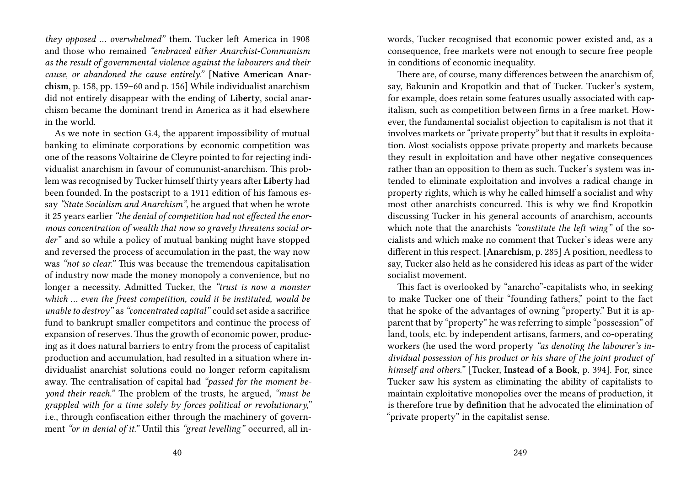*they opposed … overwhelmed"* them. Tucker left America in 1908 and those who remained *"embraced either Anarchist-Communism as the result of governmental violence against the labourers and their cause, or abandoned the cause entirely."* [**Native American Anarchism**, p. 158, pp. 159–60 and p. 156] While individualist anarchism did not entirely disappear with the ending of **Liberty**, social anarchism became the dominant trend in America as it had elsewhere in the world.

As we note in section G.4, the apparent impossibility of mutual banking to eliminate corporations by economic competition was one of the reasons Voltairine de Cleyre pointed to for rejecting individualist anarchism in favour of communist-anarchism. This problem was recognised by Tucker himself thirty years after **Liberty** had been founded. In the postscript to a 1911 edition of his famous essay *"State Socialism and Anarchism"*, he argued that when he wrote it 25 years earlier *"the denial of competition had not effected the enormous concentration of wealth that now so gravely threatens social order"* and so while a policy of mutual banking might have stopped and reversed the process of accumulation in the past, the way now was *"not so clear."* This was because the tremendous capitalisation of industry now made the money monopoly a convenience, but no longer a necessity. Admitted Tucker, the *"trust is now a monster which … even the freest competition, could it be instituted, would be unable to destroy"* as*"concentrated capital"* could set aside a sacrifice fund to bankrupt smaller competitors and continue the process of expansion of reserves. Thus the growth of economic power, producing as it does natural barriers to entry from the process of capitalist production and accumulation, had resulted in a situation where individualist anarchist solutions could no longer reform capitalism away. The centralisation of capital had *"passed for the moment beyond their reach."* The problem of the trusts, he argued, *"must be grappled with for a time solely by forces political or revolutionary,"* i.e., through confiscation either through the machinery of government *"or in denial of it."* Until this *"great levelling"* occurred, all inwords, Tucker recognised that economic power existed and, as a consequence, free markets were not enough to secure free people in conditions of economic inequality.

There are, of course, many differences between the anarchism of, say, Bakunin and Kropotkin and that of Tucker. Tucker's system, for example, does retain some features usually associated with capitalism, such as competition between firms in a free market. However, the fundamental socialist objection to capitalism is not that it involves markets or "private property" but that it results in exploitation. Most socialists oppose private property and markets because they result in exploitation and have other negative consequences rather than an opposition to them as such. Tucker's system was intended to eliminate exploitation and involves a radical change in property rights, which is why he called himself a socialist and why most other anarchists concurred. This is why we find Kropotkin discussing Tucker in his general accounts of anarchism, accounts which note that the anarchists *"constitute the left wing"* of the socialists and which make no comment that Tucker's ideas were any different in this respect. [**Anarchism**, p. 285] A position, needless to say, Tucker also held as he considered his ideas as part of the wider socialist movement.

This fact is overlooked by "anarcho"-capitalists who, in seeking to make Tucker one of their "founding fathers," point to the fact that he spoke of the advantages of owning "property." But it is apparent that by "property" he was referring to simple "possession" of land, tools, etc. by independent artisans, farmers, and co-operating workers (he used the word property *"as denoting the labourer's individual possession of his product or his share of the joint product of himself and others."* [Tucker, **Instead of a Book**, p. 394]. For, since Tucker saw his system as eliminating the ability of capitalists to maintain exploitative monopolies over the means of production, it is therefore true **by definition** that he advocated the elimination of "private property" in the capitalist sense.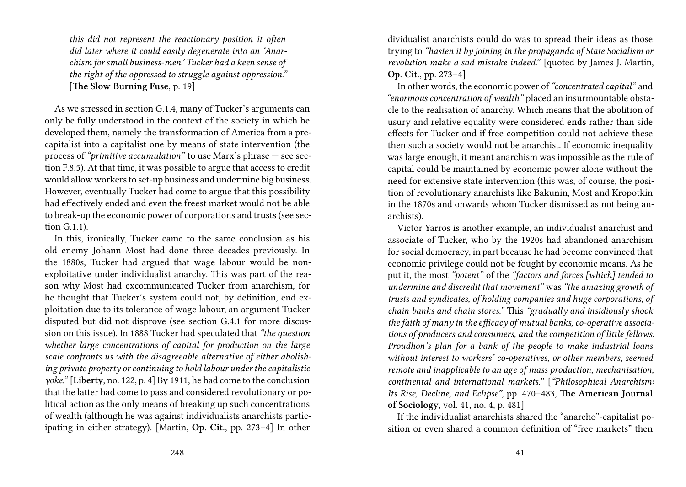*this did not represent the reactionary position it often did later where it could easily degenerate into an 'Anarchism for small business-men.' Tucker had a keen sense of the right of the oppressed to struggle against oppression."* [**The Slow Burning Fuse**, p. 19]

As we stressed in section G.1.4, many of Tucker's arguments can only be fully understood in the context of the society in which he developed them, namely the transformation of America from a precapitalist into a capitalist one by means of state intervention (the process of *"primitive accumulation"* to use Marx's phrase — see section F.8.5). At that time, it was possible to argue that access to credit would allow workers to set-up business and undermine big business. However, eventually Tucker had come to argue that this possibility had effectively ended and even the freest market would not be able to break-up the economic power of corporations and trusts (see section G.1.1).

In this, ironically, Tucker came to the same conclusion as his old enemy Johann Most had done three decades previously. In the 1880s, Tucker had argued that wage labour would be nonexploitative under individualist anarchy. This was part of the reason why Most had excommunicated Tucker from anarchism, for he thought that Tucker's system could not, by definition, end exploitation due to its tolerance of wage labour, an argument Tucker disputed but did not disprove (see section G.4.1 for more discussion on this issue). In 1888 Tucker had speculated that *"the question whether large concentrations of capital for production on the large scale confronts us with the disagreeable alternative of either abolishing private property or continuing to hold labour under the capitalistic yoke."* [**Liberty**, no. 122, p. 4] By 1911, he had come to the conclusion that the latter had come to pass and considered revolutionary or political action as the only means of breaking up such concentrations of wealth (although he was against individualists anarchists participating in either strategy). [Martin, **Op. Cit.**, pp. 273–4] In other

dividualist anarchists could do was to spread their ideas as those trying to *"hasten it by joining in the propaganda of State Socialism or revolution make a sad mistake indeed."* [quoted by James J. Martin, **Op. Cit.**, pp. 273–4]

In other words, the economic power of *"concentrated capital"* and *"enormous concentration of wealth"* placed an insurmountable obstacle to the realisation of anarchy. Which means that the abolition of usury and relative equality were considered **ends** rather than side effects for Tucker and if free competition could not achieve these then such a society would **not** be anarchist. If economic inequality was large enough, it meant anarchism was impossible as the rule of capital could be maintained by economic power alone without the need for extensive state intervention (this was, of course, the position of revolutionary anarchists like Bakunin, Most and Kropotkin in the 1870s and onwards whom Tucker dismissed as not being anarchists).

Victor Yarros is another example, an individualist anarchist and associate of Tucker, who by the 1920s had abandoned anarchism for social democracy, in part because he had become convinced that economic privilege could not be fought by economic means. As he put it, the most *"potent"* of the *"factors and forces [which] tended to undermine and discredit that movement"* was*"the amazing growth of trusts and syndicates, of holding companies and huge corporations, of chain banks and chain stores."* This *"gradually and insidiously shook the faith of many in the efficacy of mutual banks, co-operative associations of producers and consumers, and the competition of little fellows. Proudhon's plan for a bank of the people to make industrial loans without interest to workers' co-operatives, or other members, seemed remote and inapplicable to an age of mass production, mechanisation, continental and international markets."* [*"Philosophical Anarchism: Its Rise, Decline, and Eclipse"*, pp. 470–483, **The American Journal of Sociology**, vol. 41, no. 4, p. 481]

If the individualist anarchists shared the "anarcho"-capitalist position or even shared a common definition of "free markets" then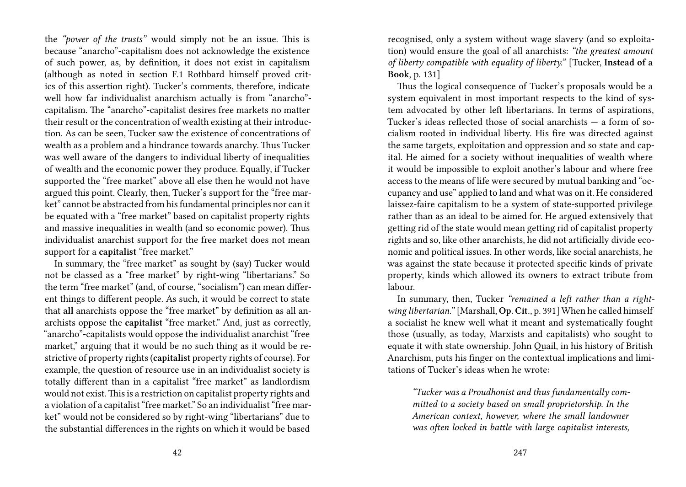the *"power of the trusts"* would simply not be an issue. This is because "anarcho"-capitalism does not acknowledge the existence of such power, as, by definition, it does not exist in capitalism (although as noted in section F.1 Rothbard himself proved critics of this assertion right). Tucker's comments, therefore, indicate well how far individualist anarchism actually is from "anarcho" capitalism. The "anarcho"-capitalist desires free markets no matter their result or the concentration of wealth existing at their introduction. As can be seen, Tucker saw the existence of concentrations of wealth as a problem and a hindrance towards anarchy. Thus Tucker was well aware of the dangers to individual liberty of inequalities of wealth and the economic power they produce. Equally, if Tucker supported the "free market" above all else then he would not have argued this point. Clearly, then, Tucker's support for the "free market" cannot be abstracted from his fundamental principles nor can it be equated with a "free market" based on capitalist property rights and massive inequalities in wealth (and so economic power). Thus individualist anarchist support for the free market does not mean support for a **capitalist** "free market."

In summary, the "free market" as sought by (say) Tucker would not be classed as a "free market" by right-wing "libertarians." So the term "free market" (and, of course, "socialism") can mean different things to different people. As such, it would be correct to state that **all** anarchists oppose the "free market" by definition as all anarchists oppose the **capitalist** "free market." And, just as correctly, "anarcho"-capitalists would oppose the individualist anarchist "free market," arguing that it would be no such thing as it would be restrictive of property rights (**capitalist** property rights of course). For example, the question of resource use in an individualist society is totally different than in a capitalist "free market" as landlordism would not exist.This is a restriction on capitalist property rights and a violation of a capitalist "free market." So an individualist "free market" would not be considered so by right-wing "libertarians" due to the substantial differences in the rights on which it would be based

recognised, only a system without wage slavery (and so exploitation) would ensure the goal of all anarchists: *"the greatest amount of liberty compatible with equality of liberty."* [Tucker, **Instead of a Book**, p. 131]

Thus the logical consequence of Tucker's proposals would be a system equivalent in most important respects to the kind of system advocated by other left libertarians. In terms of aspirations, Tucker's ideas reflected those of social anarchists — a form of socialism rooted in individual liberty. His fire was directed against the same targets, exploitation and oppression and so state and capital. He aimed for a society without inequalities of wealth where it would be impossible to exploit another's labour and where free access to the means of life were secured by mutual banking and "occupancy and use" applied to land and what was on it. He considered laissez-faire capitalism to be a system of state-supported privilege rather than as an ideal to be aimed for. He argued extensively that getting rid of the state would mean getting rid of capitalist property rights and so, like other anarchists, he did not artificially divide economic and political issues. In other words, like social anarchists, he was against the state because it protected specific kinds of private property, kinds which allowed its owners to extract tribute from labour.

In summary, then, Tucker *"remained a left rather than a rightwing libertarian."* [Marshall, **Op. Cit.**, p. 391] When he called himself a socialist he knew well what it meant and systematically fought those (usually, as today, Marxists and capitalists) who sought to equate it with state ownership. John Quail, in his history of British Anarchism, puts his finger on the contextual implications and limitations of Tucker's ideas when he wrote:

*"Tucker was a Proudhonist and thus fundamentally committed to a society based on small proprietorship. In the American context, however, where the small landowner was often locked in battle with large capitalist interests,*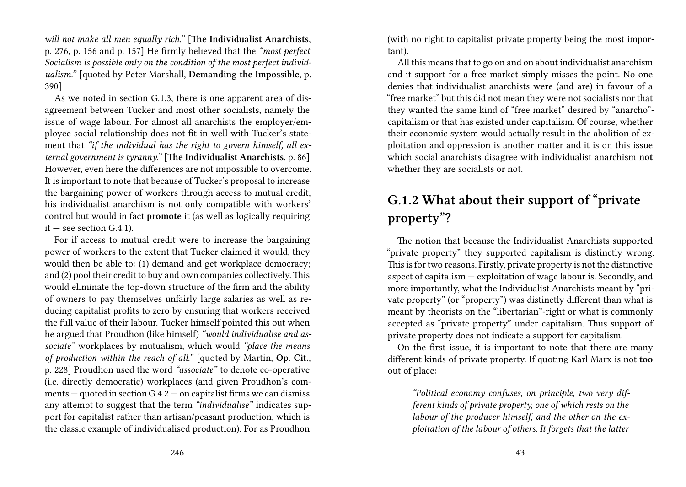*will not make all men equally rich."* [**The Individualist Anarchists**, p. 276, p. 156 and p. 157] He firmly believed that the *"most perfect Socialism is possible only on the condition of the most perfect individualism."* [quoted by Peter Marshall, **Demanding the Impossible**, p. 390]

As we noted in section G.1.3, there is one apparent area of disagreement between Tucker and most other socialists, namely the issue of wage labour. For almost all anarchists the employer/employee social relationship does not fit in well with Tucker's statement that *"if the individual has the right to govern himself, all external government is tyranny."* [**The Individualist Anarchists**, p. 86] However, even here the differences are not impossible to overcome. It is important to note that because of Tucker's proposal to increase the bargaining power of workers through access to mutual credit, his individualist anarchism is not only compatible with workers' control but would in fact **promote** it (as well as logically requiring  $it$  – see section G.4.1).

For if access to mutual credit were to increase the bargaining power of workers to the extent that Tucker claimed it would, they would then be able to: (1) demand and get workplace democracy; and (2) pool their credit to buy and own companies collectively. This would eliminate the top-down structure of the firm and the ability of owners to pay themselves unfairly large salaries as well as reducing capitalist profits to zero by ensuring that workers received the full value of their labour. Tucker himself pointed this out when he argued that Proudhon (like himself) *"would individualise and associate"* workplaces by mutualism, which would *"place the means of production within the reach of all."* [quoted by Martin, **Op. Cit.**, p. 228] Proudhon used the word *"associate"* to denote co-operative (i.e. directly democratic) workplaces (and given Proudhon's comments — quoted in section G.4.2 — on capitalist firms we can dismiss any attempt to suggest that the term *"individualise"* indicates support for capitalist rather than artisan/peasant production, which is the classic example of individualised production). For as Proudhon

(with no right to capitalist private property being the most important).

All this means that to go on and on about individualist anarchism and it support for a free market simply misses the point. No one denies that individualist anarchists were (and are) in favour of a "free market" but this did not mean they were not socialists nor that they wanted the same kind of "free market" desired by "anarcho" capitalism or that has existed under capitalism. Of course, whether their economic system would actually result in the abolition of exploitation and oppression is another matter and it is on this issue which social anarchists disagree with individualist anarchism **not** whether they are socialists or not.

## **G.1.2 What about their support of "private property"?**

The notion that because the Individualist Anarchists supported "private property" they supported capitalism is distinctly wrong. This is for two reasons. Firstly, private property is not the distinctive aspect of capitalism — exploitation of wage labour is. Secondly, and more importantly, what the Individualist Anarchists meant by "private property" (or "property") was distinctly different than what is meant by theorists on the "libertarian"-right or what is commonly accepted as "private property" under capitalism. Thus support of private property does not indicate a support for capitalism.

On the first issue, it is important to note that there are many different kinds of private property. If quoting Karl Marx is not **too** out of place:

*"Political economy confuses, on principle, two very different kinds of private property, one of which rests on the labour of the producer himself, and the other on the exploitation of the labour of others. It forgets that the latter*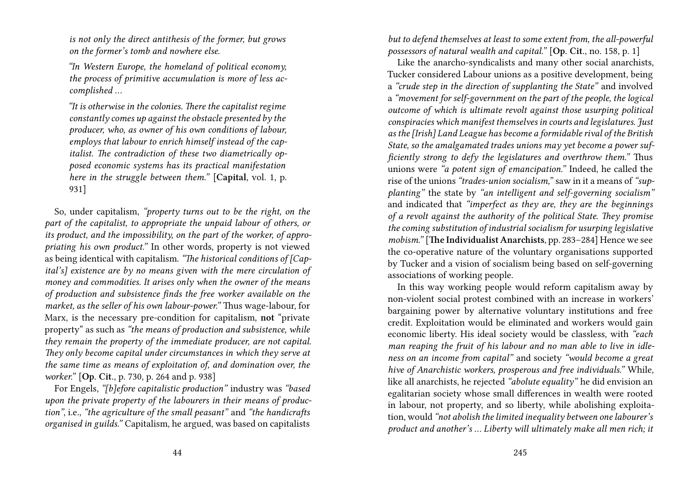*is not only the direct antithesis of the former, but grows on the former's tomb and nowhere else.*

*"In Western Europe, the homeland of political economy, the process of primitive accumulation is more of less accomplished …*

*"It is otherwise in the colonies. There the capitalist regime constantly comes up against the obstacle presented by the producer, who, as owner of his own conditions of labour, employs that labour to enrich himself instead of the capitalist. The contradiction of these two diametrically opposed economic systems has its practical manifestation here in the struggle between them."* [**Capital**, vol. 1, p. 931]

So, under capitalism, *"property turns out to be the right, on the part of the capitalist, to appropriate the unpaid labour of others, or its product, and the impossibility, on the part of the worker, of appropriating his own product."* In other words, property is not viewed as being identical with capitalism. *"The historical conditions of [Capital's] existence are by no means given with the mere circulation of money and commodities. It arises only when the owner of the means of production and subsistence finds the free worker available on the market, as the seller of his own labour-power."* Thus wage-labour, for Marx, is the necessary pre-condition for capitalism, **not** "private property" as such as *"the means of production and subsistence, while they remain the property of the immediate producer, are not capital. They only become capital under circumstances in which they serve at the same time as means of exploitation of, and domination over, the worker."* [**Op. Cit.**, p. 730, p. 264 and p. 938]

For Engels, *"[b]efore capitalistic production"* industry was *"based upon the private property of the labourers in their means of production"*, i.e., *"the agriculture of the small peasant"* and *"the handicrafts organised in guilds."* Capitalism, he argued, was based on capitalists

*but to defend themselves at least to some extent from, the all-powerful possessors of natural wealth and capital."* [**Op. Cit.**, no. 158, p. 1]

Like the anarcho-syndicalists and many other social anarchists, Tucker considered Labour unions as a positive development, being a *"crude step in the direction of supplanting the State"* and involved a *"movement for self-government on the part of the people, the logical outcome of which is ultimate revolt against those usurping political conspiracies which manifest themselves in courts and legislatures. Just as the [Irish] Land League has become a formidable rival of the British State, so the amalgamated trades unions may yet become a power sufficiently strong to defy the legislatures and overthrow them."* Thus unions were *"a potent sign of emancipation."* Indeed, he called the rise of the unions *"trades-union socialism,"* saw in it a means of *"supplanting"* the state by *"an intelligent and self-governing socialism"* and indicated that *"imperfect as they are, they are the beginnings of a revolt against the authority of the political State. They promise the coming substitution of industrial socialism for usurping legislative mobism."* [**The Individualist Anarchists**, pp. 283–284] Hence we see the co-operative nature of the voluntary organisations supported by Tucker and a vision of socialism being based on self-governing associations of working people.

In this way working people would reform capitalism away by non-violent social protest combined with an increase in workers' bargaining power by alternative voluntary institutions and free credit. Exploitation would be eliminated and workers would gain economic liberty. His ideal society would be classless, with *"each man reaping the fruit of his labour and no man able to live in idleness on an income from capital"* and society *"would become a great hive of Anarchistic workers, prosperous and free individuals."* While, like all anarchists, he rejected *"abolute equality"* he did envision an egalitarian society whose small differences in wealth were rooted in labour, not property, and so liberty, while abolishing exploitation, would *"not abolish the limited inequality between one labourer's product and another's … Liberty will ultimately make all men rich; it*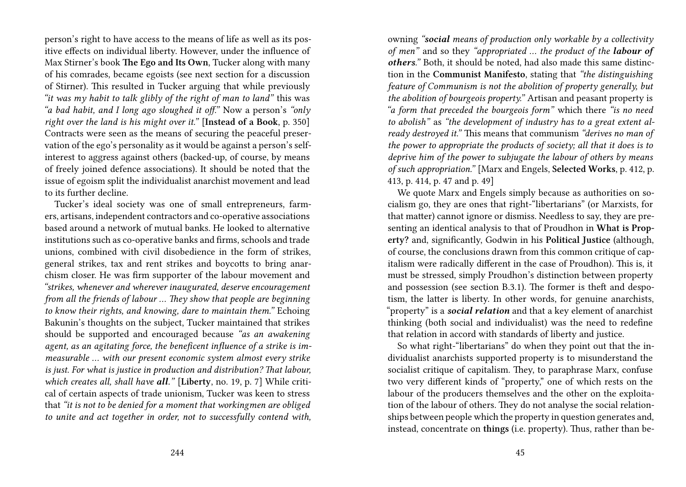person's right to have access to the means of life as well as its positive effects on individual liberty. However, under the influence of Max Stirner's book **The Ego and Its Own**, Tucker along with many of his comrades, became egoists (see next section for a discussion of Stirner). This resulted in Tucker arguing that while previously *"it was my habit to talk glibly of the right of man to land"* this was *"a bad habit, and I long ago sloughed it off."* Now a person's *"only right over the land is his might over it."* [**Instead of a Book**, p. 350] Contracts were seen as the means of securing the peaceful preservation of the ego's personality as it would be against a person's selfinterest to aggress against others (backed-up, of course, by means of freely joined defence associations). It should be noted that the issue of egoism split the individualist anarchist movement and lead to its further decline.

Tucker's ideal society was one of small entrepreneurs, farmers, artisans, independent contractors and co-operative associations based around a network of mutual banks. He looked to alternative institutions such as co-operative banks and firms, schools and trade unions, combined with civil disobedience in the form of strikes, general strikes, tax and rent strikes and boycotts to bring anarchism closer. He was firm supporter of the labour movement and *"strikes, whenever and wherever inaugurated, deserve encouragement from all the friends of labour … They show that people are beginning to know their rights, and knowing, dare to maintain them."* Echoing Bakunin's thoughts on the subject, Tucker maintained that strikes should be supported and encouraged because *"as an awakening agent, as an agitating force, the beneficent influence of a strike is immeasurable … with our present economic system almost every strike is just. For what is justice in production and distribution? That labour, which creates all, shall have all."* [**Liberty**, no. 19, p. 7] While critical of certain aspects of trade unionism, Tucker was keen to stress that *"it is not to be denied for a moment that workingmen are obliged to unite and act together in order, not to successfully contend with,*

owning *"social means of production only workable by a collectivity of men"* and so they *"appropriated … the product of the labour of others."* Both, it should be noted, had also made this same distinction in the **Communist Manifesto**, stating that *"the distinguishing feature of Communism is not the abolition of property generally, but the abolition of bourgeois property."* Artisan and peasant property is *"a form that preceded the bourgeois form"* which there *"is no need to abolish"* as *"the development of industry has to a great extent already destroyed it."* This means that communism *"derives no man of the power to appropriate the products of society; all that it does is to deprive him of the power to subjugate the labour of others by means of such appropriation."* [Marx and Engels, **Selected Works**, p. 412, p. 413, p. 414, p. 47 and p. 49]

We quote Marx and Engels simply because as authorities on socialism go, they are ones that right-"libertarians" (or Marxists, for that matter) cannot ignore or dismiss. Needless to say, they are presenting an identical analysis to that of Proudhon in **What is Property?** and, significantly, Godwin in his **Political Justice** (although, of course, the conclusions drawn from this common critique of capitalism were radically different in the case of Proudhon). This is, it must be stressed, simply Proudhon's distinction between property and possession (see section B.3.1). The former is theft and despotism, the latter is liberty. In other words, for genuine anarchists, "property" is a *social relation* and that a key element of anarchist thinking (both social and individualist) was the need to redefine that relation in accord with standards of liberty and justice.

So what right-"libertarians" do when they point out that the individualist anarchists supported property is to misunderstand the socialist critique of capitalism. They, to paraphrase Marx, confuse two very different kinds of "property," one of which rests on the labour of the producers themselves and the other on the exploitation of the labour of others. They do not analyse the social relationships between people which the property in question generates and, instead, concentrate on **things** (i.e. property). Thus, rather than be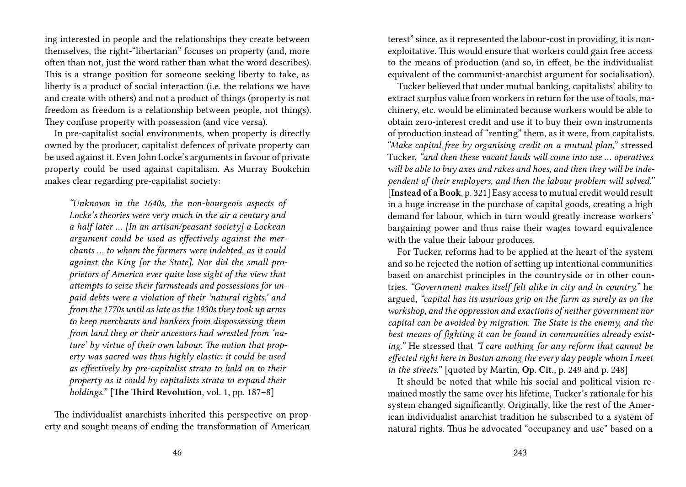ing interested in people and the relationships they create between themselves, the right-"libertarian" focuses on property (and, more often than not, just the word rather than what the word describes). This is a strange position for someone seeking liberty to take, as liberty is a product of social interaction (i.e. the relations we have and create with others) and not a product of things (property is not freedom as freedom is a relationship between people, not things). They confuse property with possession (and vice versa).

In pre-capitalist social environments, when property is directly owned by the producer, capitalist defences of private property can be used against it. Even John Locke's arguments in favour of private property could be used against capitalism. As Murray Bookchin makes clear regarding pre-capitalist society:

*"Unknown in the 1640s, the non-bourgeois aspects of Locke's theories were very much in the air a century and a half later … [In an artisan/peasant society] a Lockean argument could be used as effectively against the merchants … to whom the farmers were indebted, as it could against the King [or the State]. Nor did the small proprietors of America ever quite lose sight of the view that attempts to seize their farmsteads and possessions for unpaid debts were a violation of their 'natural rights,' and from the 1770s until as late as the 1930s they took up arms to keep merchants and bankers from dispossessing them from land they or their ancestors had wrestled from 'nature' by virtue of their own labour. The notion that property was sacred was thus highly elastic: it could be used as effectively by pre-capitalist strata to hold on to their property as it could by capitalists strata to expand their holdings."* [**The Third Revolution**, vol. 1, pp. 187–8]

The individualist anarchists inherited this perspective on property and sought means of ending the transformation of American

terest" since, as it represented the labour-cost in providing, it is nonexploitative. This would ensure that workers could gain free access to the means of production (and so, in effect, be the individualist equivalent of the communist-anarchist argument for socialisation).

Tucker believed that under mutual banking, capitalists' ability to extract surplus value from workers in return for the use of tools, machinery, etc. would be eliminated because workers would be able to obtain zero-interest credit and use it to buy their own instruments of production instead of "renting" them, as it were, from capitalists. *"Make capital free by organising credit on a mutual plan,"* stressed Tucker, *"and then these vacant lands will come into use … operatives will be able to buy axes and rakes and hoes, and then they will be independent of their employers, and then the labour problem will solved."* [**Instead of a Book**, p. 321] Easy access to mutual credit would result in a huge increase in the purchase of capital goods, creating a high demand for labour, which in turn would greatly increase workers' bargaining power and thus raise their wages toward equivalence with the value their labour produces.

For Tucker, reforms had to be applied at the heart of the system and so he rejected the notion of setting up intentional communities based on anarchist principles in the countryside or in other countries. *"Government makes itself felt alike in city and in country,"* he argued, *"capital has its usurious grip on the farm as surely as on the workshop, and the oppression and exactions of neither government nor capital can be avoided by migration. The State is the enemy, and the best means of fighting it can be found in communities already existing."* He stressed that *"I care nothing for any reform that cannot be effected right here in Boston among the every day people whom I meet in the streets."* [quoted by Martin, **Op. Cit.**, p. 249 and p. 248]

It should be noted that while his social and political vision remained mostly the same over his lifetime, Tucker's rationale for his system changed significantly. Originally, like the rest of the American individualist anarchist tradition he subscribed to a system of natural rights. Thus he advocated "occupancy and use" based on a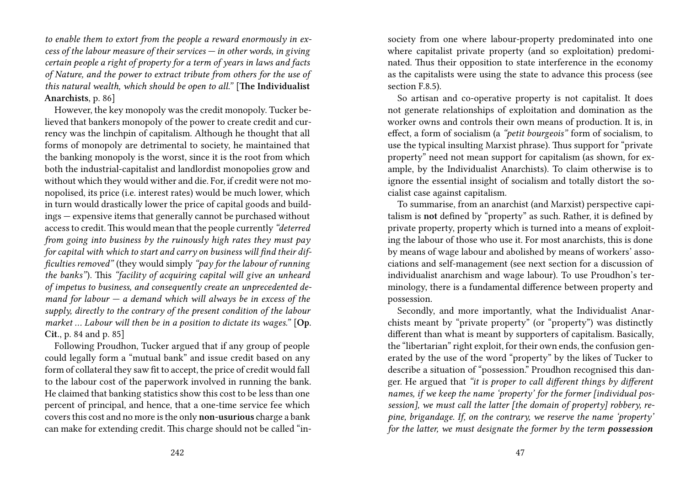*to enable them to extort from the people a reward enormously in excess of the labour measure of their services — in other words, in giving certain people a right of property for a term of years in laws and facts of Nature, and the power to extract tribute from others for the use of this natural wealth, which should be open to all."* [**The Individualist Anarchists**, p. 86]

However, the key monopoly was the credit monopoly. Tucker believed that bankers monopoly of the power to create credit and currency was the linchpin of capitalism. Although he thought that all forms of monopoly are detrimental to society, he maintained that the banking monopoly is the worst, since it is the root from which both the industrial-capitalist and landlordist monopolies grow and without which they would wither and die. For, if credit were not monopolised, its price (i.e. interest rates) would be much lower, which in turn would drastically lower the price of capital goods and buildings — expensive items that generally cannot be purchased without access to credit. This would mean that the people currently *"deterred from going into business by the ruinously high rates they must pay for capital with which to start and carry on business will find their difficulties removed"* (they would simply *"pay for the labour of running the banks"*). This *"facility of acquiring capital will give an unheard of impetus to business, and consequently create an unprecedented demand for labour — a demand which will always be in excess of the supply, directly to the contrary of the present condition of the labour market … Labour will then be in a position to dictate its wages."* [**Op. Cit.**, p. 84 and p. 85]

Following Proudhon, Tucker argued that if any group of people could legally form a "mutual bank" and issue credit based on any form of collateral they saw fit to accept, the price of credit would fall to the labour cost of the paperwork involved in running the bank. He claimed that banking statistics show this cost to be less than one percent of principal, and hence, that a one-time service fee which covers this cost and no more is the only **non-usurious** charge a bank can make for extending credit. This charge should not be called "in-

society from one where labour-property predominated into one where capitalist private property (and so exploitation) predominated. Thus their opposition to state interference in the economy as the capitalists were using the state to advance this process (see section F.8.5).

So artisan and co-operative property is not capitalist. It does not generate relationships of exploitation and domination as the worker owns and controls their own means of production. It is, in effect, a form of socialism (a *"petit bourgeois"* form of socialism, to use the typical insulting Marxist phrase). Thus support for "private property" need not mean support for capitalism (as shown, for example, by the Individualist Anarchists). To claim otherwise is to ignore the essential insight of socialism and totally distort the socialist case against capitalism.

To summarise, from an anarchist (and Marxist) perspective capitalism is **not** defined by "property" as such. Rather, it is defined by private property, property which is turned into a means of exploiting the labour of those who use it. For most anarchists, this is done by means of wage labour and abolished by means of workers' associations and self-management (see next section for a discussion of individualist anarchism and wage labour). To use Proudhon's terminology, there is a fundamental difference between property and possession.

Secondly, and more importantly, what the Individualist Anarchists meant by "private property" (or "property") was distinctly different than what is meant by supporters of capitalism. Basically, the "libertarian" right exploit, for their own ends, the confusion generated by the use of the word "property" by the likes of Tucker to describe a situation of "possession." Proudhon recognised this danger. He argued that *"it is proper to call different things by different names, if we keep the name 'property' for the former [individual possession], we must call the latter [the domain of property] robbery, repine, brigandage. If, on the contrary, we reserve the name 'property' for the latter, we must designate the former by the term possession*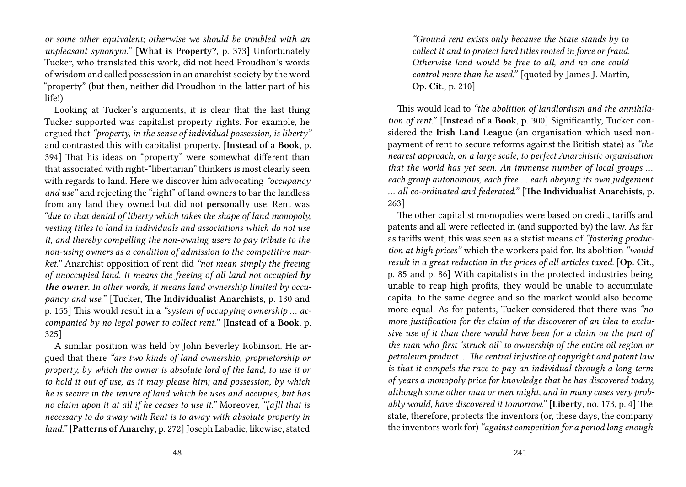*or some other equivalent; otherwise we should be troubled with an unpleasant synonym."* [**What is Property?**, p. 373] Unfortunately Tucker, who translated this work, did not heed Proudhon's words of wisdom and called possession in an anarchist society by the word "property" (but then, neither did Proudhon in the latter part of his life!)

Looking at Tucker's arguments, it is clear that the last thing Tucker supported was capitalist property rights. For example, he argued that *"property, in the sense of individual possession, is liberty"* and contrasted this with capitalist property. [**Instead of a Book**, p. 394] That his ideas on "property" were somewhat different than that associated with right-"libertarian" thinkers is most clearly seen with regards to land. Here we discover him advocating *"occupancy and use"* and rejecting the "right" of land owners to bar the landless from any land they owned but did not **personally** use. Rent was *"due to that denial of liberty which takes the shape of land monopoly, vesting titles to land in individuals and associations which do not use it, and thereby compelling the non-owning users to pay tribute to the non-using owners as a condition of admission to the competitive market."* Anarchist opposition of rent did *"not mean simply the freeing of unoccupied land. It means the freeing of all land not occupied by the owner. In other words, it means land ownership limited by occupancy and use."* [Tucker, **The Individualist Anarchists**, p. 130 and p. 155] This would result in a *"system of occupying ownership … accompanied by no legal power to collect rent."* [**Instead of a Book**, p. 325]

A similar position was held by John Beverley Robinson. He argued that there *"are two kinds of land ownership, proprietorship or property, by which the owner is absolute lord of the land, to use it or to hold it out of use, as it may please him; and possession, by which he is secure in the tenure of land which he uses and occupies, but has no claim upon it at all if he ceases to use it."* Moreover, *"[a]ll that is necessary to do away with Rent is to away with absolute property in land."* [**Patterns of Anarchy**, p. 272] Joseph Labadie, likewise, stated

*"Ground rent exists only because the State stands by to collect it and to protect land titles rooted in force or fraud. Otherwise land would be free to all, and no one could control more than he used."* [quoted by James J. Martin, **Op. Cit.**, p. 210]

This would lead to *"the abolition of landlordism and the annihilation of rent."* [**Instead of a Book**, p. 300] Significantly, Tucker considered the **Irish Land League** (an organisation which used nonpayment of rent to secure reforms against the British state) as *"the nearest approach, on a large scale, to perfect Anarchistic organisation that the world has yet seen. An immense number of local groups … each group autonomous, each free … each obeying its own judgement … all co-ordinated and federated."* [**The Individualist Anarchists**, p. 263]

The other capitalist monopolies were based on credit, tariffs and patents and all were reflected in (and supported by) the law. As far as tariffs went, this was seen as a statist means of *"fostering production at high prices"* which the workers paid for. Its abolition *"would result in a great reduction in the prices of all articles taxed.* [**Op. Cit.**, p. 85 and p. 86] With capitalists in the protected industries being unable to reap high profits, they would be unable to accumulate capital to the same degree and so the market would also become more equal. As for patents, Tucker considered that there was *"no more justification for the claim of the discoverer of an idea to exclusive use of it than there would have been for a claim on the part of the man who first 'struck oil' to ownership of the entire oil region or petroleum product … The central injustice of copyright and patent law is that it compels the race to pay an individual through a long term of years a monopoly price for knowledge that he has discovered today, although some other man or men might, and in many cases very probably would, have discovered it tomorrow."* [**Liberty**, no. 173, p. 4] The state, therefore, protects the inventors (or, these days, the company the inventors work for)*"against competition for a period long enough*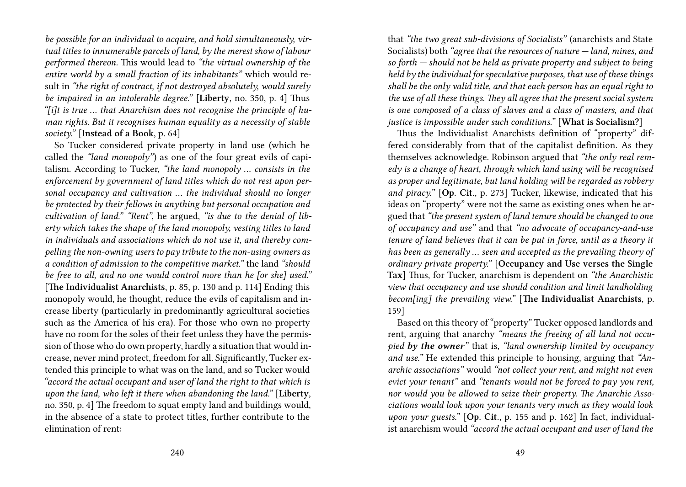*be possible for an individual to acquire, and hold simultaneously, virtual titles to innumerable parcels of land, by the merest show of labour performed thereon.* This would lead to *"the virtual ownership of the entire world by a small fraction of its inhabitants"* which would result in *"the right of contract, if not destroyed absolutely, would surely be impaired in an intolerable degree."* [**Liberty**, no. 350, p. 4] Thus *"[i]t is true … that Anarchism does not recognise the principle of human rights. But it recognises human equality as a necessity of stable society."* [**Instead of a Book**, p. 64]

So Tucker considered private property in land use (which he called the *"land monopoly"*) as one of the four great evils of capitalism. According to Tucker, *"the land monopoly … consists in the enforcement by government of land titles which do not rest upon personal occupancy and cultivation … the individual should no longer be protected by their fellows in anything but personal occupation and cultivation of land." "Rent"*, he argued, *"is due to the denial of liberty which takes the shape of the land monopoly, vesting titles to land in individuals and associations which do not use it, and thereby compelling the non-owning users to pay tribute to the non-using owners as a condition of admission to the competitive market."* the land *"should be free to all, and no one would control more than he [or she] used."* [**The Individualist Anarchists**, p. 85, p. 130 and p. 114] Ending this monopoly would, he thought, reduce the evils of capitalism and increase liberty (particularly in predominantly agricultural societies such as the America of his era). For those who own no property have no room for the soles of their feet unless they have the permission of those who do own property, hardly a situation that would increase, never mind protect, freedom for all. Significantly, Tucker extended this principle to what was on the land, and so Tucker would *"accord the actual occupant and user of land the right to that which is upon the land, who left it there when abandoning the land."* [**Liberty**, no. 350, p. 4] The freedom to squat empty land and buildings would, in the absence of a state to protect titles, further contribute to the elimination of rent:

that *"the two great sub-divisions of Socialists"* (anarchists and State Socialists) both *"agree that the resources of nature — land, mines, and so forth — should not be held as private property and subject to being held by the individual for speculative purposes, that use of these things shall be the only valid title, and that each person has an equal right to the use of all these things. They all agree that the present social system is one composed of a class of slaves and a class of masters, and that justice is impossible under such conditions."* [**What is Socialism?**]

Thus the Individualist Anarchists definition of "property" differed considerably from that of the capitalist definition. As they themselves acknowledge. Robinson argued that *"the only real remedy is a change of heart, through which land using will be recognised as proper and legitimate, but land holding will be regarded as robbery and piracy."* [**Op. Cit.**, p. 273] Tucker, likewise, indicated that his ideas on "property" were not the same as existing ones when he argued that *"the present system of land tenure should be changed to one of occupancy and use"* and that *"no advocate of occupancy-and-use tenure of land believes that it can be put in force, until as a theory it has been as generally … seen and accepted as the prevailing theory of ordinary private property."* [**Occupancy and Use verses the Single Tax**] Thus, for Tucker, anarchism is dependent on *"the Anarchistic view that occupancy and use should condition and limit landholding becom[ing] the prevailing view."* [**The Individualist Anarchists**, p. 159]

Based on this theory of "property" Tucker opposed landlords and rent, arguing that anarchy *"means the freeing of all land not occupied by the owner"* that is, *"land ownership limited by occupancy and use."* He extended this principle to housing, arguing that *"Anarchic associations"* would *"not collect your rent, and might not even evict your tenant"* and *"tenants would not be forced to pay you rent, nor would you be allowed to seize their property. The Anarchic Associations would look upon your tenants very much as they would look upon your guests."* [**Op. Cit.**, p. 155 and p. 162] In fact, individualist anarchism would *"accord the actual occupant and user of land the*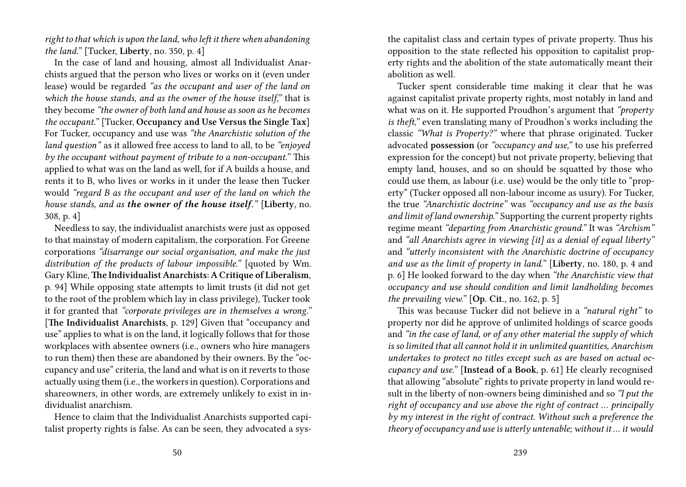*right to that which is upon the land, who left it there when abandoning the land."* [Tucker, **Liberty**, no. 350, p. 4]

In the case of land and housing, almost all Individualist Anarchists argued that the person who lives or works on it (even under lease) would be regarded *"as the occupant and user of the land on which the house stands, and as the owner of the house itself,"* that is they become *"the owner of both land and house as soon as he becomes the occupant."* [Tucker, **Occupancy and Use Versus the Single Tax**] For Tucker, occupancy and use was *"the Anarchistic solution of the land question"* as it allowed free access to land to all, to be *"enjoyed by the occupant without payment of tribute to a non-occupant."* This applied to what was on the land as well, for if A builds a house, and rents it to B, who lives or works in it under the lease then Tucker would *"regard B as the occupant and user of the land on which the house stands, and as the owner of the house itself."* [**Liberty**, no. 308, p. 4]

Needless to say, the individualist anarchists were just as opposed to that mainstay of modern capitalism, the corporation. For Greene corporations *"disarrange our social organisation, and make the just distribution of the products of labour impossible."* [quoted by Wm. Gary Kline,**The Individualist Anarchists: A Critique of Liberalism**, p. 94] While opposing state attempts to limit trusts (it did not get to the root of the problem which lay in class privilege), Tucker took it for granted that *"corporate privileges are in themselves a wrong."* [**The Individualist Anarchists**, p. 129] Given that "occupancy and use" applies to what is on the land, it logically follows that for those workplaces with absentee owners (i.e., owners who hire managers to run them) then these are abandoned by their owners. By the "occupancy and use" criteria, the land and what is on it reverts to those actually using them (i.e., the workers in question). Corporations and shareowners, in other words, are extremely unlikely to exist in individualist anarchism.

Hence to claim that the Individualist Anarchists supported capitalist property rights is false. As can be seen, they advocated a systhe capitalist class and certain types of private property. Thus his opposition to the state reflected his opposition to capitalist property rights and the abolition of the state automatically meant their abolition as well.

Tucker spent considerable time making it clear that he was against capitalist private property rights, most notably in land and what was on it. He supported Proudhon's argument that *"property is theft,"* even translating many of Proudhon's works including the classic *"What is Property?"* where that phrase originated. Tucker advocated **possession** (or *"occupancy and use,"* to use his preferred expression for the concept) but not private property, believing that empty land, houses, and so on should be squatted by those who could use them, as labour (i.e. use) would be the only title to "property" (Tucker opposed all non-labour income as usury). For Tucker, the true *"Anarchistic doctrine"* was *"occupancy and use as the basis and limit of land ownership."* Supporting the current property rights regime meant *"departing from Anarchistic ground."* It was *"Archism"* and *"all Anarchists agree in viewing [it] as a denial of equal liberty"* and *"utterly inconsistent with the Anarchistic doctrine of occupancy and use as the limit of property in land."* [**Liberty**, no. 180, p. 4 and p. 6] He looked forward to the day when *"the Anarchistic view that occupancy and use should condition and limit landholding becomes the prevailing view."* [**Op. Cit.**, no. 162, p. 5]

This was because Tucker did not believe in a *"natural right"* to property nor did he approve of unlimited holdings of scarce goods and *"in the case of land, or of any other material the supply of which is so limited that all cannot hold it in unlimited quantities, Anarchism undertakes to protect no titles except such as are based on actual occupancy and use."* [**Instead of a Book**, p. 61] He clearly recognised that allowing "absolute" rights to private property in land would result in the liberty of non-owners being diminished and so *"I put the right of occupancy and use above the right of contract … principally by my interest in the right of contract. Without such a preference the theory of occupancy and use is utterly untenable; without it … it would*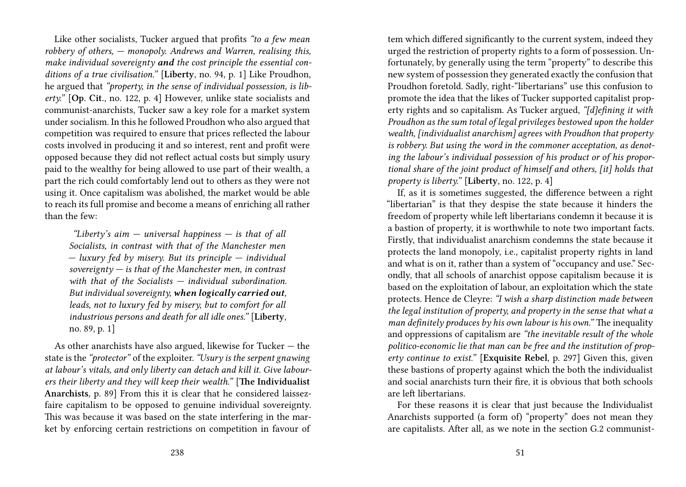Like other socialists, Tucker argued that profits *"to a few mean robbery of others, — monopoly. Andrews and Warren, realising this, make individual sovereignty and the cost principle the essential conditions of a true civilisation."* [**Liberty**, no. 94, p. 1] Like Proudhon, he argued that *"property, in the sense of individual possession, is liberty."* [**Op. Cit.**, no. 122, p. 4] However, unlike state socialists and communist-anarchists, Tucker saw a key role for a market system under socialism. In this he followed Proudhon who also argued that competition was required to ensure that prices reflected the labour costs involved in producing it and so interest, rent and profit were opposed because they did not reflect actual costs but simply usury paid to the wealthy for being allowed to use part of their wealth, a part the rich could comfortably lend out to others as they were not using it. Once capitalism was abolished, the market would be able to reach its full promise and become a means of enriching all rather than the few:

*"Liberty's aim — universal happiness — is that of all Socialists, in contrast with that of the Manchester men — luxury fed by misery. But its principle — individual sovereignty — is that of the Manchester men, in contrast with that of the Socialists — individual subordination. But individual sovereignty, when logically carried out, leads, not to luxury fed by misery, but to comfort for all industrious persons and death for all idle ones."* [**Liberty**, no. 89, p. 1]

As other anarchists have also argued, likewise for Tucker  $-$  the state is the *"protector"* of the exploiter. *"Usury is the serpent gnawing at labour's vitals, and only liberty can detach and kill it. Give labourers their liberty and they will keep their wealth."* [**The Individualist Anarchists**, p. 89] From this it is clear that he considered laissezfaire capitalism to be opposed to genuine individual sovereignty. This was because it was based on the state interfering in the market by enforcing certain restrictions on competition in favour of

tem which differed significantly to the current system, indeed they urged the restriction of property rights to a form of possession. Unfortunately, by generally using the term "property" to describe this new system of possession they generated exactly the confusion that Proudhon foretold. Sadly, right-"libertarians" use this confusion to promote the idea that the likes of Tucker supported capitalist property rights and so capitalism. As Tucker argued, *"[d]efining it with Proudhon as the sum total of legal privileges bestowed upon the holder wealth, [individualist anarchism] agrees with Proudhon that property is robbery. But using the word in the commoner acceptation, as denoting the labour's individual possession of his product or of his proportional share of the joint product of himself and others, [it] holds that property is liberty."* [**Liberty**, no. 122, p. 4]

If, as it is sometimes suggested, the difference between a right "libertarian" is that they despise the state because it hinders the freedom of property while left libertarians condemn it because it is a bastion of property, it is worthwhile to note two important facts. Firstly, that individualist anarchism condemns the state because it protects the land monopoly, i.e., capitalist property rights in land and what is on it, rather than a system of "occupancy and use." Secondly, that all schools of anarchist oppose capitalism because it is based on the exploitation of labour, an exploitation which the state protects. Hence de Cleyre: *"I wish a sharp distinction made between the legal institution of property, and property in the sense that what a man definitely produces by his own labour is his own."* The inequality and oppressions of capitalism are *"the inevitable result of the whole politico-economic lie that man can be free and the institution of property continue to exist."* [**Exquisite Rebel**, p. 297] Given this, given these bastions of property against which the both the individualist and social anarchists turn their fire, it is obvious that both schools are left libertarians.

For these reasons it is clear that just because the Individualist Anarchists supported (a form of) "property" does not mean they are capitalists. After all, as we note in the section G.2 communist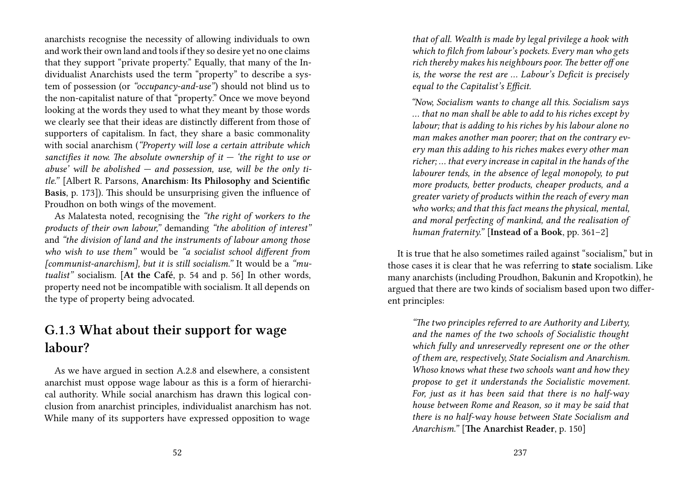anarchists recognise the necessity of allowing individuals to own and work their own land and tools if they so desire yet no one claims that they support "private property." Equally, that many of the Individualist Anarchists used the term "property" to describe a system of possession (or *"occupancy-and-use"*) should not blind us to the non-capitalist nature of that "property." Once we move beyond looking at the words they used to what they meant by those words we clearly see that their ideas are distinctly different from those of supporters of capitalism. In fact, they share a basic commonality with social anarchism (*"Property will lose a certain attribute which sanctifies it now. The absolute ownership of it — 'the right to use or abuse' will be abolished — and possession, use, will be the only title."* [Albert R. Parsons, **Anarchism: Its Philosophy and Scientific Basis**, p. 173]). This should be unsurprising given the influence of Proudhon on both wings of the movement.

As Malatesta noted, recognising the *"the right of workers to the products of their own labour,"* demanding *"the abolition of interest"* and *"the division of land and the instruments of labour among those who wish to use them"* would be *"a socialist school different from [communist-anarchism], but it is still socialism."* It would be a *"mutualist"* socialism. [**At the Café**, p. 54 and p. 56] In other words, property need not be incompatible with socialism. It all depends on the type of property being advocated.

#### **G.1.3 What about their support for wage labour?**

As we have argued in section A.2.8 and elsewhere, a consistent anarchist must oppose wage labour as this is a form of hierarchical authority. While social anarchism has drawn this logical conclusion from anarchist principles, individualist anarchism has not. While many of its supporters have expressed opposition to wage

*that of all. Wealth is made by legal privilege a hook with which to filch from labour's pockets. Every man who gets rich thereby makes his neighbours poor. The better off one is, the worse the rest are … Labour's Deficit is precisely equal to the Capitalist's Efficit.*

*"Now, Socialism wants to change all this. Socialism says … that no man shall be able to add to his riches except by labour; that is adding to his riches by his labour alone no man makes another man poorer; that on the contrary every man this adding to his riches makes every other man richer; … that every increase in capital in the hands of the labourer tends, in the absence of legal monopoly, to put more products, better products, cheaper products, and a greater variety of products within the reach of every man who works; and that this fact means the physical, mental, and moral perfecting of mankind, and the realisation of human fraternity."* [**Instead of a Book**, pp. 361–2]

It is true that he also sometimes railed against "socialism," but in those cases it is clear that he was referring to **state** socialism. Like many anarchists (including Proudhon, Bakunin and Kropotkin), he argued that there are two kinds of socialism based upon two different principles:

*"The two principles referred to are Authority and Liberty, and the names of the two schools of Socialistic thought which fully and unreservedly represent one or the other of them are, respectively, State Socialism and Anarchism. Whoso knows what these two schools want and how they propose to get it understands the Socialistic movement. For, just as it has been said that there is no half-way house between Rome and Reason, so it may be said that there is no half-way house between State Socialism and Anarchism."* [**The Anarchist Reader**, p. 150]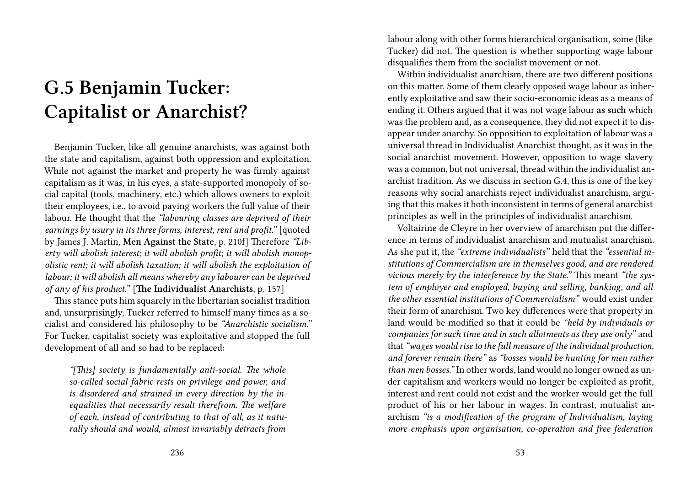# **G.5 Benjamin Tucker: Capitalist or Anarchist?**

Benjamin Tucker, like all genuine anarchists, was against both the state and capitalism, against both oppression and exploitation. While not against the market and property he was firmly against capitalism as it was, in his eyes, a state-supported monopoly of social capital (tools, machinery, etc.) which allows owners to exploit their employees, i.e., to avoid paying workers the full value of their labour. He thought that the *"labouring classes are deprived of their earnings by usury in its three forms, interest, rent and profit."* [quoted by James J. Martin, **Men Against the State**, p. 210f] Therefore *"Liberty will abolish interest; it will abolish profit; it will abolish monopolistic rent; it will abolish taxation; it will abolish the exploitation of labour; it will abolish all means whereby any labourer can be deprived of any of his product."* [**The Individualist Anarchists**, p. 157]

This stance puts him squarely in the libertarian socialist tradition and, unsurprisingly, Tucker referred to himself many times as a socialist and considered his philosophy to be *"Anarchistic socialism."* For Tucker, capitalist society was exploitative and stopped the full development of all and so had to be replaced:

*"[This] society is fundamentally anti-social. The whole so-called social fabric rests on privilege and power, and is disordered and strained in every direction by the inequalities that necessarily result therefrom. The welfare of each, instead of contributing to that of all, as it naturally should and would, almost invariably detracts from*

labour along with other forms hierarchical organisation, some (like Tucker) did not. The question is whether supporting wage labour disqualifies them from the socialist movement or not.

Within individualist anarchism, there are two different positions on this matter. Some of them clearly opposed wage labour as inherently exploitative and saw their socio-economic ideas as a means of ending it. Others argued that it was not wage labour **as such** which was the problem and, as a consequence, they did not expect it to disappear under anarchy. So opposition to exploitation of labour was a universal thread in Individualist Anarchist thought, as it was in the social anarchist movement. However, opposition to wage slavery was a common, but not universal, thread within the individualist anarchist tradition. As we discuss in section G.4, this is one of the key reasons why social anarchists reject individualist anarchism, arguing that this makes it both inconsistent in terms of general anarchist principles as well in the principles of individualist anarchism.

Voltairine de Cleyre in her overview of anarchism put the difference in terms of individualist anarchism and mutualist anarchism. As she put it, the *"extreme individualists"* held that the *"essential institutions of Commercialism are in themselves good, and are rendered vicious merely by the interference by the State."* This meant *"the system of employer and employed, buying and selling, banking, and all the other essential institutions of Commercialism"* would exist under their form of anarchism. Two key differences were that property in land would be modified so that it could be *"held by individuals or companies for such time and in such allotments as they use only"* and that*"wages would rise to the full measure of the individual production, and forever remain there"* as *"bosses would be hunting for men rather than men bosses."* In other words, land would no longer owned as under capitalism and workers would no longer be exploited as profit, interest and rent could not exist and the worker would get the full product of his or her labour in wages. In contrast, mutualist anarchism *"is a modification of the program of Individualism, laying more emphasis upon organisation, co-operation and free federation*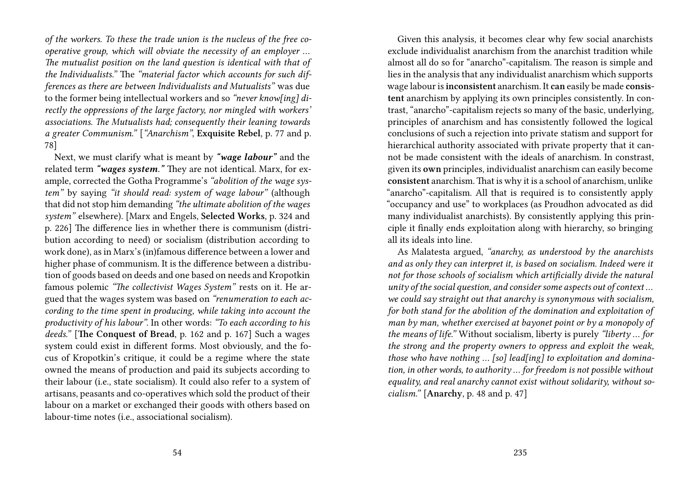*of the workers. To these the trade union is the nucleus of the free cooperative group, which will obviate the necessity of an employer … The mutualist position on the land question is identical with that of the Individualists."* The *"material factor which accounts for such differences as there are between Individualists and Mutualists"* was due to the former being intellectual workers and so *"never know[ing] directly the oppressions of the large factory, nor mingled with workers' associations. The Mutualists had; consequently their leaning towards a greater Communism."* [*"Anarchism"*, **Exquisite Rebel**, p. 77 and p. 78]

Next, we must clarify what is meant by *"wage labour"* and the related term *"wages system."* They are not identical. Marx, for example, corrected the Gotha Programme's *"abolition of the wage system"* by saying *"it should read: system of wage labour"* (although that did not stop him demanding *"the ultimate abolition of the wages system"* elsewhere). [Marx and Engels, **Selected Works**, p. 324 and p. 226] The difference lies in whether there is communism (distribution according to need) or socialism (distribution according to work done), as in Marx's (in)famous difference between a lower and higher phase of communism. It is the difference between a distribution of goods based on deeds and one based on needs and Kropotkin famous polemic *"The collectivist Wages System"* rests on it. He argued that the wages system was based on *"renumeration to each according to the time spent in producing, while taking into account the productivity of his labour"*. In other words: *"To each according to his deeds."* [**The Conquest of Bread**, p. 162 and p. 167] Such a wages system could exist in different forms. Most obviously, and the focus of Kropotkin's critique, it could be a regime where the state owned the means of production and paid its subjects according to their labour (i.e., state socialism). It could also refer to a system of artisans, peasants and co-operatives which sold the product of their labour on a market or exchanged their goods with others based on labour-time notes (i.e., associational socialism).

Given this analysis, it becomes clear why few social anarchists exclude individualist anarchism from the anarchist tradition while almost all do so for "anarcho"-capitalism. The reason is simple and lies in the analysis that any individualist anarchism which supports wage labour is**inconsistent** anarchism. It **can** easily be made **consistent** anarchism by applying its own principles consistently. In contrast, "anarcho"-capitalism rejects so many of the basic, underlying, principles of anarchism and has consistently followed the logical conclusions of such a rejection into private statism and support for hierarchical authority associated with private property that it cannot be made consistent with the ideals of anarchism. In constrast, given its **own** principles, individualist anarchism can easily become **consistent** anarchism.That is why it is a school of anarchism, unlike "anarcho"-capitalism. All that is required is to consistently apply "occupancy and use" to workplaces (as Proudhon advocated as did many individualist anarchists). By consistently applying this principle it finally ends exploitation along with hierarchy, so bringing all its ideals into line.

As Malatesta argued, *"anarchy, as understood by the anarchists and as only they can interpret it, is based on socialism. Indeed were it not for those schools of socialism which artificially divide the natural unity of the social question, and consider some aspects out of context … we could say straight out that anarchy is synonymous with socialism, for both stand for the abolition of the domination and exploitation of man by man, whether exercised at bayonet point or by a monopoly of the means of life."* Without socialism, liberty is purely *"liberty … for the strong and the property owners to oppress and exploit the weak, those who have nothing … [so] lead[ing] to exploitation and domination, in other words, to authority … for freedom is not possible without equality, and real anarchy cannot exist without solidarity, without socialism."* [**Anarchy**, p. 48 and p. 47]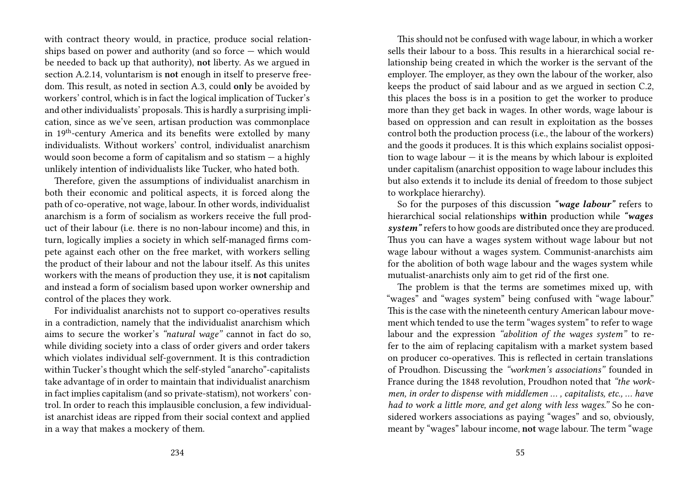with contract theory would, in practice, produce social relationships based on power and authority (and so force — which would be needed to back up that authority), **not** liberty. As we argued in section A.2.14, voluntarism is **not** enough in itself to preserve freedom. This result, as noted in section A.3, could **only** be avoided by workers' control, which is in fact the logical implication of Tucker's and other individualists' proposals. This is hardly a surprising implication, since as we've seen, artisan production was commonplace in 19<sup>th</sup>-century America and its benefits were extolled by many individualists. Without workers' control, individualist anarchism would soon become a form of capitalism and so statism  $-$  a highly unlikely intention of individualists like Tucker, who hated both.

Therefore, given the assumptions of individualist anarchism in both their economic and political aspects, it is forced along the path of co-operative, not wage, labour. In other words, individualist anarchism is a form of socialism as workers receive the full product of their labour (i.e. there is no non-labour income) and this, in turn, logically implies a society in which self-managed firms compete against each other on the free market, with workers selling the product of their labour and not the labour itself. As this unites workers with the means of production they use, it is **not** capitalism and instead a form of socialism based upon worker ownership and control of the places they work.

For individualist anarchists not to support co-operatives results in a contradiction, namely that the individualist anarchism which aims to secure the worker's *"natural wage"* cannot in fact do so, while dividing society into a class of order givers and order takers which violates individual self-government. It is this contradiction within Tucker's thought which the self-styled "anarcho"-capitalists take advantage of in order to maintain that individualist anarchism in fact implies capitalism (and so private-statism), not workers' control. In order to reach this implausible conclusion, a few individualist anarchist ideas are ripped from their social context and applied in a way that makes a mockery of them.

This should not be confused with wage labour, in which a worker sells their labour to a boss. This results in a hierarchical social relationship being created in which the worker is the servant of the employer. The employer, as they own the labour of the worker, also keeps the product of said labour and as we argued in section C.2, this places the boss is in a position to get the worker to produce more than they get back in wages. In other words, wage labour is based on oppression and can result in exploitation as the bosses control both the production process (i.e., the labour of the workers) and the goods it produces. It is this which explains socialist opposition to wage labour  $-$  it is the means by which labour is exploited under capitalism (anarchist opposition to wage labour includes this but also extends it to include its denial of freedom to those subject to workplace hierarchy).

So for the purposes of this discussion *"wage labour"* refers to hierarchical social relationships **within** production while *"wages system"* refers to how goods are distributed once they are produced. Thus you can have a wages system without wage labour but not wage labour without a wages system. Communist-anarchists aim for the abolition of both wage labour and the wages system while mutualist-anarchists only aim to get rid of the first one.

The problem is that the terms are sometimes mixed up, with "wages" and "wages system" being confused with "wage labour." This is the case with the nineteenth century American labour movement which tended to use the term "wages system" to refer to wage labour and the expression *"abolition of the wages system"* to refer to the aim of replacing capitalism with a market system based on producer co-operatives. This is reflected in certain translations of Proudhon. Discussing the *"workmen's associations"* founded in France during the 1848 revolution, Proudhon noted that *"the workmen, in order to dispense with middlemen … , capitalists, etc., … have had to work a little more, and get along with less wages."* So he considered workers associations as paying "wages" and so, obviously, meant by "wages" labour income, **not** wage labour. The term "wage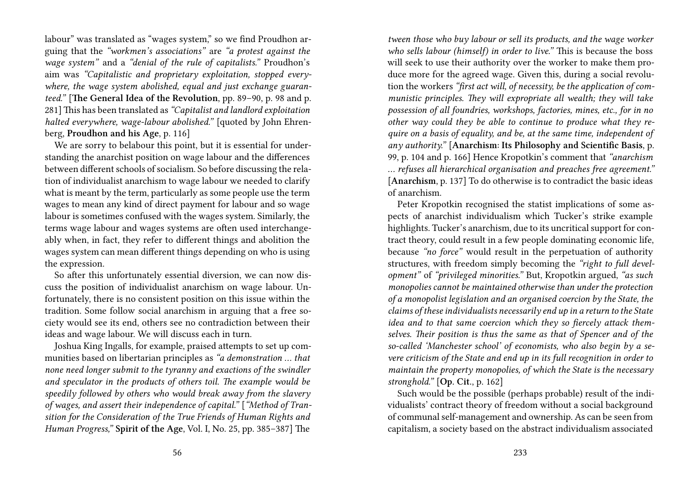labour" was translated as "wages system," so we find Proudhon arguing that the *"workmen's associations"* are *"a protest against the wage system"* and a *"denial of the rule of capitalists."* Proudhon's aim was *"Capitalistic and proprietary exploitation, stopped everywhere, the wage system abolished, equal and just exchange guaranteed."* [**The General Idea of the Revolution**, pp. 89–90, p. 98 and p. 281] This has been translated as*"Capitalist and landlord exploitation halted everywhere, wage-labour abolished."* [quoted by John Ehrenberg, **Proudhon and his Age**, p. 116]

We are sorry to belabour this point, but it is essential for understanding the anarchist position on wage labour and the differences between different schools of socialism. So before discussing the relation of individualist anarchism to wage labour we needed to clarify what is meant by the term, particularly as some people use the term wages to mean any kind of direct payment for labour and so wage labour is sometimes confused with the wages system. Similarly, the terms wage labour and wages systems are often used interchangeably when, in fact, they refer to different things and abolition the wages system can mean different things depending on who is using the expression.

So after this unfortunately essential diversion, we can now discuss the position of individualist anarchism on wage labour. Unfortunately, there is no consistent position on this issue within the tradition. Some follow social anarchism in arguing that a free society would see its end, others see no contradiction between their ideas and wage labour. We will discuss each in turn.

Joshua King Ingalls, for example, praised attempts to set up communities based on libertarian principles as *"a demonstration … that none need longer submit to the tyranny and exactions of the swindler and speculator in the products of others toil. The example would be speedily followed by others who would break away from the slavery of wages, and assert their independence of capital."* [*"Method of Transition for the Consideration of the True Friends of Human Rights and Human Progress,"* **Spirit of the Age**, Vol. I, No. 25, pp. 385–387] The

*tween those who buy labour or sell its products, and the wage worker who sells labour (himself) in order to live."* This is because the boss will seek to use their authority over the worker to make them produce more for the agreed wage. Given this, during a social revolution the workers *"first act will, of necessity, be the application of communistic principles. They will expropriate all wealth; they will take possession of all foundries, workshops, factories, mines, etc., for in no other way could they be able to continue to produce what they require on a basis of equality, and be, at the same time, independent of any authority."* [**Anarchism: Its Philosophy and Scientific Basis**, p. 99, p. 104 and p. 166] Hence Kropotkin's comment that *"anarchism … refuses all hierarchical organisation and preaches free agreement."* [**Anarchism**, p. 137] To do otherwise is to contradict the basic ideas of anarchism.

Peter Kropotkin recognised the statist implications of some aspects of anarchist individualism which Tucker's strike example highlights. Tucker's anarchism, due to its uncritical support for contract theory, could result in a few people dominating economic life, because *"no force"* would result in the perpetuation of authority structures, with freedom simply becoming the *"right to full development"* of *"privileged minorities."* But, Kropotkin argued, *"as such monopolies cannot be maintained otherwise than under the protection of a monopolist legislation and an organised coercion by the State, the claims of these individualists necessarily end up in a return to the State idea and to that same coercion which they so fiercely attack themselves. Their position is thus the same as that of Spencer and of the so-called 'Manchester school' of economists, who also begin by a severe criticism of the State and end up in its full recognition in order to maintain the property monopolies, of which the State is the necessary stronghold."* [**Op. Cit.**, p. 162]

Such would be the possible (perhaps probable) result of the individualists' contract theory of freedom without a social background of communal self-management and ownership. As can be seen from capitalism, a society based on the abstract individualism associated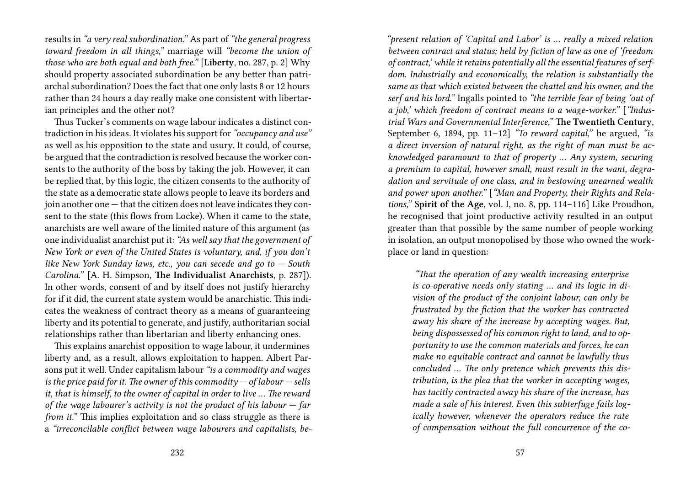results in *"a very real subordination."* As part of *"the general progress toward freedom in all things,"* marriage will *"become the union of those who are both equal and both free."* [**Liberty**, no. 287, p. 2] Why should property associated subordination be any better than patriarchal subordination? Does the fact that one only lasts 8 or 12 hours rather than 24 hours a day really make one consistent with libertarian principles and the other not?

Thus Tucker's comments on wage labour indicates a distinct contradiction in his ideas. It violates his support for*"occupancy and use"* as well as his opposition to the state and usury. It could, of course, be argued that the contradiction is resolved because the worker consents to the authority of the boss by taking the job. However, it can be replied that, by this logic, the citizen consents to the authority of the state as a democratic state allows people to leave its borders and join another one — that the citizen does not leave indicates they consent to the state (this flows from Locke). When it came to the state, anarchists are well aware of the limited nature of this argument (as one individualist anarchist put it:*"As well say that the government of New York or even of the United States is voluntary, and, if you don't like New York Sunday laws, etc., you can secede and go to — South Carolina."* [A. H. Simpson, **The Individualist Anarchists**, p. 287]). In other words, consent of and by itself does not justify hierarchy for if it did, the current state system would be anarchistic. This indicates the weakness of contract theory as a means of guaranteeing liberty and its potential to generate, and justify, authoritarian social relationships rather than libertarian and liberty enhancing ones.

This explains anarchist opposition to wage labour, it undermines liberty and, as a result, allows exploitation to happen. Albert Parsons put it well. Under capitalism labour *"is a commodity and wages is the price paid for it. The owner of this commodity — of labour — sells it, that is himself, to the owner of capital in order to live … The reward of the wage labourer's activity is not the product of his labour — far from it."* This implies exploitation and so class struggle as there is a *"irreconcilable conflict between wage labourers and capitalists, be-*

*"present relation of 'Capital and Labor' is … really a mixed relation between contract and status; held by fiction of law as one of 'freedom of contract,' while it retains potentially all the essential features of serfdom. Industrially and economically, the relation is substantially the same as that which existed between the chattel and his owner, and the serf and his lord."* Ingalls pointed to *"the terrible fear of being 'out of a job,' which freedom of contract means to a wage-worker."* [*"Industrial Wars and Governmental Interference,"* **The Twentieth Century**, September 6, 1894, pp. 11–12] *"To reward capital,"* he argued, *"is a direct inversion of natural right, as the right of man must be acknowledged paramount to that of property … Any system, securing a premium to capital, however small, must result in the want, degradation and servitude of one class, and in bestowing unearned wealth and power upon another."* [*"Man and Property, their Rights and Relations,"* **Spirit of the Age**, vol. I, no. 8, pp. 114–116] Like Proudhon, he recognised that joint productive activity resulted in an output greater than that possible by the same number of people working in isolation, an output monopolised by those who owned the workplace or land in question:

*"That the operation of any wealth increasing enterprise is co-operative needs only stating … and its logic in division of the product of the conjoint labour, can only be frustrated by the fiction that the worker has contracted away his share of the increase by accepting wages. But, being dispossessed of his common right to land, and to opportunity to use the common materials and forces, he can make no equitable contract and cannot be lawfully thus concluded … The only pretence which prevents this distribution, is the plea that the worker in accepting wages, has tacitly contracted away his share of the increase, has made a sale of his interest. Even this subterfuge fails logically however, whenever the operators reduce the rate of compensation without the full concurrence of the co-*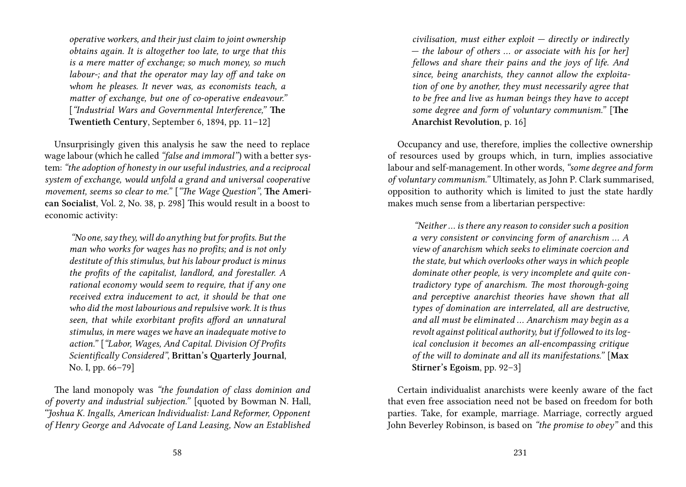*operative workers, and their just claim to joint ownership obtains again. It is altogether too late, to urge that this is a mere matter of exchange; so much money, so much labour-; and that the operator may lay off and take on whom he pleases. It never was, as economists teach, a matter of exchange, but one of co-operative endeavour."* [*"Industrial Wars and Governmental Interference,"* **The Twentieth Century**, September 6, 1894, pp. 11–12]

Unsurprisingly given this analysis he saw the need to replace wage labour (which he called *"false and immoral"*) with a better system: *"the adoption of honesty in our useful industries, and a reciprocal system of exchange, would unfold a grand and universal cooperative movement, seems so clear to me."* [*"The Wage Question"*, **The American Socialist**, Vol. 2, No. 38, p. 298] This would result in a boost to economic activity:

*"No one, say they, will do anything but for profits. But the man who works for wages has no profits; and is not only destitute of this stimulus, but his labour product is minus the profits of the capitalist, landlord, and forestaller. A rational economy would seem to require, that if any one received extra inducement to act, it should be that one who did the most labourious and repulsive work. It is thus seen, that while exorbitant profits afford an unnatural stimulus, in mere wages we have an inadequate motive to action."* [*"Labor, Wages, And Capital. Division Of Profits Scientifically Considered"*, **Brittan's Quarterly Journal**, No. I, pp. 66–79]

The land monopoly was *"the foundation of class dominion and of poverty and industrial subjection."* [quoted by Bowman N. Hall, *"Joshua K. Ingalls, American Individualist: Land Reformer, Opponent of Henry George and Advocate of Land Leasing, Now an Established*

*civilisation, must either exploit — directly or indirectly — the labour of others … or associate with his [or her] fellows and share their pains and the joys of life. And since, being anarchists, they cannot allow the exploitation of one by another, they must necessarily agree that to be free and live as human beings they have to accept some degree and form of voluntary communism."* [**The Anarchist Revolution**, p. 16]

Occupancy and use, therefore, implies the collective ownership of resources used by groups which, in turn, implies associative labour and self-management. In other words, *"some degree and form of voluntary communism."* Ultimately, as John P. Clark summarised, opposition to authority which is limited to just the state hardly makes much sense from a libertarian perspective:

*"Neither … is there any reason to consider such a position a very consistent or convincing form of anarchism … A view of anarchism which seeks to eliminate coercion and the state, but which overlooks other ways in which people dominate other people, is very incomplete and quite contradictory type of anarchism. The most thorough-going and perceptive anarchist theories have shown that all types of domination are interrelated, all are destructive, and all must be eliminated … Anarchism may begin as a revolt against political authority, but if followed to its logical conclusion it becomes an all-encompassing critique of the will to dominate and all its manifestations."* [**Max Stirner's Egoism**, pp. 92–3]

Certain individualist anarchists were keenly aware of the fact that even free association need not be based on freedom for both parties. Take, for example, marriage. Marriage, correctly argued John Beverley Robinson, is based on *"the promise to obey"* and this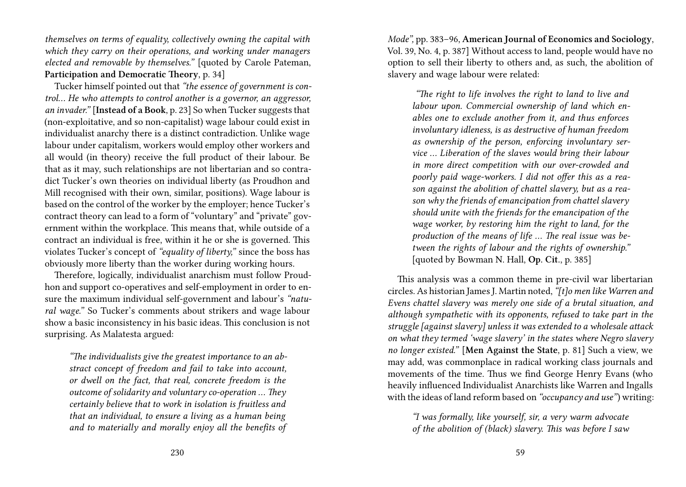*themselves on terms of equality, collectively owning the capital with which they carry on their operations, and working under managers elected and removable by themselves."* [quoted by Carole Pateman, **Participation and Democratic Theory**, p. 34]

Tucker himself pointed out that *"the essence of government is control… He who attempts to control another is a governor, an aggressor, an invader."* [**Instead of a Book**, p. 23] So when Tucker suggests that (non-exploitative, and so non-capitalist) wage labour could exist in individualist anarchy there is a distinct contradiction. Unlike wage labour under capitalism, workers would employ other workers and all would (in theory) receive the full product of their labour. Be that as it may, such relationships are not libertarian and so contradict Tucker's own theories on individual liberty (as Proudhon and Mill recognised with their own, similar, positions). Wage labour is based on the control of the worker by the employer; hence Tucker's contract theory can lead to a form of "voluntary" and "private" government within the workplace. This means that, while outside of a contract an individual is free, within it he or she is governed. This violates Tucker's concept of *"equality of liberty,"* since the boss has obviously more liberty than the worker during working hours.

Therefore, logically, individualist anarchism must follow Proudhon and support co-operatives and self-employment in order to ensure the maximum individual self-government and labour's *"natural wage."* So Tucker's comments about strikers and wage labour show a basic inconsistency in his basic ideas. This conclusion is not surprising. As Malatesta argued:

*"The individualists give the greatest importance to an abstract concept of freedom and fail to take into account, or dwell on the fact, that real, concrete freedom is the outcome of solidarity and voluntary co-operation … They certainly believe that to work in isolation is fruitless and that an individual, to ensure a living as a human being and to materially and morally enjoy all the benefits of* *Mode",* pp. 383–96, **American Journal of Economics and Sociology**, Vol. 39, No. 4, p. 387] Without access to land, people would have no option to sell their liberty to others and, as such, the abolition of slavery and wage labour were related:

*"The right to life involves the right to land to live and labour upon. Commercial ownership of land which enables one to exclude another from it, and thus enforces involuntary idleness, is as destructive of human freedom as ownership of the person, enforcing involuntary service … Liberation of the slaves would bring their labour in more direct competition with our over-crowded and poorly paid wage-workers. I did not offer this as a reason against the abolition of chattel slavery, but as a reason why the friends of emancipation from chattel slavery should unite with the friends for the emancipation of the wage worker, by restoring him the right to land, for the production of the means of life … The real issue was between the rights of labour and the rights of ownership."* [quoted by Bowman N. Hall, **Op. Cit.**, p. 385]

This analysis was a common theme in pre-civil war libertarian circles. As historian James J. Martin noted,*"[t]o men like Warren and Evens chattel slavery was merely one side of a brutal situation, and although sympathetic with its opponents, refused to take part in the struggle [against slavery] unless it was extended to a wholesale attack on what they termed 'wage slavery' in the states where Negro slavery no longer existed."* [**Men Against the State**, p. 81] Such a view, we may add, was commonplace in radical working class journals and movements of the time. Thus we find George Henry Evans (who heavily influenced Individualist Anarchists like Warren and Ingalls with the ideas of land reform based on *"occupancy and use"*) writing:

*"I was formally, like yourself, sir, a very warm advocate of the abolition of (black) slavery. This was before I saw*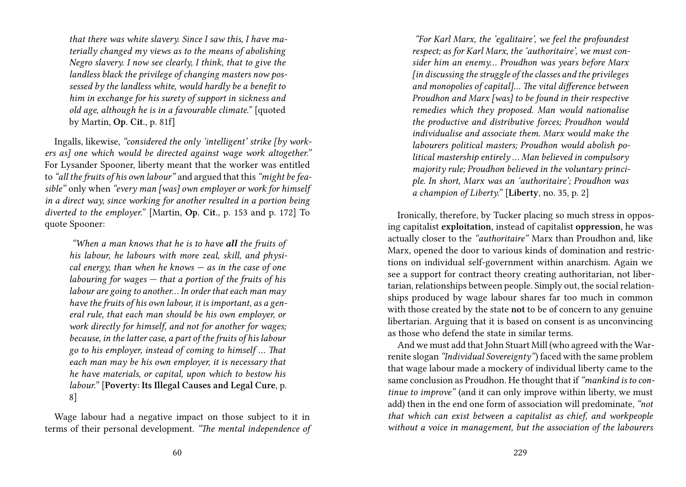*that there was white slavery. Since I saw this, I have materially changed my views as to the means of abolishing Negro slavery. I now see clearly, I think, that to give the landless black the privilege of changing masters now possessed by the landless white, would hardly be a benefit to him in exchange for his surety of support in sickness and old age, although he is in a favourable climate."* [quoted by Martin, **Op. Cit.**, p. 81f]

Ingalls, likewise, *"considered the only 'intelligent' strike [by workers as] one which would be directed against wage work altogether."* For Lysander Spooner, liberty meant that the worker was entitled to *"all the fruits of his own labour"* and argued that this*"might be feasible"* only when *"every man [was] own employer or work for himself in a direct way, since working for another resulted in a portion being diverted to the employer."* [Martin, **Op. Cit.**, p. 153 and p. 172] To quote Spooner:

*"When a man knows that he is to have all the fruits of his labour, he labours with more zeal, skill, and physical energy, than when he knows — as in the case of one labouring for wages — that a portion of the fruits of his labour are going to another… In order that each man may have the fruits of his own labour, it is important, as a general rule, that each man should be his own employer, or work directly for himself, and not for another for wages; because, in the latter case, a part of the fruits of his labour go to his employer, instead of coming to himself … That each man may be his own employer, it is necessary that he have materials, or capital, upon which to bestow his labour."* [**Poverty: Its Illegal Causes and Legal Cure**, p. 8]

Wage labour had a negative impact on those subject to it in terms of their personal development. *"The mental independence of*

*"For Karl Marx, the 'egalitaire', we feel the profoundest respect; as for Karl Marx, the 'authoritaire', we must consider him an enemy… Proudhon was years before Marx [in discussing the struggle of the classes and the privileges and monopolies of capital]… The vital difference between Proudhon and Marx [was] to be found in their respective remedies which they proposed. Man would nationalise the productive and distributive forces; Proudhon would individualise and associate them. Marx would make the labourers political masters; Proudhon would abolish political mastership entirely … Man believed in compulsory majority rule; Proudhon believed in the voluntary principle. In short, Marx was an 'authoritaire'; Proudhon was a champion of Liberty."* [**Liberty**, no. 35, p. 2]

Ironically, therefore, by Tucker placing so much stress in opposing capitalist **exploitation,** instead of capitalist **oppression,** he was actually closer to the *"authoritaire"* Marx than Proudhon and, like Marx, opened the door to various kinds of domination and restrictions on individual self-government within anarchism. Again we see a support for contract theory creating authoritarian, not libertarian, relationships between people. Simply out, the social relationships produced by wage labour shares far too much in common with those created by the state **not** to be of concern to any genuine libertarian. Arguing that it is based on consent is as unconvincing as those who defend the state in similar terms.

And we must add that John Stuart Mill (who agreed with the Warrenite slogan *"Individual Sovereignty"*) faced with the same problem that wage labour made a mockery of individual liberty came to the same conclusion as Proudhon. He thought that if *"mankind is to continue to improve"* (and it can only improve within liberty, we must add) then in the end one form of association will predominate, *"not that which can exist between a capitalist as chief, and workpeople without a voice in management, but the association of the labourers*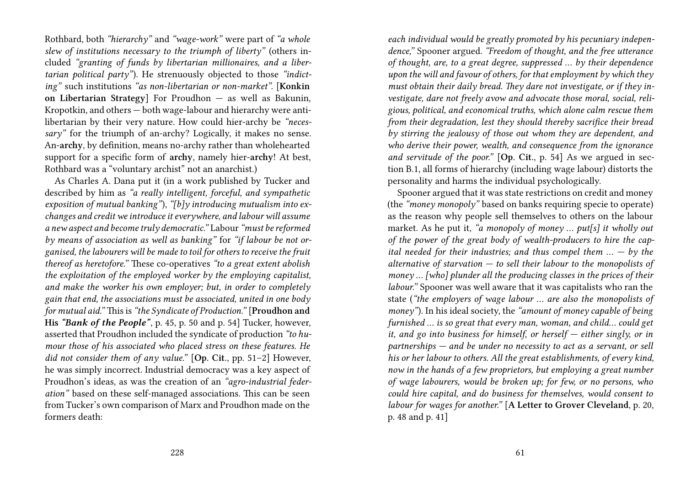Rothbard, both *"hierarchy"* and *"wage-work"* were part of *"a whole slew of institutions necessary to the triumph of liberty"* (others included *"granting of funds by libertarian millionaires, and a libertarian political party"*). He strenuously objected to those *"indicting"* such institutions *"as non-libertarian or non-market"*. [**Konkin on Libertarian Strategy**] For Proudhon — as well as Bakunin, Kropotkin, and others — both wage-labour and hierarchy were antilibertarian by their very nature. How could hier-archy be *"necessary"* for the triumph of an-archy? Logically, it makes no sense. An-**archy**, by definition, means no-archy rather than wholehearted support for a specific form of **archy**, namely hier-**archy**! At best, Rothbard was a "voluntary archist" not an anarchist.)

As Charles A. Dana put it (in a work published by Tucker and described by him as *"a really intelligent, forceful, and sympathetic exposition of mutual banking"*), *"[b]y introducing mutualism into exchanges and credit we introduce it everywhere, and labour will assume a new aspect and become truly democratic."* Labour*"must be reformed by means of association as well as banking"* for *"if labour be not organised, the labourers will be made to toil for others to receive the fruit thereof as heretofore."* These co-operatives *"to a great extent abolish the exploitation of the employed worker by the employing capitalist, and make the worker his own employer; but, in order to completely gain that end, the associations must be associated, united in one body for mutual aid."* This is*"the Syndicate of Production."* [**Proudhon and His** *"Bank of the People"*, p. 45, p. 50 and p. 54] Tucker, however, asserted that Proudhon included the syndicate of production *"to humour those of his associated who placed stress on these features. He did not consider them of any value."* [**Op. Cit.**, pp. 51–2] However, he was simply incorrect. Industrial democracy was a key aspect of Proudhon's ideas, as was the creation of an *"agro-industrial federation"* based on these self-managed associations. This can be seen from Tucker's own comparison of Marx and Proudhon made on the formers death:

*each individual would be greatly promoted by his pecuniary independence,"* Spooner argued. *"Freedom of thought, and the free utterance of thought, are, to a great degree, suppressed … by their dependence upon the will and favour of others, for that employment by which they must obtain their daily bread. They dare not investigate, or if they investigate, dare not freely avow and advocate those moral, social, religious, political, and economical truths, which alone calm rescue them from their degradation, lest they should thereby sacrifice their bread by stirring the jealousy of those out whom they are dependent, and who derive their power, wealth, and consequence from the ignorance and servitude of the poor."* [**Op. Cit.**, p. 54] As we argued in section B.1, all forms of hierarchy (including wage labour) distorts the personality and harms the individual psychologically.

Spooner argued that it was state restrictions on credit and money (the *"money monopoly"* based on banks requiring specie to operate) as the reason why people sell themselves to others on the labour market. As he put it, *"a monopoly of money … put[s] it wholly out of the power of the great body of wealth-producers to hire the capital needed for their industries; and thus compel them … — by the alternative of starvation — to sell their labour to the monopolists of money … [who] plunder all the producing classes in the prices of their labour."* Spooner was well aware that it was capitalists who ran the state (*"the employers of wage labour … are also the monopolists of money"*). In his ideal society, the *"amount of money capable of being furnished … is so great that every man, woman, and child… could get it, and go into business for himself, or herself — either singly, or in partnerships — and be under no necessity to act as a servant, or sell his or her labour to others. All the great establishments, of every kind, now in the hands of a few proprietors, but employing a great number of wage labourers, would be broken up; for few, or no persons, who could hire capital, and do business for themselves, would consent to labour for wages for another."* [**A Letter to Grover Cleveland**, p. 20, p. 48 and p. 41]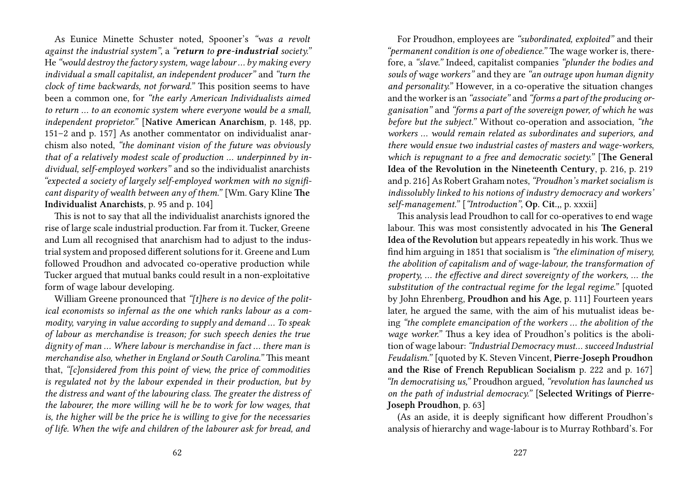As Eunice Minette Schuster noted, Spooner's *"was a revolt against the industrial system"*, a *"return to pre-industrial society."* He *"would destroy the factory system, wage labour … by making every individual a small capitalist, an independent producer"* and *"turn the clock of time backwards, not forward."* This position seems to have been a common one, for *"the early American Individualists aimed to return … to an economic system where everyone would be a small, independent proprietor."* [**Native American Anarchism**, p. 148, pp. 151–2 and p. 157] As another commentator on individualist anarchism also noted, *"the dominant vision of the future was obviously that of a relatively modest scale of production … underpinned by individual, self-employed workers"* and so the individualist anarchists *"expected a society of largely self-employed workmen with no significant disparity of wealth between any of them."* [Wm. Gary Kline **The Individualist Anarchists**, p. 95 and p. 104]

This is not to say that all the individualist anarchists ignored the rise of large scale industrial production. Far from it. Tucker, Greene and Lum all recognised that anarchism had to adjust to the industrial system and proposed different solutions for it. Greene and Lum followed Proudhon and advocated co-operative production while Tucker argued that mutual banks could result in a non-exploitative form of wage labour developing.

William Greene pronounced that *"[t]here is no device of the political economists so infernal as the one which ranks labour as a commodity, varying in value according to supply and demand … To speak of labour as merchandise is treason; for such speech denies the true dignity of man … Where labour is merchandise in fact … there man is merchandise also, whether in England or South Carolina."* This meant that, *"[c]onsidered from this point of view, the price of commodities is regulated not by the labour expended in their production, but by the distress and want of the labouring class. The greater the distress of the labourer, the more willing will he be to work for low wages, that is, the higher will be the price he is willing to give for the necessaries of life. When the wife and children of the labourer ask for bread, and*

For Proudhon, employees are *"subordinated, exploited"* and their *"permanent condition is one of obedience."* The wage worker is, therefore, a *"slave."* Indeed, capitalist companies *"plunder the bodies and souls of wage workers"* and they are *"an outrage upon human dignity and personality."* However, in a co-operative the situation changes and the worker is an *"associate"* and *"forms a part of the producing organisation"* and *"forms a part of the sovereign power, of which he was before but the subject."* Without co-operation and association, *"the workers … would remain related as subordinates and superiors, and there would ensue two industrial castes of masters and wage-workers, which is repugnant to a free and democratic society."* [**The General Idea of the Revolution in the Nineteenth Century**, p. 216, p. 219 and p. 216] As Robert Graham notes,*"Proudhon's market socialism is indissolubly linked to his notions of industry democracy and workers' self-management."* [*"Introduction"*, **Op. Cit.,**, p. xxxii]

This analysis lead Proudhon to call for co-operatives to end wage labour. This was most consistently advocated in his **The General Idea of the Revolution** but appears repeatedly in his work. Thus we find him arguing in 1851 that socialism is *"the elimination of misery, the abolition of capitalism and of wage-labour, the transformation of property, … the effective and direct sovereignty of the workers, … the substitution of the contractual regime for the legal regime."* [quoted by John Ehrenberg, **Proudhon and his Age**, p. 111] Fourteen years later, he argued the same, with the aim of his mutualist ideas being *"the complete emancipation of the workers … the abolition of the wage worker."* Thus a key idea of Proudhon's politics is the abolition of wage labour:*"Industrial Democracy must… succeed Industrial Feudalism."* [quoted by K. Steven Vincent, **Pierre-Joseph Proudhon and the Rise of French Republican Socialism** p. 222 and p. 167] *"In democratising us,"* Proudhon argued, *"revolution has launched us on the path of industrial democracy."* [**Selected Writings of Pierre-Joseph Proudhon**, p. 63]

(As an aside, it is deeply significant how different Proudhon's analysis of hierarchy and wage-labour is to Murray Rothbard's. For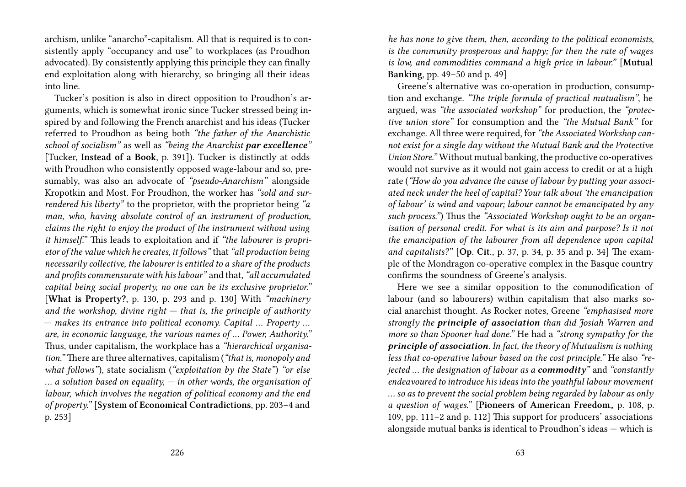archism, unlike "anarcho"-capitalism. All that is required is to consistently apply "occupancy and use" to workplaces (as Proudhon advocated). By consistently applying this principle they can finally end exploitation along with hierarchy, so bringing all their ideas into line.

Tucker's position is also in direct opposition to Proudhon's arguments, which is somewhat ironic since Tucker stressed being inspired by and following the French anarchist and his ideas (Tucker referred to Proudhon as being both *"the father of the Anarchistic school of socialism"* as well as *"being the Anarchist par excellence"* [Tucker, **Instead of a Book**, p. 391]). Tucker is distinctly at odds with Proudhon who consistently opposed wage-labour and so, presumably, was also an advocate of *"pseudo-Anarchism"* alongside Kropotkin and Most. For Proudhon, the worker has *"sold and surrendered his liberty"* to the proprietor, with the proprietor being *"a man, who, having absolute control of an instrument of production, claims the right to enjoy the product of the instrument without using it himself."* This leads to exploitation and if *"the labourer is proprietor of the value which he creates, it follows"* that*"all production being necessarily collective, the labourer is entitled to a share of the products and profits commensurate with his labour"* and that,*"all accumulated capital being social property, no one can be its exclusive proprietor."* [**What is Property?**, p. 130, p. 293 and p. 130] With *"machinery and the workshop, divine right — that is, the principle of authority — makes its entrance into political economy. Capital … Property … are, in economic language, the various names of … Power, Authority."* Thus, under capitalism, the workplace has a *"hierarchical organisation."* There are three alternatives, capitalism (*"that is, monopoly and what follows"*), state socialism (*"exploitation by the State"*) *"or else … a solution based on equality, — in other words, the organisation of labour, which involves the negation of political economy and the end of property."* [**System of Economical Contradictions**, pp. 203–4 and p. 253]

*he has none to give them, then, according to the political economists, is the community prosperous and happy; for then the rate of wages is low, and commodities command a high price in labour."* [**Mutual Banking**, pp. 49–50 and p. 49]

Greene's alternative was co-operation in production, consumption and exchange. *"The triple formula of practical mutualism"*, he argued, was *"the associated workshop"* for production, the *"protective union store"* for consumption and the *"the Mutual Bank"* for exchange. All three were required, for*"the Associated Workshop cannot exist for a single day without the Mutual Bank and the Protective Union Store."* Without mutual banking, the productive co-operatives would not survive as it would not gain access to credit or at a high rate (*"How do you advance the cause of labour by putting your associated neck under the heel of capital? Your talk about 'the emancipation of labour' is wind and vapour; labour cannot be emancipated by any such process."*) Thus the *"Associated Workshop ought to be an organisation of personal credit. For what is its aim and purpose? Is it not the emancipation of the labourer from all dependence upon capital and capitalists?"* [**Op. Cit.**, p. 37, p. 34, p. 35 and p. 34] The example of the Mondragon co-operative complex in the Basque country confirms the soundness of Greene's analysis.

Here we see a similar opposition to the commodification of labour (and so labourers) within capitalism that also marks social anarchist thought. As Rocker notes, Greene *"emphasised more strongly the principle of association than did Josiah Warren and more so than Spooner had done."* He had a *"strong sympathy for the principle of association. In fact, the theory of Mutualism is nothing less that co-operative labour based on the cost principle."* He also *"rejected … the designation of labour as a commodity"* and *"constantly endeavoured to introduce his ideas into the youthful labour movement … so as to prevent the social problem being regarded by labour as only a question of wages.*" [Pioneers of American Freedom, p. 108, p. 109, pp. 111–2 and p. 112] This support for producers' associations alongside mutual banks is identical to Proudhon's ideas — which is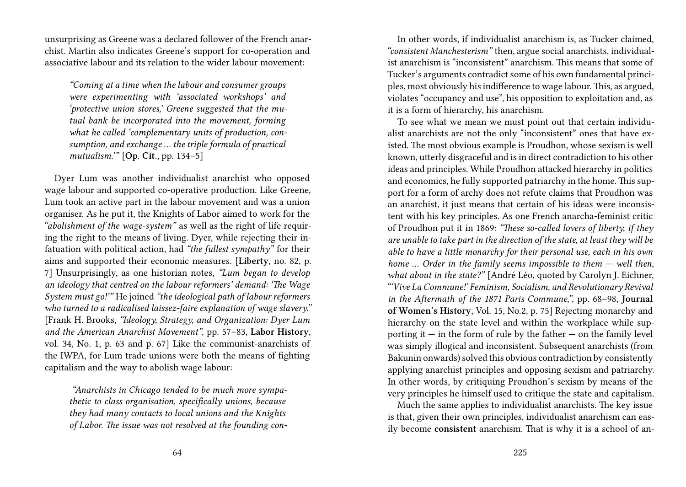unsurprising as Greene was a declared follower of the French anarchist. Martin also indicates Greene's support for co-operation and associative labour and its relation to the wider labour movement:

*"Coming at a time when the labour and consumer groups were experimenting with 'associated workshops' and 'protective union stores,' Greene suggested that the mutual bank be incorporated into the movement, forming what he called 'complementary units of production, consumption, and exchange … the triple formula of practical mutualism.'"* [**Op. Cit.**, pp. 134–5]

Dyer Lum was another individualist anarchist who opposed wage labour and supported co-operative production. Like Greene, Lum took an active part in the labour movement and was a union organiser. As he put it, the Knights of Labor aimed to work for the *"abolishment of the wage-system"* as well as the right of life requiring the right to the means of living. Dyer, while rejecting their infatuation with political action, had *"the fullest sympathy"* for their aims and supported their economic measures. [**Liberty**, no. 82, p. 7] Unsurprisingly, as one historian notes, *"Lum began to develop an ideology that centred on the labour reformers' demand: 'The Wage System must go!'"* He joined *"the ideological path of labour reformers who turned to a radicalised laissez-faire explanation of wage slavery."* [Frank H. Brooks, *"Ideology, Strategy, and Organization: Dyer Lum and the American Anarchist Movement"*, pp. 57–83, **Labor History**, vol. 34, No. 1, p. 63 and p. 67] Like the communist-anarchists of the IWPA, for Lum trade unions were both the means of fighting capitalism and the way to abolish wage labour:

*"Anarchists in Chicago tended to be much more sympathetic to class organisation, specifically unions, because they had many contacts to local unions and the Knights of Labor. The issue was not resolved at the founding con-*

In other words, if individualist anarchism is, as Tucker claimed, *"consistent Manchesterism"* then, argue social anarchists, individualist anarchism is "inconsistent" anarchism. This means that some of Tucker's arguments contradict some of his own fundamental principles, most obviously his indifference to wage labour. This, as argued, violates "occupancy and use", his opposition to exploitation and, as it is a form of hierarchy, his anarchism.

To see what we mean we must point out that certain individualist anarchists are not the only "inconsistent" ones that have existed. The most obvious example is Proudhon, whose sexism is well known, utterly disgraceful and is in direct contradiction to his other ideas and principles. While Proudhon attacked hierarchy in politics and economics, he fully supported patriarchy in the home. This support for a form of archy does not refute claims that Proudhon was an anarchist, it just means that certain of his ideas were inconsistent with his key principles. As one French anarcha-feminist critic of Proudhon put it in 1869: *"These so-called lovers of liberty, if they are unable to take part in the direction of the state, at least they will be able to have a little monarchy for their personal use, each in his own home … Order in the family seems impossible to them — well then, what about in the state?"* [André Léo, quoted by Carolyn J. Eichner, *"'Vive La Commune!' Feminism, Socialism, and Revolutionary Revival in the Aftermath of the 1871 Paris Commune,"*, pp. 68–98, **Journal of Women's History**, Vol. 15, No.2, p. 75] Rejecting monarchy and hierarchy on the state level and within the workplace while supporting it  $-$  in the form of rule by the father  $-$  on the family level was simply illogical and inconsistent. Subsequent anarchists (from Bakunin onwards) solved this obvious contradiction by consistently applying anarchist principles and opposing sexism and patriarchy. In other words, by critiquing Proudhon's sexism by means of the very principles he himself used to critique the state and capitalism.

Much the same applies to individualist anarchists. The key issue is that, given their own principles, individualist anarchism can easily become **consistent** anarchism. That is why it is a school of an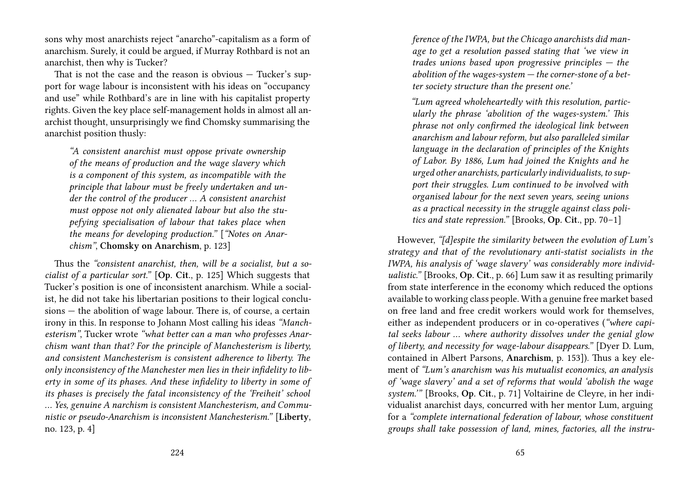sons why most anarchists reject "anarcho"-capitalism as a form of anarchism. Surely, it could be argued, if Murray Rothbard is not an anarchist, then why is Tucker?

That is not the case and the reason is obvious — Tucker's support for wage labour is inconsistent with his ideas on "occupancy and use" while Rothbard's are in line with his capitalist property rights. Given the key place self-management holds in almost all anarchist thought, unsurprisingly we find Chomsky summarising the anarchist position thusly:

*"A consistent anarchist must oppose private ownership of the means of production and the wage slavery which is a component of this system, as incompatible with the principle that labour must be freely undertaken and under the control of the producer … A consistent anarchist must oppose not only alienated labour but also the stupefying specialisation of labour that takes place when the means for developing production."* [*"Notes on Anarchism"*, **Chomsky on Anarchism**, p. 123]

Thus the *"consistent anarchist, then, will be a socialist, but a socialist of a particular sort."* [**Op. Cit.**, p. 125] Which suggests that Tucker's position is one of inconsistent anarchism. While a socialist, he did not take his libertarian positions to their logical conclusions — the abolition of wage labour. There is, of course, a certain irony in this. In response to Johann Most calling his ideas *"Manchesterism"*, Tucker wrote *"what better can a man who professes Anarchism want than that? For the principle of Manchesterism is liberty, and consistent Manchesterism is consistent adherence to liberty. The only inconsistency of the Manchester men lies in their infidelity to liberty in some of its phases. And these infidelity to liberty in some of its phases is precisely the fatal inconsistency of the 'Freiheit' school … Yes, genuine A narchism is consistent Manchesterism, and Communistic or pseudo-Anarchism is inconsistent Manchesterism."* [**Liberty**, no. 123, p. 4]

*ference of the IWPA, but the Chicago anarchists did manage to get a resolution passed stating that 'we view in trades unions based upon progressive principles — the abolition of the wages-system — the corner-stone of a better society structure than the present one.'*

*"Lum agreed wholeheartedly with this resolution, particularly the phrase 'abolition of the wages-system.' This phrase not only confirmed the ideological link between anarchism and labour reform, but also paralleled similar language in the declaration of principles of the Knights of Labor. By 1886, Lum had joined the Knights and he urged other anarchists, particularly individualists, to support their struggles. Lum continued to be involved with organised labour for the next seven years, seeing unions as a practical necessity in the struggle against class politics and state repression."* [Brooks, **Op. Cit.**, pp. 70–1]

However, *"[d]espite the similarity between the evolution of Lum's strategy and that of the revolutionary anti-statist socialists in the IWPA, his analysis of 'wage slavery' was considerably more individualistic."* [Brooks, **Op. Cit.**, p. 66] Lum saw it as resulting primarily from state interference in the economy which reduced the options available to working class people. With a genuine free market based on free land and free credit workers would work for themselves, either as independent producers or in co-operatives (*"where capital seeks labour … where authority dissolves under the genial glow of liberty, and necessity for wage-labour disappears."* [Dyer D. Lum, contained in Albert Parsons, **Anarchism**, p. 153]). Thus a key element of *"Lum's anarchism was his mutualist economics, an analysis of 'wage slavery' and a set of reforms that would 'abolish the wage system.'"* [Brooks, **Op. Cit.**, p. 71] Voltairine de Cleyre, in her individualist anarchist days, concurred with her mentor Lum, arguing for a *"complete international federation of labour, whose constituent groups shall take possession of land, mines, factories, all the instru-*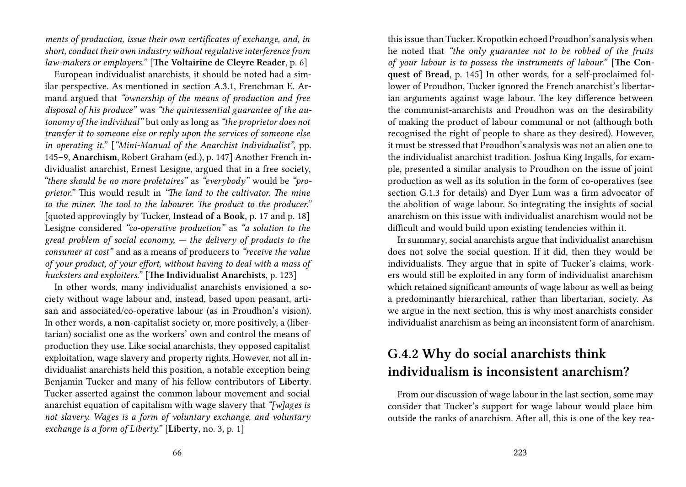*ments of production, issue their own certificates of exchange, and, in short, conduct their own industry without regulative interference from law-makers or employers."* [**The Voltairine de Cleyre Reader**, p. 6]

European individualist anarchists, it should be noted had a similar perspective. As mentioned in section A.3.1, Frenchman E. Armand argued that *"ownership of the means of production and free disposal of his produce"* was *"the quintessential guarantee of the autonomy of the individual"* but only as long as *"the proprietor does not transfer it to someone else or reply upon the services of someone else in operating it."* [*"Mini-Manual of the Anarchist Individualist"*, pp. 145–9, **Anarchism**, Robert Graham (ed.), p. 147] Another French individualist anarchist, Ernest Lesigne, argued that in a free society, *"there should be no more proletaires"* as *"everybody"* would be *"proprietor."* This would result in *"The land to the cultivator. The mine to the miner. The tool to the labourer. The product to the producer."* [quoted approvingly by Tucker, **Instead of a Book**, p. 17 and p. 18] Lesigne considered *"co-operative production"* as *"a solution to the great problem of social economy, — the delivery of products to the consumer at cost"* and as a means of producers to *"receive the value of your product, of your effort, without having to deal with a mass of hucksters and exploiters."* [**The Individualist Anarchists**, p. 123]

In other words, many individualist anarchists envisioned a society without wage labour and, instead, based upon peasant, artisan and associated/co-operative labour (as in Proudhon's vision). In other words, a **non**-capitalist society or, more positively, a (libertarian) socialist one as the workers' own and control the means of production they use. Like social anarchists, they opposed capitalist exploitation, wage slavery and property rights. However, not all individualist anarchists held this position, a notable exception being Benjamin Tucker and many of his fellow contributors of **Liberty**. Tucker asserted against the common labour movement and social anarchist equation of capitalism with wage slavery that *"[w]ages is not slavery. Wages is a form of voluntary exchange, and voluntary exchange is a form of Liberty."* [**Liberty**, no. 3, p. 1]

this issue than Tucker. Kropotkin echoed Proudhon's analysis when he noted that *"the only guarantee not to be robbed of the fruits of your labour is to possess the instruments of labour."* [**The Conquest of Bread**, p. 145] In other words, for a self-proclaimed follower of Proudhon, Tucker ignored the French anarchist's libertarian arguments against wage labour. The key difference between the communist-anarchists and Proudhon was on the desirability of making the product of labour communal or not (although both recognised the right of people to share as they desired). However, it must be stressed that Proudhon's analysis was not an alien one to the individualist anarchist tradition. Joshua King Ingalls, for example, presented a similar analysis to Proudhon on the issue of joint production as well as its solution in the form of co-operatives (see section G.1.3 for details) and Dyer Lum was a firm advocator of the abolition of wage labour. So integrating the insights of social anarchism on this issue with individualist anarchism would not be difficult and would build upon existing tendencies within it.

In summary, social anarchists argue that individualist anarchism does not solve the social question. If it did, then they would be individualists. They argue that in spite of Tucker's claims, workers would still be exploited in any form of individualist anarchism which retained significant amounts of wage labour as well as being a predominantly hierarchical, rather than libertarian, society. As we argue in the next section, this is why most anarchists consider individualist anarchism as being an inconsistent form of anarchism.

### **G.4.2 Why do social anarchists think individualism is inconsistent anarchism?**

From our discussion of wage labour in the last section, some may consider that Tucker's support for wage labour would place him outside the ranks of anarchism. After all, this is one of the key rea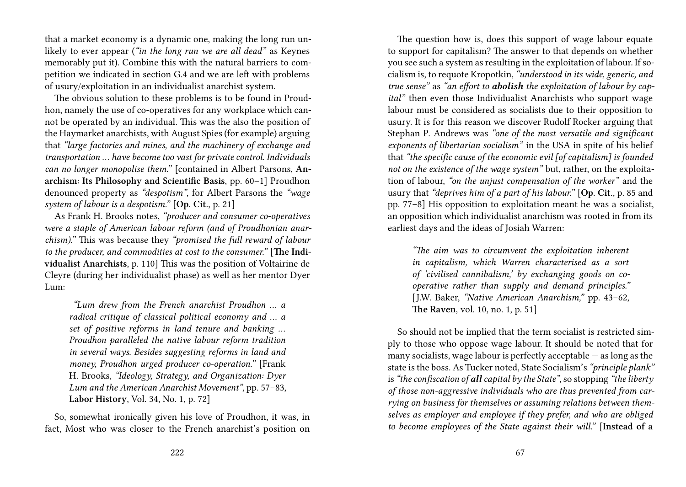that a market economy is a dynamic one, making the long run unlikely to ever appear (*"in the long run we are all dead"* as Keynes memorably put it). Combine this with the natural barriers to competition we indicated in section G.4 and we are left with problems of usury/exploitation in an individualist anarchist system.

The obvious solution to these problems is to be found in Proudhon, namely the use of co-operatives for any workplace which cannot be operated by an individual. This was the also the position of the Haymarket anarchists, with August Spies (for example) arguing that *"large factories and mines, and the machinery of exchange and transportation … have become too vast for private control. Individuals can no longer monopolise them."* [contained in Albert Parsons, **Anarchism: Its Philosophy and Scientific Basis**, pp. 60–1] Proudhon denounced property as *"despotism"*, for Albert Parsons the *"wage system of labour is a despotism."* [**Op. Cit.**, p. 21]

As Frank H. Brooks notes, *"producer and consumer co-operatives were a staple of American labour reform (and of Proudhonian anarchism)."* This was because they *"promised the full reward of labour to the producer, and commodities at cost to the consumer."* [**The Individualist Anarchists**, p. 110] This was the position of Voltairine de Cleyre (during her individualist phase) as well as her mentor Dyer Lum:

*"Lum drew from the French anarchist Proudhon … a radical critique of classical political economy and … a set of positive reforms in land tenure and banking … Proudhon paralleled the native labour reform tradition in several ways. Besides suggesting reforms in land and money, Proudhon urged producer co-operation."* [Frank H. Brooks, *"Ideology, Strategy, and Organization: Dyer Lum and the American Anarchist Movement"*, pp. 57–83, **Labor History**, Vol. 34, No. 1, p. 72]

So, somewhat ironically given his love of Proudhon, it was, in fact, Most who was closer to the French anarchist's position on

The question how is, does this support of wage labour equate to support for capitalism? The answer to that depends on whether you see such a system as resulting in the exploitation of labour. If socialism is, to requote Kropotkin, *"understood in its wide, generic, and true sense"* as *"an effort to abolish the exploitation of labour by capital"* then even those Individualist Anarchists who support wage labour must be considered as socialists due to their opposition to usury. It is for this reason we discover Rudolf Rocker arguing that Stephan P. Andrews was *"one of the most versatile and significant exponents of libertarian socialism"* in the USA in spite of his belief that *"the specific cause of the economic evil [of capitalism] is founded not on the existence of the wage system"* but, rather, on the exploitation of labour, *"on the unjust compensation of the worker"* and the usury that *"deprives him of a part of his labour."* [**Op. Cit.**, p. 85 and pp. 77–8] His opposition to exploitation meant he was a socialist, an opposition which individualist anarchism was rooted in from its earliest days and the ideas of Josiah Warren:

*"The aim was to circumvent the exploitation inherent in capitalism, which Warren characterised as a sort of 'civilised cannibalism,' by exchanging goods on cooperative rather than supply and demand principles."* [J.W. Baker, *"Native American Anarchism,"* pp. 43–62, **The Raven**, vol. 10, no. 1, p. 51]

So should not be implied that the term socialist is restricted simply to those who oppose wage labour. It should be noted that for many socialists, wage labour is perfectly acceptable — as long as the state is the boss. As Tucker noted, State Socialism's*"principle plank"* is*"the confiscation of allcapital by the State"*, so stopping *"the liberty of those non-aggressive individuals who are thus prevented from carrying on business for themselves or assuming relations between themselves as employer and employee if they prefer, and who are obliged to become employees of the State against their will."* [**Instead of a**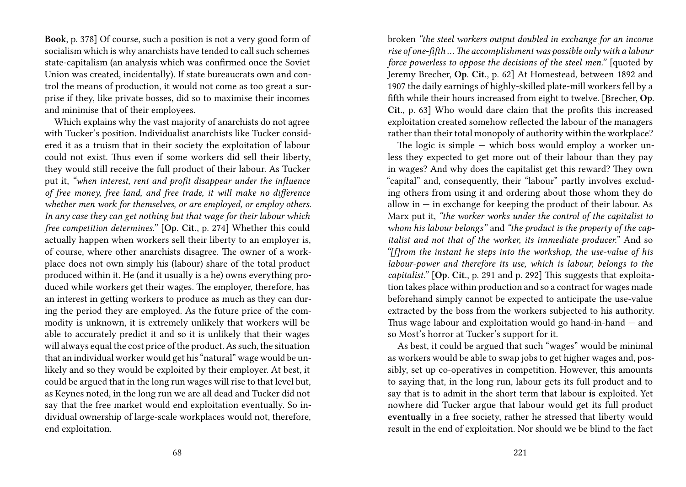**Book**, p. 378] Of course, such a position is not a very good form of socialism which is why anarchists have tended to call such schemes state-capitalism (an analysis which was confirmed once the Soviet Union was created, incidentally). If state bureaucrats own and control the means of production, it would not come as too great a surprise if they, like private bosses, did so to maximise their incomes and minimise that of their employees.

Which explains why the vast majority of anarchists do not agree with Tucker's position. Individualist anarchists like Tucker considered it as a truism that in their society the exploitation of labour could not exist. Thus even if some workers did sell their liberty, they would still receive the full product of their labour. As Tucker put it, *"when interest, rent and profit disappear under the influence of free money, free land, and free trade, it will make no difference whether men work for themselves, or are employed, or employ others. In any case they can get nothing but that wage for their labour which free competition determines."* [**Op. Cit.**, p. 274] Whether this could actually happen when workers sell their liberty to an employer is, of course, where other anarchists disagree. The owner of a workplace does not own simply his (labour) share of the total product produced within it. He (and it usually is a he) owns everything produced while workers get their wages. The employer, therefore, has an interest in getting workers to produce as much as they can during the period they are employed. As the future price of the commodity is unknown, it is extremely unlikely that workers will be able to accurately predict it and so it is unlikely that their wages will always equal the cost price of the product. As such, the situation that an individual worker would get his "natural" wage would be unlikely and so they would be exploited by their employer. At best, it could be argued that in the long run wages will rise to that level but, as Keynes noted, in the long run we are all dead and Tucker did not say that the free market would end exploitation eventually. So individual ownership of large-scale workplaces would not, therefore, end exploitation.

broken *"the steel workers output doubled in exchange for an income rise of one-fifth … The accomplishment was possible only with a labour force powerless to oppose the decisions of the steel men."* [quoted by Jeremy Brecher, **Op. Cit.**, p. 62] At Homestead, between 1892 and 1907 the daily earnings of highly-skilled plate-mill workers fell by a fifth while their hours increased from eight to twelve. [Brecher, **Op. Cit.**, p. 63] Who would dare claim that the profits this increased exploitation created somehow reflected the labour of the managers rather than their total monopoly of authority within the workplace?

The logic is simple  $-$  which boss would employ a worker unless they expected to get more out of their labour than they pay in wages? And why does the capitalist get this reward? They own "capital" and, consequently, their "labour" partly involves excluding others from using it and ordering about those whom they do allow in  $-$  in exchange for keeping the product of their labour. As Marx put it, *"the worker works under the control of the capitalist to whom his labour belongs"* and *"the product is the property of the capitalist and not that of the worker, its immediate producer."* And so *"[f]rom the instant he steps into the workshop, the use-value of his labour-power and therefore its use, which is labour, belongs to the capitalist."* [**Op. Cit.**, p. 291 and p. 292] This suggests that exploitation takes place within production and so a contract for wages made beforehand simply cannot be expected to anticipate the use-value extracted by the boss from the workers subjected to his authority. Thus wage labour and exploitation would go hand-in-hand — and so Most's horror at Tucker's support for it.

As best, it could be argued that such "wages" would be minimal as workers would be able to swap jobs to get higher wages and, possibly, set up co-operatives in competition. However, this amounts to saying that, in the long run, labour gets its full product and to say that is to admit in the short term that labour **is** exploited. Yet nowhere did Tucker argue that labour would get its full product **eventually** in a free society, rather he stressed that liberty would result in the end of exploitation. Nor should we be blind to the fact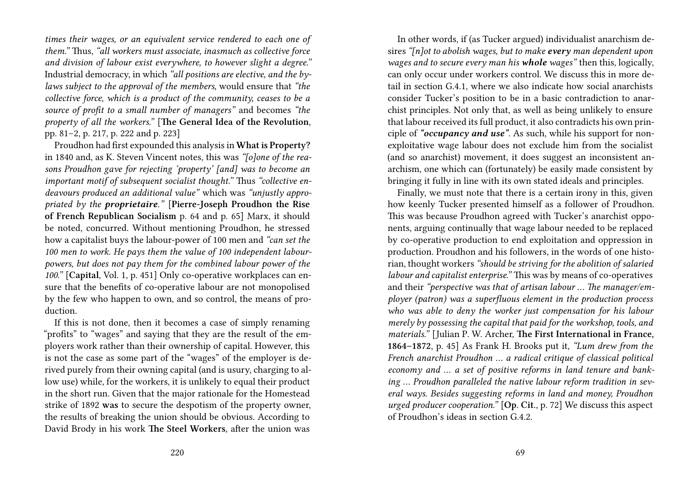*times their wages, or an equivalent service rendered to each one of them."* Thus, *"all workers must associate, inasmuch as collective force and division of labour exist everywhere, to however slight a degree."* Industrial democracy, in which *"all positions are elective, and the bylaws subject to the approval of the members*, would ensure that *"the collective force, which is a product of the community, ceases to be a source of profit to a small number of managers"* and becomes *"the property of all the workers."* [**The General Idea of the Revolution**, pp. 81–2, p. 217, p. 222 and p. 223]

Proudhon had first expounded this analysis in **What is Property?** in 1840 and, as K. Steven Vincent notes, this was *"[o]one of the reasons Proudhon gave for rejecting 'property' [and] was to become an important motif of subsequent socialist thought."* Thus *"collective endeavours produced an additional value"* which was *"unjustly appropriated by the proprietaire."* [**Pierre-Joseph Proudhon the Rise of French Republican Socialism** p. 64 and p. 65] Marx, it should be noted, concurred. Without mentioning Proudhon, he stressed how a capitalist buys the labour-power of 100 men and *"can set the 100 men to work. He pays them the value of 100 independent labourpowers, but does not pay them for the combined labour power of the 100."* [**Capital**, Vol. 1, p. 451] Only co-operative workplaces can ensure that the benefits of co-operative labour are not monopolised by the few who happen to own, and so control, the means of production.

If this is not done, then it becomes a case of simply renaming "profits" to "wages" and saying that they are the result of the employers work rather than their ownership of capital. However, this is not the case as some part of the "wages" of the employer is derived purely from their owning capital (and is usury, charging to allow use) while, for the workers, it is unlikely to equal their product in the short run. Given that the major rationale for the Homestead strike of 1892 **was** to secure the despotism of the property owner, the results of breaking the union should be obvious. According to David Brody in his work **The Steel Workers**, after the union was

In other words, if (as Tucker argued) individualist anarchism desires *"[n]ot to abolish wages, but to make every man dependent upon wages and to secure every man his whole wages"* then this, logically, can only occur under workers control. We discuss this in more detail in section G.4.1, where we also indicate how social anarchists consider Tucker's position to be in a basic contradiction to anarchist principles. Not only that, as well as being unlikely to ensure that labour received its full product, it also contradicts his own principle of *"occupancy and use"*. As such, while his support for nonexploitative wage labour does not exclude him from the socialist (and so anarchist) movement, it does suggest an inconsistent anarchism, one which can (fortunately) be easily made consistent by bringing it fully in line with its own stated ideals and principles.

Finally, we must note that there is a certain irony in this, given how keenly Tucker presented himself as a follower of Proudhon. This was because Proudhon agreed with Tucker's anarchist opponents, arguing continually that wage labour needed to be replaced by co-operative production to end exploitation and oppression in production. Proudhon and his followers, in the words of one historian, thought workers *"should be striving for the abolition of salaried labour and capitalist enterprise."* This was by means of co-operatives and their *"perspective was that of artisan labour … The manager/employer (patron) was a superfluous element in the production process who was able to deny the worker just compensation for his labour merely by possessing the capital that paid for the workshop, tools, and materials."* [Julian P. W. Archer, **The First International in France, 1864–1872**, p. 45] As Frank H. Brooks put it, *"Lum drew from the French anarchist Proudhon … a radical critique of classical political economy and … a set of positive reforms in land tenure and banking … Proudhon paralleled the native labour reform tradition in several ways. Besides suggesting reforms in land and money, Proudhon urged producer cooperation."* [**Op. Cit.**, p. 72] We discuss this aspect of Proudhon's ideas in section G.4.2.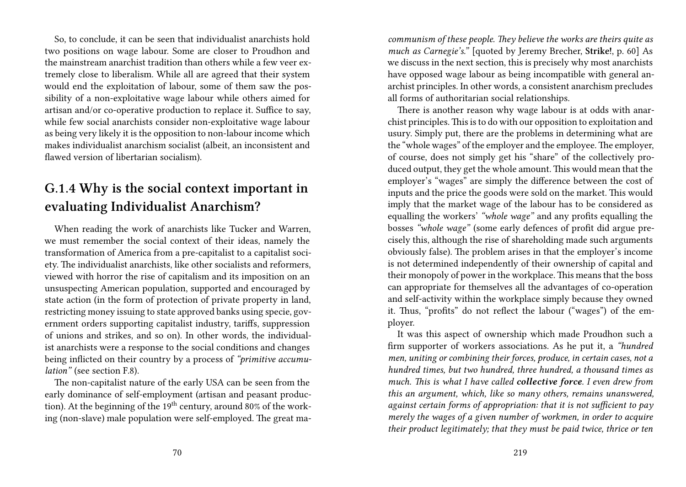So, to conclude, it can be seen that individualist anarchists hold two positions on wage labour. Some are closer to Proudhon and the mainstream anarchist tradition than others while a few veer extremely close to liberalism. While all are agreed that their system would end the exploitation of labour, some of them saw the possibility of a non-exploitative wage labour while others aimed for artisan and/or co-operative production to replace it. Suffice to say, while few social anarchists consider non-exploitative wage labour as being very likely it is the opposition to non-labour income which makes individualist anarchism socialist (albeit, an inconsistent and flawed version of libertarian socialism).

### **G.1.4 Why is the social context important in evaluating Individualist Anarchism?**

When reading the work of anarchists like Tucker and Warren, we must remember the social context of their ideas, namely the transformation of America from a pre-capitalist to a capitalist society. The individualist anarchists, like other socialists and reformers, viewed with horror the rise of capitalism and its imposition on an unsuspecting American population, supported and encouraged by state action (in the form of protection of private property in land, restricting money issuing to state approved banks using specie, government orders supporting capitalist industry, tariffs, suppression of unions and strikes, and so on). In other words, the individualist anarchists were a response to the social conditions and changes being inflicted on their country by a process of *"primitive accumulation"* (see section F.8).

The non-capitalist nature of the early USA can be seen from the early dominance of self-employment (artisan and peasant production). At the beginning of the 19<sup>th</sup> century, around 80% of the working (non-slave) male population were self-employed. The great ma-

*communism of these people. They believe the works are theirs quite as much as Carnegie's."* [quoted by Jeremy Brecher, **Strike!**, p. 60] As we discuss in the next section, this is precisely why most anarchists have opposed wage labour as being incompatible with general anarchist principles. In other words, a consistent anarchism precludes all forms of authoritarian social relationships.

There is another reason why wage labour is at odds with anarchist principles.This is to do with our opposition to exploitation and usury. Simply put, there are the problems in determining what are the "whole wages" of the employer and the employee. The employer, of course, does not simply get his "share" of the collectively produced output, they get the whole amount. This would mean that the employer's "wages" are simply the difference between the cost of inputs and the price the goods were sold on the market. This would imply that the market wage of the labour has to be considered as equalling the workers' *"whole wage"* and any profits equalling the bosses *"whole wage"* (some early defences of profit did argue precisely this, although the rise of shareholding made such arguments obviously false). The problem arises in that the employer's income is not determined independently of their ownership of capital and their monopoly of power in the workplace. This means that the boss can appropriate for themselves all the advantages of co-operation and self-activity within the workplace simply because they owned it. Thus, "profits" do not reflect the labour ("wages") of the employer.

It was this aspect of ownership which made Proudhon such a firm supporter of workers associations. As he put it, a *"hundred men, uniting or combining their forces, produce, in certain cases, not a hundred times, but two hundred, three hundred, a thousand times as much. This is what I have called collective force. I even drew from this an argument, which, like so many others, remains unanswered, against certain forms of appropriation: that it is not sufficient to pay merely the wages of a given number of workmen, in order to acquire their product legitimately; that they must be paid twice, thrice or ten*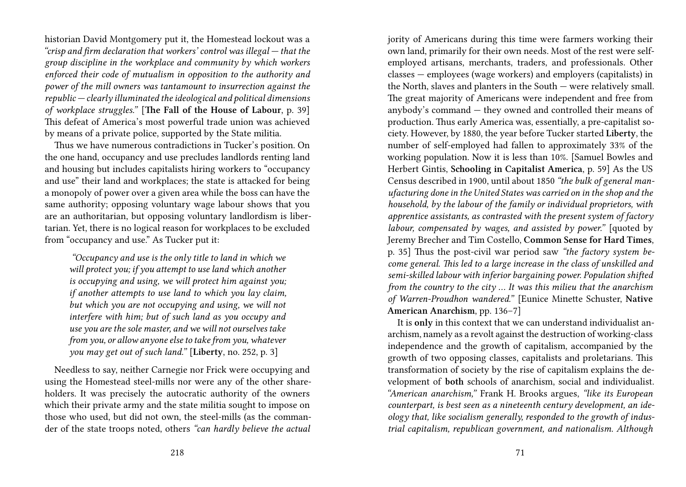historian David Montgomery put it, the Homestead lockout was a *"crisp and firm declaration that workers' control was illegal — that the group discipline in the workplace and community by which workers enforced their code of mutualism in opposition to the authority and power of the mill owners was tantamount to insurrection against the republic — clearly illuminated the ideological and political dimensions of workplace struggles."* [**The Fall of the House of Labour**, p. 39] This defeat of America's most powerful trade union was achieved by means of a private police, supported by the State militia.

Thus we have numerous contradictions in Tucker's position. On the one hand, occupancy and use precludes landlords renting land and housing but includes capitalists hiring workers to "occupancy and use" their land and workplaces; the state is attacked for being a monopoly of power over a given area while the boss can have the same authority; opposing voluntary wage labour shows that you are an authoritarian, but opposing voluntary landlordism is libertarian. Yet, there is no logical reason for workplaces to be excluded from "occupancy and use." As Tucker put it:

*"Occupancy and use is the only title to land in which we will protect you; if you attempt to use land which another is occupying and using, we will protect him against you; if another attempts to use land to which you lay claim, but which you are not occupying and using, we will not interfere with him; but of such land as you occupy and use you are the sole master, and we will not ourselves take from you, or allow anyone else to take from you, whatever you may get out of such land."* [**Liberty**, no. 252, p. 3]

Needless to say, neither Carnegie nor Frick were occupying and using the Homestead steel-mills nor were any of the other shareholders. It was precisely the autocratic authority of the owners which their private army and the state militia sought to impose on those who used, but did not own, the steel-mills (as the commander of the state troops noted, others *"can hardly believe the actual*

jority of Americans during this time were farmers working their own land, primarily for their own needs. Most of the rest were selfemployed artisans, merchants, traders, and professionals. Other classes — employees (wage workers) and employers (capitalists) in the North, slaves and planters in the South — were relatively small. The great majority of Americans were independent and free from anybody's command — they owned and controlled their means of production. Thus early America was, essentially, a pre-capitalist society. However, by 1880, the year before Tucker started **Liberty**, the number of self-employed had fallen to approximately 33% of the working population. Now it is less than 10%. [Samuel Bowles and Herbert Gintis, **Schooling in Capitalist America**, p. 59] As the US Census described in 1900, until about 1850 *"the bulk of general manufacturing done in the United States was carried on in the shop and the household, by the labour of the family or individual proprietors, with apprentice assistants, as contrasted with the present system of factory labour, compensated by wages, and assisted by power."* [quoted by Jeremy Brecher and Tim Costello, **Common Sense for Hard Times**, p. 35] Thus the post-civil war period saw *"the factory system become general. This led to a large increase in the class of unskilled and semi-skilled labour with inferior bargaining power. Population shifted from the country to the city … It was this milieu that the anarchism of Warren-Proudhon wandered."* [Eunice Minette Schuster, **Native American Anarchism**, pp. 136–7]

It is **only** in this context that we can understand individualist anarchism, namely as a revolt against the destruction of working-class independence and the growth of capitalism, accompanied by the growth of two opposing classes, capitalists and proletarians. This transformation of society by the rise of capitalism explains the development of **both** schools of anarchism, social and individualist. *"American anarchism,"* Frank H. Brooks argues, *"like its European counterpart, is best seen as a nineteenth century development, an ideology that, like socialism generally, responded to the growth of industrial capitalism, republican government, and nationalism. Although*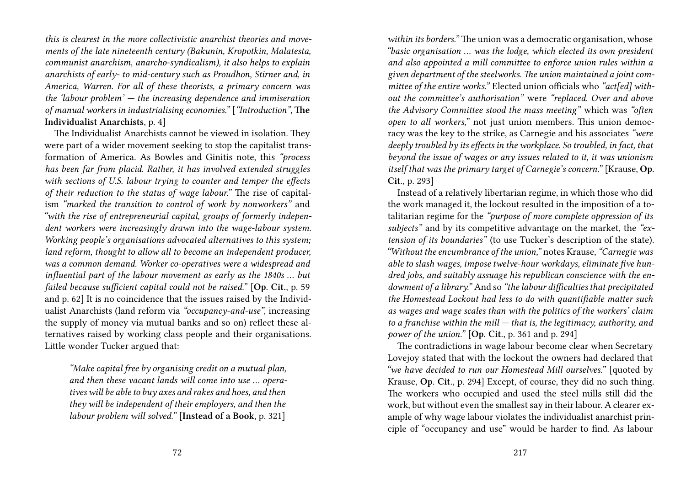*this is clearest in the more collectivistic anarchist theories and movements of the late nineteenth century (Bakunin, Kropotkin, Malatesta, communist anarchism, anarcho-syndicalism), it also helps to explain anarchists of early- to mid-century such as Proudhon, Stirner and, in America, Warren. For all of these theorists, a primary concern was the 'labour problem' — the increasing dependence and immiseration of manual workers in industrialising economies."* [*"Introduction"*, **The Individualist Anarchists**, p. 4]

The Individualist Anarchists cannot be viewed in isolation. They were part of a wider movement seeking to stop the capitalist transformation of America. As Bowles and Ginitis note, this *"process has been far from placid. Rather, it has involved extended struggles with sections of U.S. labour trying to counter and temper the effects of their reduction to the status of wage labour."* The rise of capitalism *"marked the transition to control of work by nonworkers"* and *"with the rise of entrepreneurial capital, groups of formerly independent workers were increasingly drawn into the wage-labour system. Working people's organisations advocated alternatives to this system; land reform, thought to allow all to become an independent producer, was a common demand. Worker co-operatives were a widespread and influential part of the labour movement as early as the 1840s … but failed because sufficient capital could not be raised."* [**Op. Cit.**, p. 59 and p. 62] It is no coincidence that the issues raised by the Individualist Anarchists (land reform via *"occupancy-and-use"*, increasing the supply of money via mutual banks and so on) reflect these alternatives raised by working class people and their organisations. Little wonder Tucker argued that:

*"Make capital free by organising credit on a mutual plan, and then these vacant lands will come into use … operatives will be able to buy axes and rakes and hoes, and then they will be independent of their employers, and then the labour problem will solved."* [**Instead of a Book**, p. 321]

*within its borders."* The union was a democratic organisation, whose *"basic organisation … was the lodge, which elected its own president and also appointed a mill committee to enforce union rules within a given department of the steelworks. The union maintained a joint committee of the entire works."* Elected union officials who *"act[ed] without the committee's authorisation"* were *"replaced. Over and above the Advisory Committee stood the mass meeting"* which was *"often open to all workers,"* not just union members. This union democracy was the key to the strike, as Carnegie and his associates *"were deeply troubled by its effects in the workplace. So troubled, in fact, that beyond the issue of wages or any issues related to it, it was unionism itself that was the primary target of Carnegie's concern."* [Krause, **Op. Cit.**, p. 293]

Instead of a relatively libertarian regime, in which those who did the work managed it, the lockout resulted in the imposition of a totalitarian regime for the *"purpose of more complete oppression of its subjects"* and by its competitive advantage on the market, the *"extension of its boundaries"* (to use Tucker's description of the state). *"Without the encumbrance of the union,"* notes Krause,*"Carnegie was able to slash wages, impose twelve-hour workdays, eliminate five hundred jobs, and suitably assuage his republican conscience with the endowment of a library."* And so *"the labour difficulties that precipitated the Homestead Lockout had less to do with quantifiable matter such as wages and wage scales than with the politics of the workers' claim to a franchise within the mill — that is, the legitimacy, authority, and power of the union."* [**Op. Cit.**, p. 361 and p. 294]

The contradictions in wage labour become clear when Secretary Lovejoy stated that with the lockout the owners had declared that *"we have decided to run our Homestead Mill ourselves."* [quoted by Krause, **Op. Cit.**, p. 294] Except, of course, they did no such thing. The workers who occupied and used the steel mills still did the work, but without even the smallest say in their labour. A clearer example of why wage labour violates the individualist anarchist principle of "occupancy and use" would be harder to find. As labour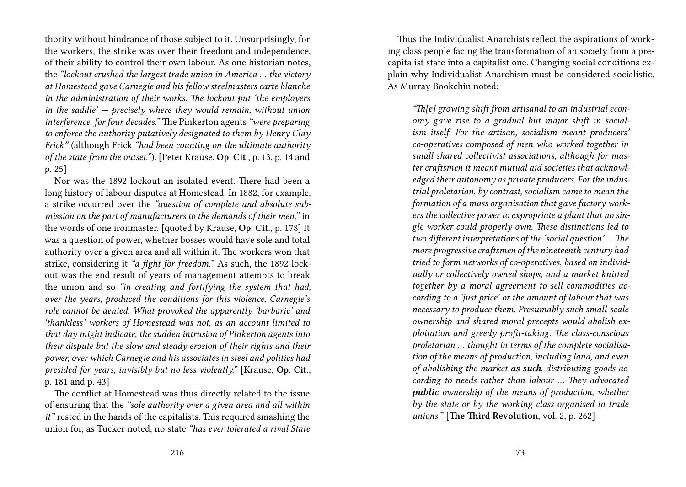thority without hindrance of those subject to it. Unsurprisingly, for the workers, the strike was over their freedom and independence, of their ability to control their own labour. As one historian notes, the *"lockout crushed the largest trade union in America … the victory at Homestead gave Carnegie and his fellow steelmasters carte blanche in the administration of their works. The lockout put 'the employers in the saddle' — precisely where they would remain, without union interference, for four decades."* The Pinkerton agents *"were preparing to enforce the authority putatively designated to them by Henry Clay Frick"* (although Frick *"had been counting on the ultimate authority of the state from the outset."*). [Peter Krause, **Op. Cit.**, p. 13, p. 14 and p. 25]

Nor was the 1892 lockout an isolated event. There had been a long history of labour disputes at Homestead. In 1882, for example, a strike occurred over the *"question of complete and absolute submission on the part of manufacturers to the demands of their men,"* in the words of one ironmaster. [quoted by Krause, **Op. Cit.**, p. 178] It was a question of power, whether bosses would have sole and total authority over a given area and all within it. The workers won that strike, considering it *"a fight for freedom."* As such, the 1892 lockout was the end result of years of management attempts to break the union and so *"in creating and fortifying the system that had, over the years, produced the conditions for this violence, Carnegie's role cannot be denied. What provoked the apparently 'barbaric' and 'thankless' workers of Homestead was not, as an account limited to that day might indicate, the sudden intrusion of Pinkerton agents into their dispute but the slow and steady erosion of their rights and their power, over which Carnegie and his associates in steel and politics had presided for years, invisibly but no less violently."* [Krause, **Op. Cit.**, p. 181 and p. 43]

The conflict at Homestead was thus directly related to the issue of ensuring that the *"sole authority over a given area and all within it"* rested in the hands of the capitalists. This required smashing the union for, as Tucker noted, no state *"has ever tolerated a rival State*

Thus the Individualist Anarchists reflect the aspirations of working class people facing the transformation of an society from a precapitalist state into a capitalist one. Changing social conditions explain why Individualist Anarchism must be considered socialistic. As Murray Bookchin noted:

*"Th[e] growing shift from artisanal to an industrial economy gave rise to a gradual but major shift in socialism itself. For the artisan, socialism meant producers' co-operatives composed of men who worked together in small shared collectivist associations, although for master craftsmen it meant mutual aid societies that acknowledged their autonomy as private producers. For the industrial proletarian, by contrast, socialism came to mean the formation of a mass organisation that gave factory workers the collective power to expropriate a plant that no single worker could properly own. These distinctions led to two different interpretations of the 'social question' … The more progressive craftsmen of the nineteenth century had tried to form networks of co-operatives, based on individually or collectively owned shops, and a market knitted together by a moral agreement to sell commodities according to a 'just price' or the amount of labour that was necessary to produce them. Presumably such small-scale ownership and shared moral precepts would abolish exploitation and greedy profit-taking. The class-conscious proletarian … thought in terms of the complete socialisation of the means of production, including land, and even of abolishing the market as such, distributing goods according to needs rather than labour … They advocated public ownership of the means of production, whether by the state or by the working class organised in trade unions."* [**The Third Revolution**, vol. 2, p. 262]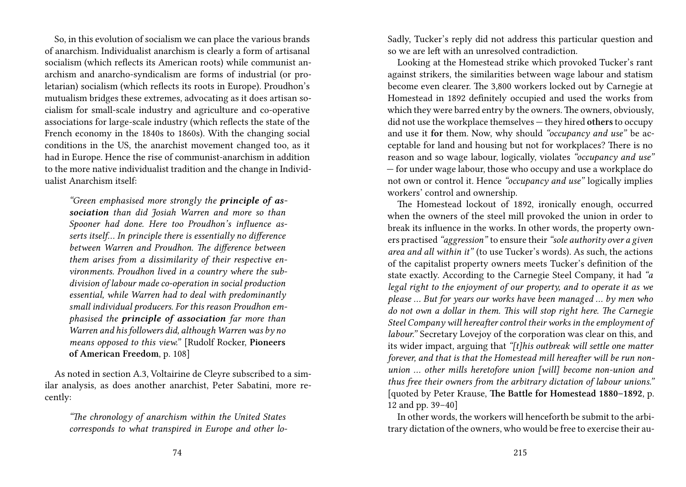So, in this evolution of socialism we can place the various brands of anarchism. Individualist anarchism is clearly a form of artisanal socialism (which reflects its American roots) while communist anarchism and anarcho-syndicalism are forms of industrial (or proletarian) socialism (which reflects its roots in Europe). Proudhon's mutualism bridges these extremes, advocating as it does artisan socialism for small-scale industry and agriculture and co-operative associations for large-scale industry (which reflects the state of the French economy in the 1840s to 1860s). With the changing social conditions in the US, the anarchist movement changed too, as it had in Europe. Hence the rise of communist-anarchism in addition to the more native individualist tradition and the change in Individualist Anarchism itself:

*"Green emphasised more strongly the principle of association than did Josiah Warren and more so than Spooner had done. Here too Proudhon's influence asserts itself… In principle there is essentially no difference between Warren and Proudhon. The difference between them arises from a dissimilarity of their respective environments. Proudhon lived in a country where the subdivision of labour made co-operation in social production essential, while Warren had to deal with predominantly small individual producers. For this reason Proudhon emphasised the principle of association far more than Warren and his followers did, although Warren was by no means opposed to this view."* [Rudolf Rocker, **Pioneers of American Freedom**, p. 108]

As noted in section A.3, Voltairine de Cleyre subscribed to a similar analysis, as does another anarchist, Peter Sabatini, more recently:

*"The chronology of anarchism within the United States corresponds to what transpired in Europe and other lo-* Sadly, Tucker's reply did not address this particular question and so we are left with an unresolved contradiction.

Looking at the Homestead strike which provoked Tucker's rant against strikers, the similarities between wage labour and statism become even clearer. The 3,800 workers locked out by Carnegie at Homestead in 1892 definitely occupied and used the works from which they were barred entry by the owners. The owners, obviously, did not use the workplace themselves — they hired **others** to occupy and use it **for** them. Now, why should *"occupancy and use"* be acceptable for land and housing but not for workplaces? There is no reason and so wage labour, logically, violates *"occupancy and use"* — for under wage labour, those who occupy and use a workplace do not own or control it. Hence *"occupancy and use"* logically implies workers' control and ownership.

The Homestead lockout of 1892, ironically enough, occurred when the owners of the steel mill provoked the union in order to break its influence in the works. In other words, the property owners practised *"aggression"* to ensure their *"sole authority over a given area and all within it"* (to use Tucker's words). As such, the actions of the capitalist property owners meets Tucker's definition of the state exactly. According to the Carnegie Steel Company, it had *"a legal right to the enjoyment of our property, and to operate it as we please … But for years our works have been managed … by men who do not own a dollar in them. This will stop right here. The Carnegie Steel Company will hereafter control their works in the employment of labour."* Secretary Lovejoy of the corporation was clear on this, and its wider impact, arguing that *"[t]his outbreak will settle one matter forever, and that is that the Homestead mill hereafter will be run nonunion … other mills heretofore union [will] become non-union and thus free their owners from the arbitrary dictation of labour unions."* [quoted by Peter Krause, **The Battle for Homestead 1880–1892**, p. 12 and pp. 39–40]

In other words, the workers will henceforth be submit to the arbitrary dictation of the owners, who would be free to exercise their au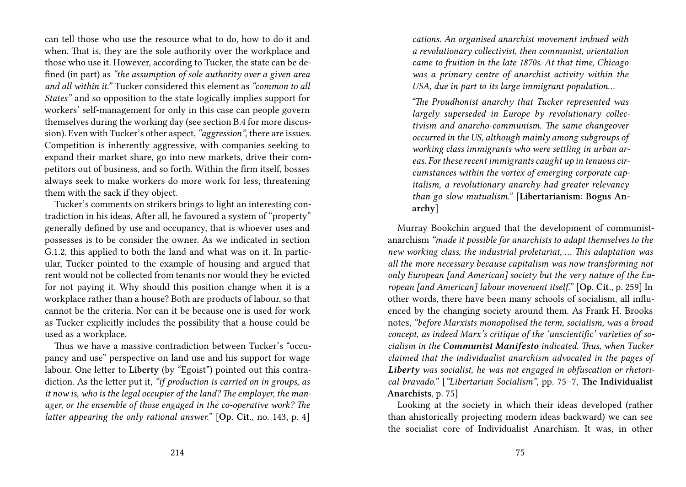can tell those who use the resource what to do, how to do it and when. That is, they are the sole authority over the workplace and those who use it. However, according to Tucker, the state can be defined (in part) as *"the assumption of sole authority over a given area and all within it."* Tucker considered this element as *"common to all States"* and so opposition to the state logically implies support for workers' self-management for only in this case can people govern themselves during the working day (see section B.4 for more discussion). Even with Tucker's other aspect,*"aggression"*, there are issues. Competition is inherently aggressive, with companies seeking to expand their market share, go into new markets, drive their competitors out of business, and so forth. Within the firm itself, bosses always seek to make workers do more work for less, threatening them with the sack if they object.

Tucker's comments on strikers brings to light an interesting contradiction in his ideas. After all, he favoured a system of "property" generally defined by use and occupancy, that is whoever uses and possesses is to be consider the owner. As we indicated in section G.1.2, this applied to both the land and what was on it. In particular, Tucker pointed to the example of housing and argued that rent would not be collected from tenants nor would they be evicted for not paying it. Why should this position change when it is a workplace rather than a house? Both are products of labour, so that cannot be the criteria. Nor can it be because one is used for work as Tucker explicitly includes the possibility that a house could be used as a workplace.

Thus we have a massive contradiction between Tucker's "occupancy and use" perspective on land use and his support for wage labour. One letter to **Liberty** (by "Egoist") pointed out this contradiction. As the letter put it, *"if production is carried on in groups, as it now is, who is the legal occupier of the land? The employer, the manager, or the ensemble of those engaged in the co-operative work? The latter appearing the only rational answer."* [**Op. Cit.**, no. 143, p. 4]

*cations. An organised anarchist movement imbued with a revolutionary collectivist, then communist, orientation came to fruition in the late 1870s. At that time, Chicago was a primary centre of anarchist activity within the USA, due in part to its large immigrant population…*

*"The Proudhonist anarchy that Tucker represented was largely superseded in Europe by revolutionary collectivism and anarcho-communism. The same changeover occurred in the US, although mainly among subgroups of working class immigrants who were settling in urban areas. For these recent immigrants caught up in tenuous circumstances within the vortex of emerging corporate capitalism, a revolutionary anarchy had greater relevancy than go slow mutualism."* [**Libertarianism: Bogus Anarchy**]

Murray Bookchin argued that the development of communistanarchism *"made it possible for anarchists to adapt themselves to the new working class, the industrial proletariat, … This adaptation was all the more necessary because capitalism was now transforming not only European [and American] society but the very nature of the European [and American] labour movement itself."* [**Op. Cit.**, p. 259] In other words, there have been many schools of socialism, all influenced by the changing society around them. As Frank H. Brooks notes, *"before Marxists monopolised the term, socialism, was a broad concept, as indeed Marx's critique of the 'unscientific' varieties of socialism in the Communist Manifesto indicated. Thus, when Tucker claimed that the individualist anarchism advocated in the pages of Liberty was socialist, he was not engaged in obfuscation or rhetorical bravado."* [*"Libertarian Socialism"*, pp. 75–7, **The Individualist Anarchists**, p. 75]

Looking at the society in which their ideas developed (rather than ahistorically projecting modern ideas backward) we can see the socialist core of Individualist Anarchism. It was, in other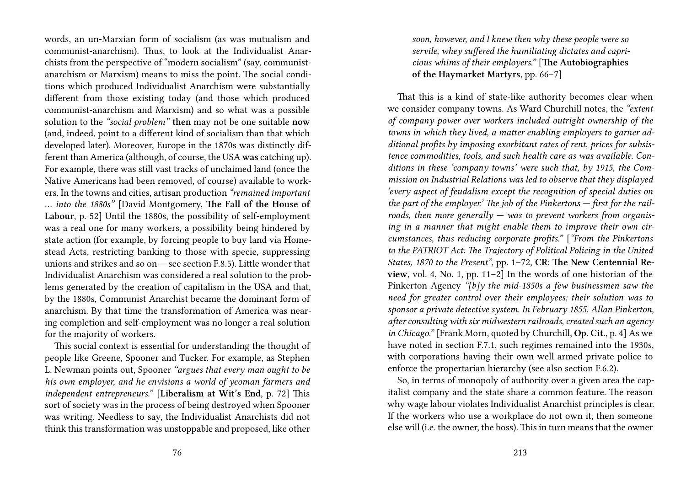words, an un-Marxian form of socialism (as was mutualism and communist-anarchism). Thus, to look at the Individualist Anarchists from the perspective of "modern socialism" (say, communistanarchism or Marxism) means to miss the point. The social conditions which produced Individualist Anarchism were substantially different from those existing today (and those which produced communist-anarchism and Marxism) and so what was a possible solution to the *"social problem"* **then** may not be one suitable **now** (and, indeed, point to a different kind of socialism than that which developed later). Moreover, Europe in the 1870s was distinctly different than America (although, of course, the USA **was** catching up). For example, there was still vast tracks of unclaimed land (once the Native Americans had been removed, of course) available to workers. In the towns and cities, artisan production *"remained important … into the 1880s"* [David Montgomery, **The Fall of the House of Labour**, p. 52] Until the 1880s, the possibility of self-employment was a real one for many workers, a possibility being hindered by state action (for example, by forcing people to buy land via Homestead Acts, restricting banking to those with specie, suppressing unions and strikes and so on — see section F.8.5). Little wonder that Individualist Anarchism was considered a real solution to the problems generated by the creation of capitalism in the USA and that, by the 1880s, Communist Anarchist became the dominant form of anarchism. By that time the transformation of America was nearing completion and self-employment was no longer a real solution for the majority of workers.

This social context is essential for understanding the thought of people like Greene, Spooner and Tucker. For example, as Stephen L. Newman points out, Spooner *"argues that every man ought to be his own employer, and he envisions a world of yeoman farmers and independent entrepreneurs."* [**Liberalism at Wit's End**, p. 72] This sort of society was in the process of being destroyed when Spooner was writing. Needless to say, the Individualist Anarchists did not think this transformation was unstoppable and proposed, like other

*soon, however, and I knew then why these people were so servile, whey suffered the humiliating dictates and capricious whims of their employers."* [**The Autobiographies of the Haymarket Martyrs**, pp. 66–7]

That this is a kind of state-like authority becomes clear when we consider company towns. As Ward Churchill notes, the *"extent of company power over workers included outright ownership of the towns in which they lived, a matter enabling employers to garner additional profits by imposing exorbitant rates of rent, prices for subsistence commodities, tools, and such health care as was available. Conditions in these 'company towns' were such that, by 1915, the Commission on Industrial Relations was led to observe that they displayed 'every aspect of feudalism except the recognition of special duties on the part of the employer.' The job of the Pinkertons — first for the railroads, then more generally — was to prevent workers from organising in a manner that might enable them to improve their own circumstances, thus reducing corporate profits."* [*"From the Pinkertons to the PATRIOT Act: The Trajectory of Political Policing in the United States, 1870 to the Present"*, pp. 1–72, **CR: The New Centennial Review**, vol. 4, No. 1, pp. 11–2] In the words of one historian of the Pinkerton Agency *"[b]y the mid-1850s a few businessmen saw the need for greater control over their employees; their solution was to sponsor a private detective system. In February 1855, Allan Pinkerton, after consulting with six midwestern railroads, created such an agency in Chicago."* [Frank Morn, quoted by Churchill, **Op. Cit.**, p. 4] As we have noted in section F.7.1, such regimes remained into the 1930s, with corporations having their own well armed private police to enforce the propertarian hierarchy (see also section F.6.2).

So, in terms of monopoly of authority over a given area the capitalist company and the state share a common feature. The reason why wage labour violates Individualist Anarchist principles is clear. If the workers who use a workplace do not own it, then someone else will (i.e. the owner, the boss). This in turn means that the owner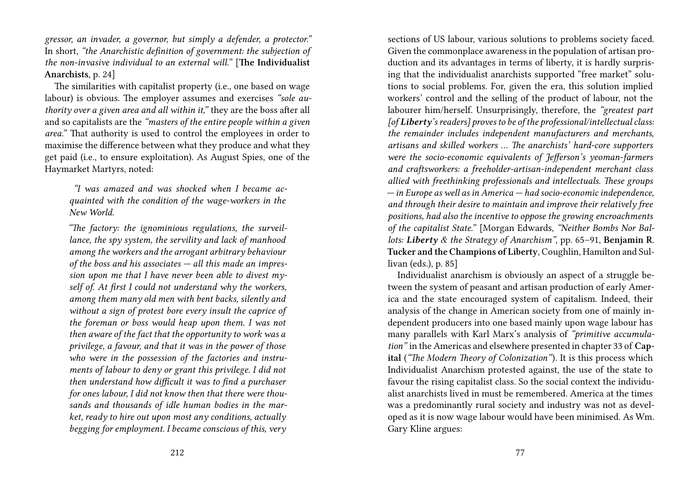*gressor, an invader, a governor, but simply a defender, a protector."* In short, *"the Anarchistic definition of government: the subjection of the non-invasive individual to an external will."* [**The Individualist Anarchists**, p. 24]

The similarities with capitalist property (i.e., one based on wage labour) is obvious. The employer assumes and exercises *"sole authority over a given area and all within it,"* they are the boss after all and so capitalists are the *"masters of the entire people within a given area."* That authority is used to control the employees in order to maximise the difference between what they produce and what they get paid (i.e., to ensure exploitation). As August Spies, one of the Haymarket Martyrs, noted:

*"I was amazed and was shocked when I became acquainted with the condition of the wage-workers in the New World.*

*"The factory: the ignominious regulations, the surveillance, the spy system, the servility and lack of manhood among the workers and the arrogant arbitrary behaviour of the boss and his associates — all this made an impression upon me that I have never been able to divest myself of. At first I could not understand why the workers, among them many old men with bent backs, silently and without a sign of protest bore every insult the caprice of the foreman or boss would heap upon them. I was not then aware of the fact that the opportunity to work was a privilege, a favour, and that it was in the power of those who were in the possession of the factories and instruments of labour to deny or grant this privilege. I did not then understand how difficult it was to find a purchaser for ones labour, I did not know then that there were thousands and thousands of idle human bodies in the market, ready to hire out upon most any conditions, actually begging for employment. I became conscious of this, very*

sections of US labour, various solutions to problems society faced. Given the commonplace awareness in the population of artisan production and its advantages in terms of liberty, it is hardly surprising that the individualist anarchists supported "free market" solutions to social problems. For, given the era, this solution implied workers' control and the selling of the product of labour, not the labourer him/herself. Unsurprisingly, therefore, the *"greatest part [of Liberty's readers] proves to be of the professional/intellectual class: the remainder includes independent manufacturers and merchants, artisans and skilled workers … The anarchists' hard-core supporters were the socio-economic equivalents of Jefferson's yeoman-farmers and craftsworkers: a freeholder-artisan-independent merchant class allied with freethinking professionals and intellectuals. These groups — in Europe as well as in America — had socio-economic independence, and through their desire to maintain and improve their relatively free positions, had also the incentive to oppose the growing encroachments of the capitalist State."* [Morgan Edwards, *"Neither Bombs Nor Ballots: Liberty & the Strategy of Anarchism"*, pp. 65–91, **Benjamin R. Tucker and the Champions of Liberty**, Coughlin, Hamilton and Sullivan (eds.), p. 85]

Individualist anarchism is obviously an aspect of a struggle between the system of peasant and artisan production of early America and the state encouraged system of capitalism. Indeed, their analysis of the change in American society from one of mainly independent producers into one based mainly upon wage labour has many parallels with Karl Marx's analysis of *"primitive accumulation"* in the Americas and elsewhere presented in chapter 33 of **Capital** (*"The Modern Theory of Colonization"*). It is this process which Individualist Anarchism protested against, the use of the state to favour the rising capitalist class. So the social context the individualist anarchists lived in must be remembered. America at the times was a predominantly rural society and industry was not as developed as it is now wage labour would have been minimised. As Wm. Gary Kline argues: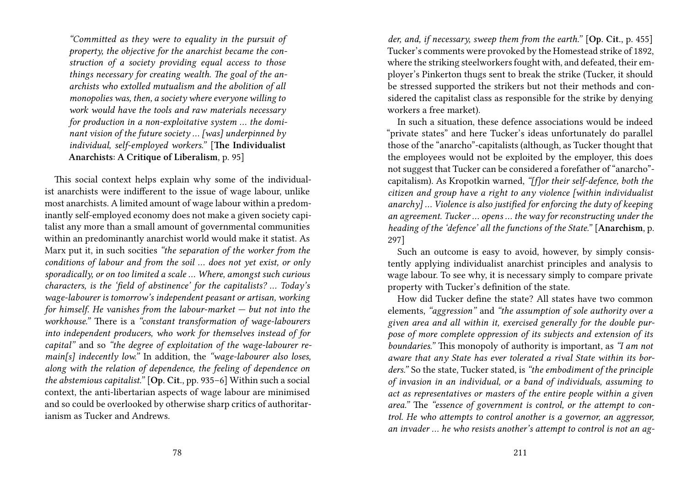*"Committed as they were to equality in the pursuit of property, the objective for the anarchist became the construction of a society providing equal access to those things necessary for creating wealth. The goal of the anarchists who extolled mutualism and the abolition of all monopolies was, then, a society where everyone willing to work would have the tools and raw materials necessary for production in a non-exploitative system … the dominant vision of the future society … [was] underpinned by individual, self-employed workers."* [**The Individualist Anarchists: A Critique of Liberalism**, p. 95]

This social context helps explain why some of the individualist anarchists were indifferent to the issue of wage labour, unlike most anarchists. A limited amount of wage labour within a predominantly self-employed economy does not make a given society capitalist any more than a small amount of governmental communities within an predominantly anarchist world would make it statist. As Marx put it, in such socities *"the separation of the worker from the conditions of labour and from the soil … does not yet exist, or only sporadically, or on too limited a scale … Where, amongst such curious characters, is the 'field of abstinence' for the capitalists? … Today's wage-labourer is tomorrow's independent peasant or artisan, working for himself. He vanishes from the labour-market — but not into the workhouse."* There is a *"constant transformation of wage-labourers into independent producers, who work for themselves instead of for capital"* and so *"the degree of exploitation of the wage-labourer remain[s] indecently low."* In addition, the *"wage-labourer also loses, along with the relation of dependence, the feeling of dependence on the abstemious capitalist."* [**Op. Cit.**, pp. 935–6] Within such a social context, the anti-libertarian aspects of wage labour are minimised and so could be overlooked by otherwise sharp critics of authoritarianism as Tucker and Andrews.

*der, and, if necessary, sweep them from the earth."* [**Op. Cit.**, p. 455] Tucker's comments were provoked by the Homestead strike of 1892, where the striking steelworkers fought with, and defeated, their employer's Pinkerton thugs sent to break the strike (Tucker, it should be stressed supported the strikers but not their methods and considered the capitalist class as responsible for the strike by denying workers a free market).

In such a situation, these defence associations would be indeed "private states" and here Tucker's ideas unfortunately do parallel those of the "anarcho"-capitalists (although, as Tucker thought that the employees would not be exploited by the employer, this does not suggest that Tucker can be considered a forefather of "anarcho" capitalism). As Kropotkin warned, *"[f]or their self-defence, both the citizen and group have a right to any violence [within individualist anarchy] … Violence is also justified for enforcing the duty of keeping an agreement. Tucker … opens … the way for reconstructing under the heading of the 'defence' all the functions of the State."* [**Anarchism**, p. 297]

Such an outcome is easy to avoid, however, by simply consistently applying individualist anarchist principles and analysis to wage labour. To see why, it is necessary simply to compare private property with Tucker's definition of the state.

How did Tucker define the state? All states have two common elements, *"aggression"* and *"the assumption of sole authority over a given area and all within it, exercised generally for the double purpose of more complete oppression of its subjects and extension of its boundaries."* This monopoly of authority is important, as *"I am not aware that any State has ever tolerated a rival State within its borders."* So the state, Tucker stated, is *"the embodiment of the principle of invasion in an individual, or a band of individuals, assuming to act as representatives or masters of the entire people within a given area."* The *"essence of government is control, or the attempt to control. He who attempts to control another is a governor, an aggressor, an invader … he who resists another's attempt to control is not an ag-*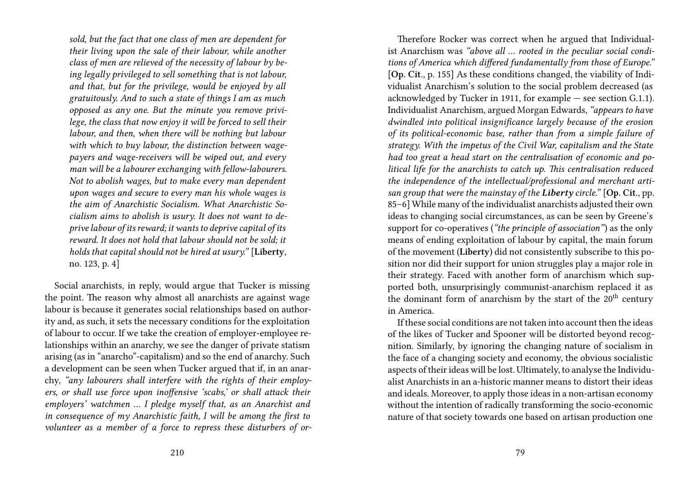*sold, but the fact that one class of men are dependent for their living upon the sale of their labour, while another class of men are relieved of the necessity of labour by being legally privileged to sell something that is not labour, and that, but for the privilege, would be enjoyed by all gratuitously. And to such a state of things I am as much opposed as any one. But the minute you remove privilege, the class that now enjoy it will be forced to sell their labour, and then, when there will be nothing but labour with which to buy labour, the distinction between wagepayers and wage-receivers will be wiped out, and every man will be a labourer exchanging with fellow-labourers. Not to abolish wages, but to make every man dependent upon wages and secure to every man his whole wages is the aim of Anarchistic Socialism. What Anarchistic Socialism aims to abolish is usury. It does not want to deprive labour of its reward; it wants to deprive capital of its reward. It does not hold that labour should not be sold; it holds that capital should not be hired at usury."* [**Liberty**, no. 123, p. 4]

Social anarchists, in reply, would argue that Tucker is missing the point. The reason why almost all anarchists are against wage labour is because it generates social relationships based on authority and, as such, it sets the necessary conditions for the exploitation of labour to occur. If we take the creation of employer-employee relationships within an anarchy, we see the danger of private statism arising (as in "anarcho"-capitalism) and so the end of anarchy. Such a development can be seen when Tucker argued that if, in an anarchy, *"any labourers shall interfere with the rights of their employers, or shall use force upon inoffensive 'scabs,' or shall attack their employers' watchmen … I pledge myself that, as an Anarchist and in consequence of my Anarchistic faith, I will be among the first to volunteer as a member of a force to repress these disturbers of or-*

Therefore Rocker was correct when he argued that Individualist Anarchism was *"above all … rooted in the peculiar social conditions of America which differed fundamentally from those of Europe."* [**Op. Cit.**, p. 155] As these conditions changed, the viability of Individualist Anarchism's solution to the social problem decreased (as acknowledged by Tucker in 1911, for example — see section G.1.1). Individualist Anarchism, argued Morgan Edwards, *"appears to have dwindled into political insignificance largely because of the erosion of its political-economic base, rather than from a simple failure of strategy. With the impetus of the Civil War, capitalism and the State had too great a head start on the centralisation of economic and political life for the anarchists to catch up. This centralisation reduced the independence of the intellectual/professional and merchant artisan group that were the mainstay of the Liberty circle."* [**Op. Cit.**, pp. 85–6] While many of the individualist anarchists adjusted their own ideas to changing social circumstances, as can be seen by Greene's support for co-operatives (*"the principle of association"*) as the only means of ending exploitation of labour by capital, the main forum of the movement (**Liberty**) did not consistently subscribe to this position nor did their support for union struggles play a major role in their strategy. Faced with another form of anarchism which supported both, unsurprisingly communist-anarchism replaced it as the dominant form of anarchism by the start of the  $20<sup>th</sup>$  century in America.

If these social conditions are not taken into account then the ideas of the likes of Tucker and Spooner will be distorted beyond recognition. Similarly, by ignoring the changing nature of socialism in the face of a changing society and economy, the obvious socialistic aspects of their ideas will be lost. Ultimately, to analyse the Individualist Anarchists in an a-historic manner means to distort their ideas and ideals. Moreover, to apply those ideas in a non-artisan economy without the intention of radically transforming the socio-economic nature of that society towards one based on artisan production one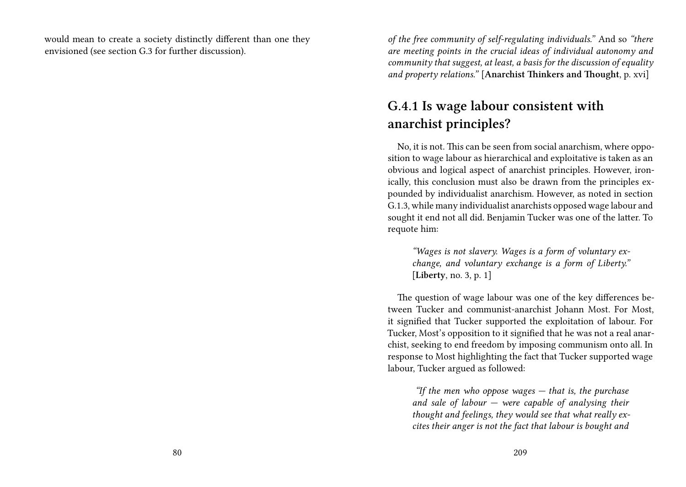would mean to create a society distinctly different than one they envisioned (see section G.3 for further discussion).

*of the free community of self-regulating individuals."* And so *"there are meeting points in the crucial ideas of individual autonomy and community that suggest, at least, a basis for the discussion of equality and property relations."* [**Anarchist Thinkers and Thought**, p. xvi]

## **G.4.1 Is wage labour consistent with anarchist principles?**

No, it is not. This can be seen from social anarchism, where opposition to wage labour as hierarchical and exploitative is taken as an obvious and logical aspect of anarchist principles. However, ironically, this conclusion must also be drawn from the principles expounded by individualist anarchism. However, as noted in section G.1.3, while many individualist anarchists opposed wage labour and sought it end not all did. Benjamin Tucker was one of the latter. To requote him:

*"Wages is not slavery. Wages is a form of voluntary exchange, and voluntary exchange is a form of Liberty."* [**Liberty**, no. 3, p. 1]

The question of wage labour was one of the key differences between Tucker and communist-anarchist Johann Most. For Most, it signified that Tucker supported the exploitation of labour. For Tucker, Most's opposition to it signified that he was not a real anarchist, seeking to end freedom by imposing communism onto all. In response to Most highlighting the fact that Tucker supported wage labour, Tucker argued as followed:

*"If the men who oppose wages — that is, the purchase and sale of labour — were capable of analysing their thought and feelings, they would see that what really excites their anger is not the fact that labour is bought and*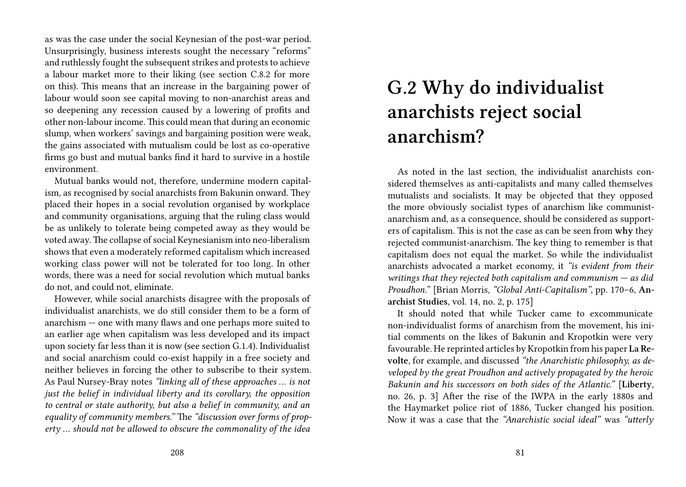as was the case under the social Keynesian of the post-war period. Unsurprisingly, business interests sought the necessary "reforms" and ruthlessly fought the subsequent strikes and protests to achieve a labour market more to their liking (see section C.8.2 for more on this). This means that an increase in the bargaining power of labour would soon see capital moving to non-anarchist areas and so deepening any recession caused by a lowering of profits and other non-labour income. This could mean that during an economic slump, when workers' savings and bargaining position were weak, the gains associated with mutualism could be lost as co-operative firms go bust and mutual banks find it hard to survive in a hostile environment.

Mutual banks would not, therefore, undermine modern capitalism, as recognised by social anarchists from Bakunin onward. They placed their hopes in a social revolution organised by workplace and community organisations, arguing that the ruling class would be as unlikely to tolerate being competed away as they would be voted away. The collapse of social Keynesianism into neo-liberalism shows that even a moderately reformed capitalism which increased working class power will not be tolerated for too long. In other words, there was a need for social revolution which mutual banks do not, and could not, eliminate.

However, while social anarchists disagree with the proposals of individualist anarchists, we do still consider them to be a form of anarchism — one with many flaws and one perhaps more suited to an earlier age when capitalism was less developed and its impact upon society far less than it is now (see section G.1.4). Individualist and social anarchism could co-exist happily in a free society and neither believes in forcing the other to subscribe to their system. As Paul Nursey-Bray notes *"linking all of these approaches … is not just the belief in individual liberty and its corollary, the opposition to central or state authority, but also a belief in community, and an equality of community members."* The *"discussion over forms of property … should not be allowed to obscure the commonality of the idea*

# **G.2 Why do individualist anarchists reject social anarchism?**

As noted in the last section, the individualist anarchists considered themselves as anti-capitalists and many called themselves mutualists and socialists. It may be objected that they opposed the more obviously socialist types of anarchism like communistanarchism and, as a consequence, should be considered as supporters of capitalism. This is not the case as can be seen from **why** they rejected communist-anarchism. The key thing to remember is that capitalism does not equal the market. So while the individualist anarchists advocated a market economy, it *"is evident from their writings that they rejected both capitalism and communism — as did Proudhon."* [Brian Morris, *"Global Anti-Capitalism"*, pp. 170–6, **Anarchist Studies**, vol. 14, no. 2, p. 175]

It should noted that while Tucker came to excommunicate non-individualist forms of anarchism from the movement, his initial comments on the likes of Bakunin and Kropotkin were very favourable. He reprinted articles by Kropotkin from his paper **La Revolte**, for example, and discussed *"the Anarchistic philosophy, as developed by the great Proudhon and actively propagated by the heroic Bakunin and his successors on both sides of the Atlantic."* [**Liberty**, no. 26, p. 3] After the rise of the IWPA in the early 1880s and the Haymarket police riot of 1886, Tucker changed his position. Now it was a case that the *"Anarchistic social ideal"* was *"utterly*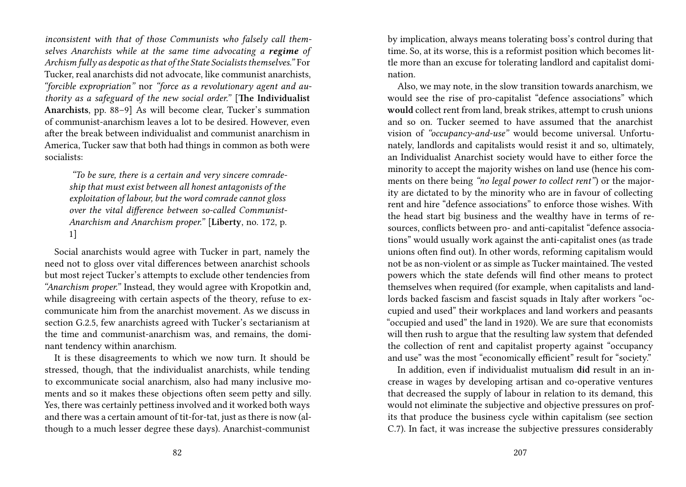*inconsistent with that of those Communists who falsely call themselves Anarchists while at the same time advocating a regime of Archism fully as despotic as that of the State Socialists themselves."* For Tucker, real anarchists did not advocate, like communist anarchists, *"forcible expropriation"* nor *"force as a revolutionary agent and authority as a safeguard of the new social order."* [**The Individualist Anarchists**, pp. 88–9] As will become clear, Tucker's summation of communist-anarchism leaves a lot to be desired. However, even after the break between individualist and communist anarchism in America, Tucker saw that both had things in common as both were socialists:

*"To be sure, there is a certain and very sincere comradeship that must exist between all honest antagonists of the exploitation of labour, but the word comrade cannot gloss over the vital difference between so-called Communist-Anarchism and Anarchism proper."* [**Liberty**, no. 172, p. 1]

Social anarchists would agree with Tucker in part, namely the need not to gloss over vital differences between anarchist schools but most reject Tucker's attempts to exclude other tendencies from *"Anarchism proper."* Instead, they would agree with Kropotkin and, while disagreeing with certain aspects of the theory, refuse to excommunicate him from the anarchist movement. As we discuss in section G.2.5, few anarchists agreed with Tucker's sectarianism at the time and communist-anarchism was, and remains, the dominant tendency within anarchism.

It is these disagreements to which we now turn. It should be stressed, though, that the individualist anarchists, while tending to excommunicate social anarchism, also had many inclusive moments and so it makes these objections often seem petty and silly. Yes, there was certainly pettiness involved and it worked both ways and there was a certain amount of tit-for-tat, just as there is now (although to a much lesser degree these days). Anarchist-communist

by implication, always means tolerating boss's control during that time. So, at its worse, this is a reformist position which becomes little more than an excuse for tolerating landlord and capitalist domination.

Also, we may note, in the slow transition towards anarchism, we would see the rise of pro-capitalist "defence associations" which **would** collect rent from land, break strikes, attempt to crush unions and so on. Tucker seemed to have assumed that the anarchist vision of *"occupancy-and-use"* would become universal. Unfortunately, landlords and capitalists would resist it and so, ultimately, an Individualist Anarchist society would have to either force the minority to accept the majority wishes on land use (hence his comments on there being *"no legal power to collect rent"*) or the majority are dictated to by the minority who are in favour of collecting rent and hire "defence associations" to enforce those wishes. With the head start big business and the wealthy have in terms of resources, conflicts between pro- and anti-capitalist "defence associations" would usually work against the anti-capitalist ones (as trade unions often find out). In other words, reforming capitalism would not be as non-violent or as simple as Tucker maintained. The vested powers which the state defends will find other means to protect themselves when required (for example, when capitalists and landlords backed fascism and fascist squads in Italy after workers "occupied and used" their workplaces and land workers and peasants "occupied and used" the land in 1920). We are sure that economists will then rush to argue that the resulting law system that defended the collection of rent and capitalist property against "occupancy and use" was the most "economically efficient" result for "society."

In addition, even if individualist mutualism **did** result in an increase in wages by developing artisan and co-operative ventures that decreased the supply of labour in relation to its demand, this would not eliminate the subjective and objective pressures on profits that produce the business cycle within capitalism (see section C.7). In fact, it was increase the subjective pressures considerably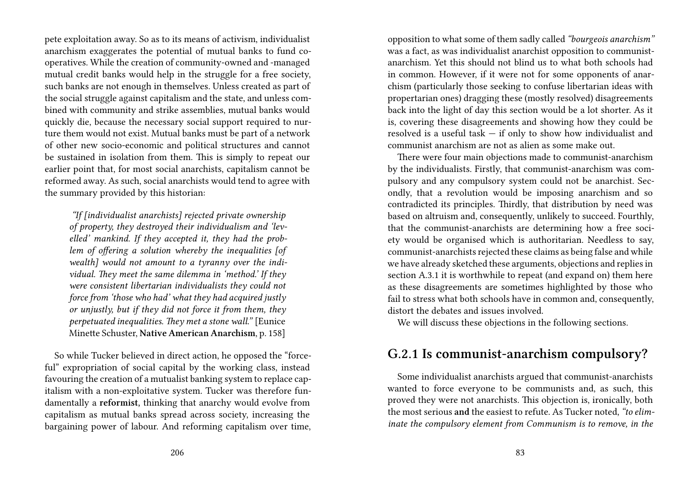pete exploitation away. So as to its means of activism, individualist anarchism exaggerates the potential of mutual banks to fund cooperatives. While the creation of community-owned and -managed mutual credit banks would help in the struggle for a free society, such banks are not enough in themselves. Unless created as part of the social struggle against capitalism and the state, and unless combined with community and strike assemblies, mutual banks would quickly die, because the necessary social support required to nurture them would not exist. Mutual banks must be part of a network of other new socio-economic and political structures and cannot be sustained in isolation from them. This is simply to repeat our earlier point that, for most social anarchists, capitalism cannot be reformed away. As such, social anarchists would tend to agree with the summary provided by this historian:

*"If [individualist anarchists] rejected private ownership of property, they destroyed their individualism and 'levelled' mankind. If they accepted it, they had the problem of offering a solution whereby the inequalities [of wealth] would not amount to a tyranny over the individual. They meet the same dilemma in 'method.' If they were consistent libertarian individualists they could not force from 'those who had' what they had acquired justly or unjustly, but if they did not force it from them, they perpetuated inequalities. They met a stone wall."* [Eunice Minette Schuster, **Native American Anarchism**, p. 158]

So while Tucker believed in direct action, he opposed the "forceful" expropriation of social capital by the working class, instead favouring the creation of a mutualist banking system to replace capitalism with a non-exploitative system. Tucker was therefore fundamentally a **reformist,** thinking that anarchy would evolve from capitalism as mutual banks spread across society, increasing the bargaining power of labour. And reforming capitalism over time,

opposition to what some of them sadly called *"bourgeois anarchism"* was a fact, as was individualist anarchist opposition to communistanarchism. Yet this should not blind us to what both schools had in common. However, if it were not for some opponents of anarchism (particularly those seeking to confuse libertarian ideas with propertarian ones) dragging these (mostly resolved) disagreements back into the light of day this section would be a lot shorter. As it is, covering these disagreements and showing how they could be resolved is a useful task — if only to show how individualist and communist anarchism are not as alien as some make out.

There were four main objections made to communist-anarchism by the individualists. Firstly, that communist-anarchism was compulsory and any compulsory system could not be anarchist. Secondly, that a revolution would be imposing anarchism and so contradicted its principles. Thirdly, that distribution by need was based on altruism and, consequently, unlikely to succeed. Fourthly, that the communist-anarchists are determining how a free society would be organised which is authoritarian. Needless to say, communist-anarchists rejected these claims as being false and while we have already sketched these arguments, objections and replies in section A.3.1 it is worthwhile to repeat (and expand on) them here as these disagreements are sometimes highlighted by those who fail to stress what both schools have in common and, consequently, distort the debates and issues involved.

We will discuss these objections in the following sections.

#### **G.2.1 Is communist-anarchism compulsory?**

Some individualist anarchists argued that communist-anarchists wanted to force everyone to be communists and, as such, this proved they were not anarchists. This objection is, ironically, both the most serious **and** the easiest to refute. As Tucker noted, *"to eliminate the compulsory element from Communism is to remove, in the*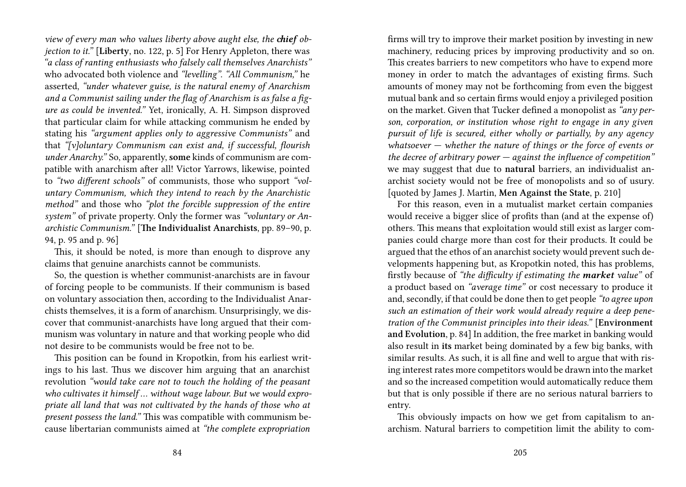*view of every man who values liberty above aught else, the chief objection to it."* [**Liberty**, no. 122, p. 5] For Henry Appleton, there was *"a class of ranting enthusiasts who falsely call themselves Anarchists"* who advocated both violence and *"levelling"*. *"All Communism,"* he asserted, *"under whatever guise, is the natural enemy of Anarchism and a Communist sailing under the flag of Anarchism is as false a figure as could be invented."* Yet, ironically, A. H. Simpson disproved that particular claim for while attacking communism he ended by stating his *"argument applies only to aggressive Communists"* and that *"[v]oluntary Communism can exist and, if successful, flourish under Anarchy."* So, apparently, **some** kinds of communism are compatible with anarchism after all! Victor Yarrows, likewise, pointed to *"two different schools"* of communists, those who support *"voluntary Communism, which they intend to reach by the Anarchistic method"* and those who *"plot the forcible suppression of the entire system"* of private property. Only the former was *"voluntary or Anarchistic Communism."* [**The Individualist Anarchists**, pp. 89–90, p. 94, p. 95 and p. 96]

This, it should be noted, is more than enough to disprove any claims that genuine anarchists cannot be communists.

So, the question is whether communist-anarchists are in favour of forcing people to be communists. If their communism is based on voluntary association then, according to the Individualist Anarchists themselves, it is a form of anarchism. Unsurprisingly, we discover that communist-anarchists have long argued that their communism was voluntary in nature and that working people who did not desire to be communists would be free not to be.

This position can be found in Kropotkin, from his earliest writings to his last. Thus we discover him arguing that an anarchist revolution *"would take care not to touch the holding of the peasant who cultivates it himself … without wage labour. But we would expropriate all land that was not cultivated by the hands of those who at present possess the land."* This was compatible with communism because libertarian communists aimed at *"the complete expropriation*

firms will try to improve their market position by investing in new machinery, reducing prices by improving productivity and so on. This creates barriers to new competitors who have to expend more money in order to match the advantages of existing firms. Such amounts of money may not be forthcoming from even the biggest mutual bank and so certain firms would enjoy a privileged position on the market. Given that Tucker defined a monopolist as *"any person, corporation, or institution whose right to engage in any given pursuit of life is secured, either wholly or partially, by any agency whatsoever — whether the nature of things or the force of events or the decree of arbitrary power — against the influence of competition"* we may suggest that due to **natural** barriers, an individualist anarchist society would not be free of monopolists and so of usury. [quoted by James J. Martin, **Men Against the State**, p. 210]

For this reason, even in a mutualist market certain companies would receive a bigger slice of profits than (and at the expense of) others. This means that exploitation would still exist as larger companies could charge more than cost for their products. It could be argued that the ethos of an anarchist society would prevent such developments happening but, as Kropotkin noted, this has problems, firstly because of *"the difficulty if estimating the market value"* of a product based on *"average time"* or cost necessary to produce it and, secondly, if that could be done then to get people *"to agree upon such an estimation of their work would already require a deep penetration of the Communist principles into their ideas."* [**Environment and Evolution**, p. 84] In addition, the free market in banking would also result in **its** market being dominated by a few big banks, with similar results. As such, it is all fine and well to argue that with rising interest rates more competitors would be drawn into the market and so the increased competition would automatically reduce them but that is only possible if there are no serious natural barriers to entry.

This obviously impacts on how we get from capitalism to anarchism. Natural barriers to competition limit the ability to com-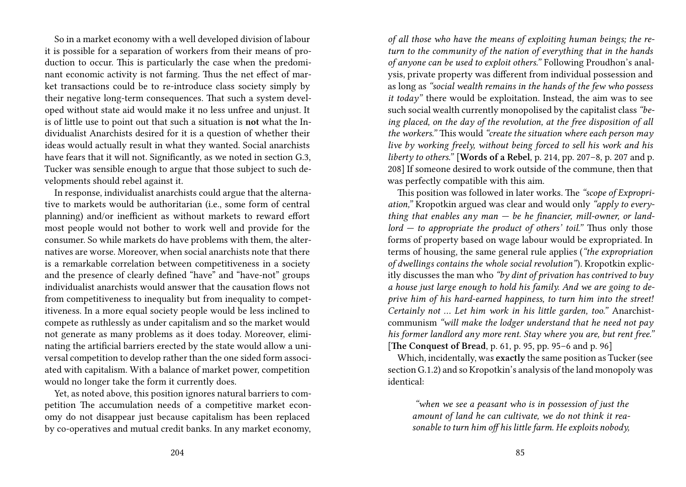So in a market economy with a well developed division of labour it is possible for a separation of workers from their means of production to occur. This is particularly the case when the predominant economic activity is not farming. Thus the net effect of market transactions could be to re-introduce class society simply by their negative long-term consequences. That such a system developed without state aid would make it no less unfree and unjust. It is of little use to point out that such a situation is **not** what the Individualist Anarchists desired for it is a question of whether their ideas would actually result in what they wanted. Social anarchists have fears that it will not. Significantly, as we noted in section G.3, Tucker was sensible enough to argue that those subject to such developments should rebel against it.

In response, individualist anarchists could argue that the alternative to markets would be authoritarian (i.e., some form of central planning) and/or inefficient as without markets to reward effort most people would not bother to work well and provide for the consumer. So while markets do have problems with them, the alternatives are worse. Moreover, when social anarchists note that there is a remarkable correlation between competitiveness in a society and the presence of clearly defined "have" and "have-not" groups individualist anarchists would answer that the causation flows not from competitiveness to inequality but from inequality to competitiveness. In a more equal society people would be less inclined to compete as ruthlessly as under capitalism and so the market would not generate as many problems as it does today. Moreover, eliminating the artificial barriers erected by the state would allow a universal competition to develop rather than the one sided form associated with capitalism. With a balance of market power, competition would no longer take the form it currently does.

Yet, as noted above, this position ignores natural barriers to competition The accumulation needs of a competitive market economy do not disappear just because capitalism has been replaced by co-operatives and mutual credit banks. In any market economy,

*of all those who have the means of exploiting human beings; the return to the community of the nation of everything that in the hands of anyone can be used to exploit others."* Following Proudhon's analysis, private property was different from individual possession and as long as *"social wealth remains in the hands of the few who possess it today"* there would be exploitation. Instead, the aim was to see such social wealth currently monopolised by the capitalist class *"being placed, on the day of the revolution, at the free disposition of all the workers."* This would *"create the situation where each person may live by working freely, without being forced to sell his work and his liberty to others."* [**Words of a Rebel**, p. 214, pp. 207–8, p. 207 and p. 208] If someone desired to work outside of the commune, then that was perfectly compatible with this aim.

This position was followed in later works. The *"scope of Expropriation,"* Kropotkin argued was clear and would only *"apply to everything that enables any man — be he financier, mill-owner, or landlord — to appropriate the product of others' toil."* Thus only those forms of property based on wage labour would be expropriated. In terms of housing, the same general rule applies (*"the expropriation of dwellings contains the whole social revolution"*). Kropotkin explicitly discusses the man who *"by dint of privation has contrived to buy a house just large enough to hold his family. And we are going to deprive him of his hard-earned happiness, to turn him into the street! Certainly not … Let him work in his little garden, too."* Anarchistcommunism *"will make the lodger understand that he need not pay his former landlord any more rent. Stay where you are, but rent free."* [**The Conquest of Bread**, p. 61, p. 95, pp. 95–6 and p. 96]

Which, incidentally, was **exactly** the same position as Tucker (see section G.1.2) and so Kropotkin's analysis of the land monopoly was identical:

*"when we see a peasant who is in possession of just the amount of land he can cultivate, we do not think it reasonable to turn him off his little farm. He exploits nobody,*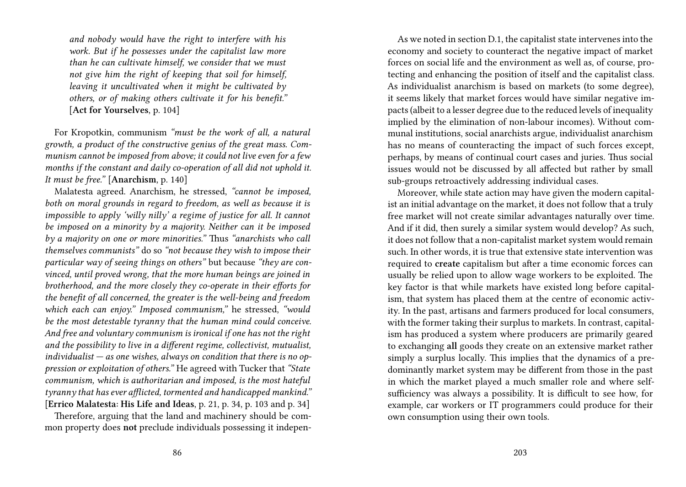*and nobody would have the right to interfere with his work. But if he possesses under the capitalist law more than he can cultivate himself, we consider that we must not give him the right of keeping that soil for himself, leaving it uncultivated when it might be cultivated by others, or of making others cultivate it for his benefit."* [**Act for Yourselves**, p. 104]

For Kropotkin, communism *"must be the work of all, a natural growth, a product of the constructive genius of the great mass. Communism cannot be imposed from above; it could not live even for a few months if the constant and daily co-operation of all did not uphold it. It must be free."* [**Anarchism**, p. 140]

Malatesta agreed. Anarchism, he stressed, *"cannot be imposed, both on moral grounds in regard to freedom, as well as because it is impossible to apply 'willy nilly' a regime of justice for all. It cannot be imposed on a minority by a majority. Neither can it be imposed by a majority on one or more minorities."* Thus *"anarchists who call themselves communists"* do so *"not because they wish to impose their particular way of seeing things on others"* but because *"they are convinced, until proved wrong, that the more human beings are joined in brotherhood, and the more closely they co-operate in their efforts for the benefit of all concerned, the greater is the well-being and freedom which each can enjoy." Imposed communism,"* he stressed, *"would be the most detestable tyranny that the human mind could conceive. And free and voluntary communism is ironical if one has not the right and the possibility to live in a different regime, collectivist, mutualist, individualist — as one wishes, always on condition that there is no oppression or exploitation of others."* He agreed with Tucker that *"State communism, which is authoritarian and imposed, is the most hateful tyranny that has ever afflicted, tormented and handicapped mankind."* [**Errico Malatesta: His Life and Ideas**, p. 21, p. 34, p. 103 and p. 34]

Therefore, arguing that the land and machinery should be common property does **not** preclude individuals possessing it indepen-

As we noted in section D.1, the capitalist state intervenes into the economy and society to counteract the negative impact of market forces on social life and the environment as well as, of course, protecting and enhancing the position of itself and the capitalist class. As individualist anarchism is based on markets (to some degree), it seems likely that market forces would have similar negative impacts (albeit to a lesser degree due to the reduced levels of inequality implied by the elimination of non-labour incomes). Without communal institutions, social anarchists argue, individualist anarchism has no means of counteracting the impact of such forces except, perhaps, by means of continual court cases and juries. Thus social issues would not be discussed by all affected but rather by small sub-groups retroactively addressing individual cases.

Moreover, while state action may have given the modern capitalist an initial advantage on the market, it does not follow that a truly free market will not create similar advantages naturally over time. And if it did, then surely a similar system would develop? As such, it does not follow that a non-capitalist market system would remain such. In other words, it is true that extensive state intervention was required to **create** capitalism but after a time economic forces can usually be relied upon to allow wage workers to be exploited. The key factor is that while markets have existed long before capitalism, that system has placed them at the centre of economic activity. In the past, artisans and farmers produced for local consumers, with the former taking their surplus to markets. In contrast, capitalism has produced a system where producers are primarily geared to exchanging **all** goods they create on an extensive market rather simply a surplus locally. This implies that the dynamics of a predominantly market system may be different from those in the past in which the market played a much smaller role and where selfsufficiency was always a possibility. It is difficult to see how, for example, car workers or IT programmers could produce for their own consumption using their own tools.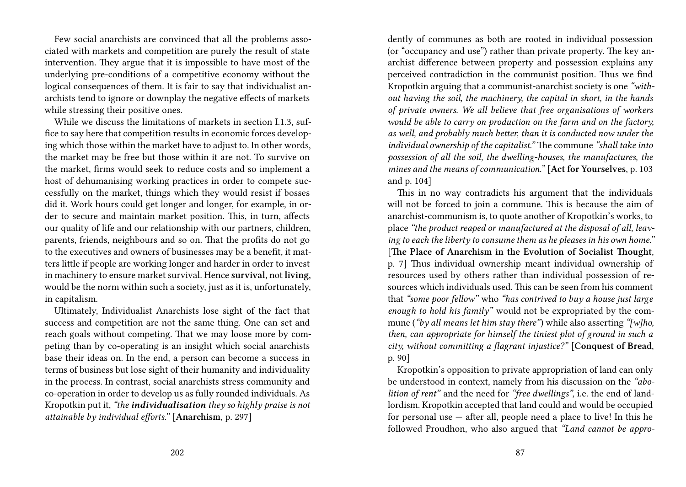Few social anarchists are convinced that all the problems associated with markets and competition are purely the result of state intervention. They argue that it is impossible to have most of the underlying pre-conditions of a competitive economy without the logical consequences of them. It is fair to say that individualist anarchists tend to ignore or downplay the negative effects of markets while stressing their positive ones.

While we discuss the limitations of markets in section I.1.3, suffice to say here that competition results in economic forces developing which those within the market have to adjust to. In other words, the market may be free but those within it are not. To survive on the market, firms would seek to reduce costs and so implement a host of dehumanising working practices in order to compete successfully on the market, things which they would resist if bosses did it. Work hours could get longer and longer, for example, in order to secure and maintain market position. This, in turn, affects our quality of life and our relationship with our partners, children, parents, friends, neighbours and so on. That the profits do not go to the executives and owners of businesses may be a benefit, it matters little if people are working longer and harder in order to invest in machinery to ensure market survival. Hence **survival,** not **living,** would be the norm within such a society, just as it is, unfortunately, in capitalism.

Ultimately, Individualist Anarchists lose sight of the fact that success and competition are not the same thing. One can set and reach goals without competing. That we may loose more by competing than by co-operating is an insight which social anarchists base their ideas on. In the end, a person can become a success in terms of business but lose sight of their humanity and individuality in the process. In contrast, social anarchists stress community and co-operation in order to develop us as fully rounded individuals. As Kropotkin put it, *"the individualisation they so highly praise is not attainable by individual efforts."* [**Anarchism**, p. 297]

dently of communes as both are rooted in individual possession (or "occupancy and use") rather than private property. The key anarchist difference between property and possession explains any perceived contradiction in the communist position. Thus we find Kropotkin arguing that a communist-anarchist society is one *"without having the soil, the machinery, the capital in short, in the hands of private owners. We all believe that free organisations of workers would be able to carry on production on the farm and on the factory, as well, and probably much better, than it is conducted now under the individual ownership of the capitalist."* The commune *"shall take into possession of all the soil, the dwelling-houses, the manufactures, the mines and the means of communication."* [**Act for Yourselves**, p. 103 and p. 104]

This in no way contradicts his argument that the individuals will not be forced to join a commune. This is because the aim of anarchist-communism is, to quote another of Kropotkin's works, to place *"the product reaped or manufactured at the disposal of all, leaving to each the liberty to consume them as he pleases in his own home."* [**The Place of Anarchism in the Evolution of Socialist Thought**, p. 7] Thus individual ownership meant individual ownership of resources used by others rather than individual possession of resources which individuals used. This can be seen from his comment that *"some poor fellow"* who *"has contrived to buy a house just large enough to hold his family"* would not be expropriated by the commune (*"by all means let him stay there"*) while also asserting *"[w]ho, then, can appropriate for himself the tiniest plot of ground in such a city, without committing a flagrant injustice?"* [**Conquest of Bread**, p. 90]

Kropotkin's opposition to private appropriation of land can only be understood in context, namely from his discussion on the *"abolition of rent"* and the need for *"free dwellings"*, i.e. the end of landlordism. Kropotkin accepted that land could and would be occupied for personal use  $-$  after all, people need a place to live! In this he followed Proudhon, who also argued that *"Land cannot be appro-*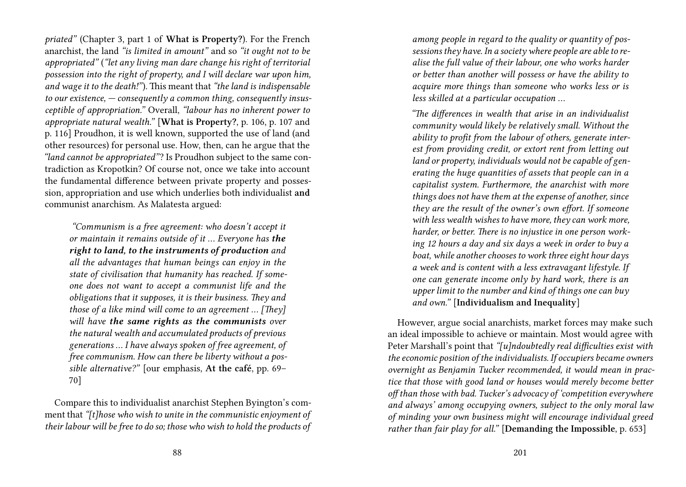*priated"* (Chapter 3, part 1 of **What is Property?**). For the French anarchist, the land *"is limited in amount"* and so *"it ought not to be appropriated"* (*"let any living man dare change his right of territorial possession into the right of property, and I will declare war upon him, and wage it to the death!"*). This meant that *"the land is indispensable to our existence, — consequently a common thing, consequently insusceptible of appropriation."* Overall, *"labour has no inherent power to appropriate natural wealth."* [**What is Property?**, p. 106, p. 107 and p. 116] Proudhon, it is well known, supported the use of land (and other resources) for personal use. How, then, can he argue that the *"land cannot be appropriated"*? Is Proudhon subject to the same contradiction as Kropotkin? Of course not, once we take into account the fundamental difference between private property and possession, appropriation and use which underlies both individualist **and** communist anarchism. As Malatesta argued:

*"Communism is a free agreement: who doesn't accept it or maintain it remains outside of it … Everyone has the right to land, to the instruments of production and all the advantages that human beings can enjoy in the state of civilisation that humanity has reached. If someone does not want to accept a communist life and the obligations that it supposes, it is their business. They and those of a like mind will come to an agreement … [They] will have the same rights as the communists over the natural wealth and accumulated products of previous generations … I have always spoken of free agreement, of free communism. How can there be liberty without a possible alternative?"* [our emphasis, **At the café**, pp. 69– 70]

Compare this to individualist anarchist Stephen Byington's comment that *"[t]hose who wish to unite in the communistic enjoyment of their labour will be free to do so; those who wish to hold the products of* *among people in regard to the quality or quantity of possessions they have. In a society where people are able to realise the full value of their labour, one who works harder or better than another will possess or have the ability to acquire more things than someone who works less or is less skilled at a particular occupation …*

*"The differences in wealth that arise in an individualist community would likely be relatively small. Without the ability to profit from the labour of others, generate interest from providing credit, or extort rent from letting out land or property, individuals would not be capable of generating the huge quantities of assets that people can in a capitalist system. Furthermore, the anarchist with more things does not have them at the expense of another, since they are the result of the owner's own effort. If someone with less wealth wishes to have more, they can work more, harder, or better. There is no injustice in one person working 12 hours a day and six days a week in order to buy a boat, while another chooses to work three eight hour days a week and is content with a less extravagant lifestyle. If one can generate income only by hard work, there is an upper limit to the number and kind of things one can buy and own."* [**Individualism and Inequality**]

However, argue social anarchists, market forces may make such an ideal impossible to achieve or maintain. Most would agree with Peter Marshall's point that *"[u]ndoubtedly real difficulties exist with the economic position of the individualists. If occupiers became owners overnight as Benjamin Tucker recommended, it would mean in practice that those with good land or houses would merely become better off than those with bad. Tucker's advocacy of 'competition everywhere and always' among occupying owners, subject to the only moral law of minding your own business might will encourage individual greed rather than fair play for all."* [**Demanding the Impossible**, p. 653]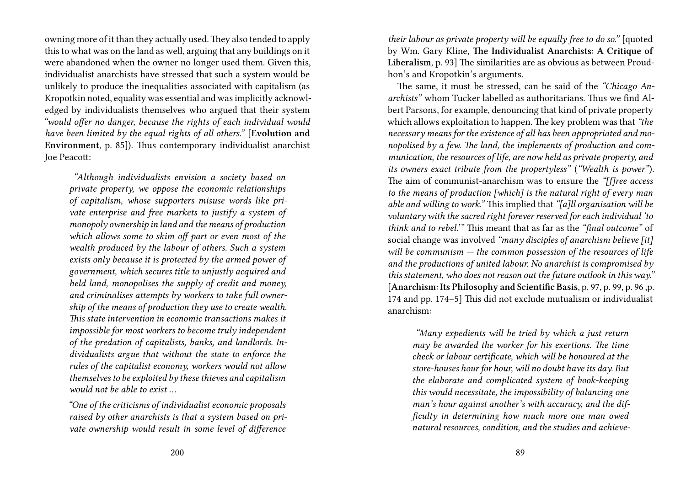owning more of it than they actually used.They also tended to apply this to what was on the land as well, arguing that any buildings on it were abandoned when the owner no longer used them. Given this, individualist anarchists have stressed that such a system would be unlikely to produce the inequalities associated with capitalism (as Kropotkin noted, equality was essential and was implicitly acknowledged by individualists themselves who argued that their system *"would offer no danger, because the rights of each individual would have been limited by the equal rights of all others."* [**Evolution and Environment**, p. 85]). Thus contemporary individualist anarchist Joe Peacott:

*"Although individualists envision a society based on private property, we oppose the economic relationships of capitalism, whose supporters misuse words like private enterprise and free markets to justify a system of monopoly ownership in land and the means of production which allows some to skim off part or even most of the wealth produced by the labour of others. Such a system exists only because it is protected by the armed power of government, which secures title to unjustly acquired and held land, monopolises the supply of credit and money, and criminalises attempts by workers to take full ownership of the means of production they use to create wealth. This state intervention in economic transactions makes it impossible for most workers to become truly independent of the predation of capitalists, banks, and landlords. Individualists argue that without the state to enforce the rules of the capitalist economy, workers would not allow themselves to be exploited by these thieves and capitalism would not be able to exist …*

*"One of the criticisms of individualist economic proposals raised by other anarchists is that a system based on private ownership would result in some level of difference* *their labour as private property will be equally free to do so."* [quoted by Wm. Gary Kline, **The Individualist Anarchists: A Critique of Liberalism**, p. 93] The similarities are as obvious as between Proudhon's and Kropotkin's arguments.

The same, it must be stressed, can be said of the *"Chicago Anarchists"* whom Tucker labelled as authoritarians. Thus we find Albert Parsons, for example, denouncing that kind of private property which allows exploitation to happen. The key problem was that *"the necessary means for the existence of all has been appropriated and monopolised by a few. The land, the implements of production and communication, the resources of life, are now held as private property, and its owners exact tribute from the propertyless"* (*"Wealth is power"*). The aim of communist-anarchism was to ensure the *"[f]ree access to the means of production [which] is the natural right of every man able and willing to work."* This implied that *"[a]ll organisation will be voluntary with the sacred right forever reserved for each individual 'to think and to rebel.'"* This meant that as far as the *"final outcome"* of social change was involved *"many disciples of anarchism believe [it] will be communism — the common possession of the resources of life and the productions of united labour. No anarchist is compromised by this statement, who does not reason out the future outlook in this way."* [**Anarchism: Its Philosophy and Scientific Basis**, p. 97, p. 99, p. 96 ,p. 174 and pp. 174–5] This did not exclude mutualism or individualist anarchism:

*"Many expedients will be tried by which a just return may be awarded the worker for his exertions. The time check or labour certificate, which will be honoured at the store-houses hour for hour, will no doubt have its day. But the elaborate and complicated system of book-keeping this would necessitate, the impossibility of balancing one man's hour against another's with accuracy, and the difficulty in determining how much more one man owed natural resources, condition, and the studies and achieve-*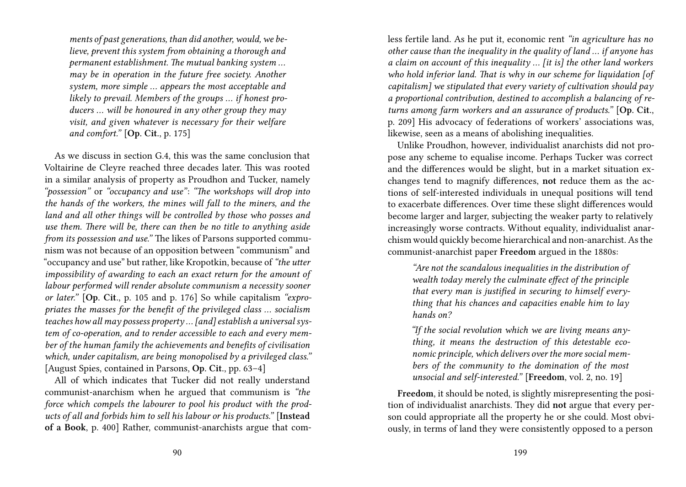*ments of past generations, than did another, would, we believe, prevent this system from obtaining a thorough and permanent establishment. The mutual banking system … may be in operation in the future free society. Another system, more simple … appears the most acceptable and likely to prevail. Members of the groups … if honest producers … will be honoured in any other group they may visit, and given whatever is necessary for their welfare and comfort."* [**Op. Cit.**, p. 175]

As we discuss in section G.4, this was the same conclusion that Voltairine de Cleyre reached three decades later. This was rooted in a similar analysis of property as Proudhon and Tucker, namely *"possession"* or *"occupancy and use"*: *"The workshops will drop into the hands of the workers, the mines will fall to the miners, and the land and all other things will be controlled by those who posses and use them. There will be, there can then be no title to anything aside from its possession and use."* The likes of Parsons supported communism was not because of an opposition between "communism" and "occupancy and use" but rather, like Kropotkin, because of *"the utter impossibility of awarding to each an exact return for the amount of labour performed will render absolute communism a necessity sooner or later."* [**Op. Cit.**, p. 105 and p. 176] So while capitalism *"expropriates the masses for the benefit of the privileged class … socialism teaches how all may possess property … [and] establish a universal system of co-operation, and to render accessible to each and every member of the human family the achievements and benefits of civilisation which, under capitalism, are being monopolised by a privileged class."* [August Spies, contained in Parsons, **Op. Cit.**, pp. 63–4]

All of which indicates that Tucker did not really understand communist-anarchism when he argued that communism is *"the force which compels the labourer to pool his product with the products of all and forbids him to sell his labour or his products."* [**Instead of a Book**, p. 400] Rather, communist-anarchists argue that com-

less fertile land. As he put it, economic rent *"in agriculture has no other cause than the inequality in the quality of land … if anyone has a claim on account of this inequality … [it is] the other land workers who hold inferior land. That is why in our scheme for liquidation [of capitalism] we stipulated that every variety of cultivation should pay a proportional contribution, destined to accomplish a balancing of returns among farm workers and an assurance of products."* [**Op. Cit.**, p. 209] His advocacy of federations of workers' associations was, likewise, seen as a means of abolishing inequalities.

Unlike Proudhon, however, individualist anarchists did not propose any scheme to equalise income. Perhaps Tucker was correct and the differences would be slight, but in a market situation exchanges tend to magnify differences, **not** reduce them as the actions of self-interested individuals in unequal positions will tend to exacerbate differences. Over time these slight differences would become larger and larger, subjecting the weaker party to relatively increasingly worse contracts. Without equality, individualist anarchism would quickly become hierarchical and non-anarchist. As the communist-anarchist paper **Freedom** argued in the 1880s:

*"Are not the scandalous inequalities in the distribution of wealth today merely the culminate effect of the principle that every man is justified in securing to himself everything that his chances and capacities enable him to lay hands on?*

*"If the social revolution which we are living means anything, it means the destruction of this detestable economic principle, which delivers over the more social members of the community to the domination of the most unsocial and self-interested."* [**Freedom**, vol. 2, no. 19]

**Freedom**, it should be noted, is slightly misrepresenting the position of individualist anarchists. They did **not** argue that every person could appropriate all the property he or she could. Most obviously, in terms of land they were consistently opposed to a person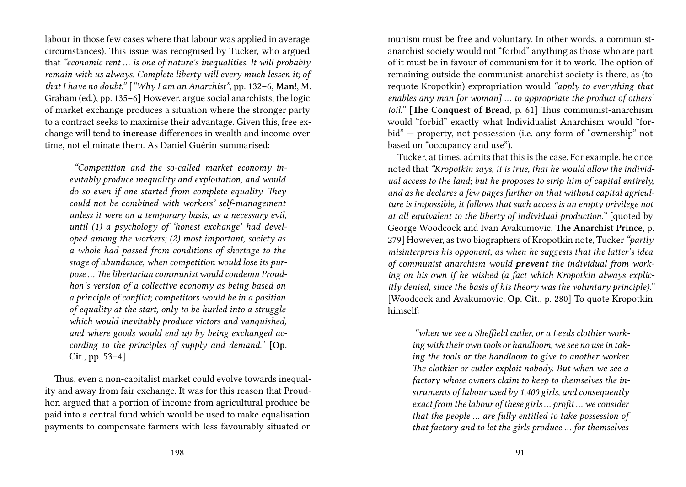labour in those few cases where that labour was applied in average circumstances). This issue was recognised by Tucker, who argued that *"economic rent … is one of nature's inequalities. It will probably remain with us always. Complete liberty will every much lessen it; of that I have no doubt."* [*"Why I am an Anarchist"*, pp. 132–6, **Man!**, M. Graham (ed.), pp. 135–6] However, argue social anarchists, the logic of market exchange produces a situation where the stronger party to a contract seeks to maximise their advantage. Given this, free exchange will tend to **increase** differences in wealth and income over time, not eliminate them. As Daniel Guérin summarised:

*"Competition and the so-called market economy inevitably produce inequality and exploitation, and would do so even if one started from complete equality. They could not be combined with workers' self-management unless it were on a temporary basis, as a necessary evil, until (1) a psychology of 'honest exchange' had developed among the workers; (2) most important, society as a whole had passed from conditions of shortage to the stage of abundance, when competition would lose its purpose … The libertarian communist would condemn Proudhon's version of a collective economy as being based on a principle of conflict; competitors would be in a position of equality at the start, only to be hurled into a struggle which would inevitably produce victors and vanquished, and where goods would end up by being exchanged according to the principles of supply and demand."* [**Op. Cit.**, pp. 53–4]

Thus, even a non-capitalist market could evolve towards inequality and away from fair exchange. It was for this reason that Proudhon argued that a portion of income from agricultural produce be paid into a central fund which would be used to make equalisation payments to compensate farmers with less favourably situated or

munism must be free and voluntary. In other words, a communistanarchist society would not "forbid" anything as those who are part of it must be in favour of communism for it to work. The option of remaining outside the communist-anarchist society is there, as (to requote Kropotkin) expropriation would *"apply to everything that enables any man [or woman] … to appropriate the product of others' toil."* [**The Conquest of Bread**, p. 61] Thus communist-anarchism would "forbid" exactly what Individualist Anarchism would "forbid" — property, not possession (i.e. any form of "ownership" not based on "occupancy and use").

Tucker, at times, admits that this is the case. For example, he once noted that *"Kropotkin says, it is true, that he would allow the individual access to the land; but he proposes to strip him of capital entirely, and as he declares a few pages further on that without capital agriculture is impossible, it follows that such access is an empty privilege not at all equivalent to the liberty of individual production."* [quoted by George Woodcock and Ivan Avakumovic, **The Anarchist Prince**, p. 279] However, as two biographers of Kropotkin note, Tucker*"partly misinterprets his opponent, as when he suggests that the latter's idea of communist anarchism would prevent the individual from working on his own if he wished (a fact which Kropotkin always explicitly denied, since the basis of his theory was the voluntary principle)."* [Woodcock and Avakumovic, **Op. Cit.**, p. 280] To quote Kropotkin himself:

*"when we see a Sheffield cutler, or a Leeds clothier working with their own tools or handloom, we see no use in taking the tools or the handloom to give to another worker. The clothier or cutler exploit nobody. But when we see a factory whose owners claim to keep to themselves the instruments of labour used by 1,400 girls, and consequently exact from the labour of these girls … profit … we consider that the people … are fully entitled to take possession of that factory and to let the girls produce … for themselves*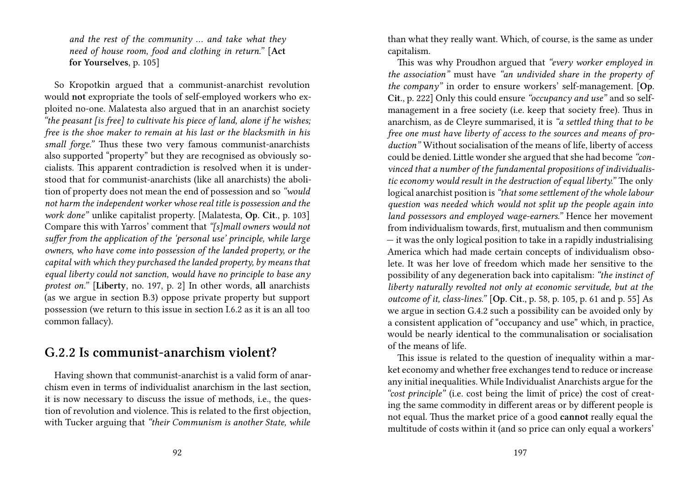*and the rest of the community … and take what they need of house room, food and clothing in return."* [**Act for Yourselves**, p. 105]

So Kropotkin argued that a communist-anarchist revolution would **not** expropriate the tools of self-employed workers who exploited no-one. Malatesta also argued that in an anarchist society *"the peasant [is free] to cultivate his piece of land, alone if he wishes; free is the shoe maker to remain at his last or the blacksmith in his small forge."* Thus these two very famous communist-anarchists also supported "property" but they are recognised as obviously socialists. This apparent contradiction is resolved when it is understood that for communist-anarchists (like all anarchists) the abolition of property does not mean the end of possession and so *"would not harm the independent worker whose real title is possession and the work done"* unlike capitalist property. [Malatesta, **Op. Cit.**, p. 103] Compare this with Yarros' comment that *"[s]mall owners would not suffer from the application of the 'personal use' principle, while large owners, who have come into possession of the landed property, or the capital with which they purchased the landed property, by means that equal liberty could not sanction, would have no principle to base any protest on."* [**Liberty**, no. 197, p. 2] In other words, **all** anarchists (as we argue in section B.3) oppose private property but support possession (we return to this issue in section I.6.2 as it is an all too common fallacy).

#### **G.2.2 Is communist-anarchism violent?**

Having shown that communist-anarchist is a valid form of anarchism even in terms of individualist anarchism in the last section, it is now necessary to discuss the issue of methods, i.e., the question of revolution and violence. This is related to the first objection, with Tucker arguing that *"their Communism is another State, while*

than what they really want. Which, of course, is the same as under capitalism.

This was why Proudhon argued that *"every worker employed in the association"* must have *"an undivided share in the property of the company"* in order to ensure workers' self-management. [**Op. Cit.**, p. 222] Only this could ensure *"occupancy and use"* and so selfmanagement in a free society (i.e. keep that society free). Thus in anarchism, as de Cleyre summarised, it is *"a settled thing that to be free one must have liberty of access to the sources and means of production"* Without socialisation of the means of life, liberty of access could be denied. Little wonder she argued that she had become *"convinced that a number of the fundamental propositions of individualistic economy would result in the destruction of equal liberty."* The only logical anarchist position is*"that some settlement of the whole labour question was needed which would not split up the people again into land possessors and employed wage-earners."* Hence her movement from individualism towards, first, mutualism and then communism — it was the only logical position to take in a rapidly industrialising America which had made certain concepts of individualism obsolete. It was her love of freedom which made her sensitive to the possibility of any degeneration back into capitalism: *"the instinct of liberty naturally revolted not only at economic servitude, but at the outcome of it, class-lines."* [**Op. Cit.**, p. 58, p. 105, p. 61 and p. 55] As we argue in section G.4.2 such a possibility can be avoided only by a consistent application of "occupancy and use" which, in practice, would be nearly identical to the communalisation or socialisation of the means of life.

This issue is related to the question of inequality within a market economy and whether free exchanges tend to reduce or increase any initial inequalities. While Individualist Anarchists argue for the *"cost principle"* (i.e. cost being the limit of price) the cost of creating the same commodity in different areas or by different people is not equal. Thus the market price of a good **cannot** really equal the multitude of costs within it (and so price can only equal a workers'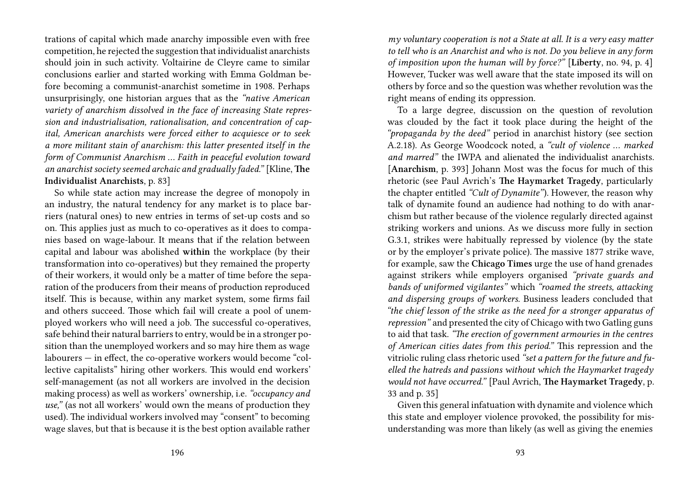trations of capital which made anarchy impossible even with free competition, he rejected the suggestion that individualist anarchists should join in such activity. Voltairine de Cleyre came to similar conclusions earlier and started working with Emma Goldman before becoming a communist-anarchist sometime in 1908. Perhaps unsurprisingly, one historian argues that as the *"native American variety of anarchism dissolved in the face of increasing State repression and industrialisation, rationalisation, and concentration of capital, American anarchists were forced either to acquiesce or to seek a more militant stain of anarchism: this latter presented itself in the form of Communist Anarchism … Faith in peaceful evolution toward an anarchist society seemed archaic and gradually faded."* [Kline,**The Individualist Anarchists**, p. 83]

So while state action may increase the degree of monopoly in an industry, the natural tendency for any market is to place barriers (natural ones) to new entries in terms of set-up costs and so on. This applies just as much to co-operatives as it does to companies based on wage-labour. It means that if the relation between capital and labour was abolished **within** the workplace (by their transformation into co-operatives) but they remained the property of their workers, it would only be a matter of time before the separation of the producers from their means of production reproduced itself. This is because, within any market system, some firms fail and others succeed. Those which fail will create a pool of unemployed workers who will need a job. The successful co-operatives, safe behind their natural barriers to entry, would be in a stronger position than the unemployed workers and so may hire them as wage labourers — in effect, the co-operative workers would become "collective capitalists" hiring other workers. This would end workers' self-management (as not all workers are involved in the decision making process) as well as workers' ownership, i.e. *"occupancy and use,"* (as not all workers' would own the means of production they used). The individual workers involved may "consent" to becoming wage slaves, but that is because it is the best option available rather

*my voluntary cooperation is not a State at all. It is a very easy matter to tell who is an Anarchist and who is not. Do you believe in any form of imposition upon the human will by force?"* [**Liberty**, no. 94, p. 4] However, Tucker was well aware that the state imposed its will on others by force and so the question was whether revolution was the right means of ending its oppression.

To a large degree, discussion on the question of revolution was clouded by the fact it took place during the height of the *"propaganda by the deed"* period in anarchist history (see section A.2.18). As George Woodcock noted, a *"cult of violence … marked and marred"* the IWPA and alienated the individualist anarchists. [**Anarchism**, p. 393] Johann Most was the focus for much of this rhetoric (see Paul Avrich's **The Haymarket Tragedy**, particularly the chapter entitled *"Cult of Dynamite"*). However, the reason why talk of dynamite found an audience had nothing to do with anarchism but rather because of the violence regularly directed against striking workers and unions. As we discuss more fully in section G.3.1, strikes were habitually repressed by violence (by the state or by the employer's private police). The massive 1877 strike wave, for example, saw the **Chicago Times** urge the use of hand grenades against strikers while employers organised *"private guards and bands of uniformed vigilantes"* which *"roamed the streets, attacking and dispersing groups of workers.* Business leaders concluded that *"the chief lesson of the strike as the need for a stronger apparatus of repression"* and presented the city of Chicago with two Gatling guns to aid that task. *"The erection of government armouries in the centres of American cities dates from this period."* This repression and the vitriolic ruling class rhetoric used *"set a pattern for the future and fuelled the hatreds and passions without which the Haymarket tragedy would not have occurred."* [Paul Avrich, **The Haymarket Tragedy**, p. 33 and p. 35]

Given this general infatuation with dynamite and violence which this state and employer violence provoked, the possibility for misunderstanding was more than likely (as well as giving the enemies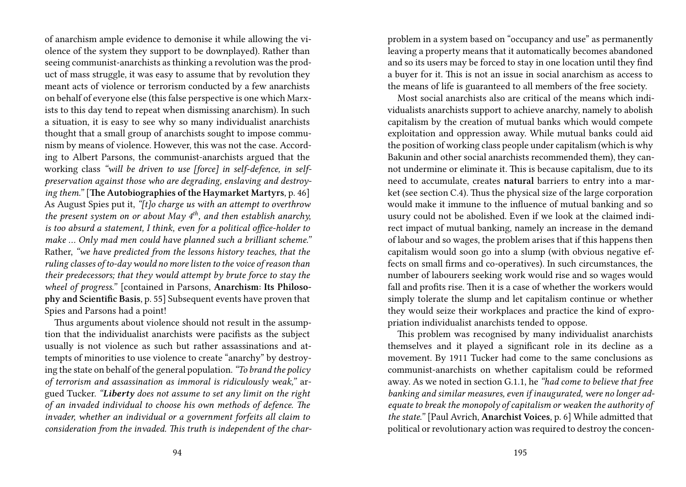of anarchism ample evidence to demonise it while allowing the violence of the system they support to be downplayed). Rather than seeing communist-anarchists as thinking a revolution was the product of mass struggle, it was easy to assume that by revolution they meant acts of violence or terrorism conducted by a few anarchists on behalf of everyone else (this false perspective is one which Marxists to this day tend to repeat when dismissing anarchism). In such a situation, it is easy to see why so many individualist anarchists thought that a small group of anarchists sought to impose communism by means of violence. However, this was not the case. According to Albert Parsons, the communist-anarchists argued that the working class *"will be driven to use [force] in self-defence, in selfpreservation against those who are degrading, enslaving and destroying them."* [**The Autobiographies of the Haymarket Martyrs**, p. 46] As August Spies put it, *"[t]o charge us with an attempt to overthrow the present system on or about May 4th, and then establish anarchy, is too absurd a statement, I think, even for a political office-holder to make … Only mad men could have planned such a brilliant scheme."* Rather, *"we have predicted from the lessons history teaches, that the ruling classes of to-day would no more listen to the voice of reason than their predecessors; that they would attempt by brute force to stay the wheel of progress."* [contained in Parsons, **Anarchism: Its Philosophy and Scientific Basis**, p. 55] Subsequent events have proven that Spies and Parsons had a point!

Thus arguments about violence should not result in the assumption that the individualist anarchists were pacifists as the subject usually is not violence as such but rather assassinations and attempts of minorities to use violence to create "anarchy" by destroying the state on behalf of the general population.*"To brand the policy of terrorism and assassination as immoral is ridiculously weak,"* argued Tucker. *"Liberty does not assume to set any limit on the right of an invaded individual to choose his own methods of defence. The invader, whether an individual or a government forfeits all claim to consideration from the invaded. This truth is independent of the char-* problem in a system based on "occupancy and use" as permanently leaving a property means that it automatically becomes abandoned and so its users may be forced to stay in one location until they find a buyer for it. This is not an issue in social anarchism as access to the means of life is guaranteed to all members of the free society.

Most social anarchists also are critical of the means which individualists anarchists support to achieve anarchy, namely to abolish capitalism by the creation of mutual banks which would compete exploitation and oppression away. While mutual banks could aid the position of working class people under capitalism (which is why Bakunin and other social anarchists recommended them), they cannot undermine or eliminate it. This is because capitalism, due to its need to accumulate, creates **natural** barriers to entry into a market (see section C.4). Thus the physical size of the large corporation would make it immune to the influence of mutual banking and so usury could not be abolished. Even if we look at the claimed indirect impact of mutual banking, namely an increase in the demand of labour and so wages, the problem arises that if this happens then capitalism would soon go into a slump (with obvious negative effects on small firms and co-operatives). In such circumstances, the number of labourers seeking work would rise and so wages would fall and profits rise. Then it is a case of whether the workers would simply tolerate the slump and let capitalism continue or whether they would seize their workplaces and practice the kind of expropriation individualist anarchists tended to oppose.

This problem was recognised by many individualist anarchists themselves and it played a significant role in its decline as a movement. By 1911 Tucker had come to the same conclusions as communist-anarchists on whether capitalism could be reformed away. As we noted in section G.1.1, he *"had come to believe that free banking and similar measures, even if inaugurated, were no longer adequate to break the monopoly of capitalism or weaken the authority of the state."* [Paul Avrich, **Anarchist Voices**, p. 6] While admitted that political or revolutionary action was required to destroy the concen-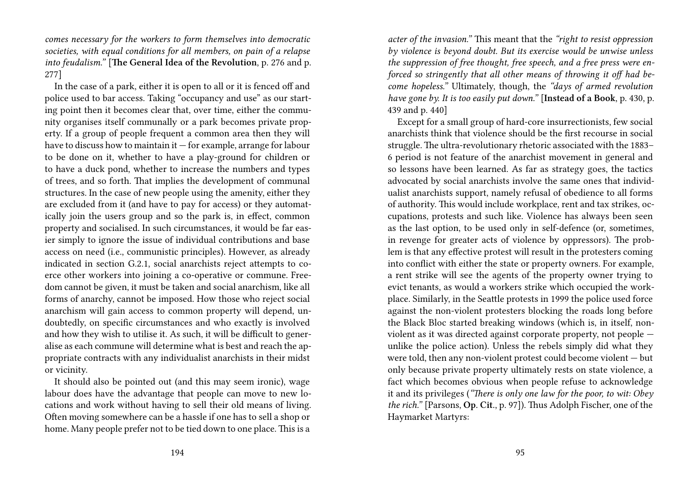*comes necessary for the workers to form themselves into democratic societies, with equal conditions for all members, on pain of a relapse into feudalism."* [**The General Idea of the Revolution**, p. 276 and p. 277]

In the case of a park, either it is open to all or it is fenced off and police used to bar access. Taking "occupancy and use" as our starting point then it becomes clear that, over time, either the community organises itself communally or a park becomes private property. If a group of people frequent a common area then they will have to discuss how to maintain it — for example, arrange for labour to be done on it, whether to have a play-ground for children or to have a duck pond, whether to increase the numbers and types of trees, and so forth. That implies the development of communal structures. In the case of new people using the amenity, either they are excluded from it (and have to pay for access) or they automatically join the users group and so the park is, in effect, common property and socialised. In such circumstances, it would be far easier simply to ignore the issue of individual contributions and base access on need (i.e., communistic principles). However, as already indicated in section G.2.1, social anarchists reject attempts to coerce other workers into joining a co-operative or commune. Freedom cannot be given, it must be taken and social anarchism, like all forms of anarchy, cannot be imposed. How those who reject social anarchism will gain access to common property will depend, undoubtedly, on specific circumstances and who exactly is involved and how they wish to utilise it. As such, it will be difficult to generalise as each commune will determine what is best and reach the appropriate contracts with any individualist anarchists in their midst or vicinity.

It should also be pointed out (and this may seem ironic), wage labour does have the advantage that people can move to new locations and work without having to sell their old means of living. Often moving somewhere can be a hassle if one has to sell a shop or home. Many people prefer not to be tied down to one place. This is a

*acter of the invasion."* This meant that the *"right to resist oppression by violence is beyond doubt. But its exercise would be unwise unless the suppression of free thought, free speech, and a free press were enforced so stringently that all other means of throwing it off had become hopeless."* Ultimately, though, the *"days of armed revolution have gone by. It is too easily put down."* [**Instead of a Book**, p. 430, p. 439 and p. 440]

Except for a small group of hard-core insurrectionists, few social anarchists think that violence should be the first recourse in social struggle. The ultra-revolutionary rhetoric associated with the 1883– 6 period is not feature of the anarchist movement in general and so lessons have been learned. As far as strategy goes, the tactics advocated by social anarchists involve the same ones that individualist anarchists support, namely refusal of obedience to all forms of authority. This would include workplace, rent and tax strikes, occupations, protests and such like. Violence has always been seen as the last option, to be used only in self-defence (or, sometimes, in revenge for greater acts of violence by oppressors). The problem is that any effective protest will result in the protesters coming into conflict with either the state or property owners. For example, a rent strike will see the agents of the property owner trying to evict tenants, as would a workers strike which occupied the workplace. Similarly, in the Seattle protests in 1999 the police used force against the non-violent protesters blocking the roads long before the Black Bloc started breaking windows (which is, in itself, nonviolent as it was directed against corporate property, not people unlike the police action). Unless the rebels simply did what they were told, then any non-violent protest could become violent — but only because private property ultimately rests on state violence, a fact which becomes obvious when people refuse to acknowledge it and its privileges (*"There is only one law for the poor, to wit: Obey the rich."* [Parsons, **Op. Cit.**, p. 97]). Thus Adolph Fischer, one of the Haymarket Martyrs: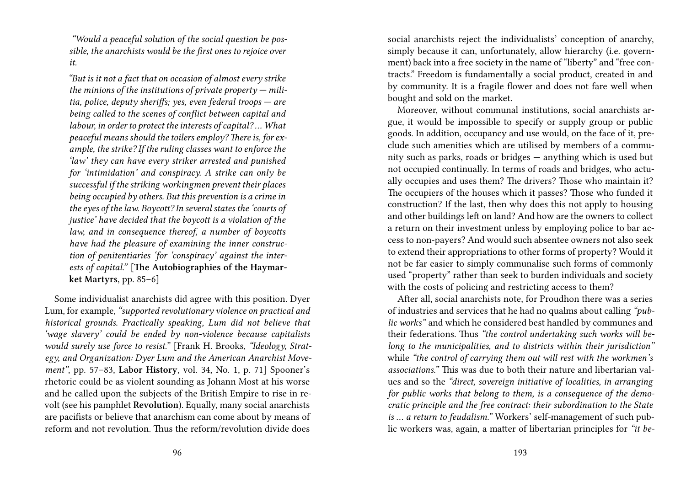*"Would a peaceful solution of the social question be possible, the anarchists would be the first ones to rejoice over it.*

*"But is it not a fact that on occasion of almost every strike the minions of the institutions of private property — militia, police, deputy sheriffs; yes, even federal troops — are being called to the scenes of conflict between capital and labour, in order to protect the interests of capital? … What peaceful means should the toilers employ? There is, for example, the strike? If the ruling classes want to enforce the 'law' they can have every striker arrested and punished for 'intimidation' and conspiracy. A strike can only be successful if the striking workingmen prevent their places being occupied by others. But this prevention is a crime in the eyes of the law. Boycott? In several states the 'courts of justice' have decided that the boycott is a violation of the law, and in consequence thereof, a number of boycotts have had the pleasure of examining the inner construction of penitentiaries 'for 'conspiracy' against the interests of capital."* [**The Autobiographies of the Haymarket Martyrs**, pp. 85–6]

Some individualist anarchists did agree with this position. Dyer Lum, for example, *"supported revolutionary violence on practical and historical grounds. Practically speaking, Lum did not believe that 'wage slavery' could be ended by non-violence because capitalists would surely use force to resist."* [Frank H. Brooks, *"Ideology, Strategy, and Organization: Dyer Lum and the American Anarchist Movement"*, pp. 57–83, **Labor History**, vol. 34, No. 1, p. 71] Spooner's rhetoric could be as violent sounding as Johann Most at his worse and he called upon the subjects of the British Empire to rise in revolt (see his pamphlet **Revolution**). Equally, many social anarchists are pacifists or believe that anarchism can come about by means of reform and not revolution. Thus the reform/revolution divide does

social anarchists reject the individualists' conception of anarchy, simply because it can, unfortunately, allow hierarchy (i.e. government) back into a free society in the name of "liberty" and "free contracts." Freedom is fundamentally a social product, created in and by community. It is a fragile flower and does not fare well when bought and sold on the market.

Moreover, without communal institutions, social anarchists argue, it would be impossible to specify or supply group or public goods. In addition, occupancy and use would, on the face of it, preclude such amenities which are utilised by members of a community such as parks, roads or bridges — anything which is used but not occupied continually. In terms of roads and bridges, who actually occupies and uses them? The drivers? Those who maintain it? The occupiers of the houses which it passes? Those who funded it construction? If the last, then why does this not apply to housing and other buildings left on land? And how are the owners to collect a return on their investment unless by employing police to bar access to non-payers? And would such absentee owners not also seek to extend their appropriations to other forms of property? Would it not be far easier to simply communalise such forms of commonly used "property" rather than seek to burden individuals and society with the costs of policing and restricting access to them?

After all, social anarchists note, for Proudhon there was a series of industries and services that he had no qualms about calling *"public works"* and which he considered best handled by communes and their federations. Thus *"the control undertaking such works will belong to the municipalities, and to districts within their jurisdiction"* while *"the control of carrying them out will rest with the workmen's associations."* This was due to both their nature and libertarian values and so the *"direct, sovereign initiative of localities, in arranging for public works that belong to them, is a consequence of the democratic principle and the free contract: their subordination to the State is … a return to feudalism."* Workers' self-management of such public workers was, again, a matter of libertarian principles for *"it be-*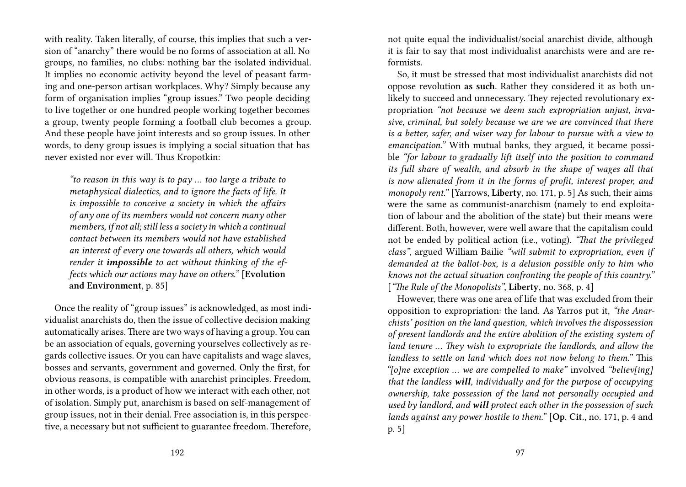with reality. Taken literally, of course, this implies that such a version of "anarchy" there would be no forms of association at all. No groups, no families, no clubs: nothing bar the isolated individual. It implies no economic activity beyond the level of peasant farming and one-person artisan workplaces. Why? Simply because any form of organisation implies "group issues." Two people deciding to live together or one hundred people working together becomes a group, twenty people forming a football club becomes a group. And these people have joint interests and so group issues. In other words, to deny group issues is implying a social situation that has never existed nor ever will. Thus Kropotkin:

*"to reason in this way is to pay … too large a tribute to metaphysical dialectics, and to ignore the facts of life. It is impossible to conceive a society in which the affairs of any one of its members would not concern many other members, if not all; still less a society in which a continual contact between its members would not have established an interest of every one towards all others, which would render it impossible to act without thinking of the effects which our actions may have on others."* [**Evolution and Environment**, p. 85]

Once the reality of "group issues" is acknowledged, as most individualist anarchists do, then the issue of collective decision making automatically arises. There are two ways of having a group. You can be an association of equals, governing yourselves collectively as regards collective issues. Or you can have capitalists and wage slaves, bosses and servants, government and governed. Only the first, for obvious reasons, is compatible with anarchist principles. Freedom, in other words, is a product of how we interact with each other, not of isolation. Simply put, anarchism is based on self-management of group issues, not in their denial. Free association is, in this perspective, a necessary but not sufficient to guarantee freedom. Therefore,

not quite equal the individualist/social anarchist divide, although it is fair to say that most individualist anarchists were and are reformists.

So, it must be stressed that most individualist anarchists did not oppose revolution **as such**. Rather they considered it as both unlikely to succeed and unnecessary. They rejected revolutionary expropriation *"not because we deem such expropriation unjust, invasive, criminal, but solely because we are we are convinced that there is a better, safer, and wiser way for labour to pursue with a view to emancipation."* With mutual banks, they argued, it became possible *"for labour to gradually lift itself into the position to command its full share of wealth, and absorb in the shape of wages all that is now alienated from it in the forms of profit, interest proper, and monopoly rent."* [Yarrows, **Liberty**, no. 171, p. 5] As such, their aims were the same as communist-anarchism (namely to end exploitation of labour and the abolition of the state) but their means were different. Both, however, were well aware that the capitalism could not be ended by political action (i.e., voting). *"That the privileged class"*, argued William Bailie *"will submit to expropriation, even if demanded at the ballot-box, is a delusion possible only to him who knows not the actual situation confronting the people of this country."* [*"The Rule of the Monopolists"*, **Liberty**, no. 368, p. 4]

However, there was one area of life that was excluded from their opposition to expropriation: the land. As Yarros put it, *"the Anarchists' position on the land question, which involves the dispossession of present landlords and the entire abolition of the existing system of land tenure … They wish to expropriate the landlords, and allow the landless to settle on land which does not now belong to them."* This *"[o]ne exception … we are compelled to make"* involved *"believ[ing] that the landless will, individually and for the purpose of occupying ownership, take possession of the land not personally occupied and used by landlord, and will protect each other in the possession of such lands against any power hostile to them."* [**Op. Cit.**, no. 171, p. 4 and p. 5]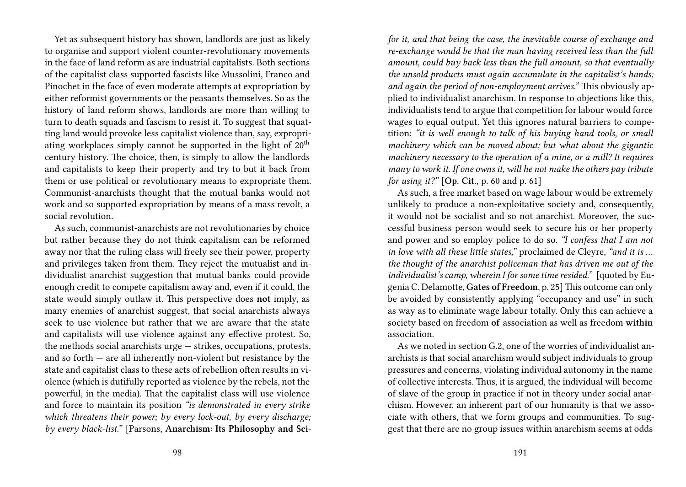Yet as subsequent history has shown, landlords are just as likely to organise and support violent counter-revolutionary movements in the face of land reform as are industrial capitalists. Both sections of the capitalist class supported fascists like Mussolini, Franco and Pinochet in the face of even moderate attempts at expropriation by either reformist governments or the peasants themselves. So as the history of land reform shows, landlords are more than willing to turn to death squads and fascism to resist it. To suggest that squatting land would provoke less capitalist violence than, say, expropriating workplaces simply cannot be supported in the light of  $20<sup>th</sup>$ century history. The choice, then, is simply to allow the landlords and capitalists to keep their property and try to but it back from them or use political or revolutionary means to expropriate them. Communist-anarchists thought that the mutual banks would not work and so supported expropriation by means of a mass revolt, a social revolution.

As such, communist-anarchists are not revolutionaries by choice but rather because they do not think capitalism can be reformed away nor that the ruling class will freely see their power, property and privileges taken from them. They reject the mutualist and individualist anarchist suggestion that mutual banks could provide enough credit to compete capitalism away and, even if it could, the state would simply outlaw it. This perspective does **not** imply, as many enemies of anarchist suggest, that social anarchists always seek to use violence but rather that we are aware that the state and capitalists will use violence against any effective protest. So, the methods social anarchists urge — strikes, occupations, protests, and so forth — are all inherently non-violent but resistance by the state and capitalist class to these acts of rebellion often results in violence (which is dutifully reported as violence by the rebels, not the powerful, in the media). That the capitalist class will use violence and force to maintain its position *"is demonstrated in every strike which threatens their power; by every lock-out, by every discharge; by every black-list."* [Parsons, **Anarchism: Its Philosophy and Sci-** *for it, and that being the case, the inevitable course of exchange and re-exchange would be that the man having received less than the full amount, could buy back less than the full amount, so that eventually the unsold products must again accumulate in the capitalist's hands; and again the period of non-employment arrives."* This obviously applied to individualist anarchism. In response to objections like this, individualists tend to argue that competition for labour would force wages to equal output. Yet this ignores natural barriers to competition: *"it is well enough to talk of his buying hand tools, or small machinery which can be moved about; but what about the gigantic machinery necessary to the operation of a mine, or a mill? It requires many to work it. If one owns it, will he not make the others pay tribute for using it?"* [**Op. Cit.**, p. 60 and p. 61]

As such, a free market based on wage labour would be extremely unlikely to produce a non-exploitative society and, consequently, it would not be socialist and so not anarchist. Moreover, the successful business person would seek to secure his or her property and power and so employ police to do so. *"I confess that I am not in love with all these little states,"* proclaimed de Cleyre, *"and it is … the thought of the anarchist policeman that has driven me out of the individualist's camp, wherein I for some time resided."* [quoted by Eugenia C. Delamotte, **Gates of Freedom**, p. 25] This outcome can only be avoided by consistently applying "occupancy and use" in such as way as to eliminate wage labour totally. Only this can achieve a society based on freedom **of** association as well as freedom **within** association.

As we noted in section G.2, one of the worries of individualist anarchists is that social anarchism would subject individuals to group pressures and concerns, violating individual autonomy in the name of collective interests. Thus, it is argued, the individual will become of slave of the group in practice if not in theory under social anarchism. However, an inherent part of our humanity is that we associate with others, that we form groups and communities. To suggest that there are no group issues within anarchism seems at odds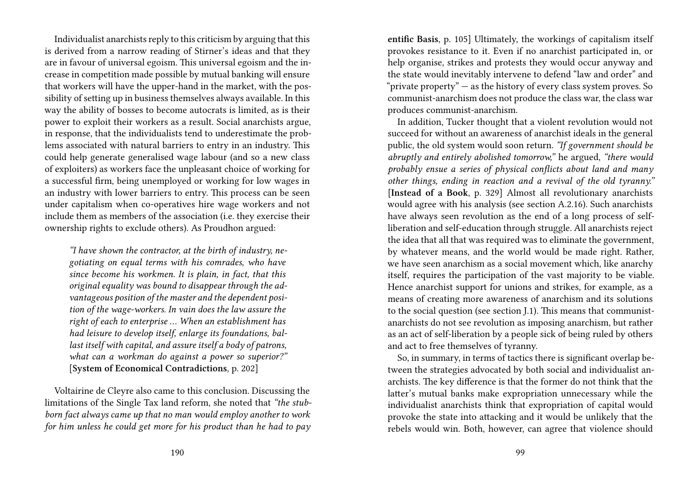Individualist anarchists reply to this criticism by arguing that this is derived from a narrow reading of Stirner's ideas and that they are in favour of universal egoism. This universal egoism and the increase in competition made possible by mutual banking will ensure that workers will have the upper-hand in the market, with the possibility of setting up in business themselves always available. In this way the ability of bosses to become autocrats is limited, as is their power to exploit their workers as a result. Social anarchists argue, in response, that the individualists tend to underestimate the problems associated with natural barriers to entry in an industry. This could help generate generalised wage labour (and so a new class of exploiters) as workers face the unpleasant choice of working for a successful firm, being unemployed or working for low wages in an industry with lower barriers to entry. This process can be seen under capitalism when co-operatives hire wage workers and not include them as members of the association (i.e. they exercise their ownership rights to exclude others). As Proudhon argued:

*"I have shown the contractor, at the birth of industry, negotiating on equal terms with his comrades, who have since become his workmen. It is plain, in fact, that this original equality was bound to disappear through the advantageous position of the master and the dependent position of the wage-workers. In vain does the law assure the right of each to enterprise … When an establishment has had leisure to develop itself, enlarge its foundations, ballast itself with capital, and assure itself a body of patrons, what can a workman do against a power so superior?"* [**System of Economical Contradictions**, p. 202]

Voltairine de Cleyre also came to this conclusion. Discussing the limitations of the Single Tax land reform, she noted that *"the stubborn fact always came up that no man would employ another to work for him unless he could get more for his product than he had to pay*

**entific Basis**, p. 105] Ultimately, the workings of capitalism itself provokes resistance to it. Even if no anarchist participated in, or help organise, strikes and protests they would occur anyway and the state would inevitably intervene to defend "law and order" and "private property"  $-$  as the history of every class system proves. So communist-anarchism does not produce the class war, the class war produces communist-anarchism.

In addition, Tucker thought that a violent revolution would not succeed for without an awareness of anarchist ideals in the general public, the old system would soon return. *"If government should be abruptly and entirely abolished tomorrow,"* he argued, *"there would probably ensue a series of physical conflicts about land and many other things, ending in reaction and a revival of the old tyranny."* [**Instead of a Book**, p. 329] Almost all revolutionary anarchists would agree with his analysis (see section A.2.16). Such anarchists have always seen revolution as the end of a long process of selfliberation and self-education through struggle. All anarchists reject the idea that all that was required was to eliminate the government, by whatever means, and the world would be made right. Rather, we have seen anarchism as a social movement which, like anarchy itself, requires the participation of the vast majority to be viable. Hence anarchist support for unions and strikes, for example, as a means of creating more awareness of anarchism and its solutions to the social question (see section J.1). This means that communistanarchists do not see revolution as imposing anarchism, but rather as an act of self-liberation by a people sick of being ruled by others and act to free themselves of tyranny.

So, in summary, in terms of tactics there is significant overlap between the strategies advocated by both social and individualist anarchists. The key difference is that the former do not think that the latter's mutual banks make expropriation unnecessary while the individualist anarchists think that expropriation of capital would provoke the state into attacking and it would be unlikely that the rebels would win. Both, however, can agree that violence should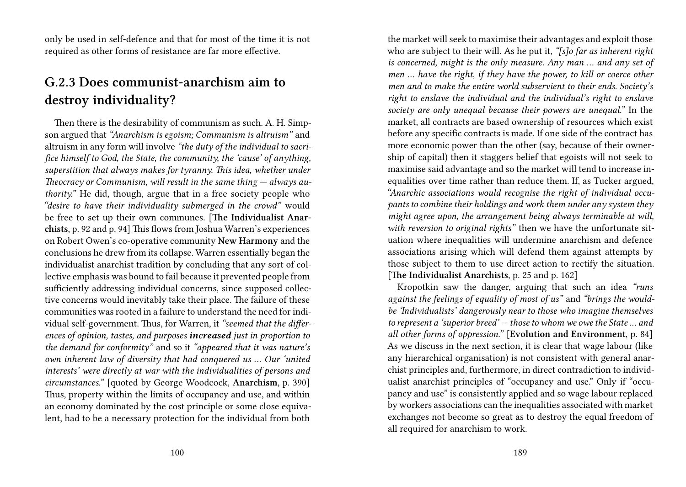only be used in self-defence and that for most of the time it is not required as other forms of resistance are far more effective.

# **G.2.3 Does communist-anarchism aim to destroy individuality?**

Then there is the desirability of communism as such. A. H. Simpson argued that *"Anarchism is egoism; Communism is altruism"* and altruism in any form will involve *"the duty of the individual to sacrifice himself to God, the State, the community, the 'cause' of anything, superstition that always makes for tyranny. This idea, whether under Theocracy or Communism, will result in the same thing — always authority."* He did, though, argue that in a free society people who *"desire to have their individuality submerged in the crowd"* would be free to set up their own communes. [**The Individualist Anarchists**, p. 92 and p. 94] This flows from Joshua Warren's experiences on Robert Owen's co-operative community **New Harmony** and the conclusions he drew from its collapse. Warren essentially began the individualist anarchist tradition by concluding that any sort of collective emphasis was bound to fail because it prevented people from sufficiently addressing individual concerns, since supposed collective concerns would inevitably take their place. The failure of these communities was rooted in a failure to understand the need for individual self-government. Thus, for Warren, it *"seemed that the differences of opinion, tastes, and purposes increased just in proportion to the demand for conformity"* and so it *"appeared that it was nature's own inherent law of diversity that had conquered us … Our 'united interests' were directly at war with the individualities of persons and circumstances."* [quoted by George Woodcock, **Anarchism**, p. 390] Thus, property within the limits of occupancy and use, and within an economy dominated by the cost principle or some close equivalent, had to be a necessary protection for the individual from both

the market will seek to maximise their advantages and exploit those who are subject to their will. As he put it, *"[s]o far as inherent right is concerned, might is the only measure. Any man … and any set of men … have the right, if they have the power, to kill or coerce other men and to make the entire world subservient to their ends. Society's right to enslave the individual and the individual's right to enslave society are only unequal because their powers are unequal."* In the market, all contracts are based ownership of resources which exist before any specific contracts is made. If one side of the contract has more economic power than the other (say, because of their ownership of capital) then it staggers belief that egoists will not seek to maximise said advantage and so the market will tend to increase inequalities over time rather than reduce them. If, as Tucker argued, *"Anarchic associations would recognise the right of individual occupants to combine their holdings and work them under any system they might agree upon, the arrangement being always terminable at will, with reversion to original rights"* then we have the unfortunate situation where inequalities will undermine anarchism and defence associations arising which will defend them against attempts by those subject to them to use direct action to rectify the situation. [**The Individualist Anarchists**, p. 25 and p. 162]

Kropotkin saw the danger, arguing that such an idea *"runs against the feelings of equality of most of us"* and *"brings the wouldbe 'Individualists' dangerously near to those who imagine themselves to represent a 'superior breed' — those to whom we owe the State … and all other forms of oppression."* [**Evolution and Environment**, p. 84] As we discuss in the next section, it is clear that wage labour (like any hierarchical organisation) is not consistent with general anarchist principles and, furthermore, in direct contradiction to individualist anarchist principles of "occupancy and use." Only if "occupancy and use" is consistently applied and so wage labour replaced by workers associations can the inequalities associated with market exchanges not become so great as to destroy the equal freedom of all required for anarchism to work.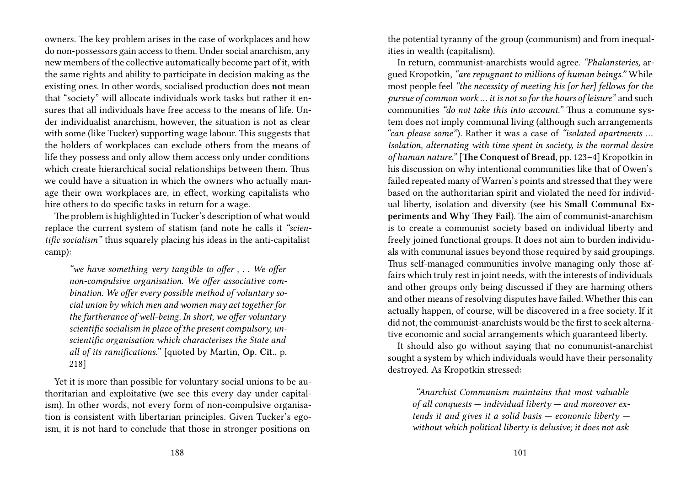owners. The key problem arises in the case of workplaces and how do non-possessors gain access to them. Under social anarchism, any new members of the collective automatically become part of it, with the same rights and ability to participate in decision making as the existing ones. In other words, socialised production does **not** mean that "society" will allocate individuals work tasks but rather it ensures that all individuals have free access to the means of life. Under individualist anarchism, however, the situation is not as clear with some (like Tucker) supporting wage labour. This suggests that the holders of workplaces can exclude others from the means of life they possess and only allow them access only under conditions which create hierarchical social relationships between them. Thus we could have a situation in which the owners who actually manage their own workplaces are, in effect, working capitalists who hire others to do specific tasks in return for a wage.

The problem is highlighted in Tucker's description of what would replace the current system of statism (and note he calls it *"scientific socialism"* thus squarely placing his ideas in the anti-capitalist camp):

*"we have something very tangible to offer , . . We offer non-compulsive organisation. We offer associative combination. We offer every possible method of voluntary social union by which men and women may act together for the furtherance of well-being. In short, we offer voluntary scientific socialism in place of the present compulsory, unscientific organisation which characterises the State and all of its ramifications."* [quoted by Martin, **Op. Cit.**, p. 218]

Yet it is more than possible for voluntary social unions to be authoritarian and exploitative (we see this every day under capitalism). In other words, not every form of non-compulsive organisation is consistent with libertarian principles. Given Tucker's egoism, it is not hard to conclude that those in stronger positions on

the potential tyranny of the group (communism) and from inequalities in wealth (capitalism).

In return, communist-anarchists would agree. *"Phalansteries,* argued Kropotkin, *"are repugnant to millions of human beings."* While most people feel *"the necessity of meeting his [or her] fellows for the pursue of common work … it is not so for the hours of leisure"* and such communities *"do not take this into account."* Thus a commune system does not imply communal living (although such arrangements *"can please some"*). Rather it was a case of *"isolated apartments … Isolation, alternating with time spent in society, is the normal desire of human nature."* [**The Conquest of Bread**, pp. 123–4] Kropotkin in his discussion on why intentional communities like that of Owen's failed repeated many of Warren's points and stressed that they were based on the authoritarian spirit and violated the need for individual liberty, isolation and diversity (see his **Small Communal Experiments and Why They Fail**). The aim of communist-anarchism is to create a communist society based on individual liberty and freely joined functional groups. It does not aim to burden individuals with communal issues beyond those required by said groupings. Thus self-managed communities involve managing only those affairs which truly rest in joint needs, with the interests of individuals and other groups only being discussed if they are harming others and other means of resolving disputes have failed. Whether this can actually happen, of course, will be discovered in a free society. If it did not, the communist-anarchists would be the first to seek alternative economic and social arrangements which guaranteed liberty.

It should also go without saying that no communist-anarchist sought a system by which individuals would have their personality destroyed. As Kropotkin stressed:

*"Anarchist Communism maintains that most valuable of all conquests — individual liberty — and moreover extends it and gives it a solid basis — economic liberty without which political liberty is delusive; it does not ask*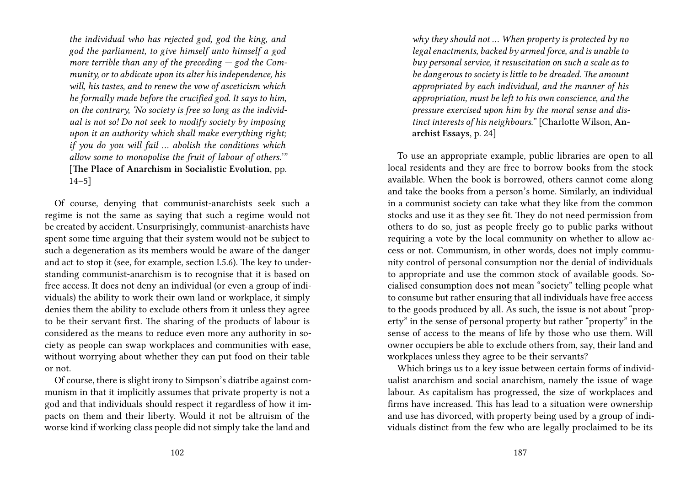*the individual who has rejected god, god the king, and god the parliament, to give himself unto himself a god more terrible than any of the preceding — god the Community, or to abdicate upon its alter his independence, his will, his tastes, and to renew the vow of asceticism which he formally made before the crucified god. It says to him, on the contrary, 'No society is free so long as the individual is not so! Do not seek to modify society by imposing upon it an authority which shall make everything right; if you do you will fail … abolish the conditions which allow some to monopolise the fruit of labour of others.'"* [**The Place of Anarchism in Socialistic Evolution**, pp. 14–5]

Of course, denying that communist-anarchists seek such a regime is not the same as saying that such a regime would not be created by accident. Unsurprisingly, communist-anarchists have spent some time arguing that their system would not be subject to such a degeneration as its members would be aware of the danger and act to stop it (see, for example, section I.5.6). The key to understanding communist-anarchism is to recognise that it is based on free access. It does not deny an individual (or even a group of individuals) the ability to work their own land or workplace, it simply denies them the ability to exclude others from it unless they agree to be their servant first. The sharing of the products of labour is considered as the means to reduce even more any authority in society as people can swap workplaces and communities with ease, without worrying about whether they can put food on their table or not.

Of course, there is slight irony to Simpson's diatribe against communism in that it implicitly assumes that private property is not a god and that individuals should respect it regardless of how it impacts on them and their liberty. Would it not be altruism of the worse kind if working class people did not simply take the land and

*why they should not … When property is protected by no legal enactments, backed by armed force, and is unable to buy personal service, it resuscitation on such a scale as to be dangerous to society is little to be dreaded. The amount appropriated by each individual, and the manner of his appropriation, must be left to his own conscience, and the pressure exercised upon him by the moral sense and distinct interests of his neighbours."* [Charlotte Wilson, **Anarchist Essays**, p. 24]

To use an appropriate example, public libraries are open to all local residents and they are free to borrow books from the stock available. When the book is borrowed, others cannot come along and take the books from a person's home. Similarly, an individual in a communist society can take what they like from the common stocks and use it as they see fit. They do not need permission from others to do so, just as people freely go to public parks without requiring a vote by the local community on whether to allow access or not. Communism, in other words, does not imply community control of personal consumption nor the denial of individuals to appropriate and use the common stock of available goods. Socialised consumption does **not** mean "society" telling people what to consume but rather ensuring that all individuals have free access to the goods produced by all. As such, the issue is not about "property" in the sense of personal property but rather "property" in the sense of access to the means of life by those who use them. Will owner occupiers be able to exclude others from, say, their land and workplaces unless they agree to be their servants?

Which brings us to a key issue between certain forms of individualist anarchism and social anarchism, namely the issue of wage labour. As capitalism has progressed, the size of workplaces and firms have increased. This has lead to a situation were ownership and use has divorced, with property being used by a group of individuals distinct from the few who are legally proclaimed to be its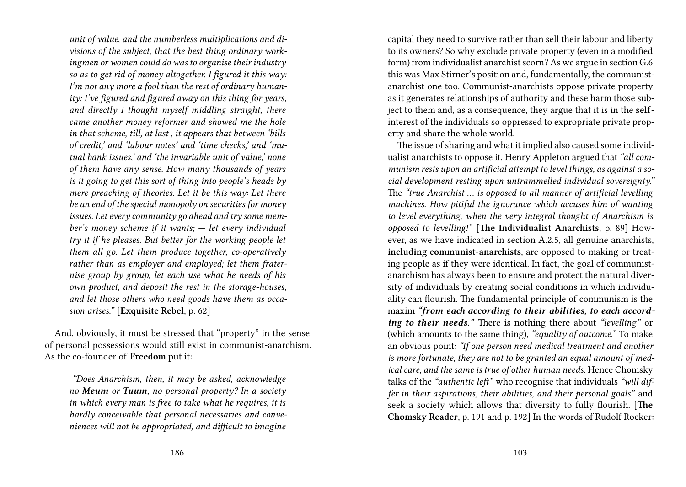*unit of value, and the numberless multiplications and divisions of the subject, that the best thing ordinary workingmen or women could do was to organise their industry so as to get rid of money altogether. I figured it this way: I'm not any more a fool than the rest of ordinary humanity; I've figured and figured away on this thing for years, and directly I thought myself middling straight, there came another money reformer and showed me the hole in that scheme, till, at last , it appears that between 'bills of credit,' and 'labour notes' and 'time checks,' and 'mutual bank issues,' and 'the invariable unit of value,' none of them have any sense. How many thousands of years is it going to get this sort of thing into people's heads by mere preaching of theories. Let it be this way: Let there be an end of the special monopoly on securities for money issues. Let every community go ahead and try some member's money scheme if it wants; — let every individual try it if he pleases. But better for the working people let them all go. Let them produce together, co-operatively rather than as employer and employed; let them fraternise group by group, let each use what he needs of his own product, and deposit the rest in the storage-houses, and let those others who need goods have them as occasion arises."* [**Exquisite Rebel**, p. 62]

And, obviously, it must be stressed that "property" in the sense of personal possessions would still exist in communist-anarchism. As the co-founder of **Freedom** put it:

*"Does Anarchism, then, it may be asked, acknowledge no Meum or Tuum, no personal property? In a society in which every man is free to take what he requires, it is hardly conceivable that personal necessaries and conveniences will not be appropriated, and difficult to imagine*

capital they need to survive rather than sell their labour and liberty to its owners? So why exclude private property (even in a modified form) from individualist anarchist scorn? As we argue in section G.6 this was Max Stirner's position and, fundamentally, the communistanarchist one too. Communist-anarchists oppose private property as it generates relationships of authority and these harm those subject to them and, as a consequence, they argue that it is in the **self**interest of the individuals so oppressed to expropriate private property and share the whole world.

The issue of sharing and what it implied also caused some individualist anarchists to oppose it. Henry Appleton argued that *"all communism rests upon an artificial attempt to level things, as against a social development resting upon untrammelled individual sovereignty."* The *"true Anarchist … is opposed to all manner of artificial levelling machines. How pitiful the ignorance which accuses him of wanting to level everything, when the very integral thought of Anarchism is opposed to levelling!"* [**The Individualist Anarchists**, p. 89] However, as we have indicated in section A.2.5, all genuine anarchists, **including communist-anarchists**, are opposed to making or treating people as if they were identical. In fact, the goal of communistanarchism has always been to ensure and protect the natural diversity of individuals by creating social conditions in which individuality can flourish. The fundamental principle of communism is the maxim *"from each according to their abilities, to each according to their needs."* There is nothing there about *"levelling"* or (which amounts to the same thing), *"equality of outcome."* To make an obvious point: *"If one person need medical treatment and another is more fortunate, they are not to be granted an equal amount of medical care, and the same is true of other human needs.* Hence Chomsky talks of the *"authentic left"* who recognise that individuals *"will differ in their aspirations, their abilities, and their personal goals"* and seek a society which allows that diversity to fully flourish. [**The Chomsky Reader**, p. 191 and p. 192] In the words of Rudolf Rocker: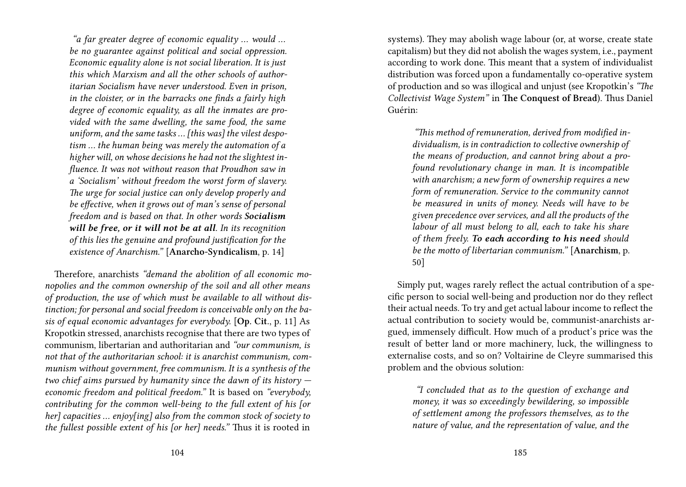*"a far greater degree of economic equality … would … be no guarantee against political and social oppression. Economic equality alone is not social liberation. It is just this which Marxism and all the other schools of authoritarian Socialism have never understood. Even in prison, in the cloister, or in the barracks one finds a fairly high degree of economic equality, as all the inmates are provided with the same dwelling, the same food, the same uniform, and the same tasks … [this was] the vilest despotism … the human being was merely the automation of a higher will, on whose decisions he had not the slightest influence. It was not without reason that Proudhon saw in a 'Socialism' without freedom the worst form of slavery. The urge for social justice can only develop properly and be effective, when it grows out of man's sense of personal freedom and is based on that. In other words Socialism will be free, or it will not be at all. In its recognition of this lies the genuine and profound justification for the existence of Anarchism."* [**Anarcho-Syndicalism**, p. 14]

Therefore, anarchists *"demand the abolition of all economic monopolies and the common ownership of the soil and all other means of production, the use of which must be available to all without distinction; for personal and social freedom is conceivable only on the basis of equal economic advantages for everybody.* [**Op. Cit.**, p. 11] As Kropotkin stressed, anarchists recognise that there are two types of communism, libertarian and authoritarian and *"our communism, is not that of the authoritarian school: it is anarchist communism, communism without government, free communism. It is a synthesis of the two chief aims pursued by humanity since the dawn of its history economic freedom and political freedom."* It is based on *"everybody, contributing for the common well-being to the full extent of his [or her] capacities … enjoy[ing] also from the common stock of society to the fullest possible extent of his [or her] needs."* Thus it is rooted in

systems). They may abolish wage labour (or, at worse, create state capitalism) but they did not abolish the wages system, i.e., payment according to work done. This meant that a system of individualist distribution was forced upon a fundamentally co-operative system of production and so was illogical and unjust (see Kropotkin's *"The Collectivist Wage System"* in **The Conquest of Bread**). Thus Daniel Guérin:

*"This method of remuneration, derived from modified individualism, is in contradiction to collective ownership of the means of production, and cannot bring about a profound revolutionary change in man. It is incompatible with anarchism; a new form of ownership requires a new form of remuneration. Service to the community cannot be measured in units of money. Needs will have to be given precedence over services, and all the products of the labour of all must belong to all, each to take his share of them freely. To each according to his need should be the motto of libertarian communism."* [**Anarchism**, p. 50]

Simply put, wages rarely reflect the actual contribution of a specific person to social well-being and production nor do they reflect their actual needs. To try and get actual labour income to reflect the actual contribution to society would be, communist-anarchists argued, immensely difficult. How much of a product's price was the result of better land or more machinery, luck, the willingness to externalise costs, and so on? Voltairine de Cleyre summarised this problem and the obvious solution:

*"I concluded that as to the question of exchange and money, it was so exceedingly bewildering, so impossible of settlement among the professors themselves, as to the nature of value, and the representation of value, and the*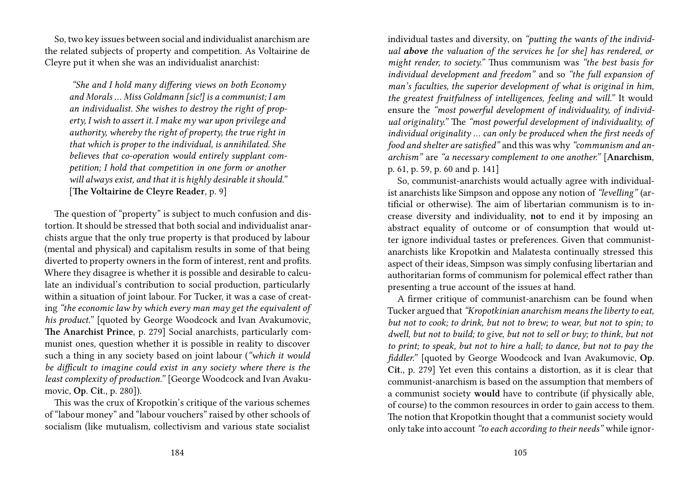So, two key issues between social and individualist anarchism are the related subjects of property and competition. As Voltairine de Cleyre put it when she was an individualist anarchist:

*"She and I hold many differing views on both Economy and Morals … Miss Goldmann [sic!] is a communist; I am an individualist. She wishes to destroy the right of property, I wish to assert it. I make my war upon privilege and authority, whereby the right of property, the true right in that which is proper to the individual, is annihilated. She believes that co-operation would entirely supplant competition; I hold that competition in one form or another will always exist, and that it is highly desirable it should."* [**The Voltairine de Cleyre Reader**, p. 9]

The question of "property" is subject to much confusion and distortion. It should be stressed that both social and individualist anarchists argue that the only true property is that produced by labour (mental and physical) and capitalism results in some of that being diverted to property owners in the form of interest, rent and profits. Where they disagree is whether it is possible and desirable to calculate an individual's contribution to social production, particularly within a situation of joint labour. For Tucker, it was a case of creating *"the economic law by which every man may get the equivalent of his product."* [quoted by George Woodcock and Ivan Avakumovic, **The Anarchist Prince**, p. 279] Social anarchists, particularly communist ones, question whether it is possible in reality to discover such a thing in any society based on joint labour (*"which it would be difficult to imagine could exist in any society where there is the least complexity of production."* [George Woodcock and Ivan Avakumovic, **Op. Cit.**, p. 280]).

This was the crux of Kropotkin's critique of the various schemes of "labour money" and "labour vouchers" raised by other schools of socialism (like mutualism, collectivism and various state socialist individual tastes and diversity, on *"putting the wants of the individual above the valuation of the services he [or she] has rendered, or might render, to society."* Thus communism was *"the best basis for individual development and freedom"* and so *"the full expansion of man's faculties, the superior development of what is original in him, the greatest fruitfulness of intelligences, feeling and will."* It would ensure the *"most powerful development of individuality, of individual originality."* The *"most powerful development of individuality, of individual originality … can only be produced when the first needs of food and shelter are satisfied"* and this was why *"communism and anarchism"* are *"a necessary complement to one another."* [**Anarchism**, p. 61, p. 59, p. 60 and p. 141]

So, communist-anarchists would actually agree with individualist anarchists like Simpson and oppose any notion of *"levelling"* (artificial or otherwise). The aim of libertarian communism is to increase diversity and individuality, **not** to end it by imposing an abstract equality of outcome or of consumption that would utter ignore individual tastes or preferences. Given that communistanarchists like Kropotkin and Malatesta continually stressed this aspect of their ideas, Simpson was simply confusing libertarian and authoritarian forms of communism for polemical effect rather than presenting a true account of the issues at hand.

A firmer critique of communist-anarchism can be found when Tucker argued that*"Kropotkinian anarchism means the liberty to eat, but not to cook; to drink, but not to brew; to wear, but not to spin; to dwell, but not to build; to give, but not to sell or buy; to think, but not to print; to speak, but not to hire a hall; to dance, but not to pay the fiddler."* [quoted by George Woodcock and Ivan Avakumovic, **Op. Cit.**, p. 279] Yet even this contains a distortion, as it is clear that communist-anarchism is based on the assumption that members of a communist society **would** have to contribute (if physically able, of course) to the common resources in order to gain access to them. The notion that Kropotkin thought that a communist society would only take into account *"to each according to their needs"* while ignor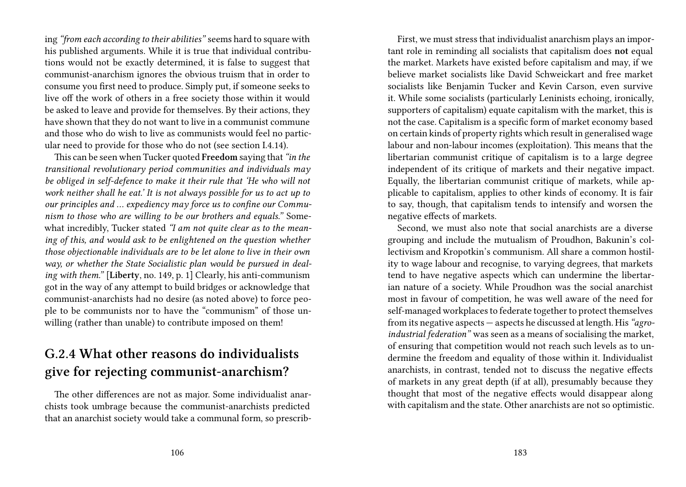ing *"from each according to their abilities"* seems hard to square with his published arguments. While it is true that individual contributions would not be exactly determined, it is false to suggest that communist-anarchism ignores the obvious truism that in order to consume you first need to produce. Simply put, if someone seeks to live off the work of others in a free society those within it would be asked to leave and provide for themselves. By their actions, they have shown that they do not want to live in a communist commune and those who do wish to live as communists would feel no particular need to provide for those who do not (see section I.4.14).

This can be seen when Tucker quoted **Freedom** saying that*"in the transitional revolutionary period communities and individuals may be obliged in self-defence to make it their rule that 'He who will not work neither shall he eat.' It is not always possible for us to act up to our principles and … expediency may force us to confine our Communism to those who are willing to be our brothers and equals."* Somewhat incredibly, Tucker stated *"I am not quite clear as to the meaning of this, and would ask to be enlightened on the question whether those objectionable individuals are to be let alone to live in their own way, or whether the State Socialistic plan would be pursued in dealing with them."* [**Liberty**, no. 149, p. 1] Clearly, his anti-communism got in the way of any attempt to build bridges or acknowledge that communist-anarchists had no desire (as noted above) to force people to be communists nor to have the "communism" of those unwilling (rather than unable) to contribute imposed on them!

## **G.2.4 What other reasons do individualists give for rejecting communist-anarchism?**

The other differences are not as major. Some individualist anarchists took umbrage because the communist-anarchists predicted that an anarchist society would take a communal form, so prescrib-

First, we must stress that individualist anarchism plays an important role in reminding all socialists that capitalism does **not** equal the market. Markets have existed before capitalism and may, if we believe market socialists like David Schweickart and free market socialists like Benjamin Tucker and Kevin Carson, even survive it. While some socialists (particularly Leninists echoing, ironically, supporters of capitalism) equate capitalism with the market, this is not the case. Capitalism is a specific form of market economy based on certain kinds of property rights which result in generalised wage labour and non-labour incomes (exploitation). This means that the libertarian communist critique of capitalism is to a large degree independent of its critique of markets and their negative impact. Equally, the libertarian communist critique of markets, while applicable to capitalism, applies to other kinds of economy. It is fair to say, though, that capitalism tends to intensify and worsen the negative effects of markets.

Second, we must also note that social anarchists are a diverse grouping and include the mutualism of Proudhon, Bakunin's collectivism and Kropotkin's communism. All share a common hostility to wage labour and recognise, to varying degrees, that markets tend to have negative aspects which can undermine the libertarian nature of a society. While Proudhon was the social anarchist most in favour of competition, he was well aware of the need for self-managed workplaces to federate together to protect themselves from its negative aspects — aspects he discussed at length. His*"agroindustrial federation"* was seen as a means of socialising the market, of ensuring that competition would not reach such levels as to undermine the freedom and equality of those within it. Individualist anarchists, in contrast, tended not to discuss the negative effects of markets in any great depth (if at all), presumably because they thought that most of the negative effects would disappear along with capitalism and the state. Other anarchists are not so optimistic.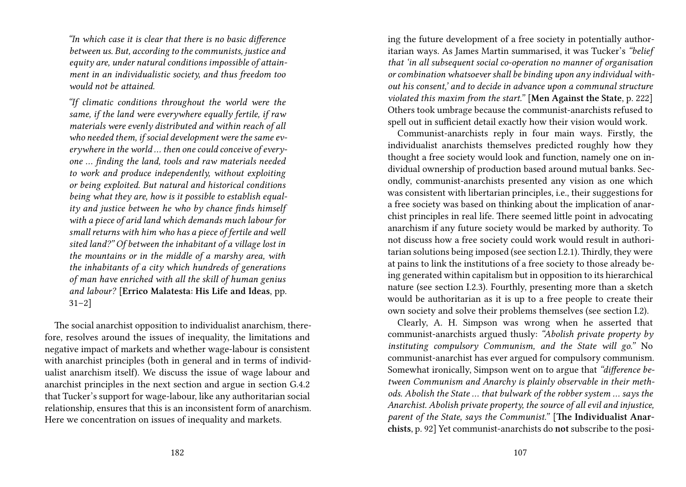*"In which case it is clear that there is no basic difference between us. But, according to the communists, justice and equity are, under natural conditions impossible of attainment in an individualistic society, and thus freedom too would not be attained.*

*"If climatic conditions throughout the world were the same, if the land were everywhere equally fertile, if raw materials were evenly distributed and within reach of all who needed them, if social development were the same everywhere in the world … then one could conceive of everyone … finding the land, tools and raw materials needed to work and produce independently, without exploiting or being exploited. But natural and historical conditions being what they are, how is it possible to establish equality and justice between he who by chance finds himself with a piece of arid land which demands much labour for small returns with him who has a piece of fertile and well sited land?" Of between the inhabitant of a village lost in the mountains or in the middle of a marshy area, with the inhabitants of a city which hundreds of generations of man have enriched with all the skill of human genius and labour?* [**Errico Malatesta: His Life and Ideas**, pp. 31–2]

The social anarchist opposition to individualist anarchism, therefore, resolves around the issues of inequality, the limitations and negative impact of markets and whether wage-labour is consistent with anarchist principles (both in general and in terms of individualist anarchism itself). We discuss the issue of wage labour and anarchist principles in the next section and argue in section G.4.2 that Tucker's support for wage-labour, like any authoritarian social relationship, ensures that this is an inconsistent form of anarchism. Here we concentration on issues of inequality and markets.

ing the future development of a free society in potentially authoritarian ways. As James Martin summarised, it was Tucker's *"belief that 'in all subsequent social co-operation no manner of organisation or combination whatsoever shall be binding upon any individual without his consent,' and to decide in advance upon a communal structure violated this maxim from the start."* [**Men Against the State**, p. 222] Others took umbrage because the communist-anarchists refused to spell out in sufficient detail exactly how their vision would work.

Communist-anarchists reply in four main ways. Firstly, the individualist anarchists themselves predicted roughly how they thought a free society would look and function, namely one on individual ownership of production based around mutual banks. Secondly, communist-anarchists presented any vision as one which was consistent with libertarian principles, i.e., their suggestions for a free society was based on thinking about the implication of anarchist principles in real life. There seemed little point in advocating anarchism if any future society would be marked by authority. To not discuss how a free society could work would result in authoritarian solutions being imposed (see section I.2.1). Thirdly, they were at pains to link the institutions of a free society to those already being generated within capitalism but in opposition to its hierarchical nature (see section I.2.3). Fourthly, presenting more than a sketch would be authoritarian as it is up to a free people to create their own society and solve their problems themselves (see section I.2).

Clearly, A. H. Simpson was wrong when he asserted that communist-anarchists argued thusly: *"Abolish private property by instituting compulsory Communism, and the State will go."* No communist-anarchist has ever argued for compulsory communism. Somewhat ironically, Simpson went on to argue that *"difference between Communism and Anarchy is plainly observable in their methods. Abolish the State … that bulwark of the robber system … says the Anarchist. Abolish private property, the source of all evil and injustice, parent of the State, says the Communist."* [**The Individualist Anarchists**, p. 92] Yet communist-anarchists do **not** subscribe to the posi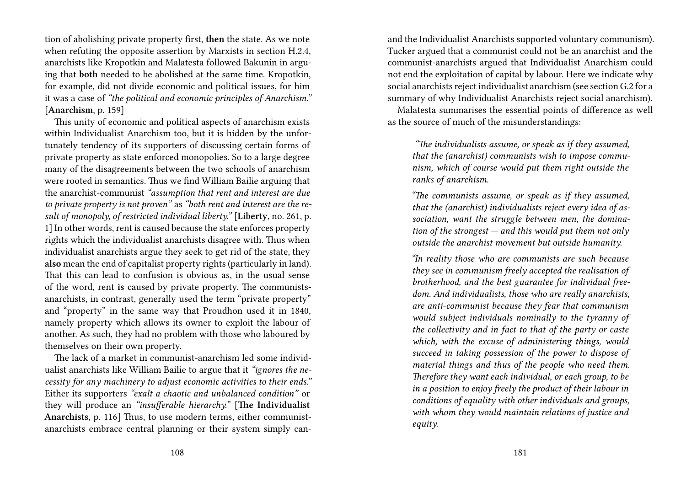tion of abolishing private property first, **then** the state. As we note when refuting the opposite assertion by Marxists in section H.2.4, anarchists like Kropotkin and Malatesta followed Bakunin in arguing that **both** needed to be abolished at the same time. Kropotkin, for example, did not divide economic and political issues, for him it was a case of *"the political and economic principles of Anarchism."* [**Anarchism**, p. 159]

This unity of economic and political aspects of anarchism exists within Individualist Anarchism too, but it is hidden by the unfortunately tendency of its supporters of discussing certain forms of private property as state enforced monopolies. So to a large degree many of the disagreements between the two schools of anarchism were rooted in semantics. Thus we find William Bailie arguing that the anarchist-communist *"assumption that rent and interest are due to private property is not proven"* as *"both rent and interest are the result of monopoly, of restricted individual liberty."* [**Liberty**, no. 261, p. 1] In other words, rent is caused because the state enforces property rights which the individualist anarchists disagree with. Thus when individualist anarchists argue they seek to get rid of the state, they **also** mean the end of capitalist property rights (particularly in land). That this can lead to confusion is obvious as, in the usual sense of the word, rent **is** caused by private property. The communistsanarchists, in contrast, generally used the term "private property" and "property" in the same way that Proudhon used it in 1840, namely property which allows its owner to exploit the labour of another. As such, they had no problem with those who laboured by themselves on their own property.

The lack of a market in communist-anarchism led some individualist anarchists like William Bailie to argue that it *"ignores the necessity for any machinery to adjust economic activities to their ends."* Either its supporters *"exalt a chaotic and unbalanced condition"* or they will produce an *"insufferable hierarchy."* [**The Individualist Anarchists**, p. 116] Thus, to use modern terms, either communistanarchists embrace central planning or their system simply can-

and the Individualist Anarchists supported voluntary communism). Tucker argued that a communist could not be an anarchist and the communist-anarchists argued that Individualist Anarchism could not end the exploitation of capital by labour. Here we indicate why social anarchists reject individualist anarchism (see section G.2 for a summary of why Individualist Anarchists reject social anarchism).

Malatesta summarises the essential points of difference as well as the source of much of the misunderstandings:

*"The individualists assume, or speak as if they assumed, that the (anarchist) communists wish to impose communism, which of course would put them right outside the ranks of anarchism.*

*"The communists assume, or speak as if they assumed, that the (anarchist) individualists reject every idea of association, want the struggle between men, the domination of the strongest — and this would put them not only outside the anarchist movement but outside humanity.*

*"In reality those who are communists are such because they see in communism freely accepted the realisation of brotherhood, and the best guarantee for individual freedom. And individualists, those who are really anarchists, are anti-communist because they fear that communism would subject individuals nominally to the tyranny of the collectivity and in fact to that of the party or caste which, with the excuse of administering things, would succeed in taking possession of the power to dispose of material things and thus of the people who need them. Therefore they want each individual, or each group, to be in a position to enjoy freely the product of their labour in conditions of equality with other individuals and groups, with whom they would maintain relations of justice and equity.*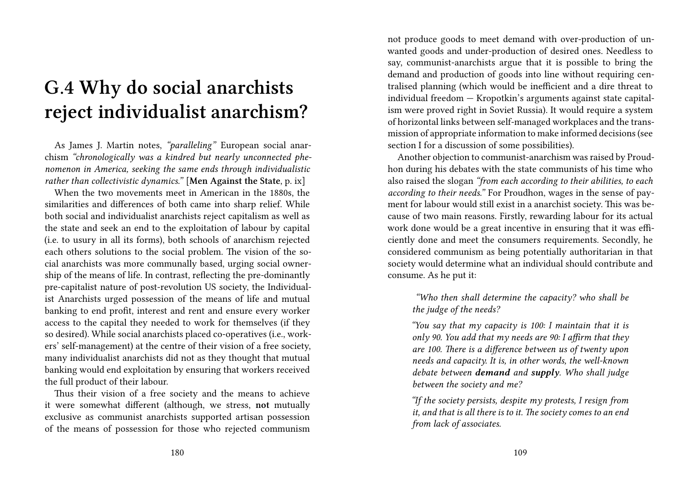## **G.4 Why do social anarchists reject individualist anarchism?**

As James J. Martin notes, *"paralleling"* European social anarchism *"chronologically was a kindred but nearly unconnected phenomenon in America, seeking the same ends through individualistic rather than collectivistic dynamics."* [**Men Against the State**, p. ix]

When the two movements meet in American in the 1880s, the similarities and differences of both came into sharp relief. While both social and individualist anarchists reject capitalism as well as the state and seek an end to the exploitation of labour by capital (i.e. to usury in all its forms), both schools of anarchism rejected each others solutions to the social problem. The vision of the social anarchists was more communally based, urging social ownership of the means of life. In contrast, reflecting the pre-dominantly pre-capitalist nature of post-revolution US society, the Individualist Anarchists urged possession of the means of life and mutual banking to end profit, interest and rent and ensure every worker access to the capital they needed to work for themselves (if they so desired). While social anarchists placed co-operatives (i.e., workers' self-management) at the centre of their vision of a free society, many individualist anarchists did not as they thought that mutual banking would end exploitation by ensuring that workers received the full product of their labour.

Thus their vision of a free society and the means to achieve it were somewhat different (although, we stress, **not** mutually exclusive as communist anarchists supported artisan possession of the means of possession for those who rejected communism

not produce goods to meet demand with over-production of unwanted goods and under-production of desired ones. Needless to say, communist-anarchists argue that it is possible to bring the demand and production of goods into line without requiring centralised planning (which would be inefficient and a dire threat to individual freedom — Kropotkin's arguments against state capitalism were proved right in Soviet Russia). It would require a system of horizontal links between self-managed workplaces and the transmission of appropriate information to make informed decisions (see section I for a discussion of some possibilities).

Another objection to communist-anarchism was raised by Proudhon during his debates with the state communists of his time who also raised the slogan *"from each according to their abilities, to each according to their needs."* For Proudhon, wages in the sense of payment for labour would still exist in a anarchist society. This was because of two main reasons. Firstly, rewarding labour for its actual work done would be a great incentive in ensuring that it was efficiently done and meet the consumers requirements. Secondly, he considered communism as being potentially authoritarian in that society would determine what an individual should contribute and consume. As he put it:

*"Who then shall determine the capacity? who shall be the judge of the needs?*

*"You say that my capacity is 100: I maintain that it is only 90. You add that my needs are 90: I affirm that they are 100. There is a difference between us of twenty upon needs and capacity. It is, in other words, the well-known debate between demand and supply. Who shall judge between the society and me?*

*"If the society persists, despite my protests, I resign from it, and that is all there is to it. The society comes to an end from lack of associates.*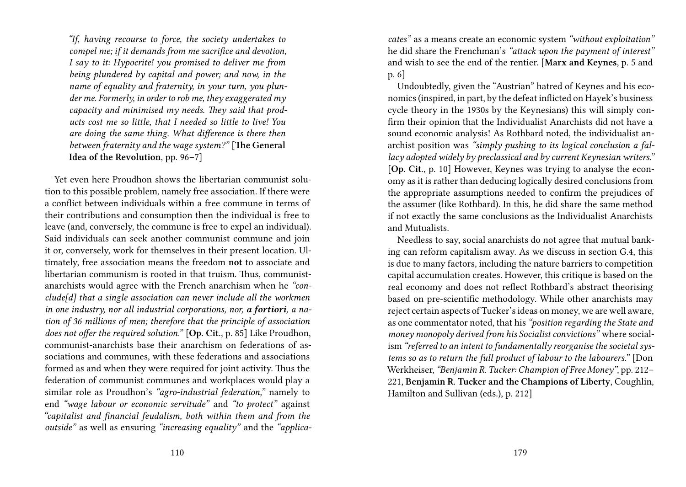*"If, having recourse to force, the society undertakes to compel me; if it demands from me sacrifice and devotion, I say to it: Hypocrite! you promised to deliver me from being plundered by capital and power; and now, in the name of equality and fraternity, in your turn, you plunder me. Formerly, in order to rob me, they exaggerated my capacity and minimised my needs. They said that products cost me so little, that I needed so little to live! You are doing the same thing. What difference is there then between fraternity and the wage system?"* [**The General Idea of the Revolution**, pp. 96–7]

Yet even here Proudhon shows the libertarian communist solution to this possible problem, namely free association. If there were a conflict between individuals within a free commune in terms of their contributions and consumption then the individual is free to leave (and, conversely, the commune is free to expel an individual). Said individuals can seek another communist commune and join it or, conversely, work for themselves in their present location. Ultimately, free association means the freedom **not** to associate and libertarian communism is rooted in that truism. Thus, communistanarchists would agree with the French anarchism when he *"conclude[d] that a single association can never include all the workmen in one industry, nor all industrial corporations, nor, a fortiori, a nation of 36 millions of men; therefore that the principle of association does not offer the required solution."* [**Op. Cit.**, p. 85] Like Proudhon, communist-anarchists base their anarchism on federations of associations and communes, with these federations and associations formed as and when they were required for joint activity. Thus the federation of communist communes and workplaces would play a similar role as Proudhon's *"agro-industrial federation,"* namely to end *"wage labour or economic servitude"* and *"to protect"* against *"capitalist and financial feudalism, both within them and from the outside"* as well as ensuring *"increasing equality"* and the *"applica-*

*cates"* as a means create an economic system *"without exploitation"* he did share the Frenchman's *"attack upon the payment of interest"* and wish to see the end of the rentier. [**Marx and Keynes**, p. 5 and p. 6]

Undoubtedly, given the "Austrian" hatred of Keynes and his economics (inspired, in part, by the defeat inflicted on Hayek's business cycle theory in the 1930s by the Keynesians) this will simply confirm their opinion that the Individualist Anarchists did not have a sound economic analysis! As Rothbard noted, the individualist anarchist position was *"simply pushing to its logical conclusion a fallacy adopted widely by preclassical and by current Keynesian writers."* [**Op. Cit.**, p. 10] However, Keynes was trying to analyse the economy as it is rather than deducing logically desired conclusions from the appropriate assumptions needed to confirm the prejudices of the assumer (like Rothbard). In this, he did share the same method if not exactly the same conclusions as the Individualist Anarchists and Mutualists.

Needless to say, social anarchists do not agree that mutual banking can reform capitalism away. As we discuss in section G.4, this is due to many factors, including the nature barriers to competition capital accumulation creates. However, this critique is based on the real economy and does not reflect Rothbard's abstract theorising based on pre-scientific methodology. While other anarchists may reject certain aspects of Tucker's ideas on money, we are well aware, as one commentator noted, that his *"position regarding the State and money monopoly derived from his Socialist convictions"* where socialism *"referred to an intent to fundamentally reorganise the societal systems so as to return the full product of labour to the labourers."* [Don Werkheiser,*"Benjamin R. Tucker: Champion of Free Money"*, pp. 212– 221, **Benjamin R. Tucker and the Champions of Liberty**, Coughlin, Hamilton and Sullivan (eds.), p. 212]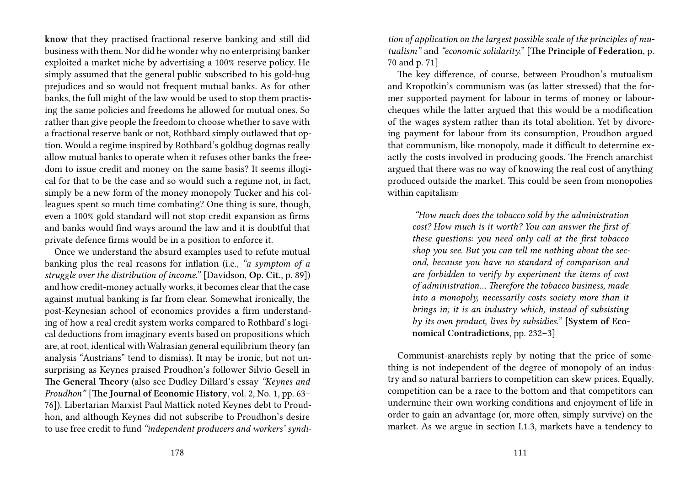**know** that they practised fractional reserve banking and still did business with them. Nor did he wonder why no enterprising banker exploited a market niche by advertising a 100% reserve policy. He simply assumed that the general public subscribed to his gold-bug prejudices and so would not frequent mutual banks. As for other banks, the full might of the law would be used to stop them practising the same policies and freedoms he allowed for mutual ones. So rather than give people the freedom to choose whether to save with a fractional reserve bank or not, Rothbard simply outlawed that option. Would a regime inspired by Rothbard's goldbug dogmas really allow mutual banks to operate when it refuses other banks the freedom to issue credit and money on the same basis? It seems illogical for that to be the case and so would such a regime not, in fact, simply be a new form of the money monopoly Tucker and his colleagues spent so much time combating? One thing is sure, though, even a 100% gold standard will not stop credit expansion as firms and banks would find ways around the law and it is doubtful that private defence firms would be in a position to enforce it.

Once we understand the absurd examples used to refute mutual banking plus the real reasons for inflation (i.e., *"a symptom of a struggle over the distribution of income."* [Davidson, **Op. Cit.**, p. 89]) and how credit-money actually works, it becomes clear that the case against mutual banking is far from clear. Somewhat ironically, the post-Keynesian school of economics provides a firm understanding of how a real credit system works compared to Rothbard's logical deductions from imaginary events based on propositions which are, at root, identical with Walrasian general equilibrium theory (an analysis "Austrians" tend to dismiss). It may be ironic, but not unsurprising as Keynes praised Proudhon's follower Silvio Gesell in **The General Theory** (also see Dudley Dillard's essay *"Keynes and Proudhon"* [**The Journal of Economic History**, vol. 2, No. 1, pp. 63– 76]). Libertarian Marxist Paul Mattick noted Keynes debt to Proudhon, and although Keynes did not subscribe to Proudhon's desire to use free credit to fund *"independent producers and workers' syndi-* *tion of application on the largest possible scale of the principles of mutualism"* and *"economic solidarity."* [**The Principle of Federation**, p. 70 and p. 71]

The key difference, of course, between Proudhon's mutualism and Kropotkin's communism was (as latter stressed) that the former supported payment for labour in terms of money or labourcheques while the latter argued that this would be a modification of the wages system rather than its total abolition. Yet by divorcing payment for labour from its consumption, Proudhon argued that communism, like monopoly, made it difficult to determine exactly the costs involved in producing goods. The French anarchist argued that there was no way of knowing the real cost of anything produced outside the market. This could be seen from monopolies within capitalism:

*"How much does the tobacco sold by the administration cost? How much is it worth? You can answer the first of these questions: you need only call at the first tobacco shop you see. But you can tell me nothing about the second, because you have no standard of comparison and are forbidden to verify by experiment the items of cost of administration… Therefore the tobacco business, made into a monopoly, necessarily costs society more than it brings in; it is an industry which, instead of subsisting by its own product, lives by subsidies."* [**System of Economical Contradictions**, pp. 232–3]

Communist-anarchists reply by noting that the price of something is not independent of the degree of monopoly of an industry and so natural barriers to competition can skew prices. Equally, competition can be a race to the bottom and that competitors can undermine their own working conditions and enjoyment of life in order to gain an advantage (or, more often, simply survive) on the market. As we argue in section I.1.3, markets have a tendency to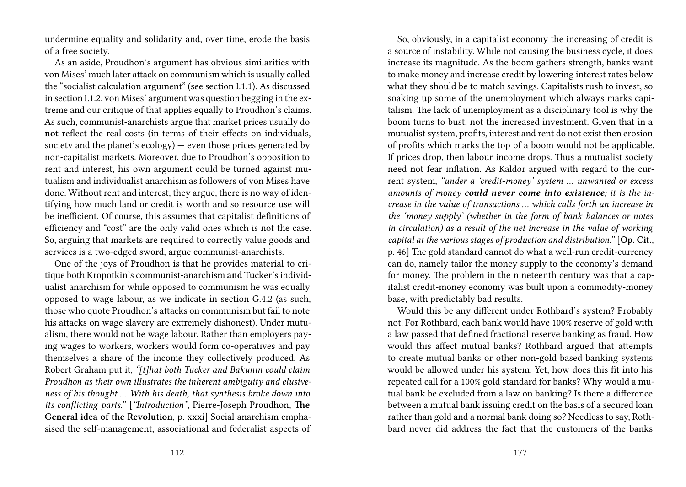undermine equality and solidarity and, over time, erode the basis of a free society.

As an aside, Proudhon's argument has obvious similarities with von Mises' much later attack on communism which is usually called the "socialist calculation argument" (see section I.1.1). As discussed in section I.1.2, von Mises' argument was question begging in the extreme and our critique of that applies equally to Proudhon's claims. As such, communist-anarchists argue that market prices usually do **not** reflect the real costs (in terms of their effects on individuals, society and the planet's ecology) — even those prices generated by non-capitalist markets. Moreover, due to Proudhon's opposition to rent and interest, his own argument could be turned against mutualism and individualist anarchism as followers of von Mises have done. Without rent and interest, they argue, there is no way of identifying how much land or credit is worth and so resource use will be inefficient. Of course, this assumes that capitalist definitions of efficiency and "cost" are the only valid ones which is not the case. So, arguing that markets are required to correctly value goods and services is a two-edged sword, argue communist-anarchists.

One of the joys of Proudhon is that he provides material to critique both Kropotkin's communist-anarchism **and** Tucker's individualist anarchism for while opposed to communism he was equally opposed to wage labour, as we indicate in section G.4.2 (as such, those who quote Proudhon's attacks on communism but fail to note his attacks on wage slavery are extremely dishonest). Under mutualism, there would not be wage labour. Rather than employers paying wages to workers, workers would form co-operatives and pay themselves a share of the income they collectively produced. As Robert Graham put it, *"[t]hat both Tucker and Bakunin could claim Proudhon as their own illustrates the inherent ambiguity and elusiveness of his thought … With his death, that synthesis broke down into its conflicting parts."* [*"Introduction"*, Pierre-Joseph Proudhon, **The General idea of the Revolution**, p. xxxi] Social anarchism emphasised the self-management, associational and federalist aspects of

So, obviously, in a capitalist economy the increasing of credit is a source of instability. While not causing the business cycle, it does increase its magnitude. As the boom gathers strength, banks want to make money and increase credit by lowering interest rates below what they should be to match savings. Capitalists rush to invest, so soaking up some of the unemployment which always marks capitalism. The lack of unemployment as a disciplinary tool is why the boom turns to bust, not the increased investment. Given that in a mutualist system, profits, interest and rent do not exist then erosion of profits which marks the top of a boom would not be applicable. If prices drop, then labour income drops. Thus a mutualist society need not fear inflation. As Kaldor argued with regard to the current system, *"under a 'credit-money' system … unwanted or excess amounts of money could never come into existence; it is the increase in the value of transactions … which calls forth an increase in the 'money supply' (whether in the form of bank balances or notes in circulation) as a result of the net increase in the value of working capital at the various stages of production and distribution."* [**Op. Cit.**, p. 46] The gold standard cannot do what a well-run credit-currency can do, namely tailor the money supply to the economy's demand for money. The problem in the nineteenth century was that a capitalist credit-money economy was built upon a commodity-money base, with predictably bad results.

Would this be any different under Rothbard's system? Probably not. For Rothbard, each bank would have 100% reserve of gold with a law passed that defined fractional reserve banking as fraud. How would this affect mutual banks? Rothbard argued that attempts to create mutual banks or other non-gold based banking systems would be allowed under his system. Yet, how does this fit into his repeated call for a 100% gold standard for banks? Why would a mutual bank be excluded from a law on banking? Is there a difference between a mutual bank issuing credit on the basis of a secured loan rather than gold and a normal bank doing so? Needless to say, Rothbard never did address the fact that the customers of the banks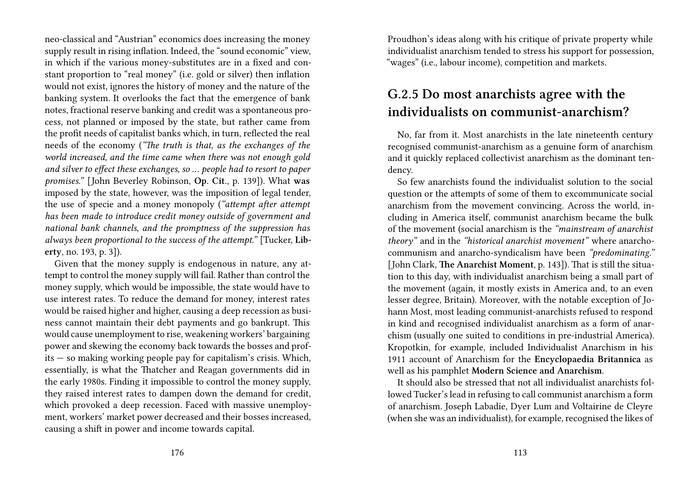neo-classical and "Austrian" economics does increasing the money supply result in rising inflation. Indeed, the "sound economic" view, in which if the various money-substitutes are in a fixed and constant proportion to "real money" (i.e. gold or silver) then inflation would not exist, ignores the history of money and the nature of the banking system. It overlooks the fact that the emergence of bank notes, fractional reserve banking and credit was a spontaneous process, not planned or imposed by the state, but rather came from the profit needs of capitalist banks which, in turn, reflected the real needs of the economy (*"The truth is that, as the exchanges of the world increased, and the time came when there was not enough gold and silver to effect these exchanges, so … people had to resort to paper promises."* [John Beverley Robinson, **Op. Cit.**, p. 139]). What **was** imposed by the state, however, was the imposition of legal tender, the use of specie and a money monopoly (*"attempt after attempt has been made to introduce credit money outside of government and national bank channels, and the promptness of the suppression has always been proportional to the success of the attempt."* [Tucker, **Liberty**, no. 193, p. 3]).

Given that the money supply is endogenous in nature, any attempt to control the money supply will fail. Rather than control the money supply, which would be impossible, the state would have to use interest rates. To reduce the demand for money, interest rates would be raised higher and higher, causing a deep recession as business cannot maintain their debt payments and go bankrupt. This would cause unemployment to rise, weakening workers' bargaining power and skewing the economy back towards the bosses and profits — so making working people pay for capitalism's crisis. Which, essentially, is what the Thatcher and Reagan governments did in the early 1980s. Finding it impossible to control the money supply, they raised interest rates to dampen down the demand for credit, which provoked a deep recession. Faced with massive unemployment, workers' market power decreased and their bosses increased, causing a shift in power and income towards capital.

Proudhon's ideas along with his critique of private property while individualist anarchism tended to stress his support for possession, "wages" (i.e., labour income), competition and markets.

#### **G.2.5 Do most anarchists agree with the individualists on communist-anarchism?**

No, far from it. Most anarchists in the late nineteenth century recognised communist-anarchism as a genuine form of anarchism and it quickly replaced collectivist anarchism as the dominant tendency.

So few anarchists found the individualist solution to the social question or the attempts of some of them to excommunicate social anarchism from the movement convincing. Across the world, including in America itself, communist anarchism became the bulk of the movement (social anarchism is the *"mainstream of anarchist theory"* and in the *"historical anarchist movement"* where anarchocommunism and anarcho-syndicalism have been *"predominating."* [John Clark, **The Anarchist Moment**, p. 143]). That is still the situation to this day, with individualist anarchism being a small part of the movement (again, it mostly exists in America and, to an even lesser degree, Britain). Moreover, with the notable exception of Johann Most, most leading communist-anarchists refused to respond in kind and recognised individualist anarchism as a form of anarchism (usually one suited to conditions in pre-industrial America). Kropotkin, for example, included Individualist Anarchism in his 1911 account of Anarchism for the **Encyclopaedia Britannica** as well as his pamphlet **Modern Science and Anarchism**.

It should also be stressed that not all individualist anarchists followed Tucker's lead in refusing to call communist anarchism a form of anarchism. Joseph Labadie, Dyer Lum and Voltairine de Cleyre (when she was an individualist), for example, recognised the likes of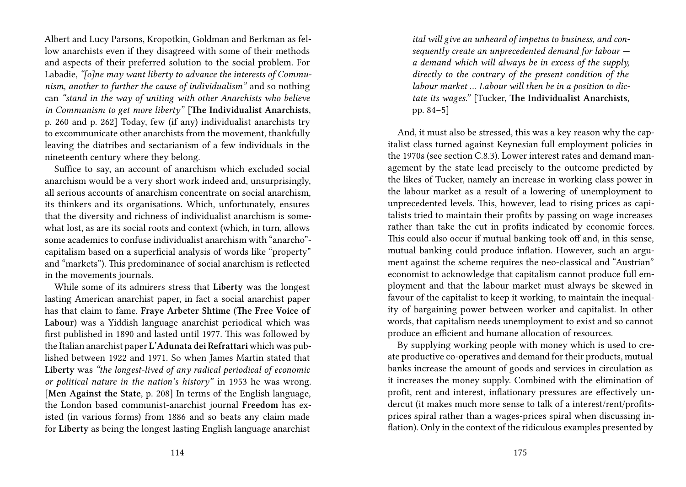Albert and Lucy Parsons, Kropotkin, Goldman and Berkman as fellow anarchists even if they disagreed with some of their methods and aspects of their preferred solution to the social problem. For Labadie, *"[o]ne may want liberty to advance the interests of Communism, another to further the cause of individualism"* and so nothing can *"stand in the way of uniting with other Anarchists who believe in Communism to get more liberty"* [**The Individualist Anarchists**, p. 260 and p. 262] Today, few (if any) individualist anarchists try to excommunicate other anarchists from the movement, thankfully leaving the diatribes and sectarianism of a few individuals in the nineteenth century where they belong.

Suffice to say, an account of anarchism which excluded social anarchism would be a very short work indeed and, unsurprisingly, all serious accounts of anarchism concentrate on social anarchism, its thinkers and its organisations. Which, unfortunately, ensures that the diversity and richness of individualist anarchism is somewhat lost, as are its social roots and context (which, in turn, allows some academics to confuse individualist anarchism with "anarcho" capitalism based on a superficial analysis of words like "property" and "markets"). This predominance of social anarchism is reflected in the movements journals.

While some of its admirers stress that **Liberty** was the longest lasting American anarchist paper, in fact a social anarchist paper has that claim to fame. **Fraye Arbeter Shtime** (**The Free Voice of Labour**) was a Yiddish language anarchist periodical which was first published in 1890 and lasted until 1977. This was followed by the Italian anarchist paper **L'Adunata dei Refrattari** which was published between 1922 and 1971. So when James Martin stated that **Liberty** was *"the longest-lived of any radical periodical of economic or political nature in the nation's history"* in 1953 he was wrong. [**Men Against the State**, p. 208] In terms of the English language, the London based communist-anarchist journal **Freedom** has existed (in various forms) from 1886 and so beats any claim made for **Liberty** as being the longest lasting English language anarchist

*ital will give an unheard of impetus to business, and consequently create an unprecedented demand for labour a demand which will always be in excess of the supply, directly to the contrary of the present condition of the labour market … Labour will then be in a position to dictate its wages."* [Tucker, **The Individualist Anarchists**, pp. 84–5]

And, it must also be stressed, this was a key reason why the capitalist class turned against Keynesian full employment policies in the 1970s (see section C.8.3). Lower interest rates and demand management by the state lead precisely to the outcome predicted by the likes of Tucker, namely an increase in working class power in the labour market as a result of a lowering of unemployment to unprecedented levels. This, however, lead to rising prices as capitalists tried to maintain their profits by passing on wage increases rather than take the cut in profits indicated by economic forces. This could also occur if mutual banking took off and, in this sense, mutual banking could produce inflation. However, such an argument against the scheme requires the neo-classical and "Austrian" economist to acknowledge that capitalism cannot produce full employment and that the labour market must always be skewed in favour of the capitalist to keep it working, to maintain the inequality of bargaining power between worker and capitalist. In other words, that capitalism needs unemployment to exist and so cannot produce an efficient and humane allocation of resources.

By supplying working people with money which is used to create productive co-operatives and demand for their products, mutual banks increase the amount of goods and services in circulation as it increases the money supply. Combined with the elimination of profit, rent and interest, inflationary pressures are effectively undercut (it makes much more sense to talk of a interest/rent/profitsprices spiral rather than a wages-prices spiral when discussing inflation). Only in the context of the ridiculous examples presented by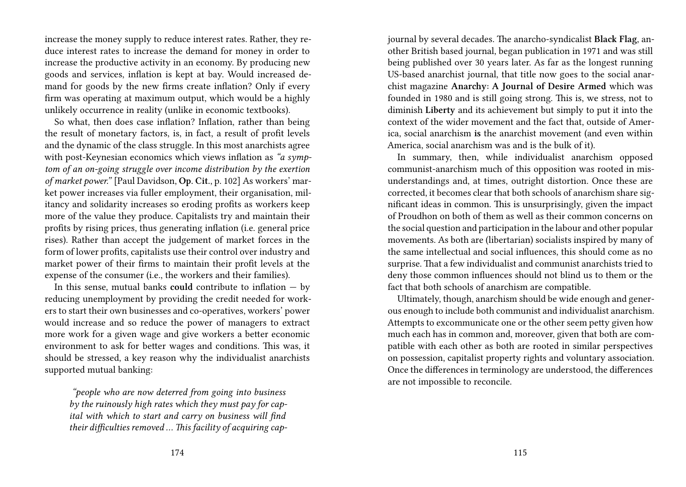increase the money supply to reduce interest rates. Rather, they reduce interest rates to increase the demand for money in order to increase the productive activity in an economy. By producing new goods and services, inflation is kept at bay. Would increased demand for goods by the new firms create inflation? Only if every firm was operating at maximum output, which would be a highly unlikely occurrence in reality (unlike in economic textbooks).

So what, then does case inflation? Inflation, rather than being the result of monetary factors, is, in fact, a result of profit levels and the dynamic of the class struggle. In this most anarchists agree with post-Keynesian economics which views inflation as *"a symptom of an on-going struggle over income distribution by the exertion of market power."* [Paul Davidson, **Op. Cit.**, p. 102] As workers' market power increases via fuller employment, their organisation, militancy and solidarity increases so eroding profits as workers keep more of the value they produce. Capitalists try and maintain their profits by rising prices, thus generating inflation (i.e. general price rises). Rather than accept the judgement of market forces in the form of lower profits, capitalists use their control over industry and market power of their firms to maintain their profit levels at the expense of the consumer (i.e., the workers and their families).

In this sense, mutual banks **could** contribute to inflation  $-$  by reducing unemployment by providing the credit needed for workers to start their own businesses and co-operatives, workers' power would increase and so reduce the power of managers to extract more work for a given wage and give workers a better economic environment to ask for better wages and conditions. This was, it should be stressed, a key reason why the individualist anarchists supported mutual banking:

*"people who are now deterred from going into business by the ruinously high rates which they must pay for capital with which to start and carry on business will find their difficulties removed … This facility of acquiring cap-* journal by several decades. The anarcho-syndicalist **Black Flag**, another British based journal, began publication in 1971 and was still being published over 30 years later. As far as the longest running US-based anarchist journal, that title now goes to the social anarchist magazine **Anarchy: A Journal of Desire Armed** which was founded in 1980 and is still going strong. This is, we stress, not to diminish **Liberty** and its achievement but simply to put it into the context of the wider movement and the fact that, outside of America, social anarchism **is** the anarchist movement (and even within America, social anarchism was and is the bulk of it).

In summary, then, while individualist anarchism opposed communist-anarchism much of this opposition was rooted in misunderstandings and, at times, outright distortion. Once these are corrected, it becomes clear that both schools of anarchism share significant ideas in common. This is unsurprisingly, given the impact of Proudhon on both of them as well as their common concerns on the social question and participation in the labour and other popular movements. As both are (libertarian) socialists inspired by many of the same intellectual and social influences, this should come as no surprise. That a few individualist and communist anarchists tried to deny those common influences should not blind us to them or the fact that both schools of anarchism are compatible.

Ultimately, though, anarchism should be wide enough and generous enough to include both communist and individualist anarchism. Attempts to excommunicate one or the other seem petty given how much each has in common and, moreover, given that both are compatible with each other as both are rooted in similar perspectives on possession, capitalist property rights and voluntary association. Once the differences in terminology are understood, the differences are not impossible to reconcile.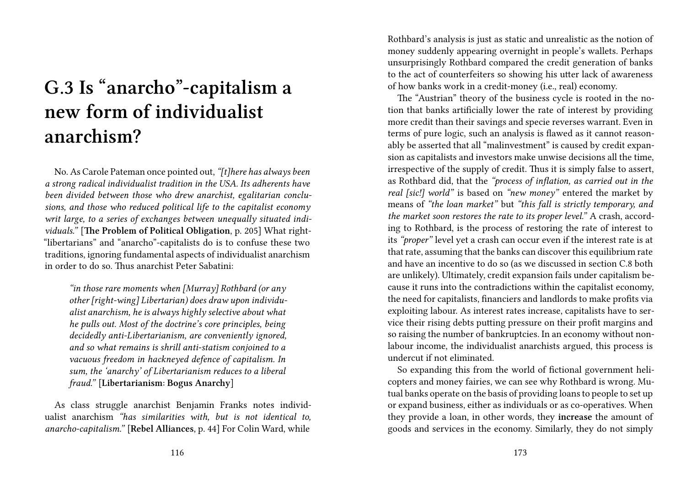# **G.3 Is "anarcho"-capitalism a new form of individualist anarchism?**

No. As Carole Pateman once pointed out,*"[t]here has always been a strong radical individualist tradition in the USA. Its adherents have been divided between those who drew anarchist, egalitarian conclusions, and those who reduced political life to the capitalist economy writ large, to a series of exchanges between unequally situated individuals."* [**The Problem of Political Obligation**, p. 205] What right- "libertarians" and "anarcho"-capitalists do is to confuse these two traditions, ignoring fundamental aspects of individualist anarchism in order to do so. Thus anarchist Peter Sabatini:

*"in those rare moments when [Murray] Rothbard (or any other [right-wing] Libertarian) does draw upon individualist anarchism, he is always highly selective about what he pulls out. Most of the doctrine's core principles, being decidedly anti-Libertarianism, are conveniently ignored, and so what remains is shrill anti-statism conjoined to a vacuous freedom in hackneyed defence of capitalism. In sum, the 'anarchy' of Libertarianism reduces to a liberal fraud."* [**Libertarianism: Bogus Anarchy**]

As class struggle anarchist Benjamin Franks notes individualist anarchism *"has similarities with, but is not identical to, anarcho-capitalism."* [**Rebel Alliances**, p. 44] For Colin Ward, while

Rothbard's analysis is just as static and unrealistic as the notion of money suddenly appearing overnight in people's wallets. Perhaps unsurprisingly Rothbard compared the credit generation of banks to the act of counterfeiters so showing his utter lack of awareness of how banks work in a credit-money (i.e., real) economy.

The "Austrian" theory of the business cycle is rooted in the notion that banks artificially lower the rate of interest by providing more credit than their savings and specie reverses warrant. Even in terms of pure logic, such an analysis is flawed as it cannot reasonably be asserted that all "malinvestment" is caused by credit expansion as capitalists and investors make unwise decisions all the time, irrespective of the supply of credit. Thus it is simply false to assert, as Rothbard did, that the *"process of inflation, as carried out in the real [sic!] world"* is based on *"new money"* entered the market by means of *"the loan market"* but *"this fall is strictly temporary, and the market soon restores the rate to its proper level."* A crash, according to Rothbard, is the process of restoring the rate of interest to its *"proper"* level yet a crash can occur even if the interest rate is at that rate, assuming that the banks can discover this equilibrium rate and have an incentive to do so (as we discussed in section C.8 both are unlikely). Ultimately, credit expansion fails under capitalism because it runs into the contradictions within the capitalist economy, the need for capitalists, financiers and landlords to make profits via exploiting labour. As interest rates increase, capitalists have to service their rising debts putting pressure on their profit margins and so raising the number of bankruptcies. In an economy without nonlabour income, the individualist anarchists argued, this process is undercut if not eliminated.

So expanding this from the world of fictional government helicopters and money fairies, we can see why Rothbard is wrong. Mutual banks operate on the basis of providing loans to people to set up or expand business, either as individuals or as co-operatives. When they provide a loan, in other words, they **increase** the amount of goods and services in the economy. Similarly, they do not simply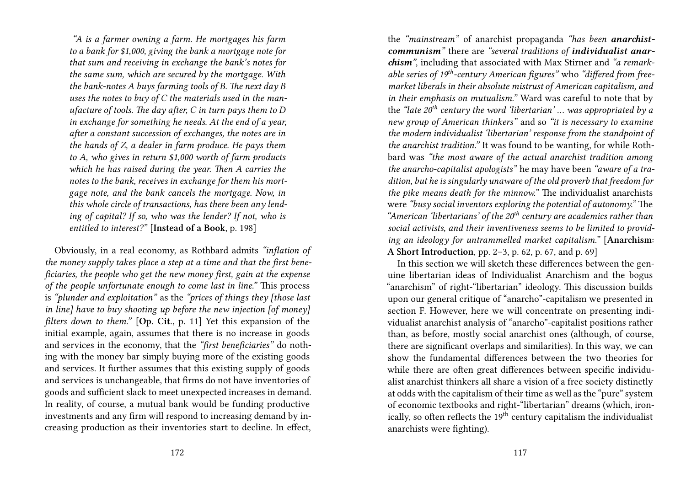*"A is a farmer owning a farm. He mortgages his farm to a bank for \$1,000, giving the bank a mortgage note for that sum and receiving in exchange the bank's notes for the same sum, which are secured by the mortgage. With the bank-notes A buys farming tools of B. The next day B uses the notes to buy of C the materials used in the manufacture of tools. The day after, C in turn pays them to D in exchange for something he needs. At the end of a year, after a constant succession of exchanges, the notes are in the hands of Z, a dealer in farm produce. He pays them to A, who gives in return \$1,000 worth of farm products which he has raised during the year. Then A carries the notes to the bank, receives in exchange for them his mortgage note, and the bank cancels the mortgage. Now, in this whole circle of transactions, has there been any lending of capital? If so, who was the lender? If not, who is entitled to interest?"* [**Instead of a Book**, p. 198]

Obviously, in a real economy, as Rothbard admits *"inflation of the money supply takes place a step at a time and that the first beneficiaries, the people who get the new money first, gain at the expense of the people unfortunate enough to come last in line."* This process is *"plunder and exploitation"* as the *"prices of things they [those last in line] have to buy shooting up before the new injection [of money] filters down to them."* [**Op. Cit.**, p. 11] Yet this expansion of the initial example, again, assumes that there is no increase in goods and services in the economy, that the *"first beneficiaries"* do nothing with the money bar simply buying more of the existing goods and services. It further assumes that this existing supply of goods and services is unchangeable, that firms do not have inventories of goods and sufficient slack to meet unexpected increases in demand. In reality, of course, a mutual bank would be funding productive investments and any firm will respond to increasing demand by increasing production as their inventories start to decline. In effect,

the *"mainstream"* of anarchist propaganda *"has been anarchistcommunism"* there are *"several traditions of individualist anarchism"*, including that associated with Max Stirner and *"a remarkable series of 19th-century American figures"* who *"differed from freemarket liberals in their absolute mistrust of American capitalism, and in their emphasis on mutualism."* Ward was careful to note that by the *"late 20th century the word 'libertarian' … was appropriated by a new group of American thinkers"* and so *"it is necessary to examine the modern individualist 'libertarian' response from the standpoint of the anarchist tradition."* It was found to be wanting, for while Rothbard was *"the most aware of the actual anarchist tradition among the anarcho-capitalist apologists"* he may have been *"aware of a tradition, but he is singularly unaware of the old proverb that freedom for the pike means death for the minnow."* The individualist anarchists were *"busy social inventors exploring the potential of autonomy."* The *"American 'libertarians' of the 20th century are academics rather than social activists, and their inventiveness seems to be limited to providing an ideology for untrammelled market capitalism."* [**Anarchism: A Short Introduction**, pp. 2–3, p. 62, p. 67, and p. 69]

In this section we will sketch these differences between the genuine libertarian ideas of Individualist Anarchism and the bogus "anarchism" of right-"libertarian" ideology. This discussion builds upon our general critique of "anarcho"-capitalism we presented in section F. However, here we will concentrate on presenting individualist anarchist analysis of "anarcho"-capitalist positions rather than, as before, mostly social anarchist ones (although, of course, there are significant overlaps and similarities). In this way, we can show the fundamental differences between the two theories for while there are often great differences between specific individualist anarchist thinkers all share a vision of a free society distinctly at odds with the capitalism of their time as well as the "pure" system of economic textbooks and right-"libertarian" dreams (which, ironically, so often reflects the  $19<sup>th</sup>$  century capitalism the individualist anarchists were fighting).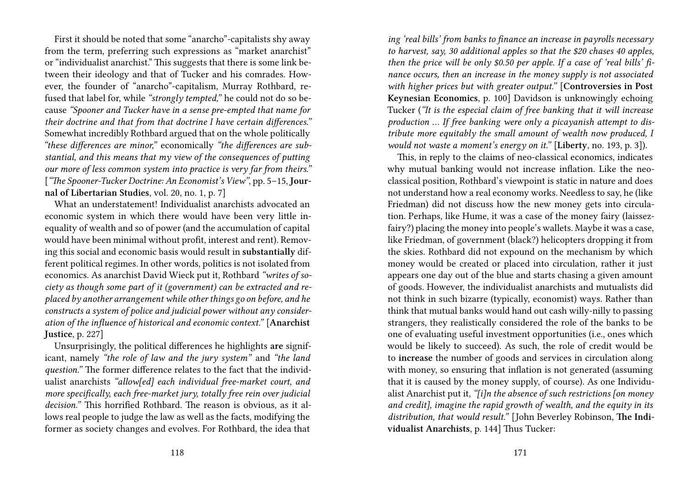First it should be noted that some "anarcho"-capitalists shy away from the term, preferring such expressions as "market anarchist" or "individualist anarchist." This suggests that there is some link between their ideology and that of Tucker and his comrades. However, the founder of "anarcho"-capitalism, Murray Rothbard, refused that label for, while *"strongly tempted,"* he could not do so because *"Spooner and Tucker have in a sense pre-empted that name for their doctrine and that from that doctrine I have certain differences."* Somewhat incredibly Rothbard argued that on the whole politically *"these differences are minor,"* economically *"the differences are substantial, and this means that my view of the consequences of putting our more of less common system into practice is very far from theirs."* [*"The Spooner-Tucker Doctrine: An Economist's View"*, pp. 5–15, **Journal of Libertarian Studies**, vol. 20, no. 1, p. 7]

What an understatement! Individualist anarchists advocated an economic system in which there would have been very little inequality of wealth and so of power (and the accumulation of capital would have been minimal without profit, interest and rent). Removing this social and economic basis would result in **substantially** different political regimes. In other words, politics is not isolated from economics. As anarchist David Wieck put it, Rothbard *"writes of society as though some part of it (government) can be extracted and replaced by another arrangement while other things go on before, and he constructs a system of police and judicial power without any consideration of the influence of historical and economic context."* [**Anarchist Justice**, p. 227]

Unsurprisingly, the political differences he highlights **are** significant, namely *"the role of law and the jury system"* and *"the land question."* The former difference relates to the fact that the individualist anarchists *"allow[ed] each individual free-market court, and more specifically, each free-market jury, totally free rein over judicial decision."* This horrified Rothbard. The reason is obvious, as it allows real people to judge the law as well as the facts, modifying the former as society changes and evolves. For Rothbard, the idea that

*ing 'real bills' from banks to finance an increase in payrolls necessary to harvest, say, 30 additional apples so that the \$20 chases 40 apples, then the price will be only \$0.50 per apple. If a case of 'real bills' finance occurs, then an increase in the money supply is not associated with higher prices but with greater output."* [**Controversies in Post Keynesian Economics**, p. 100] Davidson is unknowingly echoing Tucker (*"It is the especial claim of free banking that it will increase production … If free banking were only a picayanish attempt to distribute more equitably the small amount of wealth now produced, I would not waste a moment's energy on it."* [**Liberty**, no. 193, p. 3]).

This, in reply to the claims of neo-classical economics, indicates why mutual banking would not increase inflation. Like the neoclassical position, Rothbard's viewpoint is static in nature and does not understand how a real economy works. Needless to say, he (like Friedman) did not discuss how the new money gets into circulation. Perhaps, like Hume, it was a case of the money fairy (laissezfairy?) placing the money into people's wallets. Maybe it was a case, like Friedman, of government (black?) helicopters dropping it from the skies. Rothbard did not expound on the mechanism by which money would be created or placed into circulation, rather it just appears one day out of the blue and starts chasing a given amount of goods. However, the individualist anarchists and mutualists did not think in such bizarre (typically, economist) ways. Rather than think that mutual banks would hand out cash willy-nilly to passing strangers, they realistically considered the role of the banks to be one of evaluating useful investment opportunities (i.e., ones which would be likely to succeed). As such, the role of credit would be to **increase** the number of goods and services in circulation along with money, so ensuring that inflation is not generated (assuming that it is caused by the money supply, of course). As one Individualist Anarchist put it, *"[i]n the absence of such restrictions [on money and credit], imagine the rapid growth of wealth, and the equity in its distribution, that would result."* [John Beverley Robinson, **The Individualist Anarchists**, p. 144] Thus Tucker: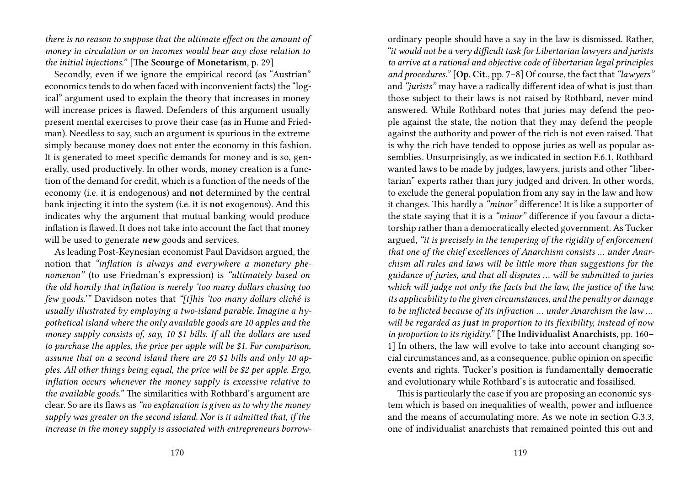*there is no reason to suppose that the ultimate effect on the amount of money in circulation or on incomes would bear any close relation to the initial injections."* [**The Scourge of Monetarism**, p. 29]

Secondly, even if we ignore the empirical record (as "Austrian" economics tends to do when faced with inconvenient facts) the "logical" argument used to explain the theory that increases in money will increase prices is flawed. Defenders of this argument usually present mental exercises to prove their case (as in Hume and Friedman). Needless to say, such an argument is spurious in the extreme simply because money does not enter the economy in this fashion. It is generated to meet specific demands for money and is so, generally, used productively. In other words, money creation is a function of the demand for credit, which is a function of the needs of the economy (i.e. it is endogenous) and **not** determined by the central bank injecting it into the system (i.e. it is **not** exogenous). And this indicates why the argument that mutual banking would produce inflation is flawed. It does not take into account the fact that money will be used to generate *new* goods and services.

As leading Post-Keynesian economist Paul Davidson argued, the notion that *"inflation is always and everywhere a monetary phenomenon"* (to use Friedman's expression) is *"ultimately based on the old homily that inflation is merely 'too many dollars chasing too few goods.'"* Davidson notes that *"[t]his 'too many dollars cliché is usually illustrated by employing a two-island parable. Imagine a hypothetical island where the only available goods are 10 apples and the money supply consists of, say, 10 \$1 bills. If all the dollars are used to purchase the apples, the price per apple will be \$1. For comparison, assume that on a second island there are 20 \$1 bills and only 10 apples. All other things being equal, the price will be \$2 per apple. Ergo, inflation occurs whenever the money supply is excessive relative to the available goods."* The similarities with Rothbard's argument are clear. So are its flaws as *"no explanation is given as to why the money supply was greater on the second island. Nor is it admitted that, if the increase in the money supply is associated with entrepreneurs borrow-*

ordinary people should have a say in the law is dismissed. Rather, *"it would not be a very difficult task for Libertarian lawyers and jurists to arrive at a rational and objective code of libertarian legal principles and procedures."* [**Op. Cit.**, pp. 7–8] Of course, the fact that *"lawyers"* and *"jurists"* may have a radically different idea of what is just than those subject to their laws is not raised by Rothbard, never mind answered. While Rothbard notes that juries may defend the people against the state, the notion that they may defend the people against the authority and power of the rich is not even raised. That is why the rich have tended to oppose juries as well as popular assemblies. Unsurprisingly, as we indicated in section F.6.1, Rothbard wanted laws to be made by judges, lawyers, jurists and other "libertarian" experts rather than jury judged and driven. In other words, to exclude the general population from any say in the law and how it changes. This hardly a *"minor"* difference! It is like a supporter of the state saying that it is a *"minor"* difference if you favour a dictatorship rather than a democratically elected government. As Tucker argued, *"it is precisely in the tempering of the rigidity of enforcement that one of the chief excellences of Anarchism consists … under Anarchism all rules and laws will be little more than suggestions for the guidance of juries, and that all disputes … will be submitted to juries which will judge not only the facts but the law, the justice of the law, its applicability to the given circumstances, and the penalty or damage to be inflicted because of its infraction … under Anarchism the law … will be regarded as just in proportion to its flexibility, instead of now in proportion to its rigidity."* [**The Individualist Anarchists**, pp. 160– 1] In others, the law will evolve to take into account changing social circumstances and, as a consequence, public opinion on specific events and rights. Tucker's position is fundamentally **democratic** and evolutionary while Rothbard's is autocratic and fossilised.

This is particularly the case if you are proposing an economic system which is based on inequalities of wealth, power and influence and the means of accumulating more. As we note in section G.3.3, one of individualist anarchists that remained pointed this out and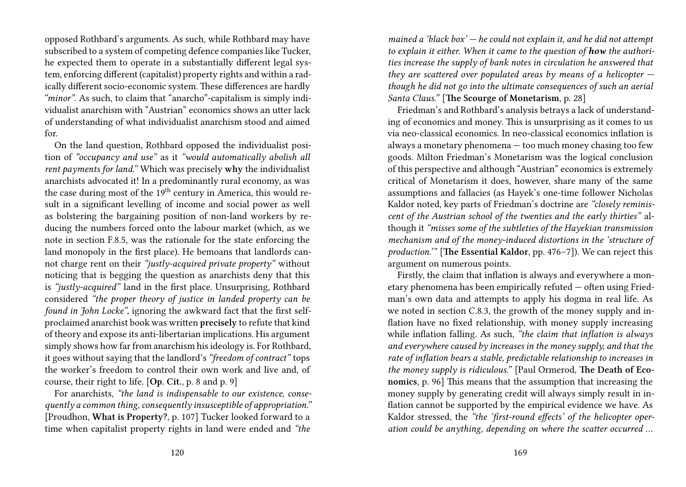opposed Rothbard's arguments. As such, while Rothbard may have subscribed to a system of competing defence companies like Tucker, he expected them to operate in a substantially different legal system, enforcing different (capitalist) property rights and within a radically different socio-economic system. These differences are hardly *"minor"*. As such, to claim that "anarcho"-capitalism is simply individualist anarchism with "Austrian" economics shows an utter lack of understanding of what individualist anarchism stood and aimed for.

On the land question, Rothbard opposed the individualist position of *"occupancy and use"* as it *"would automatically abolish all rent payments for land."* Which was precisely **why** the individualist anarchists advocated it! In a predominantly rural economy, as was the case during most of the 19<sup>th</sup> century in America, this would result in a significant levelling of income and social power as well as bolstering the bargaining position of non-land workers by reducing the numbers forced onto the labour market (which, as we note in section F.8.5, was the rationale for the state enforcing the land monopoly in the first place). He bemoans that landlords cannot charge rent on their *"justly-acquired private property"* without noticing that is begging the question as anarchists deny that this is *"justly-acquired"* land in the first place. Unsurprising, Rothbard considered *"the proper theory of justice in landed property can be found in John Locke"*, ignoring the awkward fact that the first selfproclaimed anarchist book was written **precisely** to refute that kind of theory and expose its anti-libertarian implications. His argument simply shows how far from anarchism his ideology is. For Rothbard, it goes without saying that the landlord's *"freedom of contract"* tops the worker's freedom to control their own work and live and, of course, their right to life. [**Op. Cit.**, p. 8 and p. 9]

For anarchists, *"the land is indispensable to our existence, consequently a common thing, consequently insusceptible of appropriation."* [Proudhon, **What is Property?**, p. 107] Tucker looked forward to a time when capitalist property rights in land were ended and *"the*

*mained a 'black box' — he could not explain it, and he did not attempt to explain it either. When it came to the question of how the authorities increase the supply of bank notes in circulation he answered that they are scattered over populated areas by means of a helicopter though he did not go into the ultimate consequences of such an aerial Santa Claus."* [**The Scourge of Monetarism**, p. 28]

Friedman's and Rothbard's analysis betrays a lack of understanding of economics and money. This is unsurprising as it comes to us via neo-classical economics. In neo-classical economics inflation is always a monetary phenomena — too much money chasing too few goods. Milton Friedman's Monetarism was the logical conclusion of this perspective and although "Austrian" economics is extremely critical of Monetarism it does, however, share many of the same assumptions and fallacies (as Hayek's one-time follower Nicholas Kaldor noted, key parts of Friedman's doctrine are *"closely reminiscent of the Austrian school of the twenties and the early thirties"* although it *"misses some of the subtleties of the Hayekian transmission mechanism and of the money-induced distortions in the 'structure of production.'"* [**The Essential Kaldor**, pp. 476–7]). We can reject this argument on numerous points.

Firstly, the claim that inflation is always and everywhere a monetary phenomena has been empirically refuted — often using Friedman's own data and attempts to apply his dogma in real life. As we noted in section C.8.3, the growth of the money supply and inflation have no fixed relationship, with money supply increasing while inflation falling. As such, *"the claim that inflation is always and everywhere caused by increases in the money supply, and that the rate of inflation bears a stable, predictable relationship to increases in the money supply is ridiculous."* [Paul Ormerod, **The Death of Economics**, p. 96] This means that the assumption that increasing the money supply by generating credit will always simply result in inflation cannot be supported by the empirical evidence we have. As Kaldor stressed, the *"the 'first-round effects' of the helicopter operation could be anything, depending on where the scatter occurred …*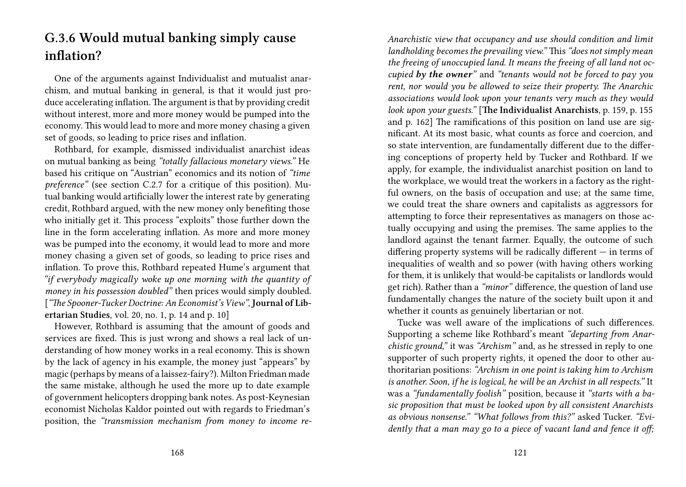#### **G.3.6 Would mutual banking simply cause inflation?**

One of the arguments against Individualist and mutualist anarchism, and mutual banking in general, is that it would just produce accelerating inflation.The argument is that by providing credit without interest, more and more money would be pumped into the economy. This would lead to more and more money chasing a given set of goods, so leading to price rises and inflation.

Rothbard, for example, dismissed individualist anarchist ideas on mutual banking as being *"totally fallacious monetary views."* He based his critique on "Austrian" economics and its notion of *"time preference"* (see section C.2.7 for a critique of this position). Mutual banking would artificially lower the interest rate by generating credit, Rothbard argued, with the new money only benefiting those who initially get it. This process "exploits" those further down the line in the form accelerating inflation. As more and more money was be pumped into the economy, it would lead to more and more money chasing a given set of goods, so leading to price rises and inflation. To prove this, Rothbard repeated Hume's argument that *"if everybody magically woke up one morning with the quantity of money in his possession doubled"* then prices would simply doubled. [*"The Spooner-Tucker Doctrine: An Economist's View"*,**Journal of Libertarian Studies**, vol. 20, no. 1, p. 14 and p. 10]

However, Rothbard is assuming that the amount of goods and services are fixed. This is just wrong and shows a real lack of understanding of how money works in a real economy. This is shown by the lack of agency in his example, the money just "appears" by magic (perhaps by means of a laissez-fairy?). Milton Friedman made the same mistake, although he used the more up to date example of government helicopters dropping bank notes. As post-Keynesian economist Nicholas Kaldor pointed out with regards to Friedman's position, the *"transmission mechanism from money to income re-* *Anarchistic view that occupancy and use should condition and limit landholding becomes the prevailing view."* This*"does not simply mean the freeing of unoccupied land. It means the freeing of all land not occupied by the owner"* and *"tenants would not be forced to pay you rent, nor would you be allowed to seize their property. The Anarchic associations would look upon your tenants very much as they would look upon your guests."* [**The Individualist Anarchists**, p. 159, p. 155 and p. 162] The ramifications of this position on land use are significant. At its most basic, what counts as force and coercion, and so state intervention, are fundamentally different due to the differing conceptions of property held by Tucker and Rothbard. If we apply, for example, the individualist anarchist position on land to the workplace, we would treat the workers in a factory as the rightful owners, on the basis of occupation and use; at the same time, we could treat the share owners and capitalists as aggressors for attempting to force their representatives as managers on those actually occupying and using the premises. The same applies to the landlord against the tenant farmer. Equally, the outcome of such differing property systems will be radically different — in terms of inequalities of wealth and so power (with having others working for them, it is unlikely that would-be capitalists or landlords would get rich). Rather than a *"minor"* difference, the question of land use fundamentally changes the nature of the society built upon it and whether it counts as genuinely libertarian or not.

Tucke was well aware of the implications of such differences. Supporting a scheme like Rothbard's meant *"departing from Anarchistic ground,"* it was *"Archism"* and, as he stressed in reply to one supporter of such property rights, it opened the door to other authoritarian positions: *"Archism in one point is taking him to Archism is another. Soon, if he is logical, he will be an Archist in all respects."* It was a *"fundamentally foolish"* position, because it *"starts with a basic proposition that must be looked upon by all consistent Anarchists as obvious nonsense." "What follows from this?"* asked Tucker. *"Evidently that a man may go to a piece of vacant land and fence it off;*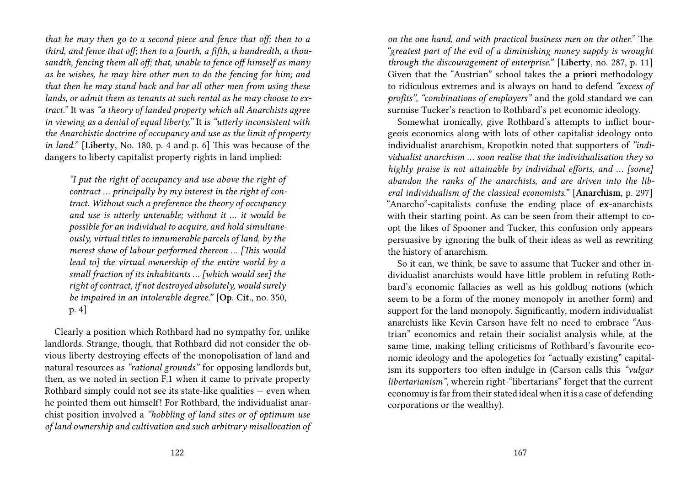*that he may then go to a second piece and fence that off; then to a third, and fence that off; then to a fourth, a fifth, a hundredth, a thousandth, fencing them all off; that, unable to fence off himself as many as he wishes, he may hire other men to do the fencing for him; and that then he may stand back and bar all other men from using these lands, or admit them as tenants at such rental as he may choose to extract."* It was *"a theory of landed property which all Anarchists agree in viewing as a denial of equal liberty."* It is *"utterly inconsistent with the Anarchistic doctrine of occupancy and use as the limit of property in land."* [**Liberty**, No. 180, p. 4 and p. 6] This was because of the dangers to liberty capitalist property rights in land implied:

*"I put the right of occupancy and use above the right of contract … principally by my interest in the right of contract. Without such a preference the theory of occupancy and use is utterly untenable; without it … it would be possible for an individual to acquire, and hold simultaneously, virtual titles to innumerable parcels of land, by the merest show of labour performed thereon … [This would lead to] the virtual ownership of the entire world by a small fraction of its inhabitants … [which would see] the right of contract, if not destroyed absolutely, would surely be impaired in an intolerable degree."* [**Op. Cit.**, no. 350, p. 4]

Clearly a position which Rothbard had no sympathy for, unlike landlords. Strange, though, that Rothbard did not consider the obvious liberty destroying effects of the monopolisation of land and natural resources as *"rational grounds"* for opposing landlords but, then, as we noted in section F.1 when it came to private property Rothbard simply could not see its state-like qualities  $-$  even when he pointed them out himself! For Rothbard, the individualist anarchist position involved a *"hobbling of land sites or of optimum use of land ownership and cultivation and such arbitrary misallocation of* *on the one hand, and with practical business men on the other."* The *"greatest part of the evil of a diminishing money supply is wrought through the discouragement of enterprise."* [**Liberty**, no. 287, p. 11] Given that the "Austrian" school takes the **a priori** methodology to ridiculous extremes and is always on hand to defend *"excess of profits"*, *"combinations of employers"* and the gold standard we can surmise Tucker's reaction to Rothbard's pet economic ideology.

Somewhat ironically, give Rothbard's attempts to inflict bourgeois economics along with lots of other capitalist ideology onto individualist anarchism, Kropotkin noted that supporters of *"individualist anarchism … soon realise that the individualisation they so highly praise is not attainable by individual efforts, and … [some] abandon the ranks of the anarchists, and are driven into the liberal individualism of the classical economists."* [**Anarchism**, p. 297] "Anarcho"-capitalists confuse the ending place of **ex**-anarchists with their starting point. As can be seen from their attempt to coopt the likes of Spooner and Tucker, this confusion only appears persuasive by ignoring the bulk of their ideas as well as rewriting the history of anarchism.

So it can, we think, be save to assume that Tucker and other individualist anarchists would have little problem in refuting Rothbard's economic fallacies as well as his goldbug notions (which seem to be a form of the money monopoly in another form) and support for the land monopoly. Significantly, modern individualist anarchists like Kevin Carson have felt no need to embrace "Austrian" economics and retain their socialist analysis while, at the same time, making telling criticisms of Rothbard's favourite economic ideology and the apologetics for "actually existing" capitalism its supporters too often indulge in (Carson calls this *"vulgar libertarianism"*, wherein right-"libertarians" forget that the current economuy is far from their stated ideal when it is a case of defending corporations or the wealthy).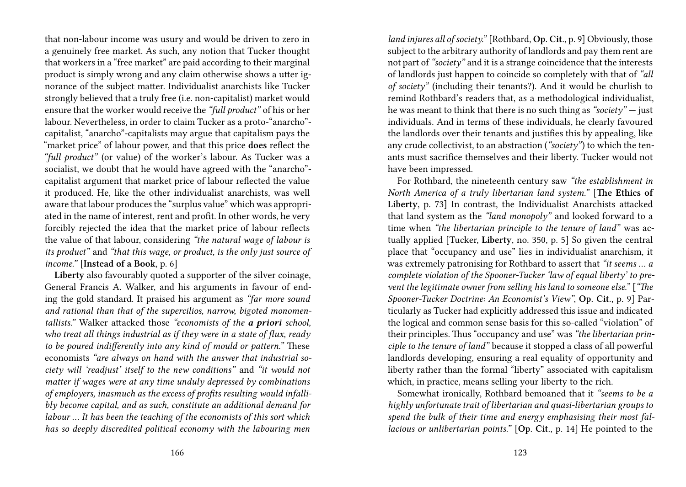that non-labour income was usury and would be driven to zero in a genuinely free market. As such, any notion that Tucker thought that workers in a "free market" are paid according to their marginal product is simply wrong and any claim otherwise shows a utter ignorance of the subject matter. Individualist anarchists like Tucker strongly believed that a truly free (i.e. non-capitalist) market would ensure that the worker would receive the *"full product"* of his or her labour. Nevertheless, in order to claim Tucker as a proto-"anarcho" capitalist, "anarcho"-capitalists may argue that capitalism pays the "market price" of labour power, and that this price **does** reflect the *"full product"* (or value) of the worker's labour. As Tucker was a socialist, we doubt that he would have agreed with the "anarcho" capitalist argument that market price of labour reflected the value it produced. He, like the other individualist anarchists, was well aware that labour produces the "surplus value" which was appropriated in the name of interest, rent and profit. In other words, he very forcibly rejected the idea that the market price of labour reflects the value of that labour, considering *"the natural wage of labour is its product"* and *"that this wage, or product, is the only just source of income."* [**Instead of a Book**, p. 6]

**Liberty** also favourably quoted a supporter of the silver coinage, General Francis A. Walker, and his arguments in favour of ending the gold standard. It praised his argument as *"far more sound and rational than that of the supercilios, narrow, bigoted monomentallists."* Walker attacked those *"economists of the a priori school, who treat all things industrial as if they were in a state of flux, ready to be poured indifferently into any kind of mould or pattern."* These economists *"are always on hand with the answer that industrial society will 'readjust' itself to the new conditions"* and *"it would not matter if wages were at any time unduly depressed by combinations of employers, inasmuch as the excess of profits resulting would infallibly become capital, and as such, constitute an additional demand for labour … It has been the teaching of the economists of this sort which has so deeply discredited political economy with the labouring men*

*land injures all of society."* [Rothbard, **Op. Cit.**, p. 9] Obviously, those subject to the arbitrary authority of landlords and pay them rent are not part of *"society"* and it is a strange coincidence that the interests of landlords just happen to coincide so completely with that of *"all of society"* (including their tenants?). And it would be churlish to remind Rothbard's readers that, as a methodological individualist, he was meant to think that there is no such thing as "society"  $-$  just individuals. And in terms of these individuals, he clearly favoured the landlords over their tenants and justifies this by appealing, like any crude collectivist, to an abstraction (*"society"*) to which the tenants must sacrifice themselves and their liberty. Tucker would not have been impressed.

For Rothbard, the nineteenth century saw *"the establishment in North America of a truly libertarian land system."* [**The Ethics of Liberty**, p. 73] In contrast, the Individualist Anarchists attacked that land system as the *"land monopoly"* and looked forward to a time when *"the libertarian principle to the tenure of land"* was actually applied [Tucker, **Liberty**, no. 350, p. 5] So given the central place that "occupancy and use" lies in individualist anarchism, it was extremely patronising for Rothbard to assert that *"it seems … a complete violation of the Spooner-Tucker 'law of equal liberty' to prevent the legitimate owner from selling his land to someone else."* [*"The Spooner-Tucker Doctrine: An Economist's View"*, **Op. Cit.**, p. 9] Particularly as Tucker had explicitly addressed this issue and indicated the logical and common sense basis for this so-called "violation" of their principles. Thus "occupancy and use" was *"the libertarian principle to the tenure of land"* because it stopped a class of all powerful landlords developing, ensuring a real equality of opportunity and liberty rather than the formal "liberty" associated with capitalism which, in practice, means selling your liberty to the rich.

Somewhat ironically, Rothbard bemoaned that it *"seems to be a highly unfortunate trait of libertarian and quasi-libertarian groups to spend the bulk of their time and energy emphasising their most fallacious or unlibertarian points."* [**Op. Cit.**, p. 14] He pointed to the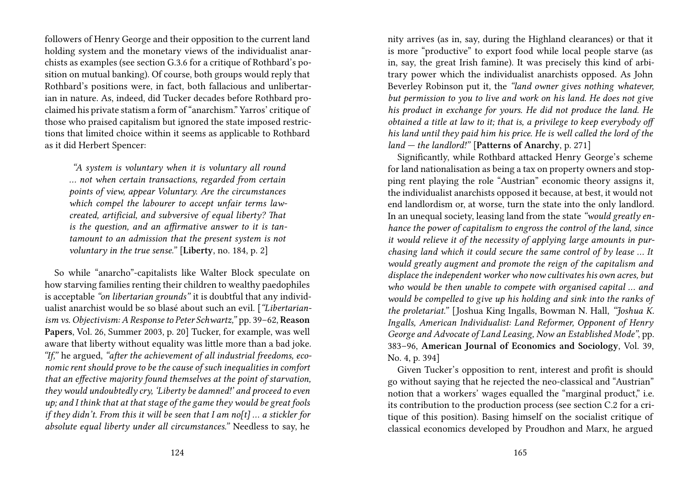followers of Henry George and their opposition to the current land holding system and the monetary views of the individualist anarchists as examples (see section G.3.6 for a critique of Rothbard's position on mutual banking). Of course, both groups would reply that Rothbard's positions were, in fact, both fallacious and unlibertarian in nature. As, indeed, did Tucker decades before Rothbard proclaimed his private statism a form of "anarchism." Yarros' critique of those who praised capitalism but ignored the state imposed restrictions that limited choice within it seems as applicable to Rothbard as it did Herbert Spencer:

*"A system is voluntary when it is voluntary all round … not when certain transactions, regarded from certain points of view, appear Voluntary. Are the circumstances which compel the labourer to accept unfair terms lawcreated, artificial, and subversive of equal liberty? That is the question, and an affirmative answer to it is tantamount to an admission that the present system is not voluntary in the true sense."* [**Liberty**, no. 184, p. 2]

So while "anarcho"-capitalists like Walter Block speculate on how starving families renting their children to wealthy paedophiles is acceptable *"on libertarian grounds"* it is doubtful that any individualist anarchist would be so blasé about such an evil. [*"Libertarianism vs. Objectivism: A Response to Peter Schwartz,"* pp. 39–62, **Reason Papers**, Vol. 26, Summer 2003, p. 20] Tucker, for example, was well aware that liberty without equality was little more than a bad joke. *"If,"* he argued, *"after the achievement of all industrial freedoms, economic rent should prove to be the cause of such inequalities in comfort that an effective majority found themselves at the point of starvation, they would undoubtedly cry, 'Liberty be damned!' and proceed to even up; and I think that at that stage of the game they would be great fools if they didn't. From this it will be seen that I am no[t] … a stickler for absolute equal liberty under all circumstances."* Needless to say, he

nity arrives (as in, say, during the Highland clearances) or that it is more "productive" to export food while local people starve (as in, say, the great Irish famine). It was precisely this kind of arbitrary power which the individualist anarchists opposed. As John Beverley Robinson put it, the *"land owner gives nothing whatever, but permission to you to live and work on his land. He does not give his product in exchange for yours. He did not produce the land. He obtained a title at law to it; that is, a privilege to keep everybody off his land until they paid him his price. He is well called the lord of the land — the landlord!"* [**Patterns of Anarchy**, p. 271]

Significantly, while Rothbard attacked Henry George's scheme for land nationalisation as being a tax on property owners and stopping rent playing the role "Austrian" economic theory assigns it, the individualist anarchists opposed it because, at best, it would not end landlordism or, at worse, turn the state into the only landlord. In an unequal society, leasing land from the state *"would greatly enhance the power of capitalism to engross the control of the land, since it would relieve it of the necessity of applying large amounts in purchasing land which it could secure the same control of by lease … It would greatly augment and promote the reign of the capitalism and displace the independent worker who now cultivates his own acres, but who would be then unable to compete with organised capital … and would be compelled to give up his holding and sink into the ranks of the proletariat."* [Joshua King Ingalls, Bowman N. Hall, *"Joshua K. Ingalls, American Individualist: Land Reformer, Opponent of Henry George and Advocate of Land Leasing, Now an Established Mode"*, pp. 383–96, **American Journal of Economics and Sociology**, Vol. 39, No. 4, p. 394]

Given Tucker's opposition to rent, interest and profit is should go without saying that he rejected the neo-classical and "Austrian" notion that a workers' wages equalled the "marginal product," i.e. its contribution to the production process (see section C.2 for a critique of this position). Basing himself on the socialist critique of classical economics developed by Proudhon and Marx, he argued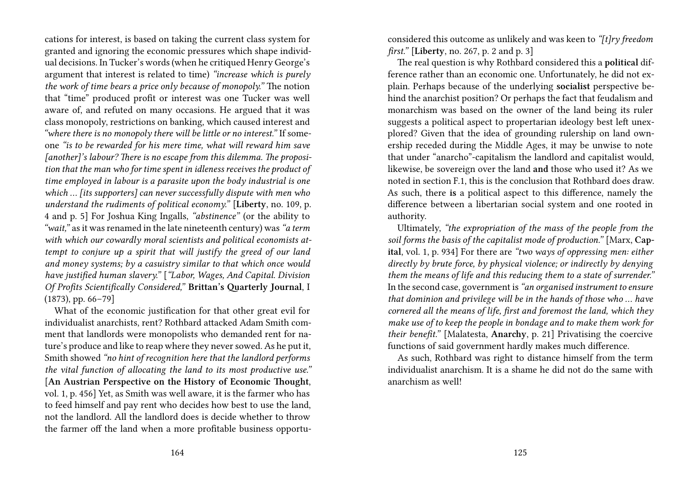cations for interest, is based on taking the current class system for granted and ignoring the economic pressures which shape individual decisions. In Tucker's words (when he critiqued Henry George's argument that interest is related to time) *"increase which is purely the work of time bears a price only because of monopoly."* The notion that "time" produced profit or interest was one Tucker was well aware of, and refuted on many occasions. He argued that it was class monopoly, restrictions on banking, which caused interest and *"where there is no monopoly there will be little or no interest."* If someone *"is to be rewarded for his mere time, what will reward him save [another]'s labour? There is no escape from this dilemma. The proposition that the man who for time spent in idleness receives the product of time employed in labour is a parasite upon the body industrial is one which … [its supporters] can never successfully dispute with men who understand the rudiments of political economy."* [**Liberty**, no. 109, p. 4 and p. 5] For Joshua King Ingalls, *"abstinence"* (or the ability to *"wait,"* as it was renamed in the late nineteenth century) was*"a term with which our cowardly moral scientists and political economists attempt to conjure up a spirit that will justify the greed of our land and money systems; by a casuistry similar to that which once would have justified human slavery."* [*"Labor, Wages, And Capital. Division Of Profits Scientifically Considered,"* **Brittan's Quarterly Journal**, I (1873), pp. 66–79]

What of the economic justification for that other great evil for individualist anarchists, rent? Rothbard attacked Adam Smith comment that landlords were monopolists who demanded rent for nature's produce and like to reap where they never sowed. As he put it, Smith showed *"no hint of recognition here that the landlord performs the vital function of allocating the land to its most productive use."* [**An Austrian Perspective on the History of Economic Thought**, vol. 1, p. 456] Yet, as Smith was well aware, it is the farmer who has to feed himself and pay rent who decides how best to use the land, not the landlord. All the landlord does is decide whether to throw the farmer off the land when a more profitable business opportuconsidered this outcome as unlikely and was keen to *"[t]ry freedom first."* [**Liberty**, no. 267, p. 2 and p. 3]

The real question is why Rothbard considered this a **political** difference rather than an economic one. Unfortunately, he did not explain. Perhaps because of the underlying **socialist** perspective behind the anarchist position? Or perhaps the fact that feudalism and monarchism was based on the owner of the land being its ruler suggests a political aspect to propertarian ideology best left unexplored? Given that the idea of grounding rulership on land ownership receded during the Middle Ages, it may be unwise to note that under "anarcho"-capitalism the landlord and capitalist would, likewise, be sovereign over the land **and** those who used it? As we noted in section F.1, this is the conclusion that Rothbard does draw. As such, there **is** a political aspect to this difference, namely the difference between a libertarian social system and one rooted in authority.

Ultimately, *"the expropriation of the mass of the people from the soil forms the basis of the capitalist mode of production."* [Marx, **Capital**, vol. 1, p. 934] For there are *"two ways of oppressing men: either directly by brute force, by physical violence; or indirectly by denying them the means of life and this reducing them to a state of surrender."* In the second case, government is*"an organised instrument to ensure that dominion and privilege will be in the hands of those who … have cornered all the means of life, first and foremost the land, which they make use of to keep the people in bondage and to make them work for their benefit."* [Malatesta, **Anarchy**, p. 21] Privatising the coercive functions of said government hardly makes much difference.

As such, Rothbard was right to distance himself from the term individualist anarchism. It is a shame he did not do the same with anarchism as well!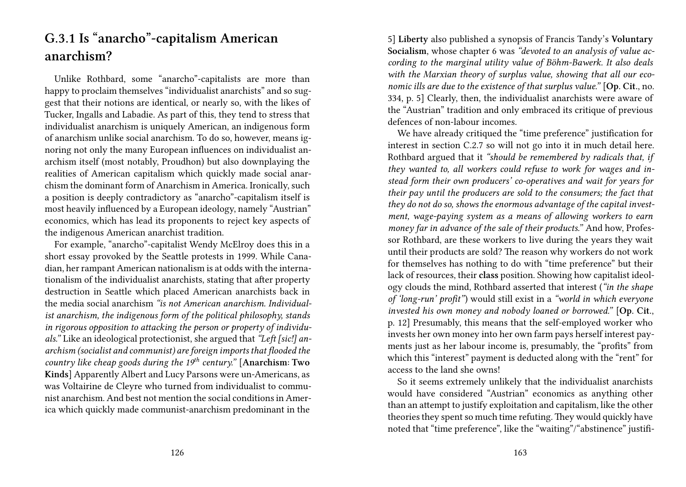#### **G.3.1 Is "anarcho"-capitalism American anarchism?**

Unlike Rothbard, some "anarcho"-capitalists are more than happy to proclaim themselves "individualist anarchists" and so suggest that their notions are identical, or nearly so, with the likes of Tucker, Ingalls and Labadie. As part of this, they tend to stress that individualist anarchism is uniquely American, an indigenous form of anarchism unlike social anarchism. To do so, however, means ignoring not only the many European influences on individualist anarchism itself (most notably, Proudhon) but also downplaying the realities of American capitalism which quickly made social anarchism the dominant form of Anarchism in America. Ironically, such a position is deeply contradictory as "anarcho"-capitalism itself is most heavily influenced by a European ideology, namely "Austrian" economics, which has lead its proponents to reject key aspects of the indigenous American anarchist tradition.

For example, "anarcho"-capitalist Wendy McElroy does this in a short essay provoked by the Seattle protests in 1999. While Canadian, her rampant American nationalism is at odds with the internationalism of the individualist anarchists, stating that after property destruction in Seattle which placed American anarchists back in the media social anarchism *"is not American anarchism. Individualist anarchism, the indigenous form of the political philosophy, stands in rigorous opposition to attacking the person or property of individuals."* Like an ideological protectionist, she argued that *"Left [sic!] anarchism (socialist and communist) are foreign imports that flooded the country like cheap goods during the 19th century."* [**Anarchism: Two Kinds**] Apparently Albert and Lucy Parsons were un-Americans, as was Voltairine de Cleyre who turned from individualist to communist anarchism. And best not mention the social conditions in America which quickly made communist-anarchism predominant in the

5] **Liberty** also published a synopsis of Francis Tandy's **Voluntary Socialism**, whose chapter 6 was *"devoted to an analysis of value according to the marginal utility value of Böhm-Bawerk. It also deals with the Marxian theory of surplus value, showing that all our economic ills are due to the existence of that surplus value."* [**Op. Cit.**, no. 334, p. 5] Clearly, then, the individualist anarchists were aware of the "Austrian" tradition and only embraced its critique of previous defences of non-labour incomes.

We have already critiqued the "time preference" justification for interest in section C.2.7 so will not go into it in much detail here. Rothbard argued that it *"should be remembered by radicals that, if they wanted to, all workers could refuse to work for wages and instead form their own producers' co-operatives and wait for years for their pay until the producers are sold to the consumers; the fact that they do not do so, shows the enormous advantage of the capital investment, wage-paying system as a means of allowing workers to earn money far in advance of the sale of their products."* And how, Professor Rothbard, are these workers to live during the years they wait until their products are sold? The reason why workers do not work for themselves has nothing to do with "time preference" but their lack of resources, their **class** position. Showing how capitalist ideology clouds the mind, Rothbard asserted that interest (*"in the shape of 'long-run' profit"*) would still exist in a *"world in which everyone invested his own money and nobody loaned or borrowed."* [**Op. Cit.**, p. 12] Presumably, this means that the self-employed worker who invests her own money into her own farm pays herself interest payments just as her labour income is, presumably, the "profits" from which this "interest" payment is deducted along with the "rent" for access to the land she owns!

So it seems extremely unlikely that the individualist anarchists would have considered "Austrian" economics as anything other than an attempt to justify exploitation and capitalism, like the other theories they spent so much time refuting. They would quickly have noted that "time preference", like the "waiting"/"abstinence" justifi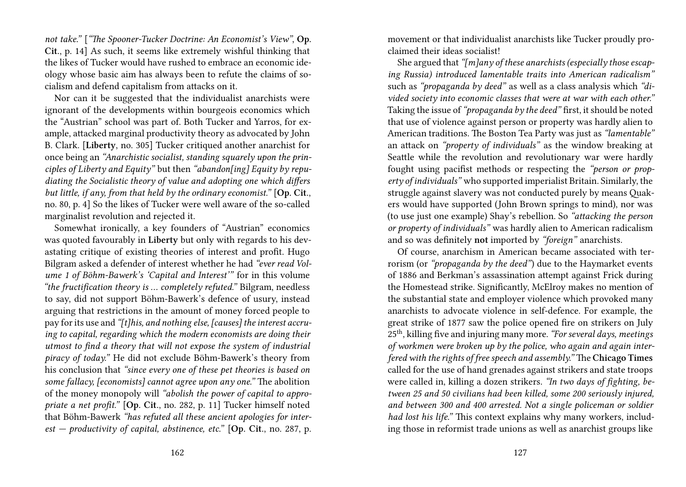*not take."* [*"The Spooner-Tucker Doctrine: An Economist's View"*, **Op. Cit.**, p. 14] As such, it seems like extremely wishful thinking that the likes of Tucker would have rushed to embrace an economic ideology whose basic aim has always been to refute the claims of socialism and defend capitalism from attacks on it.

Nor can it be suggested that the individualist anarchists were ignorant of the developments within bourgeois economics which the "Austrian" school was part of. Both Tucker and Yarros, for example, attacked marginal productivity theory as advocated by John B. Clark. [**Liberty**, no. 305] Tucker critiqued another anarchist for once being an *"Anarchistic socialist, standing squarely upon the principles of Liberty and Equity"* but then *"abandon[ing] Equity by repudiating the Socialistic theory of value and adopting one which differs but little, if any, from that held by the ordinary economist."* [**Op. Cit.**, no. 80, p. 4] So the likes of Tucker were well aware of the so-called marginalist revolution and rejected it.

Somewhat ironically, a key founders of "Austrian" economics was quoted favourably in **Liberty** but only with regards to his devastating critique of existing theories of interest and profit. Hugo Bilgram asked a defender of interest whether he had *"ever read Volume 1 of Böhm-Bawerk's 'Capital and Interest'"* for in this volume *"the fructification theory is … completely refuted."* Bilgram, needless to say, did not support Böhm-Bawerk's defence of usury, instead arguing that restrictions in the amount of money forced people to pay for its use and *"[t]his, and nothing else, [causes] the interest accruing to capital, regarding which the modern economists are doing their utmost to find a theory that will not expose the system of industrial piracy of today."* He did not exclude Böhm-Bawerk's theory from his conclusion that *"since every one of these pet theories is based on some fallacy, [economists] cannot agree upon any one."* The abolition of the money monopoly will *"abolish the power of capital to appropriate a net profit."* [**Op. Cit.**, no. 282, p. 11] Tucker himself noted that Böhm-Bawerk *"has refuted all these ancient apologies for interest — productivity of capital, abstinence, etc."* [**Op. Cit.**, no. 287, p. movement or that individualist anarchists like Tucker proudly proclaimed their ideas socialist!

She argued that*"[m]any of these anarchists (especially those escaping Russia) introduced lamentable traits into American radicalism"* such as *"propaganda by deed"* as well as a class analysis which *"divided society into economic classes that were at war with each other."* Taking the issue of*"propaganda by the deed"* first, it should be noted that use of violence against person or property was hardly alien to American traditions. The Boston Tea Party was just as *"lamentable"* an attack on *"property of individuals"* as the window breaking at Seattle while the revolution and revolutionary war were hardly fought using pacifist methods or respecting the *"person or property of individuals"* who supported imperialist Britain. Similarly, the struggle against slavery was not conducted purely by means Quakers would have supported (John Brown springs to mind), nor was (to use just one example) Shay's rebellion. So *"attacking the person or property of individuals"* was hardly alien to American radicalism and so was definitely **not** imported by *"foreign"* anarchists.

Of course, anarchism in American became associated with terrorism (or *"propaganda by the deed"*) due to the Haymarket events of 1886 and Berkman's assassination attempt against Frick during the Homestead strike. Significantly, McElroy makes no mention of the substantial state and employer violence which provoked many anarchists to advocate violence in self-defence. For example, the great strike of 1877 saw the police opened fire on strikers on July 25th, killing five and injuring many more. *"For several days, meetings of workmen were broken up by the police, who again and again interfered with the rights of free speech and assembly."* The **Chicago Times** called for the use of hand grenades against strikers and state troops were called in, killing a dozen strikers. *"In two days of fighting, between 25 and 50 civilians had been killed, some 200 seriously injured, and between 300 and 400 arrested. Not a single policeman or soldier had lost his life."* This context explains why many workers, including those in reformist trade unions as well as anarchist groups like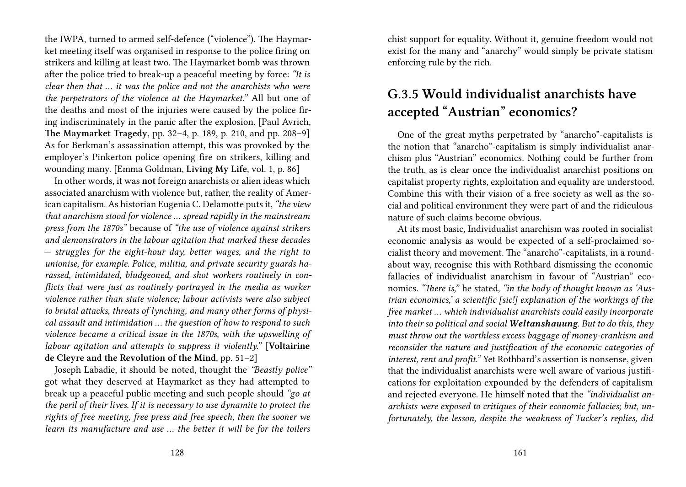the IWPA, turned to armed self-defence ("violence"). The Haymarket meeting itself was organised in response to the police firing on strikers and killing at least two. The Haymarket bomb was thrown after the police tried to break-up a peaceful meeting by force: *"It is clear then that … it was the police and not the anarchists who were the perpetrators of the violence at the Haymarket."* All but one of the deaths and most of the injuries were caused by the police firing indiscriminately in the panic after the explosion. [Paul Avrich, **The Maymarket Tragedy**, pp. 32–4, p. 189, p. 210, and pp. 208–9] As for Berkman's assassination attempt, this was provoked by the employer's Pinkerton police opening fire on strikers, killing and wounding many. [Emma Goldman, **Living My Life**, vol. 1, p. 86]

In other words, it was **not** foreign anarchists or alien ideas which associated anarchism with violence but, rather, the reality of American capitalism. As historian Eugenia C. Delamotte puts it, *"the view that anarchism stood for violence … spread rapidly in the mainstream press from the 1870s"* because of *"the use of violence against strikers and demonstrators in the labour agitation that marked these decades — struggles for the eight-hour day, better wages, and the right to unionise, for example. Police, militia, and private security guards harassed, intimidated, bludgeoned, and shot workers routinely in conflicts that were just as routinely portrayed in the media as worker violence rather than state violence; labour activists were also subject to brutal attacks, threats of lynching, and many other forms of physical assault and intimidation … the question of how to respond to such violence became a critical issue in the 1870s, with the upswelling of labour agitation and attempts to suppress it violently."* [**Voltairine de Cleyre and the Revolution of the Mind**, pp. 51–2]

Joseph Labadie, it should be noted, thought the *"Beastly police"* got what they deserved at Haymarket as they had attempted to break up a peaceful public meeting and such people should *"go at the peril of their lives. If it is necessary to use dynamite to protect the rights of free meeting, free press and free speech, then the sooner we learn its manufacture and use … the better it will be for the toilers*

chist support for equality. Without it, genuine freedom would not exist for the many and "anarchy" would simply be private statism enforcing rule by the rich.

#### **G.3.5 Would individualist anarchists have accepted "Austrian" economics?**

One of the great myths perpetrated by "anarcho"-capitalists is the notion that "anarcho"-capitalism is simply individualist anarchism plus "Austrian" economics. Nothing could be further from the truth, as is clear once the individualist anarchist positions on capitalist property rights, exploitation and equality are understood. Combine this with their vision of a free society as well as the social and political environment they were part of and the ridiculous nature of such claims become obvious.

At its most basic, Individualist anarchism was rooted in socialist economic analysis as would be expected of a self-proclaimed socialist theory and movement. The "anarcho"-capitalists, in a roundabout way, recognise this with Rothbard dismissing the economic fallacies of individualist anarchism in favour of "Austrian" economics. *"There is,"* he stated, *"in the body of thought known as 'Austrian economics,' a scientific [sic!] explanation of the workings of the free market … which individualist anarchists could easily incorporate into their so political and social Weltanshauung. But to do this, they must throw out the worthless excess baggage of money-crankism and reconsider the nature and justification of the economic categories of interest, rent and profit."* Yet Rothbard's assertion is nonsense, given that the individualist anarchists were well aware of various justifications for exploitation expounded by the defenders of capitalism and rejected everyone. He himself noted that the *"individualist anarchists were exposed to critiques of their economic fallacies; but, unfortunately, the lesson, despite the weakness of Tucker's replies, did*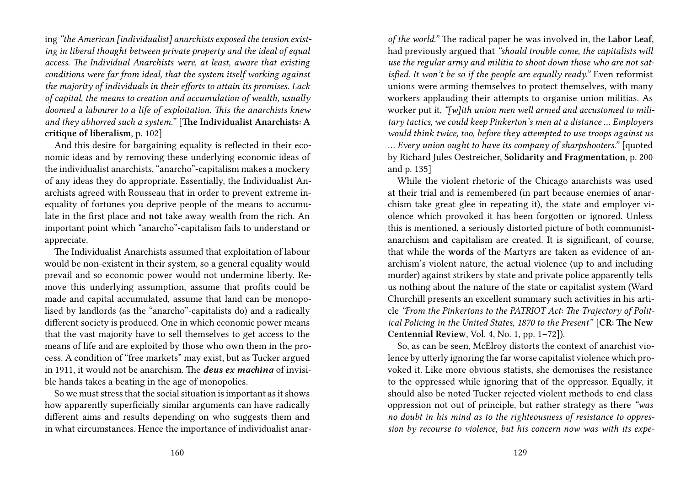ing *"the American [individualist] anarchists exposed the tension existing in liberal thought between private property and the ideal of equal access. The Individual Anarchists were, at least, aware that existing conditions were far from ideal, that the system itself working against the majority of individuals in their efforts to attain its promises. Lack of capital, the means to creation and accumulation of wealth, usually doomed a labourer to a life of exploitation. This the anarchists knew and they abhorred such a system."* [**The Individualist Anarchists: A critique of liberalism**, p. 102]

And this desire for bargaining equality is reflected in their economic ideas and by removing these underlying economic ideas of the individualist anarchists, "anarcho"-capitalism makes a mockery of any ideas they do appropriate. Essentially, the Individualist Anarchists agreed with Rousseau that in order to prevent extreme inequality of fortunes you deprive people of the means to accumulate in the first place and **not** take away wealth from the rich. An important point which "anarcho"-capitalism fails to understand or appreciate.

The Individualist Anarchists assumed that exploitation of labour would be non-existent in their system, so a general equality would prevail and so economic power would not undermine liberty. Remove this underlying assumption, assume that profits could be made and capital accumulated, assume that land can be monopolised by landlords (as the "anarcho"-capitalists do) and a radically different society is produced. One in which economic power means that the vast majority have to sell themselves to get access to the means of life and are exploited by those who own them in the process. A condition of "free markets" may exist, but as Tucker argued in 1911, it would not be anarchism. The *deus ex machina* of invisible hands takes a beating in the age of monopolies.

So we must stress that the social situation is important as it shows how apparently superficially similar arguments can have radically different aims and results depending on who suggests them and in what circumstances. Hence the importance of individualist anar*of the world."* The radical paper he was involved in, the **Labor Leaf**, had previously argued that *"should trouble come, the capitalists will use the regular army and militia to shoot down those who are not satisfied. It won't be so if the people are equally ready."* Even reformist unions were arming themselves to protect themselves, with many workers applauding their attempts to organise union militias. As worker put it, *"[w]ith union men well armed and accustomed to military tactics, we could keep Pinkerton's men at a distance … Employers would think twice, too, before they attempted to use troops against us … Every union ought to have its company of sharpshooters."* [quoted by Richard Jules Oestreicher, **Solidarity and Fragmentation**, p. 200 and p. 135]

While the violent rhetoric of the Chicago anarchists was used at their trial and is remembered (in part because enemies of anarchism take great glee in repeating it), the state and employer violence which provoked it has been forgotten or ignored. Unless this is mentioned, a seriously distorted picture of both communistanarchism **and** capitalism are created. It is significant, of course, that while the **words** of the Martyrs are taken as evidence of anarchism's violent nature, the actual violence (up to and including murder) against strikers by state and private police apparently tells us nothing about the nature of the state or capitalist system (Ward Churchill presents an excellent summary such activities in his article *"From the Pinkertons to the PATRIOT Act: The Trajectory of Political Policing in the United States, 1870 to the Present"* [**CR: The New Centennial Review**, Vol. 4, No. 1, pp. 1–72]).

So, as can be seen, McElroy distorts the context of anarchist violence by utterly ignoring the far worse capitalist violence which provoked it. Like more obvious statists, she demonises the resistance to the oppressed while ignoring that of the oppressor. Equally, it should also be noted Tucker rejected violent methods to end class oppression not out of principle, but rather strategy as there *"was no doubt in his mind as to the righteousness of resistance to oppression by recourse to violence, but his concern now was with its expe-*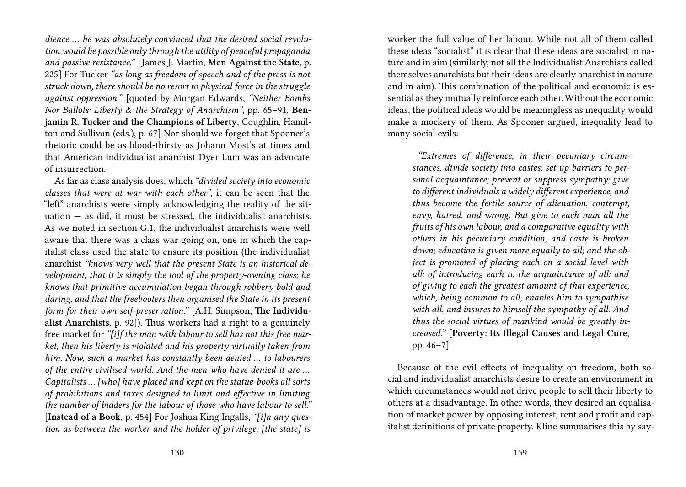*dience … he was absolutely convinced that the desired social revolution would be possible only through the utility of peaceful propaganda and passive resistance."* [James J. Martin, **Men Against the State**, p. 225] For Tucker *"as long as freedom of speech and of the press is not struck down, there should be no resort to physical force in the struggle against oppression."* [quoted by Morgan Edwards, *"Neither Bombs Nor Ballots: Liberty & the Strategy of Anarchism"*, pp. 65–91, **Benjamin R. Tucker and the Champions of Liberty**, Coughlin, Hamilton and Sullivan (eds.), p. 67] Nor should we forget that Spooner's rhetoric could be as blood-thirsty as Johann Most's at times and that American individualist anarchist Dyer Lum was an advocate of insurrection.

As far as class analysis does, which *"divided society into economic classes that were at war with each other"*, it can be seen that the "left" anarchists were simply acknowledging the reality of the situation  $-$  as did, it must be stressed, the individualist anarchists. As we noted in section G.1, the individualist anarchists were well aware that there was a class war going on, one in which the capitalist class used the state to ensure its position (the individualist anarchist *"knows very well that the present State is an historical development, that it is simply the tool of the property-owning class; he knows that primitive accumulation began through robbery bold and daring, and that the freebooters then organised the State in its present form for their own self-preservation."* [A.H. Simpson, **The Individualist Anarchists**, p. 92]). Thus workers had a right to a genuinely free market for *"[i]f the man with labour to sell has not this free market, then his liberty is violated and his property virtually taken from him. Now, such a market has constantly been denied … to labourers of the entire civilised world. And the men who have denied it are … Capitalists … [who] have placed and kept on the statue-books all sorts of prohibitions and taxes designed to limit and effective in limiting the number of bidders for the labour of those who have labour to sell."* [**Instead of a Book**, p. 454] For Joshua King Ingalls, *"[i]n any question as between the worker and the holder of privilege, [the state] is*

worker the full value of her labour. While not all of them called these ideas "socialist" it is clear that these ideas **are** socialist in nature and in aim (similarly, not all the Individualist Anarchists called themselves anarchists but their ideas are clearly anarchist in nature and in aim). This combination of the political and economic is essential as they mutually reinforce each other. Without the economic ideas, the political ideas would be meaningless as inequality would make a mockery of them. As Spooner argued, inequality lead to many social evils:

*"Extremes of difference, in their pecuniary circumstances, divide society into castes; set up barriers to personal acquaintance; prevent or suppress sympathy; give to different individuals a widely different experience, and thus become the fertile source of alienation, contempt, envy, hatred, and wrong. But give to each man all the fruits of his own labour, and a comparative equality with others in his pecuniary condition, and caste is broken down; education is given more equally to all; and the object is promoted of placing each on a social level with all: of introducing each to the acquaintance of all; and of giving to each the greatest amount of that experience, which, being common to all, enables him to sympathise with all, and insures to himself the sympathy of all. And thus the social virtues of mankind would be greatly increased."* [**Poverty: Its Illegal Causes and Legal Cure**, pp. 46–7]

Because of the evil effects of inequality on freedom, both social and individualist anarchists desire to create an environment in which circumstances would not drive people to sell their liberty to others at a disadvantage. In other words, they desired an equalisation of market power by opposing interest, rent and profit and capitalist definitions of private property. Kline summarises this by say-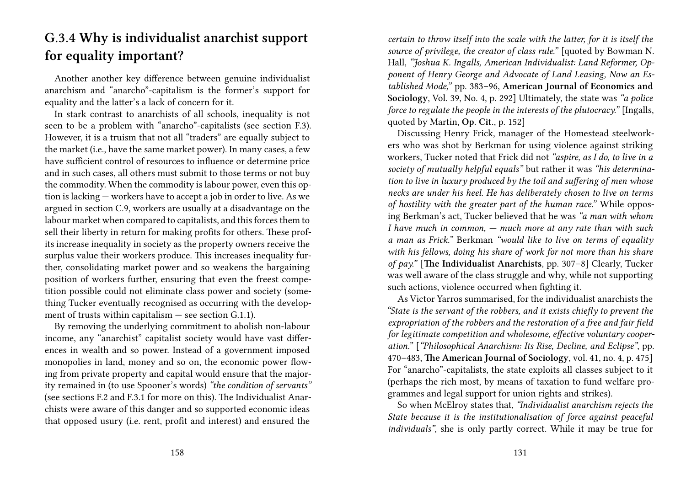#### **G.3.4 Why is individualist anarchist support for equality important?**

Another another key difference between genuine individualist anarchism and "anarcho"-capitalism is the former's support for equality and the latter's a lack of concern for it.

In stark contrast to anarchists of all schools, inequality is not seen to be a problem with "anarcho"-capitalists (see section F.3). However, it is a truism that not all "traders" are equally subject to the market (i.e., have the same market power). In many cases, a few have sufficient control of resources to influence or determine price and in such cases, all others must submit to those terms or not buy the commodity. When the commodity is labour power, even this option is lacking — workers have to accept a job in order to live. As we argued in section C.9, workers are usually at a disadvantage on the labour market when compared to capitalists, and this forces them to sell their liberty in return for making profits for others. These profits increase inequality in society as the property owners receive the surplus value their workers produce. This increases inequality further, consolidating market power and so weakens the bargaining position of workers further, ensuring that even the freest competition possible could not eliminate class power and society (something Tucker eventually recognised as occurring with the development of trusts within capitalism — see section G.1.1).

By removing the underlying commitment to abolish non-labour income, any "anarchist" capitalist society would have vast differences in wealth and so power. Instead of a government imposed monopolies in land, money and so on, the economic power flowing from private property and capital would ensure that the majority remained in (to use Spooner's words) *"the condition of servants"* (see sections F.2 and F.3.1 for more on this). The Individualist Anarchists were aware of this danger and so supported economic ideas that opposed usury (i.e. rent, profit and interest) and ensured the

*certain to throw itself into the scale with the latter, for it is itself the source of privilege, the creator of class rule."* [quoted by Bowman N. Hall, *"Joshua K. Ingalls, American Individualist: Land Reformer, Opponent of Henry George and Advocate of Land Leasing, Now an Established Mode,"* pp. 383–96, **American Journal of Economics and Sociology**, Vol. 39, No. 4, p. 292] Ultimately, the state was *"a police force to regulate the people in the interests of the plutocracy."* [Ingalls, quoted by Martin, **Op. Cit.**, p. 152]

Discussing Henry Frick, manager of the Homestead steelworkers who was shot by Berkman for using violence against striking workers, Tucker noted that Frick did not *"aspire, as I do, to live in a society of mutually helpful equals"* but rather it was *"his determination to live in luxury produced by the toil and suffering of men whose necks are under his heel. He has deliberately chosen to live on terms of hostility with the greater part of the human race."* While opposing Berkman's act, Tucker believed that he was *"a man with whom I have much in common, — much more at any rate than with such a man as Frick."* Berkman *"would like to live on terms of equality with his fellows, doing his share of work for not more than his share of pay."* [**The Individualist Anarchists**, pp. 307–8] Clearly, Tucker was well aware of the class struggle and why, while not supporting such actions, violence occurred when fighting it.

As Victor Yarros summarised, for the individualist anarchists the *"State is the servant of the robbers, and it exists chiefly to prevent the expropriation of the robbers and the restoration of a free and fair field for legitimate competition and wholesome, effective voluntary cooperation."* [*"Philosophical Anarchism: Its Rise, Decline, and Eclipse"*, pp. 470–483, **The American Journal of Sociology**, vol. 41, no. 4, p. 475] For "anarcho"-capitalists, the state exploits all classes subject to it (perhaps the rich most, by means of taxation to fund welfare programmes and legal support for union rights and strikes).

So when McElroy states that, *"Individualist anarchism rejects the State because it is the institutionalisation of force against peaceful individuals"*, she is only partly correct. While it may be true for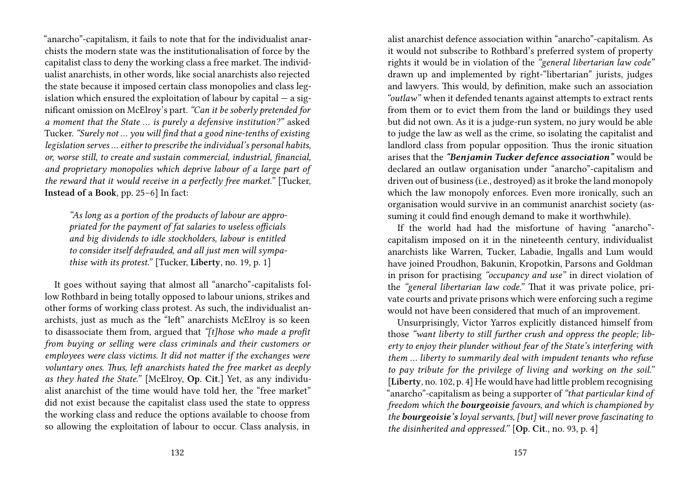"anarcho"-capitalism, it fails to note that for the individualist anarchists the modern state was the institutionalisation of force by the capitalist class to deny the working class a free market. The individualist anarchists, in other words, like social anarchists also rejected the state because it imposed certain class monopolies and class legislation which ensured the exploitation of labour by capital  $-$  a significant omission on McElroy's part. *"Can it be soberly pretended for a moment that the State … is purely a defensive institution?"* asked Tucker. *"Surely not … you will find that a good nine-tenths of existing legislation serves … either to prescribe the individual's personal habits, or, worse still, to create and sustain commercial, industrial, financial, and proprietary monopolies which deprive labour of a large part of the reward that it would receive in a perfectly free market."* [Tucker, **Instead of a Book**, pp. 25–6] In fact:

*"As long as a portion of the products of labour are appropriated for the payment of fat salaries to useless officials and big dividends to idle stockholders, labour is entitled to consider itself defrauded, and all just men will sympathise with its protest."* [Tucker, **Liberty**, no. 19, p. 1]

It goes without saying that almost all "anarcho"-capitalists follow Rothbard in being totally opposed to labour unions, strikes and other forms of working class protest. As such, the individualist anarchists, just as much as the "left" anarchists McElroy is so keen to disassociate them from, argued that *"[t]hose who made a profit from buying or selling were class criminals and their customers or employees were class victims. It did not matter if the exchanges were voluntary ones. Thus, left anarchists hated the free market as deeply as they hated the State."* [McElroy, **Op. Cit.**] Yet, as any individualist anarchist of the time would have told her, the "free market" did not exist because the capitalist class used the state to oppress the working class and reduce the options available to choose from so allowing the exploitation of labour to occur. Class analysis, in

alist anarchist defence association within "anarcho"-capitalism. As it would not subscribe to Rothbard's preferred system of property rights it would be in violation of the *"general libertarian law code"* drawn up and implemented by right-"libertarian" jurists, judges and lawyers. This would, by definition, make such an association *"outlaw"* when it defended tenants against attempts to extract rents from them or to evict them from the land or buildings they used but did not own. As it is a judge-run system, no jury would be able to judge the law as well as the crime, so isolating the capitalist and landlord class from popular opposition. Thus the ironic situation arises that the *"Benjamin Tucker defence association"* would be declared an outlaw organisation under "anarcho"-capitalism and driven out of business (i.e., destroyed) as it broke the land monopoly which the law monopoly enforces. Even more ironically, such an organisation would survive in an communist anarchist society (assuming it could find enough demand to make it worthwhile).

If the world had had the misfortune of having "anarcho" capitalism imposed on it in the nineteenth century, individualist anarchists like Warren, Tucker, Labadie, Ingalls and Lum would have joined Proudhon, Bakunin, Kropotkin, Parsons and Goldman in prison for practising *"occupancy and use"* in direct violation of the *"general libertarian law code."* That it was private police, private courts and private prisons which were enforcing such a regime would not have been considered that much of an improvement.

Unsurprisingly, Victor Yarros explicitly distanced himself from those *"want liberty to still further crush and oppress the people; liberty to enjoy their plunder without fear of the State's interfering with them … liberty to summarily deal with impudent tenants who refuse to pay tribute for the privilege of living and working on the soil."* [**Liberty**, no. 102, p. 4] He would have had little problem recognising "anarcho"-capitalism as being a supporter of *"that particular kind of freedom which the bourgeoisie favours, and which is championed by the bourgeoisie's loyal servants, [but] will never prove fascinating to the disinherited and oppressed."* [**Op. Cit.**, no. 93, p. 4]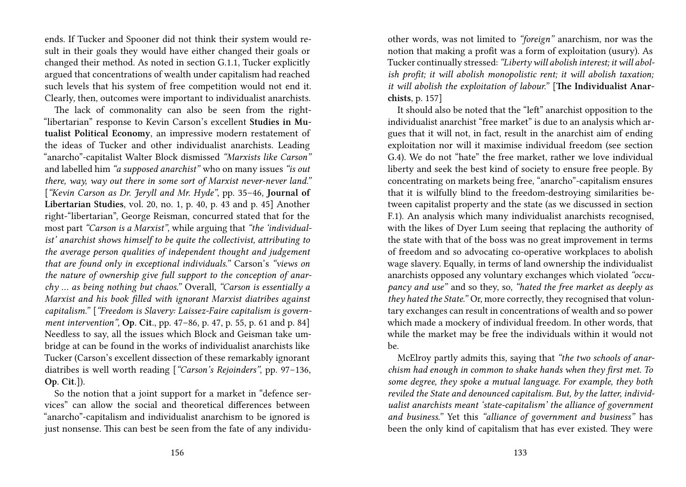ends. If Tucker and Spooner did not think their system would result in their goals they would have either changed their goals or changed their method. As noted in section G.1.1, Tucker explicitly argued that concentrations of wealth under capitalism had reached such levels that his system of free competition would not end it. Clearly, then, outcomes were important to individualist anarchists.

The lack of commonality can also be seen from the right- "libertarian" response to Kevin Carson's excellent **Studies in Mutualist Political Economy**, an impressive modern restatement of the ideas of Tucker and other individualist anarchists. Leading "anarcho"-capitalist Walter Block dismissed *"Marxists like Carson"* and labelled him *"a supposed anarchist"* who on many issues *"is out there, way, way out there in some sort of Marxist never-never land."* [*"Kevin Carson as Dr. Jeryll and Mr. Hyde"*, pp. 35–46, **Journal of Libertarian Studies**, vol. 20, no. 1, p. 40, p. 43 and p. 45] Another right-"libertarian", George Reisman, concurred stated that for the most part *"Carson is a Marxist"*, while arguing that *"the 'individualist' anarchist shows himself to be quite the collectivist, attributing to the average person qualities of independent thought and judgement that are found only in exceptional individuals."* Carson's *"views on the nature of ownership give full support to the conception of anarchy … as being nothing but chaos."* Overall, *"Carson is essentially a Marxist and his book filled with ignorant Marxist diatribes against capitalism."* [*"Freedom is Slavery: Laissez-Faire capitalism is government intervention"*, **Op. Cit.**, pp. 47–86, p. 47, p. 55, p. 61 and p. 84] Needless to say, all the issues which Block and Geisman take umbridge at can be found in the works of individualist anarchists like Tucker (Carson's excellent dissection of these remarkably ignorant diatribes is well worth reading [*"Carson's Rejoinders"*, pp. 97–136, **Op. Cit.**]).

So the notion that a joint support for a market in "defence services" can allow the social and theoretical differences between "anarcho"-capitalism and individualist anarchism to be ignored is just nonsense. This can best be seen from the fate of any individuother words, was not limited to *"foreign"* anarchism, nor was the notion that making a profit was a form of exploitation (usury). As Tucker continually stressed:*"Liberty will abolish interest; it will abolish profit; it will abolish monopolistic rent; it will abolish taxation; it will abolish the exploitation of labour."* [**The Individualist Anarchists**, p. 157]

It should also be noted that the "left" anarchist opposition to the individualist anarchist "free market" is due to an analysis which argues that it will not, in fact, result in the anarchist aim of ending exploitation nor will it maximise individual freedom (see section G.4). We do not "hate" the free market, rather we love individual liberty and seek the best kind of society to ensure free people. By concentrating on markets being free, "anarcho"-capitalism ensures that it is wilfully blind to the freedom-destroying similarities between capitalist property and the state (as we discussed in section F.1). An analysis which many individualist anarchists recognised, with the likes of Dyer Lum seeing that replacing the authority of the state with that of the boss was no great improvement in terms of freedom and so advocating co-operative workplaces to abolish wage slavery. Equally, in terms of land ownership the individualist anarchists opposed any voluntary exchanges which violated *"occupancy and use"* and so they, so, *"hated the free market as deeply as they hated the State."* Or, more correctly, they recognised that voluntary exchanges can result in concentrations of wealth and so power which made a mockery of individual freedom. In other words, that while the market may be free the individuals within it would not be.

McElroy partly admits this, saying that *"the two schools of anarchism had enough in common to shake hands when they first met. To some degree, they spoke a mutual language. For example, they both reviled the State and denounced capitalism. But, by the latter, individualist anarchists meant 'state-capitalism' the alliance of government and business."* Yet this *"alliance of government and business"* has been the only kind of capitalism that has ever existed. They were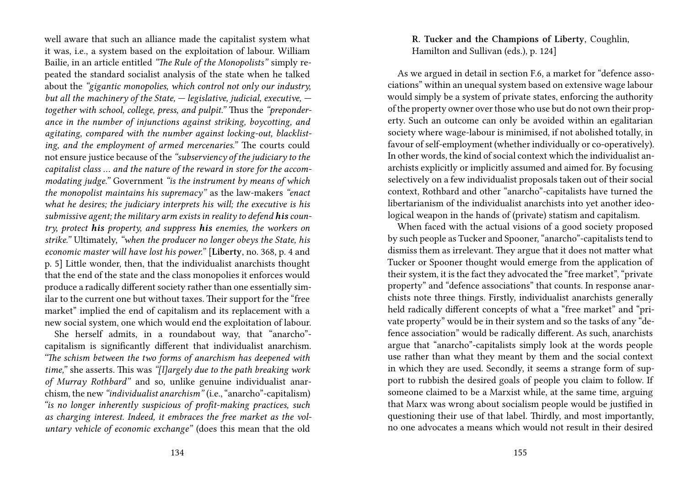well aware that such an alliance made the capitalist system what it was, i.e., a system based on the exploitation of labour. William Bailie, in an article entitled *"The Rule of the Monopolists"* simply repeated the standard socialist analysis of the state when he talked about the *"gigantic monopolies, which control not only our industry, but all the machinery of the State, — legislative, judicial, executive, together with school, college, press, and pulpit."* Thus the *"preponderance in the number of injunctions against striking, boycotting, and agitating, compared with the number against locking-out, blacklisting, and the employment of armed mercenaries."* The courts could not ensure justice because of the *"subserviency of the judiciary to the capitalist class … and the nature of the reward in store for the accommodating judge."* Government *"is the instrument by means of which the monopolist maintains his supremacy"* as the law-makers *"enact what he desires; the judiciary interprets his will; the executive is his submissive agent; the military arm exists in reality to defend his country, protect his property, and suppress his enemies, the workers on strike."* Ultimately, *"when the producer no longer obeys the State, his economic master will have lost his power."* [**Liberty**, no. 368, p. 4 and p. 5] Little wonder, then, that the individualist anarchists thought that the end of the state and the class monopolies it enforces would produce a radically different society rather than one essentially similar to the current one but without taxes. Their support for the "free market" implied the end of capitalism and its replacement with a new social system, one which would end the exploitation of labour.

She herself admits, in a roundabout way, that "anarcho" capitalism is significantly different that individualist anarchism. *"The schism between the two forms of anarchism has deepened with time,"* she asserts. This was *"[l]argely due to the path breaking work of Murray Rothbard"* and so, unlike genuine individualist anarchism, the new *"individualist anarchism"* (i.e., "anarcho"-capitalism) *"is no longer inherently suspicious of profit-making practices, such as charging interest. Indeed, it embraces the free market as the voluntary vehicle of economic exchange"* (does this mean that the old

**R. Tucker and the Champions of Liberty**, Coughlin, Hamilton and Sullivan (eds.), p. 124]

As we argued in detail in section F.6, a market for "defence associations" within an unequal system based on extensive wage labour would simply be a system of private states, enforcing the authority of the property owner over those who use but do not own their property. Such an outcome can only be avoided within an egalitarian society where wage-labour is minimised, if not abolished totally, in favour of self-employment (whether individually or co-operatively). In other words, the kind of social context which the individualist anarchists explicitly or implicitly assumed and aimed for. By focusing selectively on a few individualist proposals taken out of their social context, Rothbard and other "anarcho"-capitalists have turned the libertarianism of the individualist anarchists into yet another ideological weapon in the hands of (private) statism and capitalism.

When faced with the actual visions of a good society proposed by such people as Tucker and Spooner, "anarcho"-capitalists tend to dismiss them as irrelevant. They argue that it does not matter what Tucker or Spooner thought would emerge from the application of their system, it is the fact they advocated the "free market", "private property" and "defence associations" that counts. In response anarchists note three things. Firstly, individualist anarchists generally held radically different concepts of what a "free market" and "private property" would be in their system and so the tasks of any "defence association" would be radically different. As such, anarchists argue that "anarcho"-capitalists simply look at the words people use rather than what they meant by them and the social context in which they are used. Secondly, it seems a strange form of support to rubbish the desired goals of people you claim to follow. If someone claimed to be a Marxist while, at the same time, arguing that Marx was wrong about socialism people would be justified in questioning their use of that label. Thirdly, and most importantly, no one advocates a means which would not result in their desired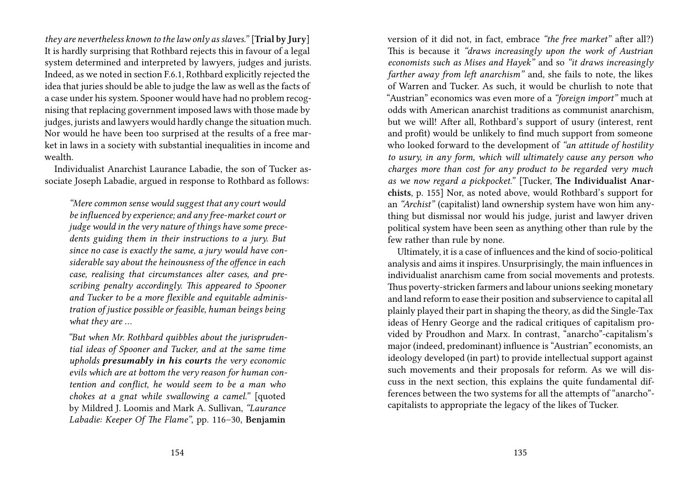*they are nevertheless known to the law only as slaves."* [**Trial by Jury**] It is hardly surprising that Rothbard rejects this in favour of a legal system determined and interpreted by lawyers, judges and jurists. Indeed, as we noted in section F.6.1, Rothbard explicitly rejected the idea that juries should be able to judge the law as well as the facts of a case under his system. Spooner would have had no problem recognising that replacing government imposed laws with those made by judges, jurists and lawyers would hardly change the situation much. Nor would he have been too surprised at the results of a free market in laws in a society with substantial inequalities in income and wealth.

Individualist Anarchist Laurance Labadie, the son of Tucker associate Joseph Labadie, argued in response to Rothbard as follows:

*"Mere common sense would suggest that any court would be influenced by experience; and any free-market court or judge would in the very nature of things have some precedents guiding them in their instructions to a jury. But since no case is exactly the same, a jury would have considerable say about the heinousness of the offence in each case, realising that circumstances alter cases, and prescribing penalty accordingly. This appeared to Spooner and Tucker to be a more flexible and equitable administration of justice possible or feasible, human beings being what they are …*

*"But when Mr. Rothbard quibbles about the jurisprudential ideas of Spooner and Tucker, and at the same time upholds presumably in his courts the very economic evils which are at bottom the very reason for human contention and conflict, he would seem to be a man who chokes at a gnat while swallowing a camel."* [quoted by Mildred J. Loomis and Mark A. Sullivan, *"Laurance Labadie: Keeper Of The Flame"*, pp. 116–30, **Benjamin**

version of it did not, in fact, embrace *"the free market"* after all?) This is because it *"draws increasingly upon the work of Austrian economists such as Mises and Hayek"* and so *"it draws increasingly farther away from left anarchism"* and, she fails to note, the likes of Warren and Tucker. As such, it would be churlish to note that "Austrian" economics was even more of a *"foreign import"* much at odds with American anarchist traditions as communist anarchism, but we will! After all, Rothbard's support of usury (interest, rent and profit) would be unlikely to find much support from someone who looked forward to the development of *"an attitude of hostility to usury, in any form, which will ultimately cause any person who charges more than cost for any product to be regarded very much as we now regard a pickpocket."* [Tucker, **The Individualist Anarchists**, p. 155] Nor, as noted above, would Rothbard's support for an *"Archist"* (capitalist) land ownership system have won him anything but dismissal nor would his judge, jurist and lawyer driven political system have been seen as anything other than rule by the few rather than rule by none.

Ultimately, it is a case of influences and the kind of socio-political analysis and aims it inspires. Unsurprisingly, the main influences in individualist anarchism came from social movements and protests. Thus poverty-stricken farmers and labour unions seeking monetary and land reform to ease their position and subservience to capital all plainly played their part in shaping the theory, as did the Single-Tax ideas of Henry George and the radical critiques of capitalism provided by Proudhon and Marx. In contrast, "anarcho"-capitalism's major (indeed, predominant) influence is "Austrian" economists, an ideology developed (in part) to provide intellectual support against such movements and their proposals for reform. As we will discuss in the next section, this explains the quite fundamental differences between the two systems for all the attempts of "anarcho" capitalists to appropriate the legacy of the likes of Tucker.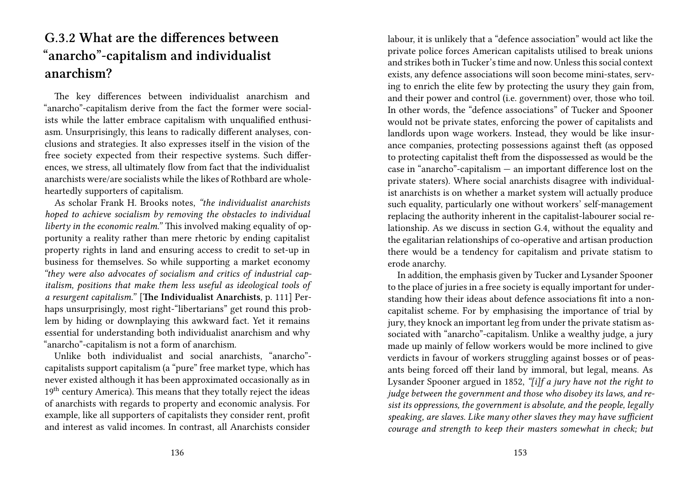#### **G.3.2 What are the differences between "anarcho"-capitalism and individualist anarchism?**

The key differences between individualist anarchism and "anarcho"-capitalism derive from the fact the former were socialists while the latter embrace capitalism with unqualified enthusiasm. Unsurprisingly, this leans to radically different analyses, conclusions and strategies. It also expresses itself in the vision of the free society expected from their respective systems. Such differences, we stress, all ultimately flow from fact that the individualist anarchists were/are socialists while the likes of Rothbard are wholeheartedly supporters of capitalism.

As scholar Frank H. Brooks notes, *"the individualist anarchists hoped to achieve socialism by removing the obstacles to individual liberty in the economic realm."* This involved making equality of opportunity a reality rather than mere rhetoric by ending capitalist property rights in land and ensuring access to credit to set-up in business for themselves. So while supporting a market economy *"they were also advocates of socialism and critics of industrial capitalism, positions that make them less useful as ideological tools of a resurgent capitalism."* [**The Individualist Anarchists**, p. 111] Perhaps unsurprisingly, most right-"libertarians" get round this problem by hiding or downplaying this awkward fact. Yet it remains essential for understanding both individualist anarchism and why "anarcho"-capitalism is not a form of anarchism.

Unlike both individualist and social anarchists, "anarcho" capitalists support capitalism (a "pure" free market type, which has never existed although it has been approximated occasionally as in 19<sup>th</sup> century America). This means that they totally reject the ideas of anarchists with regards to property and economic analysis. For example, like all supporters of capitalists they consider rent, profit and interest as valid incomes. In contrast, all Anarchists consider

labour, it is unlikely that a "defence association" would act like the private police forces American capitalists utilised to break unions and strikes both in Tucker's time and now. Unless this social context exists, any defence associations will soon become mini-states, serving to enrich the elite few by protecting the usury they gain from, and their power and control (i.e. government) over, those who toil. In other words, the "defence associations" of Tucker and Spooner would not be private states, enforcing the power of capitalists and landlords upon wage workers. Instead, they would be like insurance companies, protecting possessions against theft (as opposed to protecting capitalist theft from the dispossessed as would be the case in "anarcho"-capitalism — an important difference lost on the private staters). Where social anarchists disagree with individualist anarchists is on whether a market system will actually produce such equality, particularly one without workers' self-management replacing the authority inherent in the capitalist-labourer social relationship. As we discuss in section G.4, without the equality and the egalitarian relationships of co-operative and artisan production there would be a tendency for capitalism and private statism to erode anarchy.

In addition, the emphasis given by Tucker and Lysander Spooner to the place of juries in a free society is equally important for understanding how their ideas about defence associations fit into a noncapitalist scheme. For by emphasising the importance of trial by jury, they knock an important leg from under the private statism associated with "anarcho"-capitalism. Unlike a wealthy judge, a jury made up mainly of fellow workers would be more inclined to give verdicts in favour of workers struggling against bosses or of peasants being forced off their land by immoral, but legal, means. As Lysander Spooner argued in 1852, *"[i]f a jury have not the right to judge between the government and those who disobey its laws, and resist its oppressions, the government is absolute, and the people, legally speaking, are slaves. Like many other slaves they may have sufficient courage and strength to keep their masters somewhat in check; but*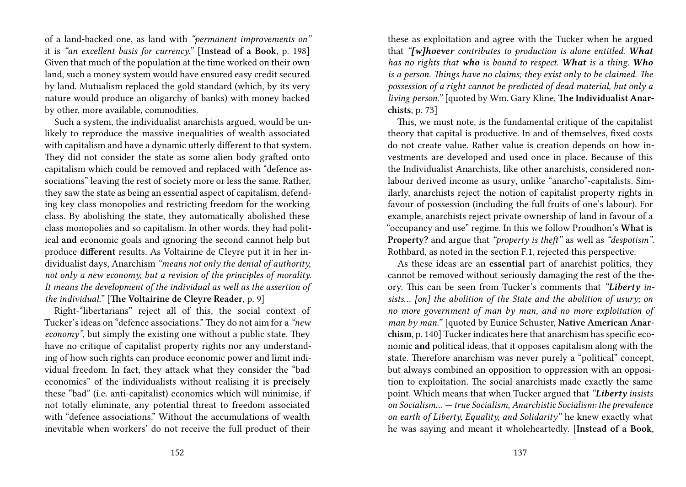of a land-backed one, as land with *"permanent improvements on"* it is *"an excellent basis for currency."* [**Instead of a Book**, p. 198] Given that much of the population at the time worked on their own land, such a money system would have ensured easy credit secured by land. Mutualism replaced the gold standard (which, by its very nature would produce an oligarchy of banks) with money backed by other, more available, commodities.

Such a system, the individualist anarchists argued, would be unlikely to reproduce the massive inequalities of wealth associated with capitalism and have a dynamic utterly different to that system. They did not consider the state as some alien body grafted onto capitalism which could be removed and replaced with "defence associations" leaving the rest of society more or less the same. Rather, they saw the state as being an essential aspect of capitalism, defending key class monopolies and restricting freedom for the working class. By abolishing the state, they automatically abolished these class monopolies and so capitalism. In other words, they had political **and** economic goals and ignoring the second cannot help but produce **different** results. As Voltairine de Cleyre put it in her individualist days, Anarchism *"means not only the denial of authority, not only a new economy, but a revision of the principles of morality. It means the development of the individual as well as the assertion of the individual."* [**The Voltairine de Cleyre Reader**, p. 9]

Right-"libertarians" reject all of this, the social context of Tucker's ideas on "defence associations." They do not aim for a *"new economy"*, but simply the existing one without a public state. They have no critique of capitalist property rights nor any understanding of how such rights can produce economic power and limit individual freedom. In fact, they attack what they consider the "bad economics" of the individualists without realising it is **precisely** these "bad" (i.e. anti-capitalist) economics which will minimise, if not totally eliminate, any potential threat to freedom associated with "defence associations." Without the accumulations of wealth inevitable when workers' do not receive the full product of their

these as exploitation and agree with the Tucker when he argued that *"[w]hoever contributes to production is alone entitled. What has no rights that who is bound to respect. What is a thing. Who is a person. Things have no claims; they exist only to be claimed. The possession of a right cannot be predicted of dead material, but only a living person."* [quoted by Wm. Gary Kline, **The Individualist Anarchists**, p. 73]

This, we must note, is the fundamental critique of the capitalist theory that capital is productive. In and of themselves, fixed costs do not create value. Rather value is creation depends on how investments are developed and used once in place. Because of this the Individualist Anarchists, like other anarchists, considered nonlabour derived income as usury, unlike "anarcho"-capitalists. Similarly, anarchists reject the notion of capitalist property rights in favour of possession (including the full fruits of one's labour). For example, anarchists reject private ownership of land in favour of a "occupancy and use" regime. In this we follow Proudhon's **What is Property?** and argue that *"property is theft"* as well as *"despotism"*. Rothbard, as noted in the section F.1, rejected this perspective.

As these ideas are an **essential** part of anarchist politics, they cannot be removed without seriously damaging the rest of the theory. This can be seen from Tucker's comments that *"Liberty insists… [on] the abolition of the State and the abolition of usury; on no more government of man by man, and no more exploitation of man by man."* [quoted by Eunice Schuster, **Native American Anarchism**, p. 140] Tucker indicates here that anarchism has specific economic **and** political ideas, that it opposes capitalism along with the state. Therefore anarchism was never purely a "political" concept, but always combined an opposition to oppression with an opposition to exploitation. The social anarchists made exactly the same point. Which means that when Tucker argued that *"Liberty insists on Socialism… — true Socialism, Anarchistic Socialism: the prevalence on earth of Liberty, Equality, and Solidarity"* he knew exactly what he was saying and meant it wholeheartedly. [**Instead of a Book**,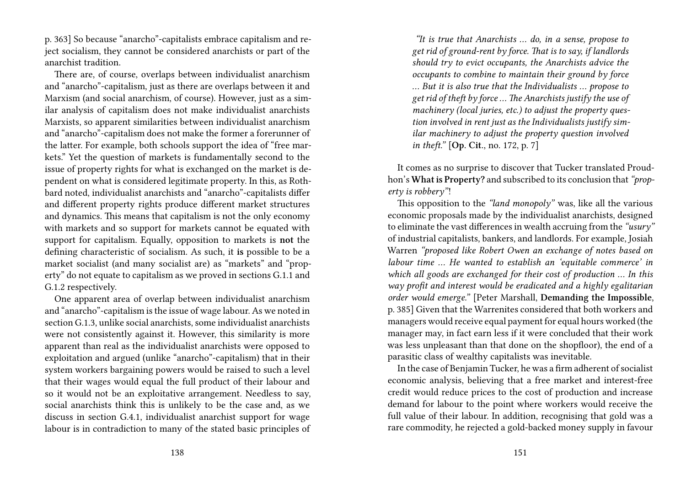p. 363] So because "anarcho"-capitalists embrace capitalism and reject socialism, they cannot be considered anarchists or part of the anarchist tradition.

There are, of course, overlaps between individualist anarchism and "anarcho"-capitalism, just as there are overlaps between it and Marxism (and social anarchism, of course). However, just as a similar analysis of capitalism does not make individualist anarchists Marxists, so apparent similarities between individualist anarchism and "anarcho"-capitalism does not make the former a forerunner of the latter. For example, both schools support the idea of "free markets." Yet the question of markets is fundamentally second to the issue of property rights for what is exchanged on the market is dependent on what is considered legitimate property. In this, as Rothbard noted, individualist anarchists and "anarcho"-capitalists differ and different property rights produce different market structures and dynamics. This means that capitalism is not the only economy with markets and so support for markets cannot be equated with support for capitalism. Equally, opposition to markets is **not** the defining characteristic of socialism. As such, it **is** possible to be a market socialist (and many socialist are) as "markets" and "property" do not equate to capitalism as we proved in sections G.1.1 and G.1.2 respectively.

One apparent area of overlap between individualist anarchism and "anarcho"-capitalism is the issue of wage labour. As we noted in section G.1.3, unlike social anarchists, some individualist anarchists were not consistently against it. However, this similarity is more apparent than real as the individualist anarchists were opposed to exploitation and argued (unlike "anarcho"-capitalism) that in their system workers bargaining powers would be raised to such a level that their wages would equal the full product of their labour and so it would not be an exploitative arrangement. Needless to say, social anarchists think this is unlikely to be the case and, as we discuss in section G.4.1, individualist anarchist support for wage labour is in contradiction to many of the stated basic principles of

*"It is true that Anarchists … do, in a sense, propose to get rid of ground-rent by force. That is to say, if landlords should try to evict occupants, the Anarchists advice the occupants to combine to maintain their ground by force … But it is also true that the Individualists … propose to get rid of theft by force … The Anarchists justify the use of machinery (local juries, etc.) to adjust the property question involved in rent just as the Individualists justify similar machinery to adjust the property question involved in theft."* [**Op. Cit.**, no. 172, p. 7]

It comes as no surprise to discover that Tucker translated Proudhon's **What is Property?** and subscribed to its conclusion that*"property is robbery"*!

This opposition to the *"land monopoly"* was, like all the various economic proposals made by the individualist anarchists, designed to eliminate the vast differences in wealth accruing from the *"usury"* of industrial capitalists, bankers, and landlords. For example, Josiah Warren *"proposed like Robert Owen an exchange of notes based on labour time … He wanted to establish an 'equitable commerce' in which all goods are exchanged for their cost of production … In this way profit and interest would be eradicated and a highly egalitarian order would emerge."* [Peter Marshall, **Demanding the Impossible**, p. 385] Given that the Warrenites considered that both workers and managers would receive equal payment for equal hours worked (the manager may, in fact earn less if it were concluded that their work was less unpleasant than that done on the shopfloor), the end of a parasitic class of wealthy capitalists was inevitable.

In the case of Benjamin Tucker, he was a firm adherent of socialist economic analysis, believing that a free market and interest-free credit would reduce prices to the cost of production and increase demand for labour to the point where workers would receive the full value of their labour. In addition, recognising that gold was a rare commodity, he rejected a gold-backed money supply in favour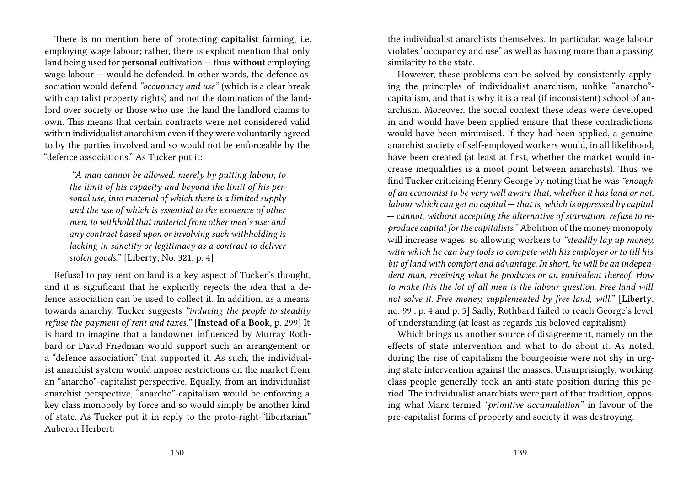There is no mention here of protecting **capitalist** farming, i.e. employing wage labour; rather, there is explicit mention that only land being used for **personal** cultivation — thus **without** employing wage labour — would be defended. In other words, the defence association would defend *"occupancy and use"* (which is a clear break with capitalist property rights) and not the domination of the landlord over society or those who use the land the landlord claims to own. This means that certain contracts were not considered valid within individualist anarchism even if they were voluntarily agreed to by the parties involved and so would not be enforceable by the "defence associations." As Tucker put it:

*"A man cannot be allowed, merely by putting labour, to the limit of his capacity and beyond the limit of his personal use, into material of which there is a limited supply and the use of which is essential to the existence of other men, to withhold that material from other men's use; and any contract based upon or involving such withholding is lacking in sanctity or legitimacy as a contract to deliver stolen goods."* [**Liberty**, No. 321, p. 4]

Refusal to pay rent on land is a key aspect of Tucker's thought, and it is significant that he explicitly rejects the idea that a defence association can be used to collect it. In addition, as a means towards anarchy, Tucker suggests *"inducing the people to steadily refuse the payment of rent and taxes."* [**Instead of a Book**, p. 299] It is hard to imagine that a landowner influenced by Murray Rothbard or David Friedman would support such an arrangement or a "defence association" that supported it. As such, the individualist anarchist system would impose restrictions on the market from an "anarcho"-capitalist perspective. Equally, from an individualist anarchist perspective, "anarcho"-capitalism would be enforcing a key class monopoly by force and so would simply be another kind of state. As Tucker put it in reply to the proto-right-"libertarian" Auberon Herbert:

the individualist anarchists themselves. In particular, wage labour violates "occupancy and use" as well as having more than a passing similarity to the state.

However, these problems can be solved by consistently applying the principles of individualist anarchism, unlike "anarcho" capitalism, and that is why it is a real (if inconsistent) school of anarchism. Moreover, the social context these ideas were developed in and would have been applied ensure that these contradictions would have been minimised. If they had been applied, a genuine anarchist society of self-employed workers would, in all likelihood, have been created (at least at first, whether the market would increase inequalities is a moot point between anarchists). Thus we find Tucker criticising Henry George by noting that he was*"enough of an economist to be very well aware that, whether it has land or not, labour which can get no capital — that is, which is oppressed by capital — cannot, without accepting the alternative of starvation, refuse to reproduce capital for the capitalists."* Abolition of the money monopoly will increase wages, so allowing workers to *"steadily lay up money, with which he can buy tools to compete with his employer or to till his bit of land with comfort and advantage. In short, he will be an independent man, receiving what he produces or an equivalent thereof. How to make this the lot of all men is the labour question. Free land will not solve it. Free money, supplemented by free land, will."* [**Liberty**, no. 99 , p. 4 and p. 5] Sadly, Rothbard failed to reach George's level of understanding (at least as regards his beloved capitalism).

Which brings us another source of disagreement, namely on the effects of state intervention and what to do about it. As noted, during the rise of capitalism the bourgeoisie were not shy in urging state intervention against the masses. Unsurprisingly, working class people generally took an anti-state position during this period. The individualist anarchists were part of that tradition, opposing what Marx termed *"primitive accumulation"* in favour of the pre-capitalist forms of property and society it was destroying.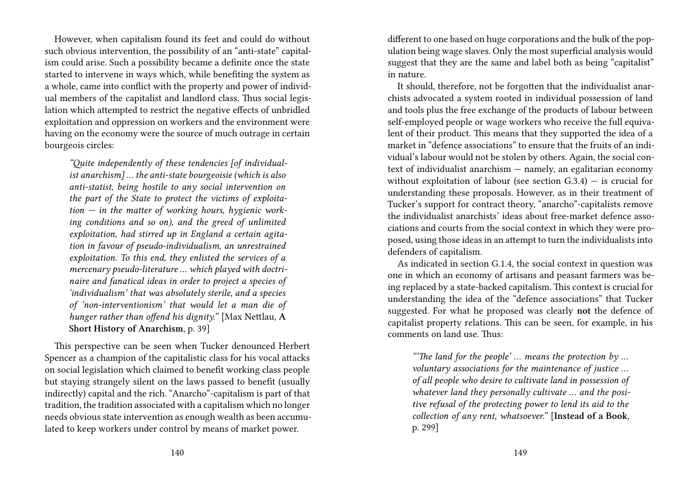However, when capitalism found its feet and could do without such obvious intervention, the possibility of an "anti-state" capitalism could arise. Such a possibility became a definite once the state started to intervene in ways which, while benefiting the system as a whole, came into conflict with the property and power of individual members of the capitalist and landlord class. Thus social legislation which attempted to restrict the negative effects of unbridled exploitation and oppression on workers and the environment were having on the economy were the source of much outrage in certain bourgeois circles:

*"Quite independently of these tendencies [of individualist anarchism] … the anti-state bourgeoisie (which is also anti-statist, being hostile to any social intervention on the part of the State to protect the victims of exploitation — in the matter of working hours, hygienic working conditions and so on), and the greed of unlimited exploitation, had stirred up in England a certain agitation in favour of pseudo-individualism, an unrestrained exploitation. To this end, they enlisted the services of a mercenary pseudo-literature … which played with doctrinaire and fanatical ideas in order to project a species of 'individualism' that was absolutely sterile, and a species of 'non-interventionism' that would let a man die of hunger rather than offend his dignity."* [Max Nettlau, **A Short History of Anarchism**, p. 39]

This perspective can be seen when Tucker denounced Herbert Spencer as a champion of the capitalistic class for his vocal attacks on social legislation which claimed to benefit working class people but staying strangely silent on the laws passed to benefit (usually indirectly) capital and the rich. "Anarcho"-capitalism is part of that tradition, the tradition associated with a capitalism which no longer needs obvious state intervention as enough wealth as been accumulated to keep workers under control by means of market power.

different to one based on huge corporations and the bulk of the population being wage slaves. Only the most superficial analysis would suggest that they are the same and label both as being "capitalist" in nature.

It should, therefore, not be forgotten that the individualist anarchists advocated a system rooted in individual possession of land and tools plus the free exchange of the products of labour between self-employed people or wage workers who receive the full equivalent of their product. This means that they supported the idea of a market in "defence associations" to ensure that the fruits of an individual's labour would not be stolen by others. Again, the social context of individualist anarchism — namely, an egalitarian economy without exploitation of labour (see section  $G(3.4)$  – is crucial for understanding these proposals. However, as in their treatment of Tucker's support for contract theory, "anarcho"-capitalists remove the individualist anarchists' ideas about free-market defence associations and courts from the social context in which they were proposed, using those ideas in an attempt to turn the individualists into defenders of capitalism.

As indicated in section G.1.4, the social context in question was one in which an economy of artisans and peasant farmers was being replaced by a state-backed capitalism. This context is crucial for understanding the idea of the "defence associations" that Tucker suggested. For what he proposed was clearly **not** the defence of capitalist property relations. This can be seen, for example, in his comments on land use. Thus:

*"'The land for the people' … means the protection by … voluntary associations for the maintenance of justice … of all people who desire to cultivate land in possession of whatever land they personally cultivate … and the positive refusal of the protecting power to lend its aid to the collection of any rent, whatsoever."* [**Instead of a Book**, p. 299]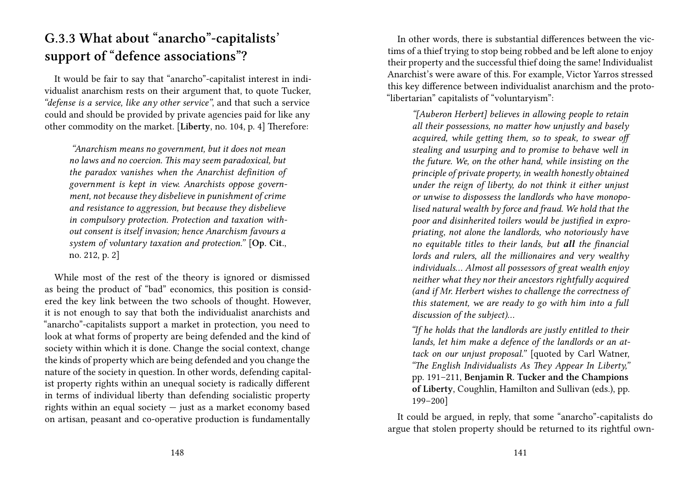### **G.3.3 What about "anarcho"-capitalists' support of "defence associations"?**

It would be fair to say that "anarcho"-capitalist interest in individualist anarchism rests on their argument that, to quote Tucker, *"defense is a service, like any other service"*, and that such a service could and should be provided by private agencies paid for like any other commodity on the market. [**Liberty**, no. 104, p. 4] Therefore:

*"Anarchism means no government, but it does not mean no laws and no coercion. This may seem paradoxical, but the paradox vanishes when the Anarchist definition of government is kept in view. Anarchists oppose government, not because they disbelieve in punishment of crime and resistance to aggression, but because they disbelieve in compulsory protection. Protection and taxation without consent is itself invasion; hence Anarchism favours a system of voluntary taxation and protection."* [**Op. Cit.**, no. 212, p. 2]

While most of the rest of the theory is ignored or dismissed as being the product of "bad" economics, this position is considered the key link between the two schools of thought. However, it is not enough to say that both the individualist anarchists and "anarcho"-capitalists support a market in protection, you need to look at what forms of property are being defended and the kind of society within which it is done. Change the social context, change the kinds of property which are being defended and you change the nature of the society in question. In other words, defending capitalist property rights within an unequal society is radically different in terms of individual liberty than defending socialistic property rights within an equal society — just as a market economy based on artisan, peasant and co-operative production is fundamentally

In other words, there is substantial differences between the victims of a thief trying to stop being robbed and be left alone to enjoy their property and the successful thief doing the same! Individualist Anarchist's were aware of this. For example, Victor Yarros stressed this key difference between individualist anarchism and the proto- "libertarian" capitalists of "voluntaryism":

*"[Auberon Herbert] believes in allowing people to retain all their possessions, no matter how unjustly and basely acquired, while getting them, so to speak, to swear off stealing and usurping and to promise to behave well in the future. We, on the other hand, while insisting on the principle of private property, in wealth honestly obtained under the reign of liberty, do not think it either unjust or unwise to dispossess the landlords who have monopolised natural wealth by force and fraud. We hold that the poor and disinherited toilers would be justified in expropriating, not alone the landlords, who notoriously have no equitable titles to their lands, but all the financial lords and rulers, all the millionaires and very wealthy individuals… Almost all possessors of great wealth enjoy neither what they nor their ancestors rightfully acquired (and if Mr. Herbert wishes to challenge the correctness of this statement, we are ready to go with him into a full discussion of the subject)…*

*"If he holds that the landlords are justly entitled to their lands, let him make a defence of the landlords or an attack on our unjust proposal."* [quoted by Carl Watner, *"The English Individualists As They Appear In Liberty,"* pp. 191–211, **Benjamin R. Tucker and the Champions of Liberty**, Coughlin, Hamilton and Sullivan (eds.), pp. 199–200]

It could be argued, in reply, that some "anarcho"-capitalists do argue that stolen property should be returned to its rightful own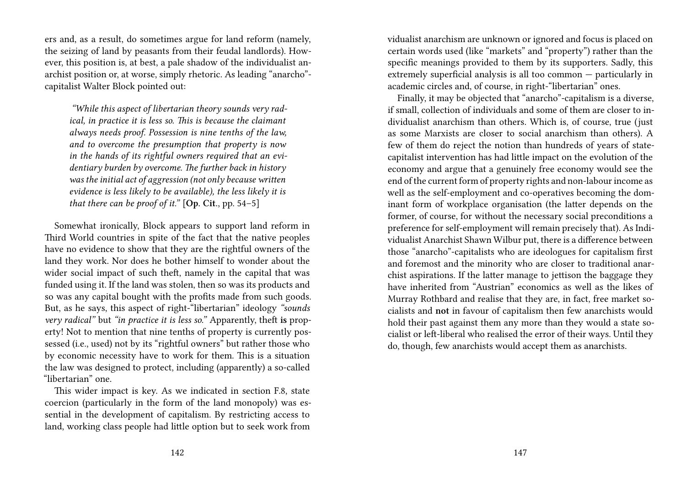ers and, as a result, do sometimes argue for land reform (namely, the seizing of land by peasants from their feudal landlords). However, this position is, at best, a pale shadow of the individualist anarchist position or, at worse, simply rhetoric. As leading "anarcho" capitalist Walter Block pointed out:

*"While this aspect of libertarian theory sounds very radical, in practice it is less so. This is because the claimant always needs proof. Possession is nine tenths of the law, and to overcome the presumption that property is now in the hands of its rightful owners required that an evidentiary burden by overcome. The further back in history was the initial act of aggression (not only because written evidence is less likely to be available), the less likely it is that there can be proof of it."* [**Op. Cit.**, pp. 54–5]

Somewhat ironically, Block appears to support land reform in Third World countries in spite of the fact that the native peoples have no evidence to show that they are the rightful owners of the land they work. Nor does he bother himself to wonder about the wider social impact of such theft, namely in the capital that was funded using it. If the land was stolen, then so was its products and so was any capital bought with the profits made from such goods. But, as he says, this aspect of right-"libertarian" ideology *"sounds very radical"* but *"in practice it is less so."* Apparently, theft **is** property! Not to mention that nine tenths of property is currently possessed (i.e., used) not by its "rightful owners" but rather those who by economic necessity have to work for them. This is a situation the law was designed to protect, including (apparently) a so-called "libertarian" one.

This wider impact is key. As we indicated in section F.8, state coercion (particularly in the form of the land monopoly) was essential in the development of capitalism. By restricting access to land, working class people had little option but to seek work from

vidualist anarchism are unknown or ignored and focus is placed on certain words used (like "markets" and "property") rather than the specific meanings provided to them by its supporters. Sadly, this extremely superficial analysis is all too common — particularly in academic circles and, of course, in right-"libertarian" ones.

Finally, it may be objected that "anarcho"-capitalism is a diverse, if small, collection of individuals and some of them are closer to individualist anarchism than others. Which is, of course, true (just as some Marxists are closer to social anarchism than others). A few of them do reject the notion than hundreds of years of statecapitalist intervention has had little impact on the evolution of the economy and argue that a genuinely free economy would see the end of the current form of property rights and non-labour income as well as the self-employment and co-operatives becoming the dominant form of workplace organisation (the latter depends on the former, of course, for without the necessary social preconditions a preference for self-employment will remain precisely that). As Individualist Anarchist Shawn Wilbur put, there is a difference between those "anarcho"-capitalists who are ideologues for capitalism first and foremost and the minority who are closer to traditional anarchist aspirations. If the latter manage to jettison the baggage they have inherited from "Austrian" economics as well as the likes of Murray Rothbard and realise that they are, in fact, free market socialists and **not** in favour of capitalism then few anarchists would hold their past against them any more than they would a state socialist or left-liberal who realised the error of their ways. Until they do, though, few anarchists would accept them as anarchists.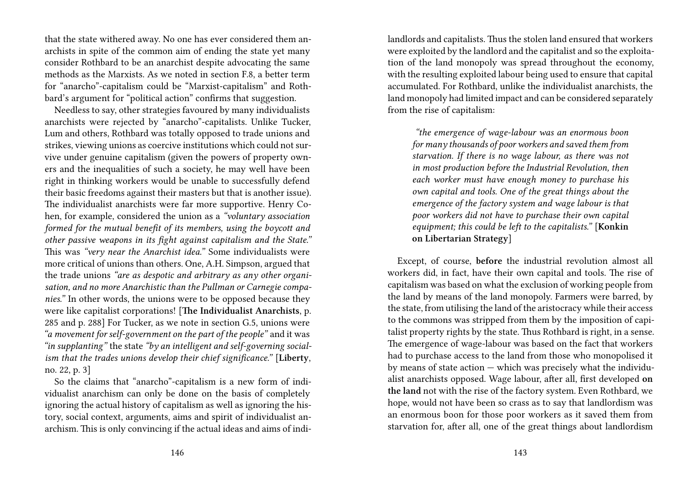that the state withered away. No one has ever considered them anarchists in spite of the common aim of ending the state yet many consider Rothbard to be an anarchist despite advocating the same methods as the Marxists. As we noted in section F.8, a better term for "anarcho"-capitalism could be "Marxist-capitalism" and Rothbard's argument for "political action" confirms that suggestion.

Needless to say, other strategies favoured by many individualists anarchists were rejected by "anarcho"-capitalists. Unlike Tucker, Lum and others, Rothbard was totally opposed to trade unions and strikes, viewing unions as coercive institutions which could not survive under genuine capitalism (given the powers of property owners and the inequalities of such a society, he may well have been right in thinking workers would be unable to successfully defend their basic freedoms against their masters but that is another issue). The individualist anarchists were far more supportive. Henry Cohen, for example, considered the union as a *"voluntary association formed for the mutual benefit of its members, using the boycott and other passive weapons in its fight against capitalism and the State."* This was *"very near the Anarchist idea."* Some individualists were more critical of unions than others. One, A.H. Simpson, argued that the trade unions *"are as despotic and arbitrary as any other organisation, and no more Anarchistic than the Pullman or Carnegie companies."* In other words, the unions were to be opposed because they were like capitalist corporations! [**The Individualist Anarchists**, p. 285 and p. 288] For Tucker, as we note in section G.5, unions were *"a movement for self-government on the part of the people"* and it was *"in supplanting"* the state *"by an intelligent and self-governing socialism that the trades unions develop their chief significance."* [**Liberty**, no. 22, p. 3]

So the claims that "anarcho"-capitalism is a new form of individualist anarchism can only be done on the basis of completely ignoring the actual history of capitalism as well as ignoring the history, social context, arguments, aims and spirit of individualist anarchism. This is only convincing if the actual ideas and aims of indi-

landlords and capitalists. Thus the stolen land ensured that workers were exploited by the landlord and the capitalist and so the exploitation of the land monopoly was spread throughout the economy, with the resulting exploited labour being used to ensure that capital accumulated. For Rothbard, unlike the individualist anarchists, the land monopoly had limited impact and can be considered separately from the rise of capitalism:

*"the emergence of wage-labour was an enormous boon for many thousands of poor workers and saved them from starvation. If there is no wage labour, as there was not in most production before the Industrial Revolution, then each worker must have enough money to purchase his own capital and tools. One of the great things about the emergence of the factory system and wage labour is that poor workers did not have to purchase their own capital equipment; this could be left to the capitalists."* [**Konkin on Libertarian Strategy**]

Except, of course, **before** the industrial revolution almost all workers did, in fact, have their own capital and tools. The rise of capitalism was based on what the exclusion of working people from the land by means of the land monopoly. Farmers were barred, by the state, from utilising the land of the aristocracy while their access to the commons was stripped from them by the imposition of capitalist property rights by the state. Thus Rothbard is right, in a sense. The emergence of wage-labour was based on the fact that workers had to purchase access to the land from those who monopolised it by means of state action — which was precisely what the individualist anarchists opposed. Wage labour, after all, first developed **on the land** not with the rise of the factory system. Even Rothbard, we hope, would not have been so crass as to say that landlordism was an enormous boon for those poor workers as it saved them from starvation for, after all, one of the great things about landlordism